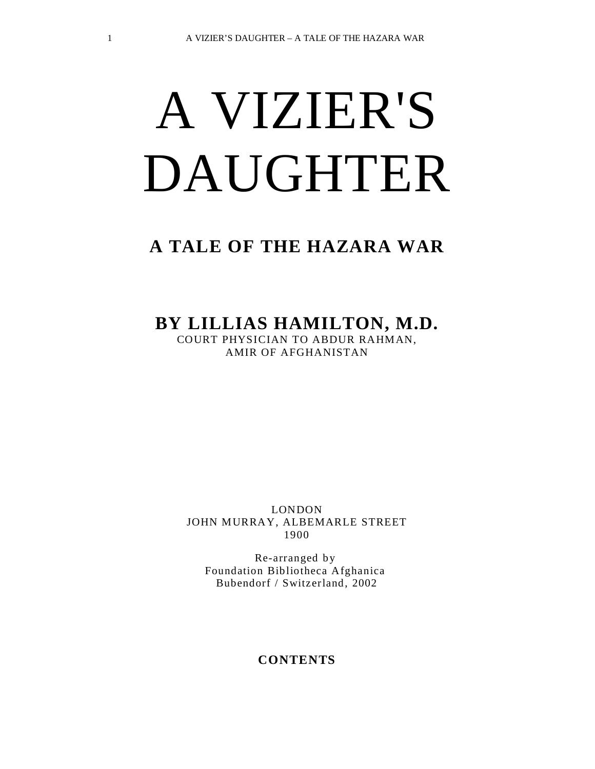# A VIZIER'S DAUGHTER

# **A TALE OF THE HAZARA WAR**

# **BY LILLIAS HAMILTON, M.D.**

COURT PHYSICIAN TO ABDUR RAHMAN, AMIR OF AFGHANISTAN

LONDON JOHN MURRAY, ALBEMARLE STREET 1900

Re-arranged by Foundation Bibliotheca Afghanica Bubendorf / Switzerland, 2002

#### **CONTENTS**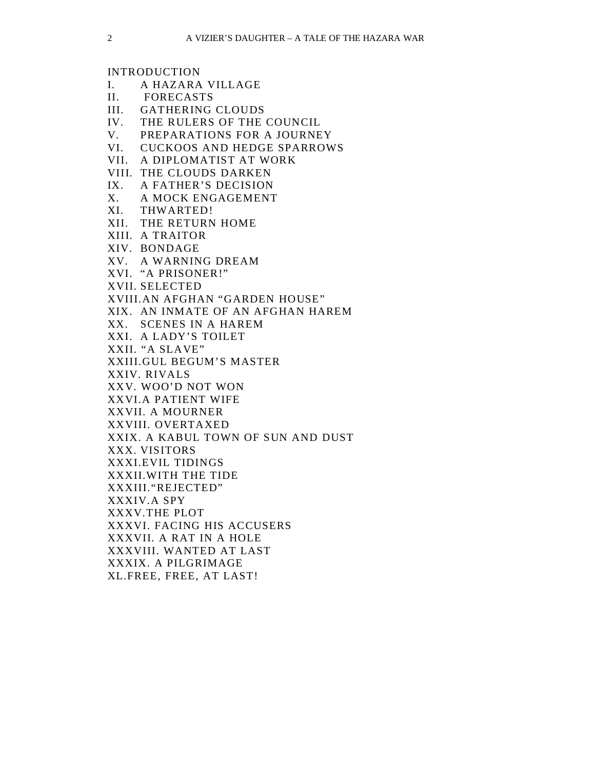INTRODUCTION

- I. A HAZARA VILLAGE
- II. FORECASTS
- III. GATHERING CLOUDS
- IV. THE RULERS OF THE COUNCIL
- V. PREPARATIONS FOR A JOURNEY
- VI. CUCKOOS AND HEDGE SPARROWS
- VII. A DIPLOMATIST AT WORK
- VIII. THE CLOUDS DARKEN
- IX. A FATHER'S DECISION
- X. A MOCK ENGAGEMENT
- XI. THWARTED!
- XII. THE RETURN HOME
- XIII. A TRAITOR
- XIV. BONDAGE
- XV. A WARNING DREAM
- XVI. "A PRISONER!"
- XVII. SELECTED
- XVIII.AN AFGHAN "GARDEN HOUSE"
- XIX. AN INMATE OF AN AFGHAN HAREM
- XX. SCENES IN A HAREM
- XXI. A LADY'S TOILET
- XXII. "A SLAVE"
- XXIII.GUL BEGUM'S MASTER
- XXIV. RIVALS
- XXV. WOO'D NOT WON
- XXVI.A PATIENT WIFE
- XXVII. A MOURNER
- XXVIII. OVERTAXED
- XXIX. A KABUL TOWN OF SUN AND DUST
- XXX. VISITORS
- XXXI.EVIL TIDINGS
- XXXII.WITH THE TIDE
- XXXIII."REJECTED"
- XXXIV.A SPY
- XXXV.THE PLOT
- XXXVI. FACING HIS ACCUSERS
- XXXVII. A RAT IN A HOLE
- XXXVIII. WANTED AT LAST
- XXXIX. A PILGRIMAGE
- XL.FREE, FREE, AT LAST!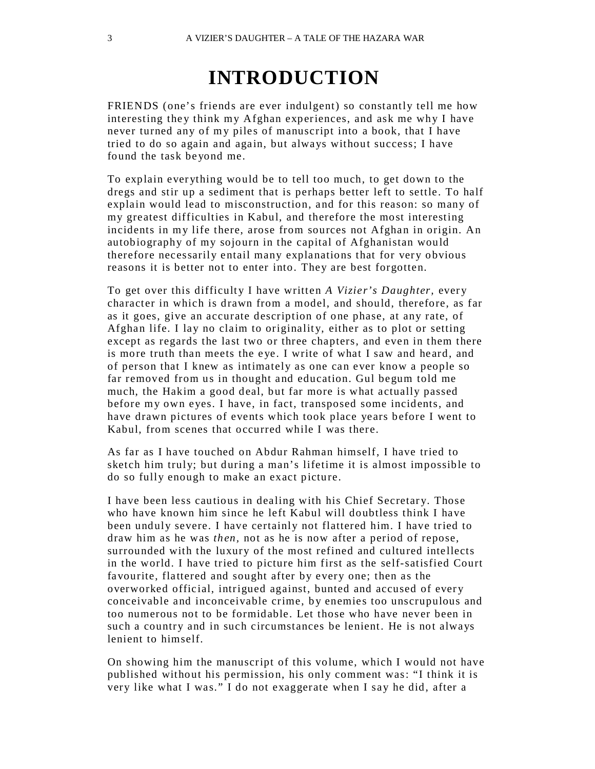# **INTRODUCTION**

FRIENDS (one's friends are ever indulgent) so constantly tell me how interesting they think my Afghan experiences, and ask me why I have never turned any of my piles of manuscript into a book, that I have tried to do so again and again, but always without success; I have found the task be yond me.

To explain ever ything would be to tell too much, to get down to the dregs and stir up a sediment that is perhaps better left to settle. To half explain would lead to misconstruction, and for this reason: so many of my greatest difficulties in Kabul, and therefore the most interesting incidents in my life there, arose from sources not Afghan in origin. An autobiography of my sojourn in the capital of Afghanistan would therefore necessarily entail many explanations that for very obvious reasons it is better not to enter into. They are best forgotten.

To get over this difficulty I have written *A Vizier's Daughter*, every character in which is drawn from a model, and should, therefore, as far as it goes, give an accurate description of one phase, at any rate, of Afghan life. I lay no claim to originality, either as to plot or setting except as regards the last two or three chapters, and even in them there is more truth than meets the eye. I write of what I saw and heard, and of person that I knew as intimately as one can ever know a people so far removed from us in thought and education. Gul begum told me much, the Hakim a good deal, but far more is what actually passed before my own eyes. I have, in fact, transposed some incidents, and have drawn pictures of events which took place years before I went to Kabul, from scenes that occurred while I was there.

As far as I have touched on Abdur Rahman himself, I have tried to sketch him truly; but during a man's lifetime it is almost impossible to do so fully enough to make an exact picture.

I have been less cautious in dealing with his Chief Secretary. Those who have known him since he left Kabul will doubtless think I have been unduly severe. I have certainly not flattered him. I have tried to draw him as he was *then,* not as he is now after a period of repose, surrounded with the luxury of the most refined and cultured intellects in the world. I have tried to picture him first as the self-satisfied Court favourite, flattered and sought after by every one; then as the overworked official, intrigued against, bunted and accused of every conceivable and inconceivable crime, by enemies too unscrupulous and too numerous not to be formidable. Let those who have never been in such a country and in such circumstances be lenient. He is not always lenient to himself.

On showing him the manuscript of this volume, which I would not have published without his permission, his only comment was: "I think it is very like what I was." I do not exaggerate when I say he did, after a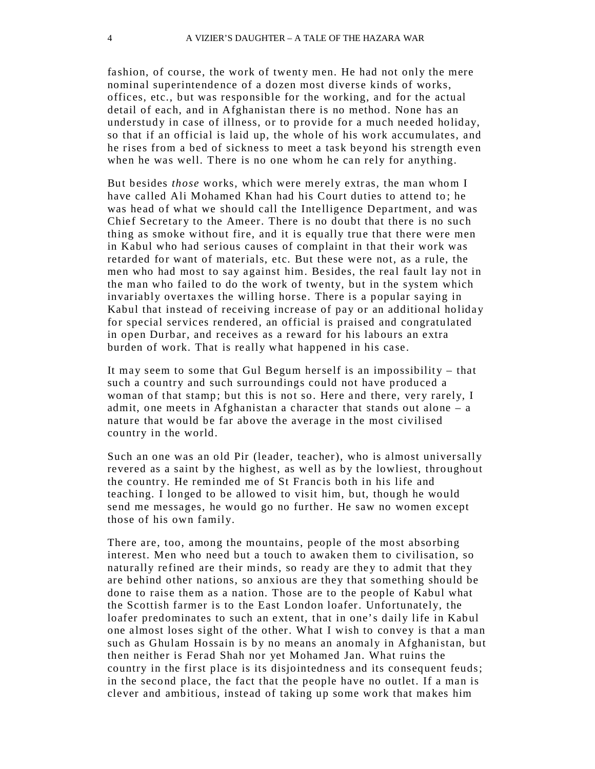fashion, of course, the work of twenty men. He had not only the mere nominal superintendence of a dozen most diverse kinds of works, offices, etc., but was responsible for the working, and for the actual detail of each, and in Afghanistan there is no method. None has an understudy in case of illness, or to provide for a much needed holiday, so that if an official is laid up, the whole of his work accumulates, and he rises from a bed of sickness to meet a task beyond his strength even when he was well. There is no one whom he can rely for anything.

But besides *those* works, which were merely extras, the man whom I have called Ali Mohamed Khan had his Court duties to attend to; he was head of what we should call the Intelligence Department, and was Chief Secretary to the Ameer. There is no doubt that there is no such thing as smoke without fire, and it is equally true that there were men in Kabul who had serious causes of complaint in that their work was retarded for want of materials, etc. But these were not, as a rule, the men who had most to say against him. Besides, the real fault lay not in the man who failed to do the work of twenty, but in the system which invariably overtaxes the willing horse. There is a popular saying in Kabul that instead of receiving increase of pay or an additional holiday for special services rendered, an official is praised and congratulated in open Durbar, and receives as a reward for his labours an extra burden of work. That is really what happened in his case.

It may seem to some that Gul Begum herself is an impossibility  $-$  that such a country and such surroundings could not have produced a woman of that stamp; but this is not so. Here and there, very rarely, I admit, one meets in Afghanistan a character that stands out alone – a nature that would be far above the average in the most civilised country in the world.

Such an one was an old Pir (leader, teacher), who is almost universally revered as a saint by the highest, as well as by the lowliest, throughout the country. He reminded me of St Francis both in his life and teaching. I longed to be allowed to visit him, but, though he would send me messages, he would go no further. He saw no women except those of his own family.

There are, too, among the mountains, people of the most absorbing interest. Men who need but a touch to awaken them to civilisation, so naturally refined are their minds, so ready are they to admit that they are behind other nations, so anxious are they that something should be done to raise them as a nation. Those are to the people of Kabul what the Scottish farmer is to the East London loafer. Unfortunately, the loafer predominates to such an extent, that in one's daily life in Kabul one almost loses sight of the other. What I wish to convey is that a man such as Ghulam Hossain is by no means an anomaly in Afghanistan, but then neither is Ferad Shah nor yet Mohamed Jan. What ruins the country in the first place is its disjointedness and its consequent feuds; in the second place, the fact that the people have no outlet. If a man is clever and ambitious, instead of taking up some work that makes him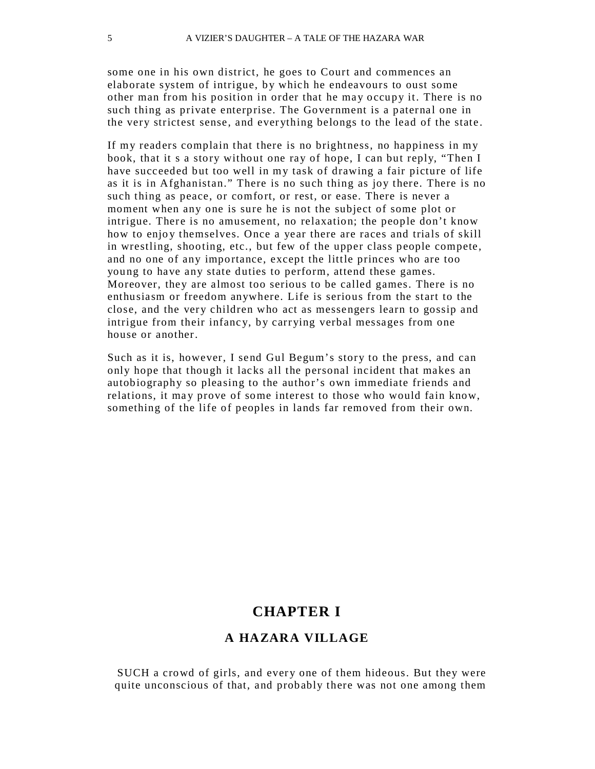some one in his own district, he goes to Court and commences an elaborate system of intrigue, by which he endeavours to oust some other man from his position in order that he may occupy it. There is no such thing as private enterprise. The Government is a paternal one in the very strictest sense, and ever ything belongs to the lead of the state .

If my readers complain that there is no brightness, no happiness in my book, that it s a story without one ray of hope, I can but reply, "Then I have succeeded but too well in my task of drawing a fair picture of life as it is in Afghanistan." There is no such thing as joy there. There is no such thing as peace, or comfort, or rest, or ease. There is never a moment when any one is sure he is not the subject of some plot or intrigue. There is no amusement, no relaxation; the people don't know how to enjoy themselves. Once a year there are races and trials of skill in wrestling, shooting, etc., but few of the upper class people compete, and no one of any importance, except the little princes who are too young to have any state duties to perform, attend these games. Moreover, they are almost too serious to be called games. There is no enthusiasm or freedom anywhere. Life is serious from the start to the close, and the very children who act as messengers learn to gossip and intrigue from their infancy, by carrying verbal messages from one house or another.

Such as it is, however, I send Gul Begum's story to the press, and can only hope that though it lacks all the personal incident that makes an autobiography so pleasing to the author's own immediate friends and relations, it may prove of some interest to those who would fain know, something of the life of peoples in lands far removed from their own.

#### **CHAPTER I**

#### **A HAZARA VILLAGE**

SUCH a crowd of girls, and every one of them hideous. But they were quite unconscious of that, and probably there was not one among them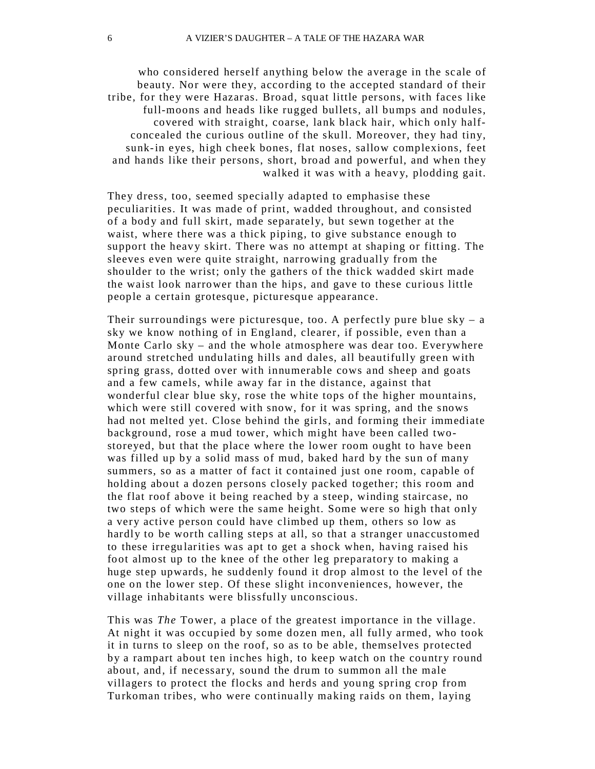who considered herself anything below the average in the scale of beauty. Nor were they, according to the accepted standard of their tribe, for they were Hazaras. Broad, squat little persons, with faces like full-moons and heads like rugged bullets, all bumps and nodules, covered with straight, coarse, lank black hair, which only halfconcealed the curious outline of the skull. Moreover, they had tiny, sunk-in eyes, high cheek bones, flat noses, sallow complexions, feet and hands like their persons, short, broad and powerful, and when they walked it was with a heavy, plodding gait.

They dress, too, seemed specially adapted to emphasise these peculiarities. It was made of print, wadded throughout, and consisted of a body and full skirt, made separately, but sewn together at the waist, where there was a thick piping, to give substance enough to support the heavy skirt. There was no attempt at shaping or fitting. The sleeves even were quite straight, narrowing gradually from the shoulder to the wrist; only the gathers of the thick wadded skirt made the waist look narrower than the hips, and gave to these curious little people a certain grotesque, picturesque appearance.

Their surroundings were picturesque, too. A perfectly pure blue  $sky - a$ sky we know nothing of in England, clearer, if possible, even than a Monte Carlo sky – and the whole atmosphere was dear too. Everywhere around stretched undulating hills and dales, all beautifully green with spring grass, dotted over with innumerable cows and sheep and goats and a few camels, while away far in the distance, against that wonderful clear blue sky, rose the white tops of the higher mountains, which were still covered with snow, for it was spring, and the snows had not melted yet. Close behind the girls, and forming their immediate background, rose a mud tower, which might have been called twostoreyed, but that the place where the lower room ought to have been was filled up by a solid mass of mud, baked hard by the sun of many summers, so as a matter of fact it contained just one room, capable of holding about a dozen persons closely packed together; this room and the flat roof above it being reached by a steep, winding staircase, no two steps of which were the same height. Some were so high that only a very active person could have climbed up them, others so low as hardly to be worth calling steps at all, so that a stranger unaccustomed to these irregu larities was apt to get a shock when, having raised his foot almost up to the knee of the other leg preparatory to making a huge step upwards, he suddenly found it drop almost to the level of the one on the lower step. Of these slight inconveniences, however, the village inhabitants were blissfully unconscious.

This was *The* Tower, a place of the greatest importance in the village. At night it was occupied by some dozen men, all fully armed, who took it in turns to sleep on the roof, so as to be able, themselves protected by a rampart about ten inches high, to keep watch on the country round about, and, if necessary, sound the drum to summon all the male villagers to protect the flocks and herds and you ng spring crop from Turkoman tribes, who were continually making raids on them, laying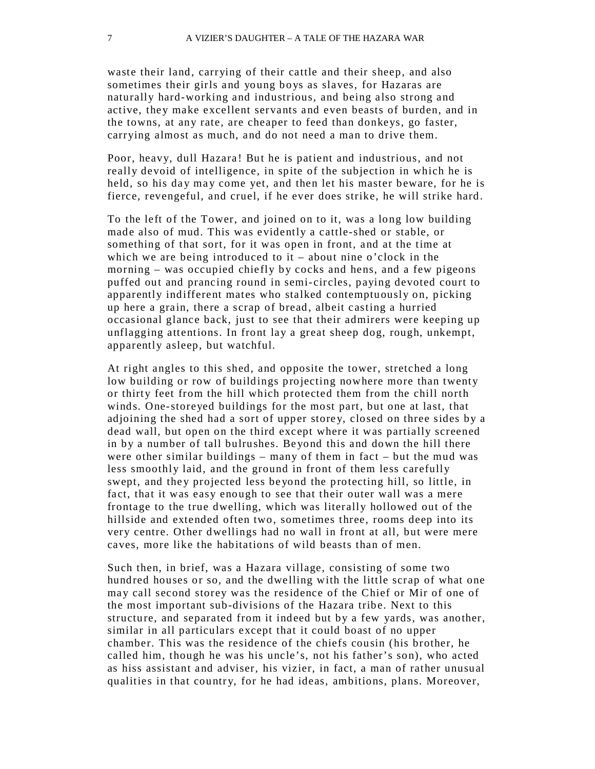waste their land, carrying of their cattle and their sheep, and also sometimes their girls and young boys as slaves, for Hazaras are naturally hard-working and industrious, and being also strong and active, they make excellent servants and even beasts of burden, and in the towns, at any rate, are cheaper to feed than donkeys, go faster, carrying almost as much, and do not need a man to drive them.

Poor, heavy, dull Hazara ! But he is patient and industrious, and not really devoid of intelligence, in spite of the subjection in which he is held, so his day may come yet, and then let his master beware, for he is fierce, revengeful, and cruel, if he ever does strike, he will strike hard .

To the left of the Tower, and joined on to it, was a long low building made also of mud. This was evidently a cattle-shed or stable, or something of that sort, for it was open in front, and at the time at which we are being introduced to it – about nine o'clock in the morning – was occupied chiefly by cocks and hens, and a few pigeons puffed out and prancing round in semi- circles, paying devoted court to apparently indifferent mates who stalked contemptuously on, picking up here a grain, there a scrap of bread , albeit casting a hurried occasional glance back, just to see that their admirers were keeping up unflagging attentions. In front lay a great sheep dog, rough, unkempt, apparently asleep, but watchful.

At right angles to this shed, and opposite the tower, stretched a long low building or row of buildings projecting nowhere more than twenty or thirty feet from the hill which protected them from the chill north winds. One-storeyed buildings for the most part, but one at last, that adjoining the shed had a sort of upper storey, closed on three sides by a dead wall, but open on the third except where it was partially screened in by a number of tall bulrushes. Be yond this and down the hill there were other similar buildings – many of them in fact – but the mud was less smoothly laid, and the ground in front of them less carefully swept, and they projected less beyond the protecting hill, so little, in fact, that it was easy enough to see that their outer wall was a mere frontage to the true dwelling, which was literally hollowed out of the hillside and extended often two, sometimes three, rooms deep into its very centre. Other dwellings had no wall in front at all, but were mere caves, more like the habitations of wild beasts than of men.

Such then, in brief, was a Hazara village, consisting of some two hundred houses or so, and the dwelling with the little scrap of what one may call second storey was the residence of the Chief or Mir of one of the most important sub-divisions of the Hazara tribe. Next to this structure, and separated from it indeed but by a few yards, was another, similar in all particulars except that it could boast of no upper chamber. This was the residence of the chiefs cousin (his brother, he called him, though he was his uncle's, not his father's son), who acted as hiss assistant and adviser, his vizier, in fact, a man of rather unusual qualities in that country, for he had ideas, ambitions, plans. Moreover,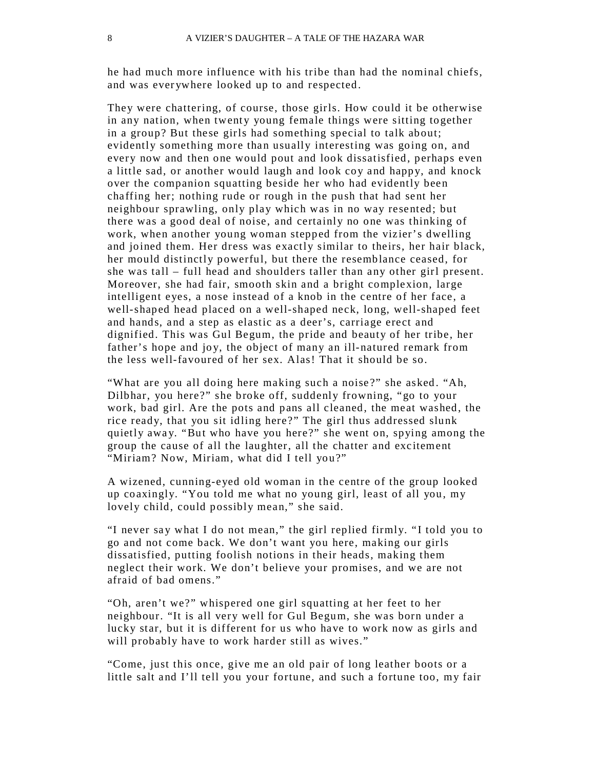he had much more influence with his tribe than had the nominal chiefs, and was ever ywhere looked up to and respected.

They were chattering, of course, those girls. How could it be otherwise in any nation, when twenty young female things were sitting together in a group? But these girls had something special to talk about; evidently something more than usually interesting was going on, and every now and then one would pout and look dissatisfied, perhaps even a little sad, or another would laugh and look coy and happy, and knock over the companion squatting beside her who had evidently been chaffing her; nothing rude or rough in the push that had sent her neighbour sprawling, only play which was in no way resented; but there was a good deal of noise, and certainly no one was thinking of work, when another young woman stepped from the vizier's dwelling and joined them. Her dress was exactly similar to theirs, her hair black, her mould distinctly powerful, but there the resemblance ceased, for she was tall – full head and shoulders taller than any other girl present. Moreover, she had fair, smooth skin and a bright complexion, large intelligent eyes, a nose instead of a knob in the centre of her face , a well-shaped head placed on a well-shaped neck, long, well-shaped feet and hands, and a step as elastic as a deer's, carriage erect and dignified. This was Gul Begum, the pride and beauty of her tribe, her father's hope and joy, the object of many an ill-natured remark from the less well-favoured of her sex. Alas! That it should be so.

"What are you all doing here making such a noise ?" she asked. "Ah, Dilbhar, you here?" she broke off, suddenly frowning, "go to your work, bad girl. Are the pots and pans all cleaned, the meat washed, the rice ready, that you sit idling here?" The girl thus addressed slunk quietly away. "But who have you here?" she went on, spying among the group the cause of all the laughter, all the chatter and excitement "Miriam? Now, Miriam, what did I tell you?"

A wizened, cunning-eyed old woman in the centre of the group looked up coaxingly. "You told me what no young girl, least of all you , my lovely child, could possibly mean," she said.

"I never say what I do not mean," the girl replied firmly. "I told you to go and not come back. We don't want you here, making our girls dissatisfied, putting foolish notions in their heads, making them neglect their work. We don't believe your promises, and we are not afraid of bad omens."

"Oh, aren't we?" whispered one girl squatting at her feet to her neighbour. "It is all very well for Gul Begum, she was born under a lucky star, but it is different for us who have to work now as girls and will probably have to work harder still as wives."

"Come, just this once, give me an old pair of long leather boots or a little salt and I'll tell you your fortune, and such a fortune too, my fair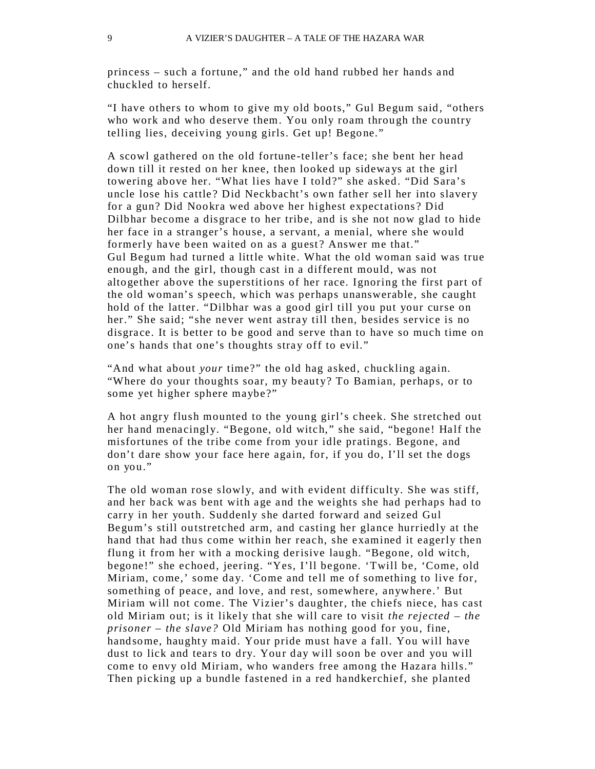princess – such a fortune," and the old hand rubbed her hands and chuckled to herself.

"I have others to whom to give my old boots," Gul Begum said, "others who work and who deserve them. You only roam through the country telling lies, deceiving young girls. Get up! Begone."

A scowl gathered on the old fortune-teller's face; she bent her head down till it rested on her knee, then looked up sideways at the girl towering above her. "What lies have I told?" she asked. "Did Sara's uncle lose his cattle? Did Neckbacht's own father sell her into slavery for a gun? Did Nookra wed above her highest expectations ? Did Dilbhar become a disgrace to her tribe, and is she not now glad to hide her face in a stranger's house, a servant, a menial, where she would formerly have been waited on as a guest? Answer me that." Gul Begum had turned a little white. What the old woman said was true enough, and the girl, though cast in a different mould, was not altogether above the superstitions of her race. Ignoring the first part of the old woman's speech, which was perhaps unanswerable, she caught hold of the latter. "Dilbhar was a good girl till you put your curse on her." She said; "she never went astray till then, besides service is no disgrace. It is better to be good and serve than to have so much time on one's hands that one's thoughts stray off to evil."

"And what about *your* time?" the old hag asked, chuckling again. "Where do your thoughts soar, my beaut y? To Bamian, perhaps, or to some yet higher sphere maybe?"

A hot angry flush mounted to the young girl's cheek. She stretched out her hand menacingly. "Begone, old witch," she said, "begone! Half the misfortunes of the tribe come from your idle pratings. Begone, and don't dare show your face here again, for, if you do, I'll set the dogs on you."

The old woman rose slowly, and with evident difficulty. She was stiff, and her back was bent with age and the weights she had perhaps had to carry in her youth. Suddenly she darted forward and seized Gul Begum's still outstretched arm, and casting her glance hurriedly at the hand that had thus come within her reach, she examined it eagerly then flung it from her with a mocking derisive laugh. "Begone, old witch, begone!" she echoed, jeering. "Yes, I'll begone. 'Twill be, 'Come, old Miriam, come,' some day. 'Come and tell me of something to live for, something of peace, and love, and rest, somewhere, anywhere.' But Miriam will not come. The Vizier's daughter, the chiefs niece, has cast old Miriam out; is it likely that she will care to visit *the rejected – the prisoner – the slave?* Old Miriam has nothing good for you, fine, handsome, haughty maid. Your pride must have a fall. You will have dust to lick and tears to dry. Your day will soon be over and you will come to envy old Miriam, who wanders free among the Hazara hills." Then picking up a bundle fastened in a red handkerchief, she planted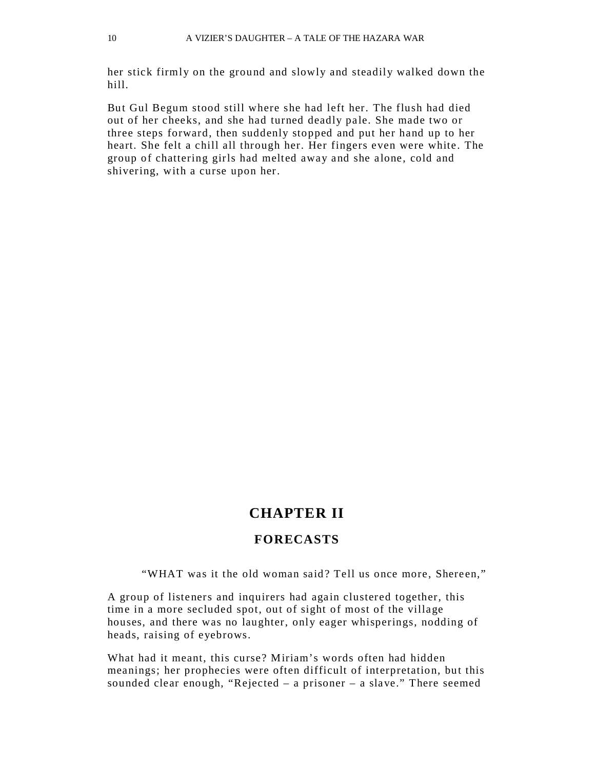her stick firmly on the ground and slowly and steadily walked down the hill.

But Gul Begum stood still where she had left her. The flush had died out of her cheeks, and she had turned deadly pale. She made two or three steps forward, then suddenly stopped and put her hand up to her heart. She felt a chill all through her. Her fingers even were white. The group of chattering girls had melted away and she alone , cold and shivering, with a curse upon her.

#### **CHAPTER II**

#### **FORECASTS**

"WHAT was it the old woman said? Tell us once more, Shereen,"

A group of listeners and inquirers had again clustered together, this time in a more secluded spot, out of sight of most of the village houses, and there was no laughter, only eager whisperings, nodding of heads, raising of eyebrows.

What had it meant, this curse? Miriam's words often had hidden meanings; her prophecies were often difficult of interpretation, but this sounded clear enough, "Rejected – a prisoner – a slave." There seemed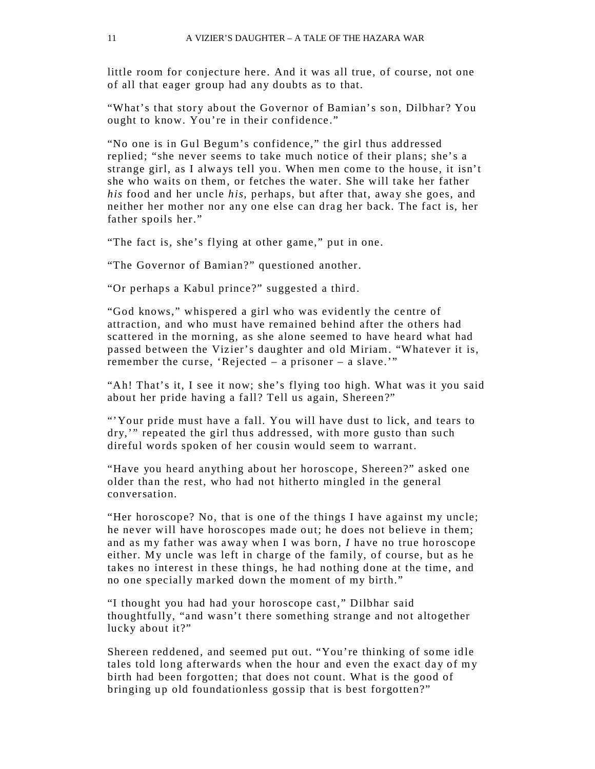little room for conjecture here. And it was all true, of course, not one of all that eager group had any doubts as to that.

"What's that story about the Governor of Bamian's son, Dilbhar? You ought to know. You're in their confidence ."

"No one is in Gul Begum's confidence," the girl thus addressed replied; "she never seems to take much notice of their plans; she's a strange girl, as I always tell you. When men come to the house, it isn't she who waits on them, or fetches the water. She will take her father *his* food and her uncle *his*, perhaps, but after that, away she goes, and neither her mother nor any one else can drag her back. The fact is, her father spoils her."

"The fact is, she's flying at other game," put in one.

"The Governor of Bamian?" questioned another.

"Or perhaps a Kabul prince?" suggested a third.

"God knows," whispered a girl who was evidently the ce ntre of attraction, and who must have remained behind after the others had scattered in the morning, as she alone seemed to have heard what had passed between the Vizier's daughter and old Miriam. "Whatever it is, remember the curse, 'Rejected – a prisoner – a slave.'"

"Ah! That's it, I see it now; she's flying too high. What was it you said about her pride having a fall? Tell us again, Shereen?"

"'Your pride must have a fall. You will have dust to lick, and tears to dry,'" repeated the girl thus addressed, with more gusto than such direful words spoken of her cousin would seem to warrant.

"Have you heard anything about her horoscope , Shereen?" asked one older than the rest, who had not hitherto mingled in the general conversation.

"Her horoscope? No, that is one of the things I have against my uncle; he never will have horoscopes made out; he does not believe in them; and as my father was away when I was born, *I* have no true horoscope either. My uncle was left in charge of the family, of course, but as he takes no interest in these things, he had nothing done at the time, and no one specially marked down the moment of my birth."

"I thought you had had your horoscope cast," Dilbhar said thoughtfully, "and wasn't there something strange and not altogether lucky about it?"

Shereen reddened, and seemed put out. "You're thinking of some idle tales told long afterwards when the hour and even the exact day of m y birth had been forgotten; that does not count. What is the good of bringing up old foundationless gossip that is best forgotten?"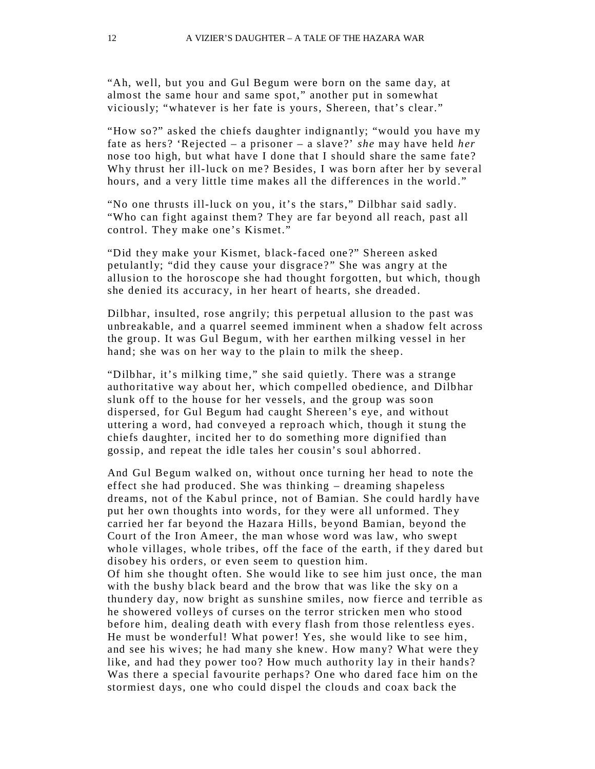"Ah, well, but you and Gul Begum were born on the same day, at almost the same hour and same spot," another put in somewhat viciously; "whatever is her fate is yours, Shereen, that's clear."

"How so?" asked the chiefs daughter indignantly; "would you have my fate as hers? 'Rejected – a prisoner – a slave ?' *she* may have held *her*  nose too high, but what have I done that I should share the same fate ? Why thrust her ill-luck on me? Besides, I was born after her by several hours, and a very little time makes all the differences in the world."

"No one thrusts ill-luck on you, it's the stars," Dilbhar said sadly. "Who can fight against them? They are far beyond all reach, past all control. They make one's Kismet."

"Did they make your Kismet, black-faced one ?" Shereen asked petulantly; "did they cause your disgrace?" She was angry at the allusion to the horoscope she had thought forgotten, but which, though she denied its accurac y, in her heart of hearts, she dreaded.

Dilbhar, insulted, rose angrily; this perpetual allusion to the past was unbreakable, and a quarrel seemed imminent when a shadow felt across the group. It was Gul Begum, with her earthen milking vessel in her hand; she was on her way to the plain to milk the sheep.

"Dilbhar, it's milking time," she said quietly. There was a strange authoritative way about her, which compelled obedience, and Dilbhar slunk off to the house for her vessels, and the group was soon dispersed, for Gul Begum had caught Shereen's eye, and without uttering a word, had conveyed a reproach which, though it stung the chiefs daughter, incited her to do something more dignified than gossip, and repeat the idle tales her cousin's soul abhorred .

And Gul Begum walked on, without once turning her head to note the effect she had produced. She was thinking – dreaming shapeless dreams, not of the Kabul prince, not of Bamian. She could hardly have put her own thoughts into words, for they were all unformed. The y carried her far beyond the Hazara Hills, be yond Bamian, beyond the Court of the Iron Ameer, the man whose word was law, who swept who le villages, whole tribes, off the face of the earth, if they dared but disobey his orders, or even seem to question him. Of him she thought often. She would like to see him just once, the man with the bushy black beard and the brow that was like the sky on a thundery day, now bright as sunshine smiles, now fierce and terrible as he showered volleys of curses on the terror stricken men who stood before him, dealing death with every flash from those relentless eyes. He must be wonderful! What power! Yes, she would like to see him, and see his wives; he had many she knew. How many? What were they like, and had they power too? How much authority lay in their hands? Was there a special favourite perhaps? One who dared face him on the stormiest days, one who could dispel the clouds and coax back the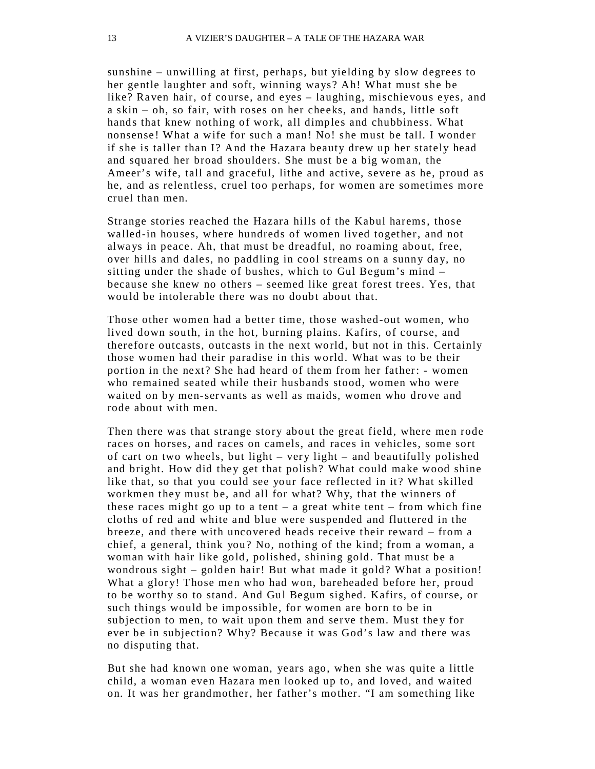sunshine – unwilling at first, perhaps, but yielding by slow degrees to her gentle laughter and soft, winning ways? Ah! What must she be like? Raven hair, of course, and eyes – laughing, mischievous eyes, and a skin – oh, so fair, with roses on her cheeks, and hands, little soft hands that knew nothing of work, all dimples and chubbiness. What nonsense! What a wife for such a man! No! she must be tall. I wonder if she is taller than I? And the Hazara beauty drew up her stately head and squared her broad shoulders. She must be a big woman, the Ameer's wife, tall and graceful, lithe and active, severe as he, proud as he, and as relentless, cruel too perhaps, for women are sometimes more cruel than men.

Strange stories reached the Hazara hills of the Kabul harems, those walled-in houses, where hundreds of women lived together, and not alwa ys in peace. Ah, that must be dreadful, no roaming about, free, over hills and dales, no paddling in cool streams on a sunny day, no sitting under the shade of bushes, which to Gul Begum's mind – because she knew no others – seemed like great forest trees. Yes, that would be intolerable there was no doubt about that.

Those other women had a better time, those washed-out women, who lived down south, in the hot, burning plains. Kafirs, of course, and therefore outcasts, outcasts in the next world, but not in this. Certainly those women had their paradise in this world. What was to be their portion in the next? She had heard of them from her father: - women who remained seated while their husbands stood, women who were waited on by men-servants as well as maids, women who drove and rode about with men.

Then there was that strange story about the great field, where men rode races on horses, and races on camels, and races in vehicles, some sort of cart on two wheels, but light – very light – and beautifully polished and bright. How did they get that polish? What could make wood shine like that, so that you could see your face reflected in it? What skilled workmen they must be, and all for what? Why, that the winners of these races might go up to a tent  $-$  a great white tent  $-$  from which fine cloths of red and white and blue were suspended and fluttered in the breeze, and there with uncovered heads receive their reward – from a chief, a general, think you? No, nothing of the kind; from a woman, a woman with hair like gold, polished, shining gold. That must be a wondrous sight – golden hair! But what made it gold? What a position! What a glory! Those men who had won, bareheaded before her, proud to be worthy so to stand. And Gul Begum sighed. Kafirs, of course, or such things would be impossible, for women are born to be in subjection to men, to wait upon them and serve them. Must they for ever be in subjection? Why? Because it was God's law and there was no disputing that.

But she had known one woman, years ago, when she was quite a little child, a woman even Hazara men looked up to, and loved, and waited on. It was her grandmother, her father's mother. "I am something like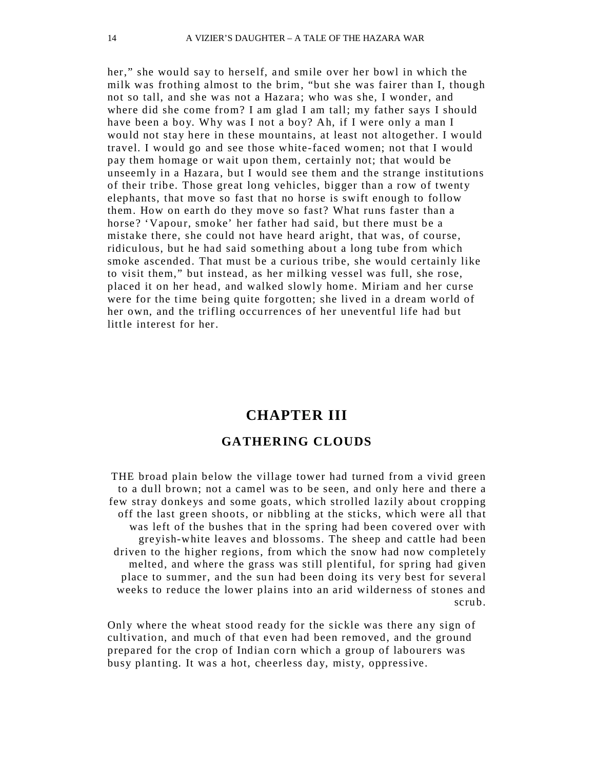her," she would say to herself, and smile over her bowl in which the milk was frothing almost to the brim, "but she was fairer than I, though not so tall, and she was not a Hazara; who was she, I wonder, and where did she come from? I am glad I am tall; my father says I should have been a boy. Why was I not a boy? Ah, if I were only a man I would not stay here in these mountains, at least not altogether. I would travel. I would go and see those white-faced women; not that I would pay them homage or wait upon them, certainly not; that would be unseemly in a Hazara, but I would see them and the strange institutions of their tribe. Those great long vehicles, bigger than a row of twenty elephants, that move so fast that no horse is swift enough to follow them. How on earth do they move so fast? What runs faster than a horse? 'Vapour, smoke' her father had said, but there must be a mistake there, she could not have heard aright, that was, of course, ridiculous, but he had said something about a long tube from which smoke ascended. That must be a curious tribe, she would certainly like to visit them," but instead, as her milking vessel was full, she rose, placed it on her head, and walked slowly home. Miriam and her curse were for the time being quite forgotten; she lived in a dream world of her own, and the trifling occurrences of her uneventful life had but little interest for her.

### **CHAPTER III GATHERING CLOUDS**

THE broad plain below the village tower had turned from a vivid green to a dull brown; not a camel was to be seen, and only here and there a few stray donkeys and some goats, which strolled lazily about cropping off the last green shoots, or nibbling at the sticks, which were all that was left of the bushes that in the spring had been covered over with greyish-white leaves and blossoms. The sheep and cattle had been driven to the higher regions, from which the snow had now completely melted, and where the grass was still plentiful, for spring had given place to summer, and the sun had been doing its very best for several weeks to reduce the lower plains into an arid wilderness of stones and scrub.

Only where the wheat stood ready for the sickle was there any sign of cultivation, and much of that even had been removed, and the ground prepared for the crop of Indian corn which a group of labourers was busy planting. It was a hot, cheerless day, misty, oppressive.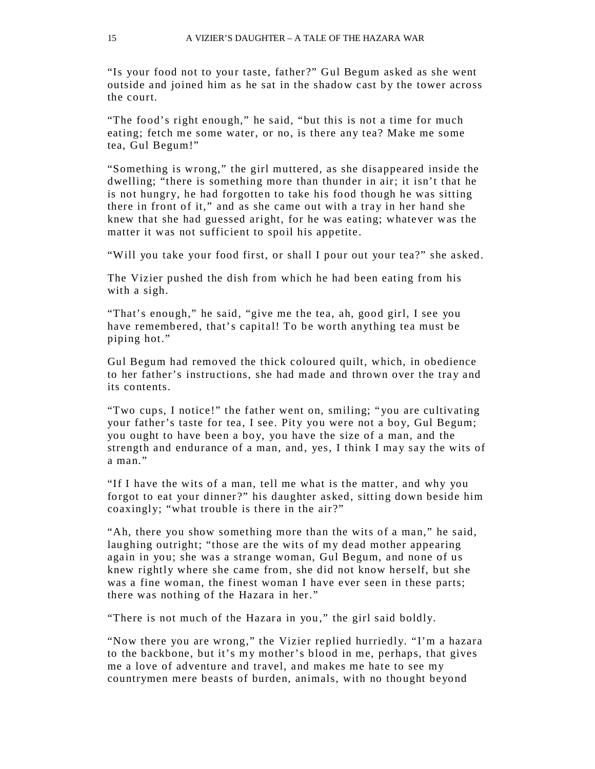"Is your food not to your taste, father ?" Gul Begum asked as she went outside and joined him as he sat in the shadow cast by the tower across the court.

"The food's right enough," he said, "but this is not a time for much eating; fetch me some water, or no, is there any tea? Make me some tea, Gul Begum!"

"Something is wrong," the girl muttered, as she disappeared inside the dwelling; "there is something more than thunder in air; it isn't that he is not hungry, he had forgotten to take his food though he was sitting there in front of it," and as she came out with a tray in her hand she knew that she had guessed aright, for he was eating; whatever was the matter it was not sufficient to spoil his appetite.

"Will you take your food first, or shall I pour out your tea?" she asked.

The Vizier pushed the dish from which he had been eating from his with a sigh.

"That's enough," he said, "give me the tea, ah, good girl, I see you have remembered, that's capital! To be worth anything tea must be piping hot."

Gul Begum had removed the thick coloured quilt, which, in obedience to her father's instructions, she had made and thrown over the tray and its contents.

"Two cups, I notice!" the father went on, smiling; " you are cultivating your father's taste for tea, I see. Pity you were not a boy, Gul Begum; you ought to have been a boy, you have the size of a man, and the strength and endurance of a man, and, yes, I think I may say the wits of a man."

"If I have the wits of a man, tell me what is the matter, and why you forgot to eat your dinner ?" his daughter asked, sitting down beside him coaxingly; "what trouble is there in the air?"

"Ah, there you show something more than the wits of a man," he said, laughing outright; "those are the wits of my dead mother appearing again in you; she was a strange woman, Gul Begum, and none of us knew rightly where she came from, she did not know herself, but she was a fine woman, the finest woman I have ever seen in these parts; there was nothing of the Hazara in her."

"There is not much of the Hazara in you ," the girl said boldly.

"Now there you are wrong," the Vizier replied hurriedly. "I'm a hazara to the backbone, but it's my mother's blood in me, perhaps, that gives me a love of adventure and travel, and makes me hate to see my countrymen mere beasts of burden, animals, with no thought beyond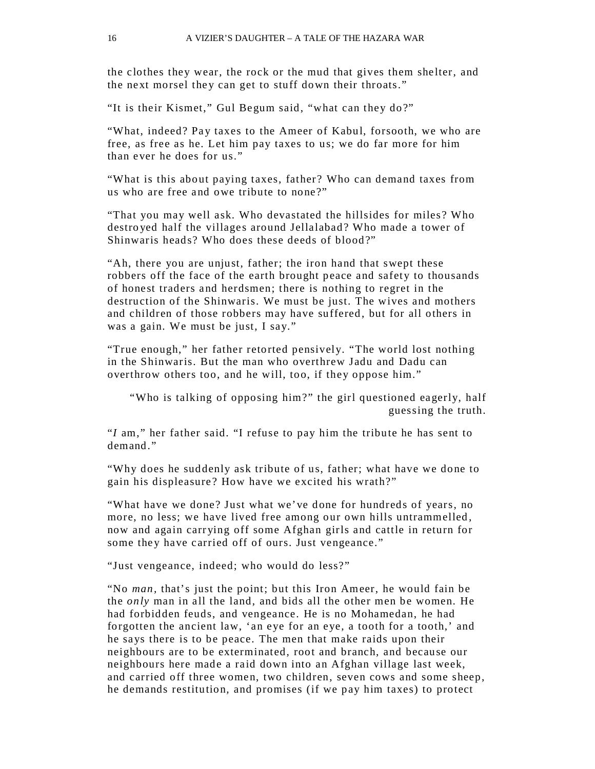the clothes they wear, the rock or the mud that gives them shelter, and the next morsel they can get to stuff down their throats."

"It is their Kismet," Gul Begum said, "what can they do?"

"What, indeed? Pay taxes to the Ameer of Kabul, forsooth, we who are free, as free as he. Let him pay taxes to us; we do far more for him than ever he does for us."

"What is this about paying taxes, father ? Who can demand taxes from us who are free and owe tribute to none?"

"That you may well ask. Who devastated the hillsides for miles ? Who destro yed half the villages around Jellalabad? Who made a tower of Shinwaris heads? Who does these deeds of blood?"

"Ah, there you are unjust, father; the iron hand that swept these robbers off the face of the earth brought peace and safety to thousands of honest traders and herdsmen; there is nothing to regret in the destruction of the Shinwaris. We must be just. The wives and mothers and children of those robbers may have suffered, but for all others in was a gain. We must be just, I say."

"True enough," her father retorted pensively. "The world lost nothing in the Shinwaris. But the man who overthrew Jadu and Dadu can overthrow others too, and he will, too, if they oppose him."

"Who is talking of opposing him?" the girl questioned eagerly, half guessing the truth.

"*I* am," her father said. "I refuse to pay him the tribute he has sent to demand<sup>"</sup>

"Why does he suddenly ask tribute of us, father; what have we done to gain his displeasure ? How have we excited his wrath?"

"What have we done? Just what we've done for hundreds of years, no more, no less; we have lived free among our own hills untrammelled, now and again carr ying off some Afghan girls and cattle in return for some they have carried off of ours. Just vengeance."

"Just vengeance, indeed; who would do less?"

"No *man,* that's just the point; but this Iron Ameer, he would fain be the *only* man in all the land, and bids all the other men be women. He had forbidden feuds, and vengeance. He is no Mohamedan, he had forgotten the ancient law, 'an eye for an eye, a tooth for a tooth,' and he says there is to be peace. The men that make raids upon their neighbours are to be exterminated, root and branch, and because our neighbours here made a raid down into an Afghan village last week, and carried off three women, two children, seven cows and some sheep, he demands restitution, and promises (if we pay him taxes) to protect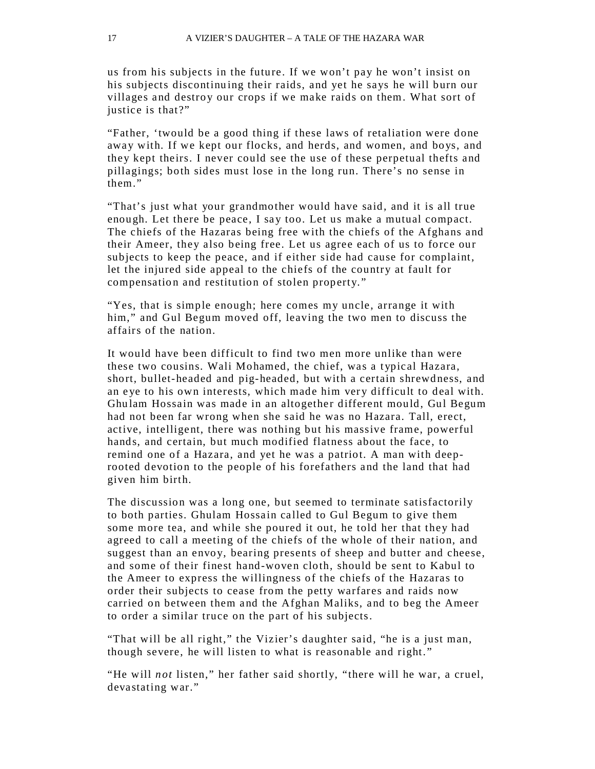us from his subjects in the future. If we won't pay he won't insist on his subjects discontinuing their raids, and yet he says he will burn our villages and destroy our crops if we make raids on them. What sort of justice is that?"

"Father, 'twould be a good thing if these laws of retaliation were done away with. If we kept our flocks, and herds, and women, and boys, and they kept theirs. I never could see the use of these perpetual thefts and pillagings; both sides must lose in the long run. There's no sense in them."

"That's just what your grandmother would have said, and it is all true enough. Let there be peace, I say too. Let us make a mutual compact. The chiefs of the Hazaras being free with the chiefs of the Afghans and their Ameer, they also being free. Let us agree each of us to force our subjects to keep the peace, and if either side had cause for complaint, let the injured side appeal to the chiefs of the country at fault for compensation and restitution of stolen property."

"Yes, that is simple enough; here comes my uncle, arrange it with him," and Gul Begum moved off, leaving the two men to discuss the affairs of the nation.

It would have been difficult to find two men more unlike than were these two cousins. Wali Mohamed, the chief, was a typical Hazara, short, bullet-headed and pig-headed, but with a certain shrewdness, and an e ye to his own interests, which made him ver y difficult to deal with. Ghu lam Hossain was made in an altogether different mould, Gul Begum had not been far wrong when she said he was no Hazara. Tall, erect, active, intelligent, there was nothing but his massive frame, powerful hands, and certain, but much modified flatness about the face, to remind one of a Hazara, and yet he was a patriot. A man with deeprooted devotion to the people of his forefathers and the land that had given him birth.

The discussion was a long one, but seemed to terminate satisfactorily to both parties. Ghulam Hossain called to Gul Begum to give them some more tea, and while she poured it out, he told her that they had agreed to call a meeting of the chiefs of the whole of their nation, and suggest than an envoy, bearing presents of sheep and butter and cheese, and some of their finest hand-woven cloth, should be sent to Kabul to the Ameer to express the willingness of the chiefs of the Hazaras to order their subjects to cease from the petty warfares and raids now carried on between them and the Afghan Maliks, and to beg the Ameer to order a similar truce on the part of his subjects.

"That will be all right," the Vizier's daughter said, "he is a just man, though severe, he will listen to what is reasonable and right. "

"He will *not* listen," her father said shortly, "there will he war, a cruel, devastating war."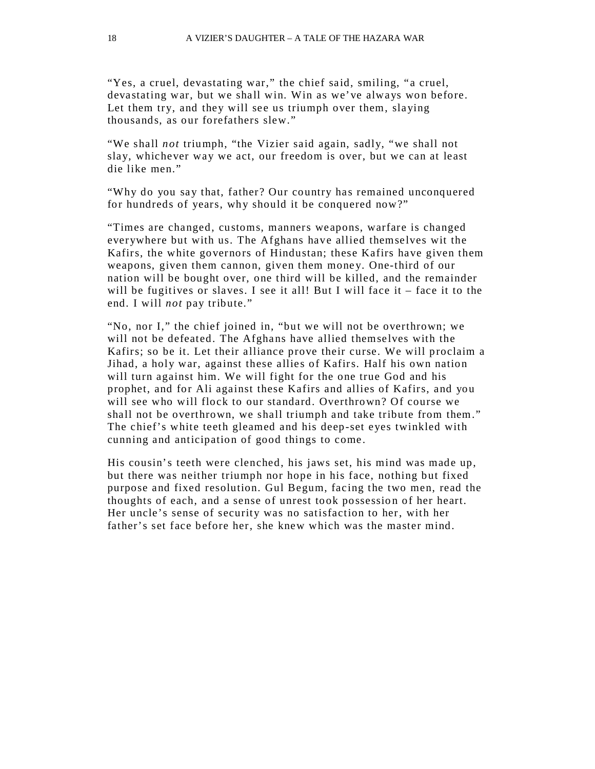"Yes, a cruel, devastating war," the chief said, smiling, "a cruel, devastating war, but we shall win. Win as we've always won before. Let them try, and they will see us triumph over them, slaving thousands, as our forefathers slew."

"We shall *not* triumph, "the Vizier said again, sadly, "we shall not slay, whichever way we act, our freedom is over, but we can at least die like men."

"Why do you say that, father? Our country has remained unconquered for hundreds of years, why should it be conquered now?"

"Times are changed, customs, manners weapons, warfare is changed everywhere but with us. The Afghans have allied themselves wit the Kafirs, the white governors of Hindustan; these Kafirs have given them weapons, given them cannon, given them money. One-third of our nation will be bought over, one third will be killed, and the remainder will be fugitives or slaves. I see it all! But I will face it – face it to the end. I will *not* pay tribute."

"No, nor I," the chief joined in, "but we will not be overthrown; we will not be defeated. The Afghans have allied themselves with the Kafirs; so be it. Let their alliance prove their curse. We will proclaim a Jihad, a holy war, against these allies of Kafirs. Half his own nation will turn against him. We will fight for the one true God and his prophet, and for Ali against these Kafirs and allies of Kafirs, and you will see who will flock to our standard. Overthrown? Of course we shall not be overthrown, we shall triumph and take tribute from them." The chief's white teeth gleamed and his deep-set eyes twinkled with cunning and anticipation of good things to come .

His cousin's teeth were clenched, his jaws set, his mind was made up, but there was neither triumph nor hope in his face, nothing but fixed purpose and fixed resolution. Gul Begum, facing the two men, read the thoughts of each, and a sense of unrest took possession of her heart. Her uncle's sense of security was no satisfaction to her, with her father's set face before her, she knew which was the master mind.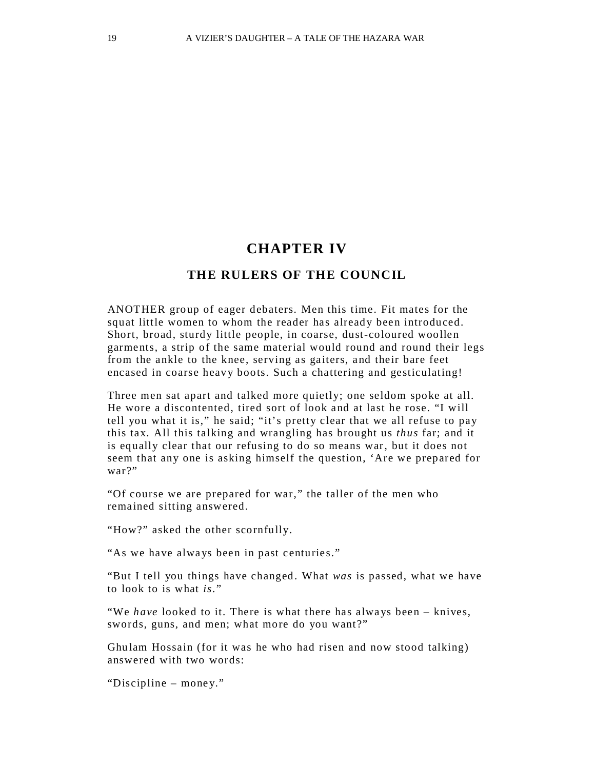#### **CHAPTER IV**

#### **THE RULERS OF THE COUNCIL**

ANOTHER group of eager debaters. Men this time. Fit mates for the squat little women to whom the reader has already been introduced. Short, broad, sturdy little people, in coarse, dust-coloured woollen garments, a strip of the same material would round and round their legs from the ankle to the knee, serving as gaiters, and their bare feet encased in coarse heavy boots. Such a chattering and gesticulating!

Three men sat apart and talked more quietly; one seldom spoke at all. He wore a discontented, tired sort of look and at last he rose. "I will tell you what it is," he said; "it's pretty clear that we all refuse to pay this tax. All this talking and wrangling has brought us *thus* far; and it is equally clear that our refusing to do so means war, but it does not seem that any one is asking himself the question, 'Are we prepared for war?"

"Of course we are prepared for war," the taller of the men who remained sitting answered.

"How?" asked the other scornfully.

"As we have always been in past centuries."

"But I tell you things have changed. What *was* is passed, what we have to look to is what *is*. "

"We *have* looked to it. There is what there has always been – knives, swords, guns, and men; what more do you want?"

Ghu lam Hossain (for it was he who had risen and now stood talking) answered with two words:

"Discipline – money."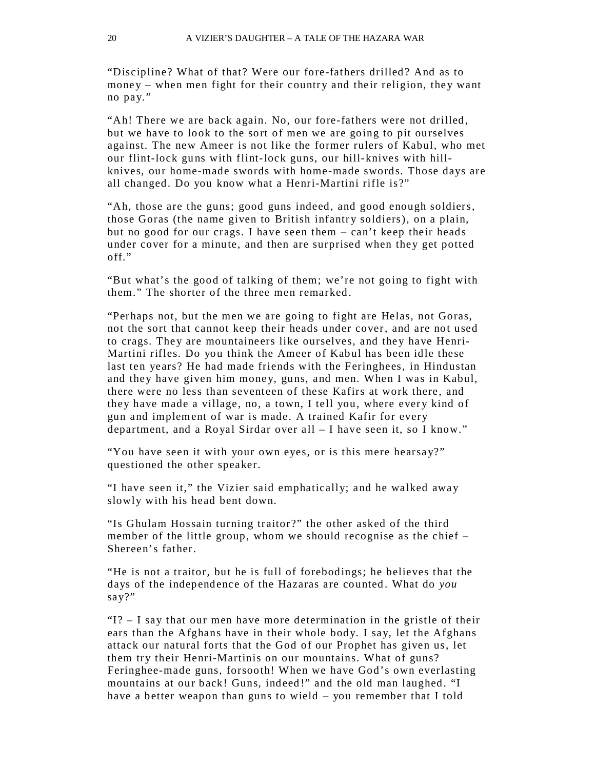"Discipline? What of that? Were our fore-fathers drilled? And as to money – when men fight for their country and their religion, they want no pay. "

"Ah! There we are back again. No, our fore-fathers were not drilled, but we have to look to the sort of men we are going to pit ourselves against. The new Ameer is not like the former rulers of Kabul, who met our flint-lock guns with flint-lock guns, our hill-knives with hillknives, our home-made swords with home-made swords. Those days are all changed. Do you know what a Henri-Martini rifle is?"

"Ah, those are the guns; good guns indeed, and good enough soldiers, those Goras (the name given to British infantry soldiers), on a plain, but no good for our crags. I have seen them – can't keep their heads under cover for a minute, and then are surprised when they get potted off."

"But what's the good of talking of them; we're not going to fight with them." The shorter of the three men remarked .

"Perhaps not, but the men we are going to fight are Helas, not Goras, not the sort that cannot keep their heads under cover, and are not used to crags. They are mountaineers like ourselves, and they have Henri-Martini rifles. Do you think the Ameer of Kabul has been idle these last ten years? He had made friends with the Feringhees, in Hindustan and they have given him money, guns, and men. When I was in Kabul, there were no less than seventeen of these Kafirs at work there, and they have made a village, no, a town, I tell you, where every kind of gun and implement of war is made. A trained Kafir for every department, and a Royal Sirdar over all – I have seen it, so I know."

"You have seen it with your own eyes, or is this mere hearsay?" questioned the other speaker.

"I have seen it," the Vizier said emphatically; and he walked away slowly with his head bent down.

"Is Ghulam Hossain turning traitor?" the other asked of the third member of the little group, whom we should recognise as the chief – Shereen's father.

"He is not a traitor, but he is full of forebodings; he believes that the days of the independence of the Hazaras are counted . What do *you*  say?"

" $1$ ?  $-$  I say that our men have more determination in the gristle of their ears than the Afghans have in their whole body. I say, let the Afghans attack our natural forts that the God of our Prophet has given us, let them try their Henri-Martinis on our mountains. What of guns? Feringhee-made guns, forsooth! When we have God's own everlasting mountains at our back! Guns, indeed!" and the old man laughed. "I have a better weapon than guns to wield – you remember that I told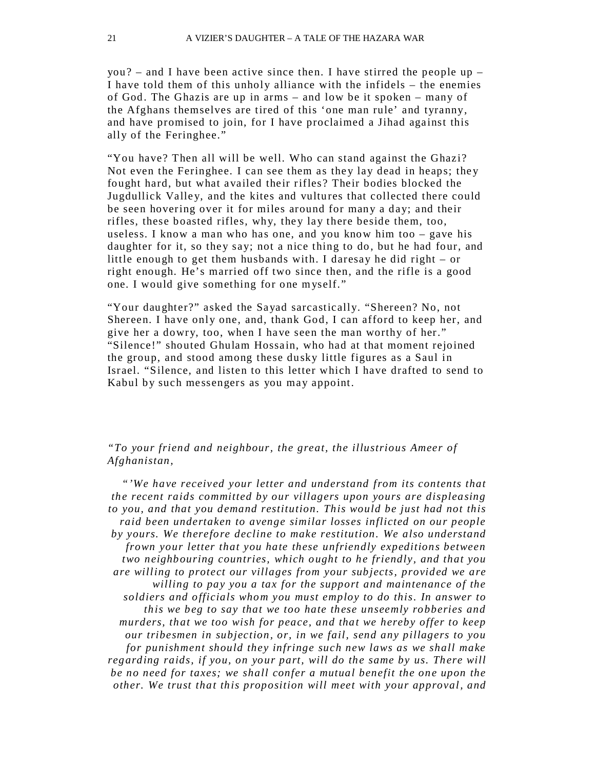you? – and I have been active since then. I have stirred the people  $up -$ I have told them of this unholy alliance with the infidels – the enemies of God. The Ghazis are up in arms – and low be it spoken – many of the Afghans themselves are tired of this 'one man rule' and tyranny, and have promised to join, for I have proclaimed a Jihad against this ally of the Feringhee."

"You have? Then all will be well. Who can stand against the Ghazi? Not even the Feringhee. I can see them as they lay dead in heaps; they fought hard, but what availed their rifles? Their bodies blocked the Jugdullick Valley, and the kites and vultures that collected there could be seen hovering over it for miles around for many a day; and their rifles, these boasted rifles, why, they lay there beside them, too, useless. I know a man who has one, and you know him too – gave his daughter for it, so they say; not a nice thing to do, but he had four, and little enough to get them husbands with. I daresay he did right – or right enough. He's married off two since then, and the rifle is a good one. I would give something for one m yself."

"Your daughter?" asked the Sayad sarcastically. "Shereen? No, not Shereen. I have only one, and, thank God, I can afford to keep her, and give her a dowry, too, when I have seen the man worthy of her." "Silence!" shouted Ghulam Hossain, who had at that moment rejoined the group, and stood among these dusky little figures as a Saul in Israel. "Silence, and listen to this letter which I have drafted to send to Kabul by such messengers as you may appoint.

#### *"To your friend and neighbour, the great, the illustrious Ameer of Afghanistan,*

*"'We have received your letter and understand from its contents that the recent raids committed by our villagers upon yours are displeasing to you, and that you demand restitution. This would be just had not this raid been undertaken to avenge similar losses inflicted on our people by yours. We therefore decline to make restitution. We also understand frown your letter that you hate these unfriendly expeditions between two neighbouring countries, which ought to he friendly, and that you are willing to protect our villages from your subjects, provided we are willing to pay you a tax for the support and maintenance of the soldiers and officials whom you must employ to do this. In answer to this we beg to say that we too hate these unseemly robberies and murders, that we too wish for peace, and that we hereby offer to keep our tribesmen in subjection, or, in we fail, send any pillagers to you for punishment should they infringe such new laws as we shall make regarding raids, if you, on your part, will do the same by us. There will be no need for taxes; we shall confer a mutual benefit the one upon the other. We trust that this proposition will meet with your approval, and*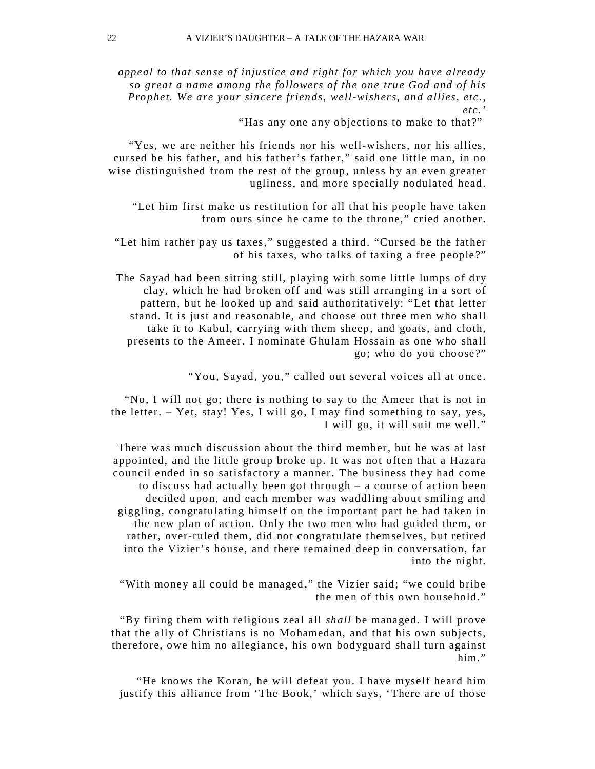*appeal to that sense of injustice and right for which you have already so great a name among the followers of the one true God and of his Prophet. We are your sincere friends, well-wishers, and allies, etc., etc.'*

"Has any one any objections to make to that ?"

"Yes, we are neither his friends nor his well-wishers, nor his allies, cursed be his father, and his father's father," said one little man, in no wise distinguished from the rest of the group, unless by an even greater ugliness, and more specially nodulated head.

"Let him first make us restitution for all that his people have taken from ours since he came to the throne," cried another.

"Let him rather pay us taxes," suggested a third. "Cursed be the father of his taxes, who talks of taxing a free people ?"

The Sayad had been sitting still, playing with some little lumps of dry clay, which he had broken off and was still arranging in a sort of pattern, but he looked up and said authoritatively: "Let that letter stand. It is just and reasonable, and choose out three men who shall take it to Kabul, carrying with them sheep , and goats, and cloth, presents to the Ameer. I nominate Ghulam Hossain as one who shall go; who do you choose ?"

"You, Sayad, you," called out several voices all at once.

"No, I will not go; there is nothing to say to the Ameer that is not in the letter. – Yet, stay! Yes, I will go, I may find something to say, yes, I will go, it will suit me well."

There was much discussion about the third member, but he was at last appointed, and the little group broke up. It was not often that a Hazara council ended in so satisfactory a manner. The business they had come to discuss had actually been got through – a course of action been decided upon, and each member was waddling about smiling and giggling, congratulating himself on the important part he had taken in the new plan of action. Only the two men who had guided them, or rather, over-ruled them, did not congratulate themselves, but retired into the Vizier's house, and there remained deep in conversation, far into the night.

"With money all could be managed ," the Vizier said; "we could bribe the men of this own household."

"By firing them with religious zeal all *shall* be managed. I will prove that the ally of Christians is no Mohamedan, and that his own subjects, therefore, owe him no allegiance, his own bodyguard shall turn against him."

"He knows the Koran, he will defeat you. I have myself heard him justify this alliance from 'The Book,' which says, 'There are of those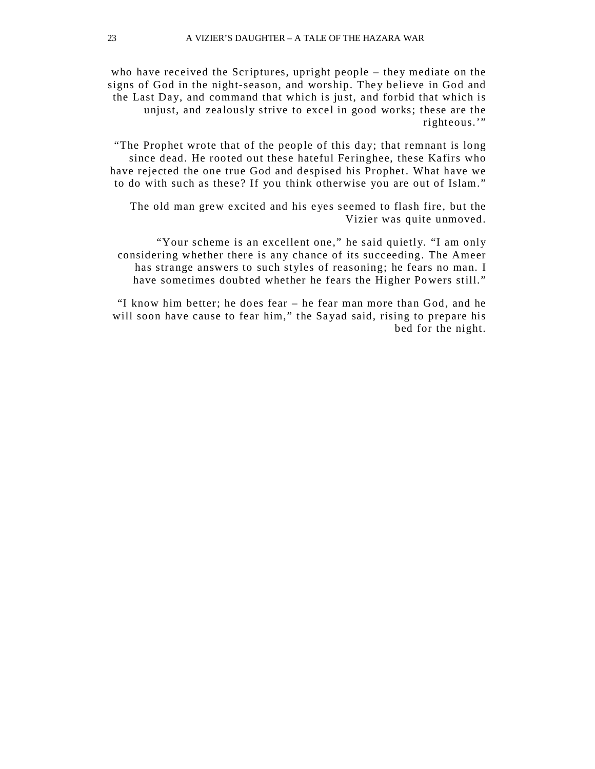who have received the Scriptures, upright people – they mediate on the signs of God in the night-season, and worship. They believe in God and the Last Day, and command that which is just, and forbid that which is unjust, and zealously strive to excel in good works; these are the righteous.'"

"The Prophet wrote that of the people of this day; that remnant is long since dead. He rooted out these hateful Feringhee, these Kafirs who have rejected the one true God and despised his Prophet. What have we to do with such as these? If you think otherwise you are out of Islam."

The old man grew excited and his eyes seemed to flash fire, but the Vizier was quite unmoved.

"Your scheme is an excellent one," he said quietly. "I am only considering whether there is any chance of its succeeding. The Ameer has strange answers to such styles of reasoning; he fears no man. I have sometimes doubted whether he fears the Higher Powers still."

"I know him better; he does fear – he fear man more than God, and he will soon have cause to fear him," the Sayad said, rising to prepare his bed for the night.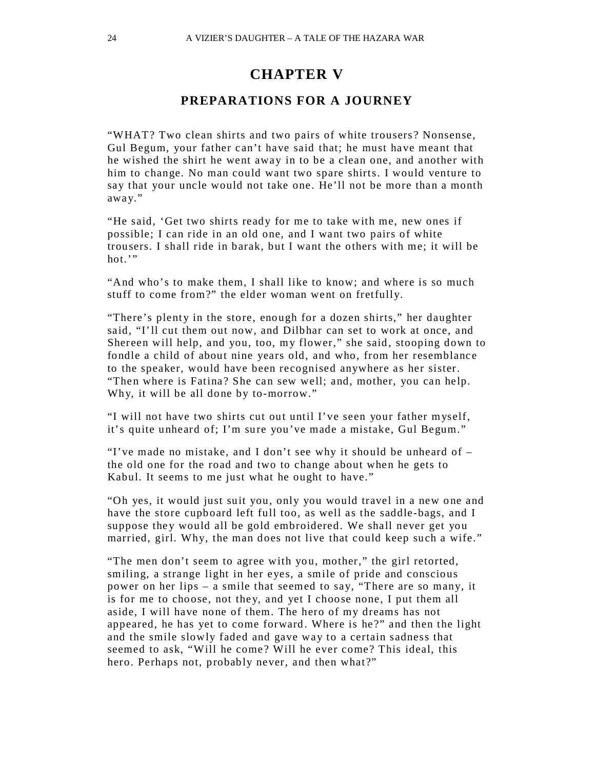#### **CHAPTER V**

#### **PREPARATIONS FOR A JOURNEY**

"WHAT? Two clean shirts and two pairs of white trousers ? Nonsense, Gul Begum, your father can't have said that; he must have meant that he wished the shirt he went away in to be a clean one, and another with him to change. No man could want two spare shirts. I would venture to say that your uncle would not take one. He'll not be more than a month away."

"He said, 'Get two shirts ready for me to take with me, new ones if possible; I can ride in an old one, and I want two pairs of white trousers. I shall ride in barak, but I want the others with me; it will be hot."

"And who's to make them, I shall like to know; and where is so much stuff to come from?" the elder woman went on fretfully.

"There's plenty in the store, enough for a dozen shirts," her daughter said, "I'll cut them out now, and Dilbhar can set to work at once, and Shereen will help, and you, too, my flower," she said, stooping down to fondle a child of about nine years old, and who, from her resemblance to the speaker, would have been recognised anywhere as her sister. "Then where is Fatina? She can sew well; and, mother, you can help. Why, it will be all done by to-morrow."

"I will not have two shirts cut out until I've seen your father myself, it's quite unheard of; I'm sure you've made a mistake, Gul Begum."

"I've made no mistake, and I don't see why it should be unheard of – the old one for the road and two to change about when he gets to Kabul. It seems to me just what he ought to have."

"Oh yes, it would just suit you, only you would travel in a new one and have the store cupboard left full too, as well as the saddle-bags, and I suppose they would all be gold embroidered. We shall never get you married, girl. Why, the man does not live that could keep such a wife."

"The men don't seem to agree with you, mother," the girl retorted, smiling, a strange light in her eyes, a smile of pride and conscious power on her lips – a smile that seemed to say, "There are so many, it is for me to choose, not they, and yet I choose none, I put them all aside, I will have none of them. The hero of my dreams has not appeared, he has yet to come forward. Where is he?" and then the light and the smile slowly faded and gave way to a certain sadness that seemed to ask, "Will he come? Will he ever come? This ideal, this hero. Perhaps not, probably never, and then what?"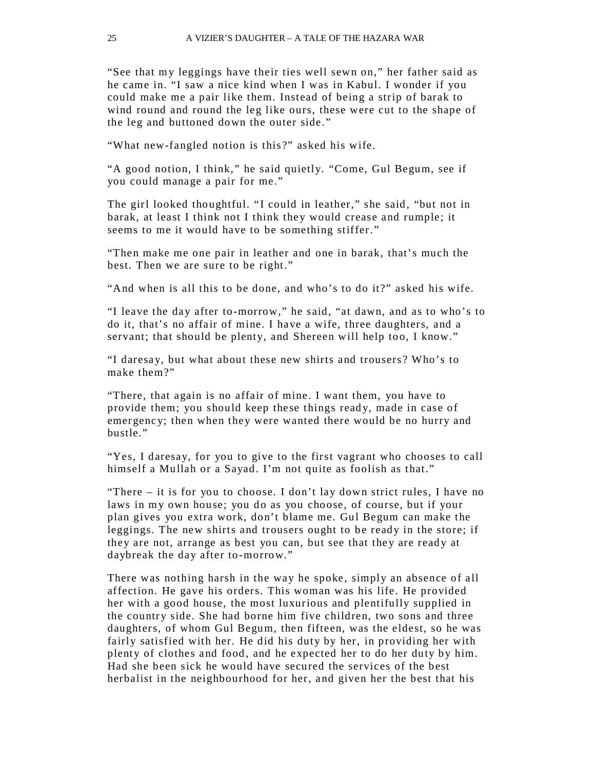"See that my leggings have their ties well sewn on," her father said as he came in. "I saw a nice kind when I was in Kabul. I wonder if you could make me a pair like them. Instead of being a strip of barak to wind round and round the leg like ours, these were cut to the shape of the leg and buttoned down the outer side."

"What new-fangled notion is this ?" asked his wife.

"A good notion, I think," he said quietly. "Come, Gul Begum, see if you could manage a pair for me."

The girl looked thoughtful. "I could in leather," she said, "but not in barak, at least I think not I think they would crease and rumple; it seems to me it would have to be something stiffer."

"Then make me one pair in leather and one in barak, that's much the best. Then we are sure to be right."

"And when is all this to be done, and who's to do it?" asked his wife.

"I leave the day after to-morrow," he said, "at dawn, and as to who's to do it, that's no affair of mine. I have a wife, three daughters, and a servant; that should be plenty, and Shereen will help too, I know."

"I daresa y, but what about these new shirts and trousers ? Who's to make them?"

"There, that again is no affair of mine. I want them, you have to provide them; you should keep these things ready, made in case of emergenc y; then when they were wanted there would be no hurry and bustle."

"Yes, I daresay, for you to give to the first vagrant who chooses to call himself a Mullah or a Sayad. I'm not quite as foolish as that."

"There – it is for you to choose. I don't lay down strict rules, I have no laws in my own house; you do as you choose, of course, but if your plan gives you extra work, don't blame me. Gul Begum can make the leggings. The new shirts and trousers ought to be ready in the store; if they are not, arrange as best you can, but see that they are ready at daybreak the day after to-morrow."

There was nothing harsh in the way he spoke, simply an absence of all affection. He gave his orders. This woman was his life. He provided her with a good house, the most luxurious and plentifully supplied in the country side. She had borne him five children, two sons and three daughters, of whom Gul Begum, then fifteen, was the eldest, so he was fairly satisfied with her. He did his duty by her, in providing her with plenty of clothes and food, and he expected her to do her duty by him. Had she been sick he would have secured the services of the best herbalist in the neighbourhood for her, and given her the best that his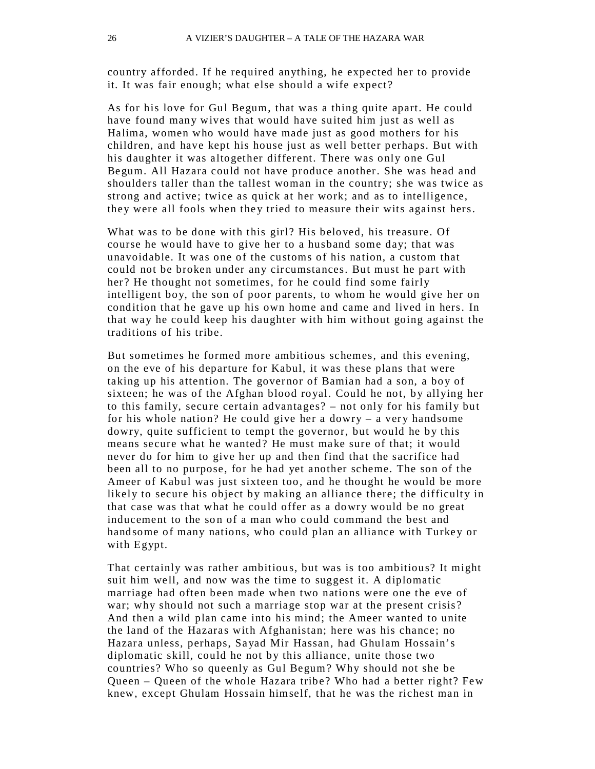country afforded. If he required anything, he expected her to provide it. It was fair enough; what else should a wife expect?

As for his love for Gul Begum, that was a thing quite apart. He could have found many wives that would have suited him just as well as Halima, women who would have made just as good mothers for his children, and have kept his house just as well better perhaps. But with his daughter it was altogether different. There was only one Gul Begum. All Hazara could not have produce another. She was head and shoulders taller than the tallest woman in the country; she was twice as strong and active; twice as quick at her work; and as to intelligence, they were all fools when they tried to measure their wits against hers.

What was to be done with this girl? His beloved, his treasure. Of course he would have to give her to a husband some day; that was unavoidable. It was one of the customs of his nation, a custom that could not be broken under any circumstances. But must he part with her? He thought not sometimes, for he could find some fairly intelligent boy, the son of poor parents, to whom he would give her on condition that he gave up his own home and came and lived in hers. In that way he could keep his daughter with him without going against the traditions of his tribe.

But sometimes he formed more ambitious schemes, and this evening, on the eve of his departure for Kabul, it was these plans that were taking up his attention. The governor of Bamian had a son, a boy of sixteen; he was of the Afghan blood royal. Could he not, by allying her to this family, secure certain advantages? – not only for his family but for his whole nation? He could give her a dowry  $-$  a very handsome dowry, quite sufficient to tempt the governor, but would he by this means secure what he wanted? He must make sure of that; it would never do for him to give her up and then find that the sacrifice had been all to no purpose, for he had yet another scheme. The son of the Ameer of Kabul was just sixteen too, and he thought he would be more likely to secure his object by making an alliance there; the difficulty in that case was that what he could offer as a dowry would be no great inducement to the son of a man who could command the best and handsome of many nations, who could plan an alliance with Turkey or with Egypt.

That certainly was rather ambitious, but was is too ambitious? It might suit him well, and now was the time to suggest it. A diplomatic marriage had often been made when two nations were one the eve of war; why should not such a marriage stop war at the present crisis? And then a wild plan came into his mind; the Ameer wanted to unite the land of the Hazaras with Afghanistan; here was his chance; no Hazara unless, perhaps, Sayad Mir Hassan, had Ghulam Hossain's diplomatic skill, could he not by this alliance, unite those two countries? Who so queenly as Gul Begum? Why should not she be Queen – Queen of the whole Hazara tribe? Who had a better right? Few knew, except Ghulam Hossain himself, that he was the richest man in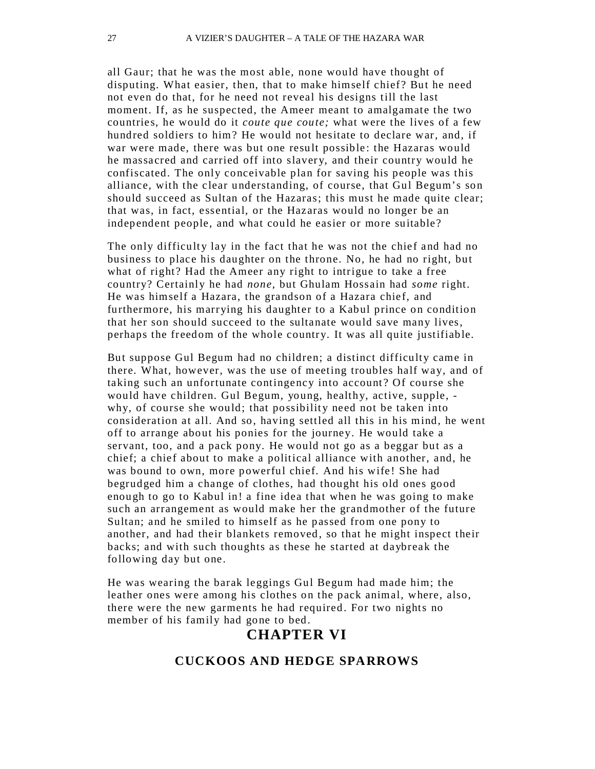all Gaur; that he was the most able, none would have thought of disputing. What easier, then, that to make himself chief? But he need not even do that, for he need not reveal his designs till the last moment. If, as he suspected, the Ameer meant to amalgamate the two countries, he would do it *coute que coute;* what were the lives of a few hundred soldiers to him? He would not hesitate to declare war, and, if war were made, there was but one result possible: the Hazaras would he massacred and carried off into slavery, and their country would he confiscated. The only conceivable plan for saving his people was this alliance, with the clear understanding, of course, that Gul Begum's son should succeed as Sultan of the Hazaras; this must he made quite clear; that was, in fact, essential, or the Hazaras would no longer be an independent people, and what could he easier or more suitable?

The only difficulty lay in the fact that he was not the chief and had no business to place his daughter on the throne. No, he had no right, but what of right? Had the Ameer any right to intrigue to take a free country? Certainly he had *none*, but Ghulam Hossain had *some* right. He was himself a Hazara, the grandson of a Hazara chief, and furthermore, his marrying his daughter to a Kabul prince on condition that her son should succeed to the sultanate would save many lives, perhaps the freedom of the whole country. It was all quite justifiable.

But suppose Gul Begum had no children; a distinct difficulty came in there. What, however, was the use of meeting troubles half way, and of taking such an unfortunate contingency into account? Of course she would have children. Gul Begum, young, healthy, active, supple, why, of course she would; that possibility need not be taken into consideration at all. And so, having settled all this in his mind, he went off to arrange about his ponies for the journey. He would take a servant, too, and a pack pony. He would not go as a beggar but as a chief; a chief about to make a political alliance with another, and, he was bound to own, more powerful chief. And his wife! She had begrudged him a change of clothes, had thought his old ones good enough to go to Kabul in! a fine idea that when he was going to make such an arrangement as would make her the grandmother of the future Sultan; and he smiled to himself as he passed from one pony to another, and had their blankets removed, so that he might inspect their backs; and with such thoughts as these he started at daybreak the following day but one.

He was wearing the barak leggings Gul Begum had made him; the leather ones were among his clothes on the pack animal, where, also, there were the new garments he had required. For two nights no member of his family had gone to bed.

#### **CHAPTER VI**

#### **CUCKOOS AND HEDGE SPARROWS**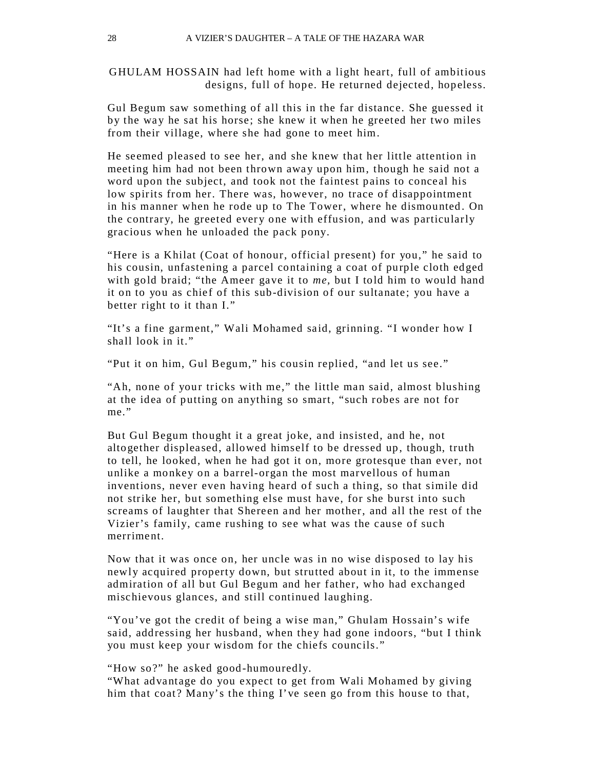GHULAM HOSSAIN had left home with a light heart, full of ambitious designs, full of hope. He returned dejected, hopeless.

Gul Begum saw something of all this in the far distance. She guessed it by the way he sat his horse; she knew it when he greeted her two miles from their village, where she had gone to meet him.

He seemed pleased to see her, and she knew that her little attention in meeting him had not been thrown away upon him, though he said not a word upon the subject, and took not the faintest pains to conceal his low spirits from her. There was, however, no trace of disappointment in his manner when he rode up to The Tower, where he dismounted . On the contrary, he greeted every one with effusion, and was particularly gracious when he unloaded the pack pony.

"Here is a Khilat (Coat of honour, official present) for you," he said to his cousin, unfastening a parcel containing a coat of purple cloth edged with gold braid; "the Ameer gave it to *me,* but I told him to would hand it on to you as chief of this sub-division of our sultanate ; you have a better right to it than I."

"It's a fine garment," Wali Mohamed said, grinning. "I wonder how I shall look in it."

"Put it on him, Gul Begum," his cousin replied, "and let us see."

"Ah, none of your tricks with me," the little man said, almost blushing at the idea of putting on anything so smart, "such robes are not for me."

But Gul Begum thought it a great joke, and insisted, and he, not altogether displeased, allowed himself to be dressed up , though, truth to tell, he looked, when he had got it on, more grotesque than ever, not unlike a monkey on a barrel-organ the most marvellous of human inventions, never even having heard of such a thing, so that simile did not strike her, but something else must have, for she burst into such screams of laughter that Shereen and her mother, and all the rest of the Vizier's family, came rushing to see what was the cause of such merriment.

Now that it was once on, her uncle was in no wise disposed to lay his newly acquired property down, but strutted about in it, to the immense admiration of all but Gul Begum and her father, who had exchanged mischievous glances, and still continued laughing.

"You've got the credit of being a wise man," Ghulam Hossain's wife said, addressing her husband, when they had gone indoors, "but I think you must keep your wisdom for the chiefs councils."

"How so?" he asked good-humouredly.

"What advantage do you expect to get from Wali Mohamed by giving him that coat? Many's the thing I've seen go from this house to that,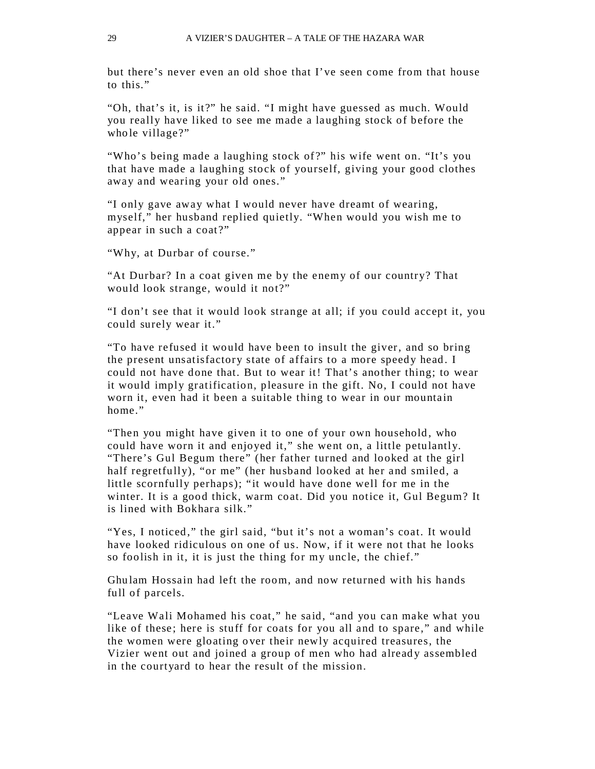but there's never even an old shoe that I've seen come from that house to this."

"Oh, that's it, is it?" he said. "I might have guessed as much. Would you really have liked to see me made a laughing stock of before the whole village?"

"Who's being made a laughing stock of?" his wife went on. "It's you that have made a laughing stock of yourself, giving your good clothes away and wearing your old ones."

"I only gave away what I would never have dreamt of wearing, myself," her husband replied quietly. "When would you wish me to appear in such a coat?"

"Why, at Durbar of course."

"At Durbar? In a coat given me by the enemy of our country? That would look strange, would it not?"

"I don't see that it would look strange at all; if you could accept it, you could surely wear it."

"To have refused it would have been to insult the giver, and so bring the present unsatisfactory state of affairs to a more speedy head . I could not have done that. But to wear it! That's another thing; to wear it would imply gratification, pleasure in the gift. No, I could not have worn it, even had it been a suitable thing to wear in our mountain home"

"Then you might have given it to one of your own household , who could have worn it and enjoyed it," she went on, a little petulantly. "There's Gul Begum there" (her father turned and looked at the girl half regretfully), "or me" (her husband looked at her and smiled, a little scornfully perhaps); "it would have done well for me in the winter. It is a good thick, warm coat. Did you notice it, Gul Begum? It is lined with Bokhara silk."

"Yes, I noticed," the girl said, "but it's not a woman's coat. It would have looked ridiculous on one of us. Now, if it were not that he looks so foolish in it, it is just the thing for my uncle, the chief."

Ghu lam Hossain had left the room, and now returned with his hands full of parcels.

"Leave Wali Mohamed his coat," he said, "and you can make what you like of these; here is stuff for coats for you all and to spare," and while the women were gloating o ver their newly acquired treasures, the Vizier went out and joined a group of men who had already assembled in the courtyard to hear the result of the mission.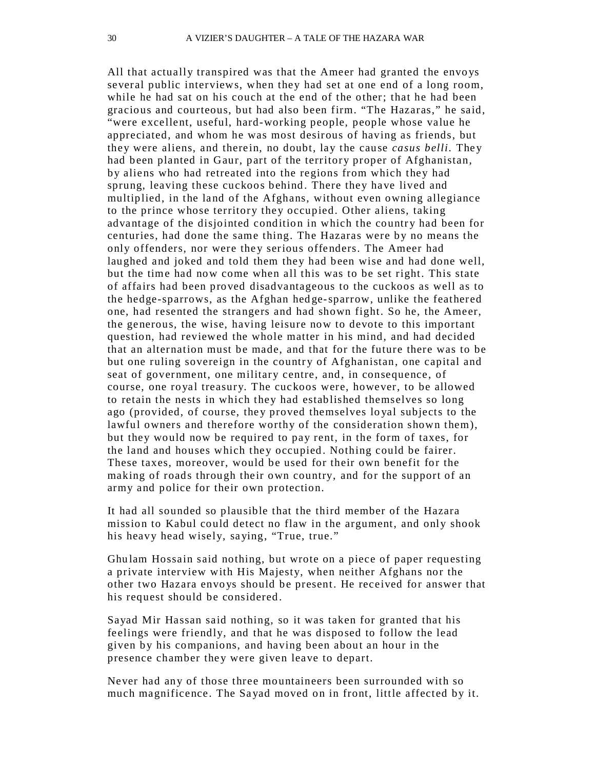All that actually transpired was that the Ameer had granted the envoys several public interviews, when they had set at one end of a long room, while he had sat on his couch at the end of the other; that he had been gracious and courteous, but had also been firm. "The Hazaras," he said, "were excellent, useful, hard-working people, people whose value he appreciated, and whom he was most desirous of having as friends, but they were aliens, and therein, no doubt, lay the cause *casus belli.* The y had been planted in Gaur, part of the territory proper of Afghanistan, by aliens who had retreated into the regions from which they had sprung, leaving these cuckoos behind. There they have lived and multiplied, in the land of the Afghans, without even owning allegiance to the prince whose territory they occupied. Other aliens, taking advantage of the disjointed condition in which the country had been for centuries, had done the same thing. The Hazaras were by no means the only offenders, nor were they serious offenders. The Ameer had laughed and joked and told them they had been wise and had done well, but the time had now come when all this was to be set right. This state of affairs had been proved disadvantageous to the cuckoos as well as to the hedge-sparrows, as the Afghan hed ge-sparrow, unlike the feathered one, had resented the strangers and had shown fight. So he, the Ameer, the generous, the wise, having leisure now to devote to this important question, had reviewed the whole matter in his mind, and had decided that an alternation must be made, and that for the future there was to be but one ruling sovereign in the country of Afghanistan, one capital and seat of government, one military centre, and, in consequence, of course, one royal treasury. The cuckoos were, however, to be allowed to retain the nests in which they had established themselves so long ago (provided, of course, they proved themselves loyal subjects to the lawful owners and therefore worthy of the consideration shown them), but they would now be required to pay rent, in the form of taxes, for the land and houses which they occupied . Nothing could be fairer. These taxes, moreover, would be used for their own benefit for the making of roads through their own country, and for the support of an army and police for their own protection.

It had all sounded so plausible that the third member of the Hazara mission to Kabul could detect no flaw in the argument, and only shook his heavy head wisely, saying, "True, true."

Ghu lam Hossain said nothing, but wrote on a piece of paper requesting a private interview with His Majesty, when neither Afghans nor the other two Hazara envoys should be present. He received for answer that his request should be considered .

Sayad Mir Hassan said nothing, so it was taken for granted that his feelings were friendly, and that he was disposed to follow the lead given by his companions, and having been about an hour in the presence chamber they were given leave to depart.

Never had any of those three mountaineers been surrounded with so much magnificence. The Sa yad moved on in front, little affected by it.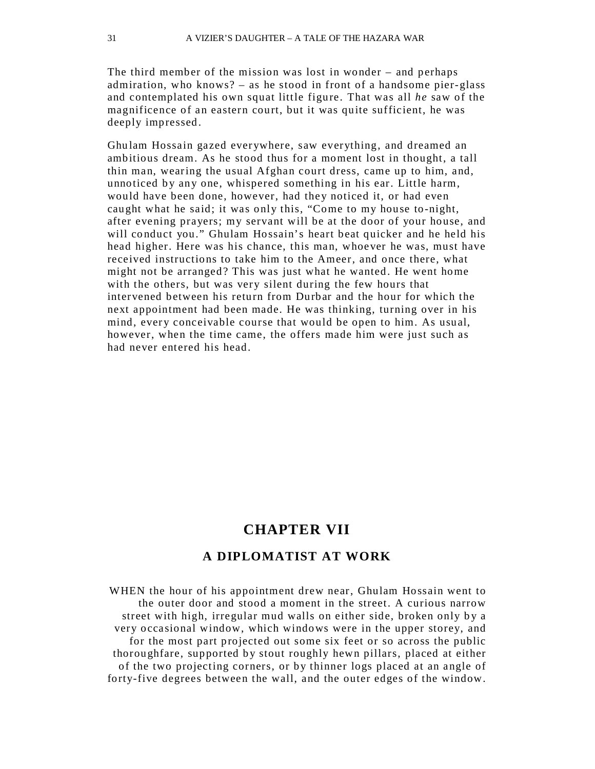The third member of the mission was lost in wonder – and perhaps admiration, who knows? – as he stood in front of a handsome pier-glass and contemplated his own squat little figure . That was all *he* saw of the magnificence of an eastern court, but it was quite sufficient, he was deeply impressed .

Ghu lam Hossain gazed everywhere, saw everything, and dreamed an ambitious dream. As he stood thus for a moment lost in thought, a tall thin man, wearing the usual Afghan court dress, came up to him, and, unnoticed by any one, whispered something in his ear. Little harm, would have been done, however, had they noticed it, or had even caught what he said; it was only this, "Come to my house to -night, after evening prayers; my servant will be at the door of your house, and will conduct you." Ghulam Hossain's heart beat quicker and he held his head higher. Here was his chance, this man, whoever he was, must have received instructions to take him to the Ameer, and once there, what might not be arranged? This was just what he wanted. He went home with the others, but was very silent during the few hours that intervened between his return from Durbar and the hour for which the next appointment had been made. He was thinking, turning over in his mind, every conceivable course that would be open to him. As usual, however, when the time came, the offers made him were just such as had never entered his head.

#### **CHAPTER VII**

#### **A DIPLOMATIST AT WORK**

WHEN the hour of his appointment drew near, Ghulam Hossain went to the outer door and stood a moment in the street. A curious narrow street with high, irregular mud walls on either side, broken only by a very occasional window, which windows were in the upper storey, and for the most part projected out some six feet or so across the public thoroughfare, supported by stout roughly hewn pillars, placed at either of the two projecting corners, or by thinner logs placed at an angle of forty-five degrees between the wall, and the outer edges of the window.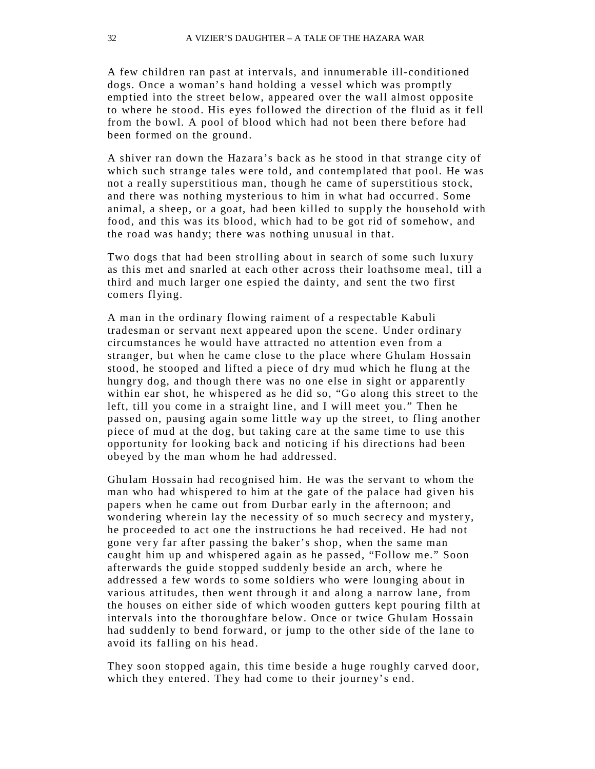A few children ran past at intervals, and innumerable ill- conditioned dogs. Once a woman's hand holding a vessel which was promptly emptied into the street below, appeared over the wall almost opposite to where he stood. His eyes followed the direction of the fluid as it fell from the bowl. A pool of blood which had not been there before had been formed on the ground.

A shiver ran down the Hazara's back as he stood in that strange city of which such strange tales were told, and contemplated that pool. He was not a really superstitious man, though he came of superstitious stock, and there was nothing mysterious to him in what had occurred . Some animal, a sheep, or a goat, had been killed to supply the household with food, and this was its blood, which had to be got rid of somehow, and the road was handy; there was nothing unusual in that.

Two dogs that had been strolling about in search of some such luxury as this met and snarled at each other across their loathsome meal, till a third and much larger one espied the dainty, and sent the two first comers flying.

A man in the ordinary flowing raiment of a respectable Kabuli tradesman or servant next appeared upon the scene. Under ordinary circumstances he would have attracted no attention even from a stranger, but when he came close to the place where Ghulam Hossain stood, he stooped and lifted a piece of dry mud which he flung at the hungry dog, and though there was no one else in sight or apparently within ear shot, he whispered as he did so, "Go along this street to the left, till you come in a straight line, and I will meet you." Then he passed on, pausing again some little way up the street, to fling another piece of mud at the dog, but taking care at the same time to use this opportunity for looking back and noticing if his directions had been obeyed by the man whom he had addressed.

Ghu lam Hossain had recognised him. He was the servant to whom the man who had whispered to him at the gate of the palace had given his papers when he came out from Durbar early in the afternoon; and wondering wherein lay the necessity of so much secrecy and mystery, he proceeded to act one the instructions he had received . He had not gone very far after passing the baker's shop, when the same man caught him up and whispered again as he passed, "Follow me." Soon afterwards the guide stopped suddenly beside an arch, where he addressed a few words to some soldiers who were lounging about in various attitudes, then went through it and along a narrow lane, from the houses on either side of which wooden gutters kept pouring filth at intervals into the thoroughfare below. Once or twice Ghulam Hossain had suddenly to bend forward, or jump to the other side of the lane to avoid its falling on his head.

They soon stopped again, this time beside a huge roughly carved door, which they entered. They had come to their journey's end.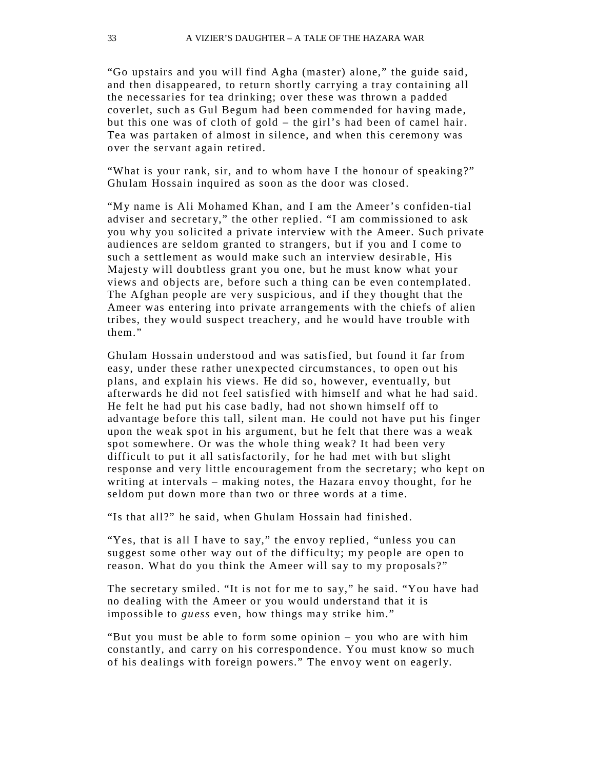"Go upstairs and you will find Agha (master) alone," the guide said , and then disappeared, to return shortly carrying a tray containing all the necessaries for tea drinking; over these was thrown a padded coverlet, such as Gul Begum had been commended for having made, but this one was of cloth of gold – the girl's had been of camel hair. Tea was partaken of almost in silence, and when this ceremony was over the servant again retired.

"What is your rank, sir, and to whom have I the honour of speaking?" Ghu lam Hossain inquired as soon as the door was closed.

"My name is Ali Mohamed Khan, and I am the Ameer's confiden-tial adviser and secretary," the other replied. "I am commissioned to ask you why you solicited a private interview with the Ameer. Such private audiences are seldom granted to strangers, but if you and I come to such a settlement as would make such an interview desirable, His Majesty will doubtless grant you one, but he must know what your views and objects are, before such a thing can be even contemplated. The Afghan people are very suspicious, and if they thought that the Ameer was entering into private arrangements with the chiefs of alien tribes, they would suspect treachery, and he would have trouble with them."

Ghu lam Hossain understood and was satisfied, but found it far from easy, under these rather unexpected circumstances, to open out his plans, and explain his views. He did so, however, eventually, but afterwards he did not feel satisfied with himself and what he had said . He felt he had put his case badly, had not shown himself off to advantage before this tall, silent man. He could not have put his finger upon the weak spot in his argument, but he felt that there was a weak spot somewhere. Or was the whole thing weak? It had been very difficult to put it all satisfactorily, for he had met with but slight response and very little encouragement from the secretary; who kept on writing at intervals – making notes, the Hazara envoy thought, for he seldom put down more than two or three words at a time.

"Is that all?" he said, when Ghulam Hossain had finished.

"Yes, that is all I have to say," the envoy replied, "unless you can suggest some other way out of the difficulty; my people are open to reason. What do you think the Ameer will say to my proposals?"

The secretary smiled. "It is not for me to say," he said. "You have had no dealing with the Ameer or you would understand that it is impossible to *guess* even, how things may strike him."

"But you must be able to form some opinion – you who are with him constantly, and carry on his correspondence. You must know so much of his dealings with foreign powers." The envoy went on eagerly.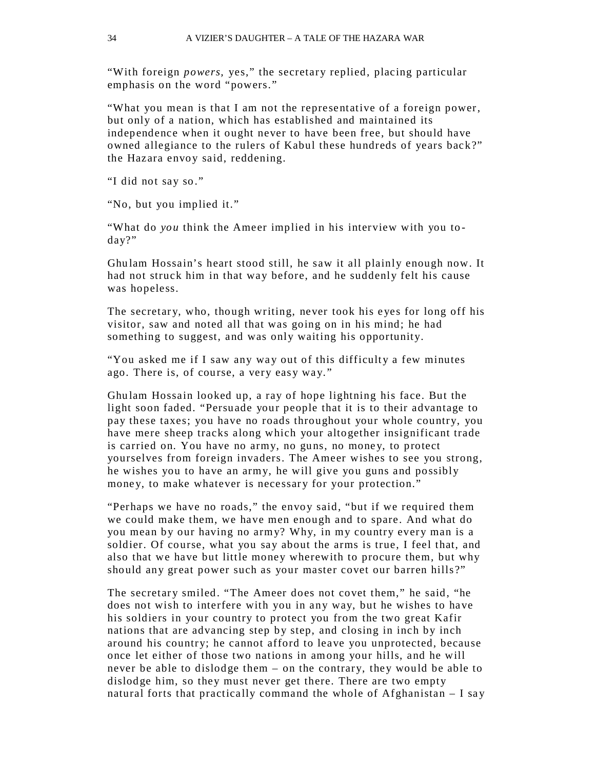"With foreign *powers,* yes," the secretary replied, placing particular emphasis on the word "powers."

"What you mean is that I am not the representative of a foreign power, but only of a nation, which has established and maintained its independence when it ought never to have been free, but should have owned allegiance to the rulers of Kabul these hundreds of years back?" the Hazara envoy said, reddening.

"I did not say so."

"No, but you implied it."

"What do *you* think the Ameer implied in his interview with you to day?"

Ghu lam Hossain's heart stood still, he saw it all plainly enough now. It had not struck him in that way before, and he suddenly felt his cause was hopeless.

The secretary, who, though writing, never took his eyes for long off his visitor, saw and noted all that was going on in his mind; he had something to suggest, and was only waiting his opportunity.

"You asked me if I saw any way out of this difficulty a few minutes ago. There is, of course, a very easy way. "

Ghu lam Hossain looked up, a ray of hope lightning his face. But the light soon faded. "Persuade your people that it is to their advantage to pay these taxes; you have no roads throughout your whole country, you have mere sheep tracks along which your altogether insignificant trade is carried on. You have no army, no guns, no money, to protect yourselves from foreign invaders. The Ameer wishes to see you strong, he wishes you to have an army, he will give you guns and possibly money, to make whatever is necessary for your protection."

"Perhaps we have no roads," the envoy said, "but if we required them we could make them, we have men enough and to spare. And what do you mean by our having no army? Why, in my country every man is a soldier. Of course, what you say about the arms is true, I feel that, and also that we have but little money wherewith to procure them, but why should any great power such as your master covet our barren hills ?"

The secretary smiled. "The Ameer does not covet them," he said, "he does not wish to interfere with you in any way, but he wishes to have his soldiers in your country to protect you from the two great Kafir nations that are advancing step by step, and closing in inch by inch around his country; he cannot afford to leave you unprotected, because once let either of those two nations in among your hills, and he will never be able to dislodge them – on the contrary, they would be able to dislodge him, so they must never get there. There are two empty natural forts that practically command the whole of Afghanistan  $-$  I say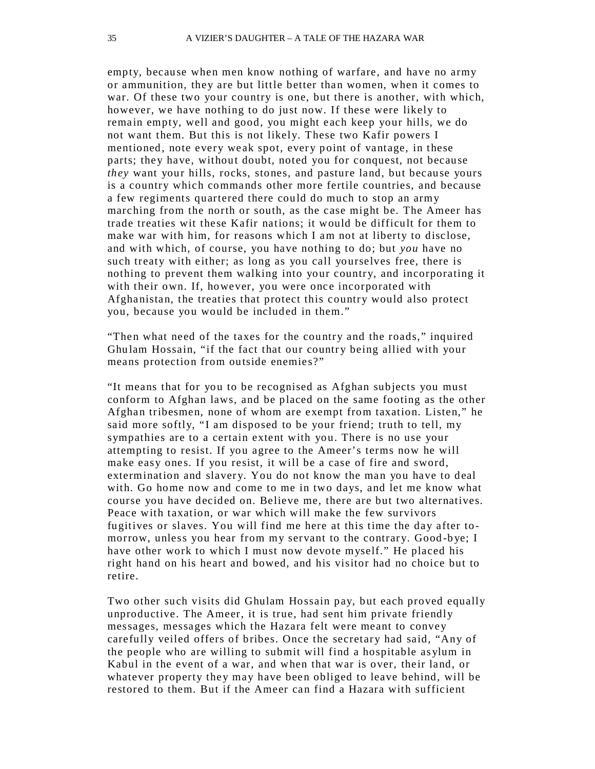empty, because when men know nothing of warfare, and have no army or ammunition, they are but little better than women, when it comes to war. Of these two your country is one, but there is another, with which, however, we have nothing to do just now. If these were likely to remain empty, well and good, you might each keep your hills, we do not want them. But this is not likely. These two Kafir powers I mentioned, note every weak spot, every point of vantage, in these parts; they have, without doubt, noted you for conquest, not because *they* want your hills, rocks, stones, and pasture land, but because yours is a country which commands other more fertile countries, and because a few regiments quartered there could do much to stop an army marching from the north or south, as the case might be. The Ameer has trade treaties wit these Kafir nations; it would be difficult for them to make war with him, for reasons which I am not at liberty to disclose, and with which, of course, you have nothing to do; but *you* have no such treaty with either; as long as you call yourselves free, there is nothing to prevent them walking into your country, and incorporating it with their own. If, however, you were once incorporated with Afghanistan, the treaties that protect this country would also protect you, because you would be included in them."

"Then what need of the taxes for the country and the roads," inquired Ghulam Hossain, "if the fact that our country being allied with your means protection from outside enemies?"

"It means that for you to be recognised as Afghan subjects you must conform to Afghan laws, and be placed on the same footing as the other Afghan tribesmen, none of whom are exempt from taxation. Listen," he said more softly, "I am disposed to be your friend; truth to tell, my sympathies are to a certain extent with you. There is no use your attempting to resist. If you agree to the Ameer's terms now he will make easy ones. If you resist, it will be a case of fire and sword, extermination and slavery. You do not know the man you have to deal with. Go home now and come to me in two days, and let me know what course you have decided on. Believe me, there are but two alternatives. Peace with taxation, or war which will make the few survivors fugitives or slaves. You will find me here at this time the day after tomorrow, unless you hear from my servant to the contrary. Good-bye; I have other work to which I must now devote myself." He placed his right hand on his heart and bowed, and his visitor had no choice but to retire.

Two other such visits did Ghulam Hossain pay, but each proved equally unproductive. The Ameer, it is true, had sent him private friendly messages, messages which the Hazara felt were meant to convey carefully veiled offers of bribes. Once the secretary had said, "Any of the people who are willing to submit will find a hospitable asylum in Kabul in the event of a war, and when that war is over, their land, or whatever property they may have been obliged to leave behind, will be restored to them. But if the Ameer can find a Hazara with sufficient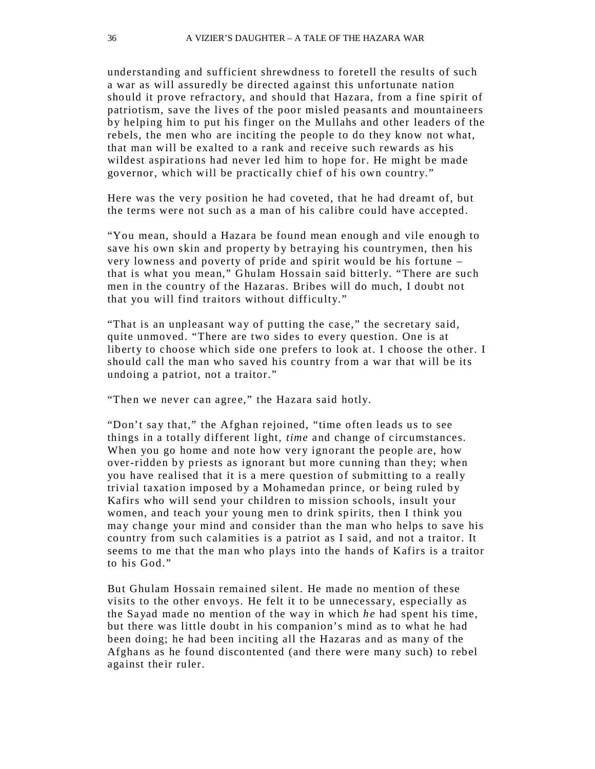understanding and sufficient shrewdness to foretell the results of such a war as will assuredly be directed against this unfortunate nation should it prove refractory, and should that Hazara, from a fine spirit of patriotism, save the lives of the poor misled peasants and mountaineers by helping him to put his finger on the Mullahs and other leaders of the rebels, the men who are inciting the people to do they know not what, that man will be exalted to a rank and receive such rewards as his wildest aspirations had never led him to hope for. He might be made governor, which will be practically chief of his own country."

Here was the very position he had coveted, that he had dreamt of, but the terms were not such as a man of his calibre could have accepted.

"You mean, should a Hazara be found mean enough and vile enough to save his own skin and property by betraying his countrymen, then his very lowness and poverty of pride and spirit would be his fortune – that is what you mean," Ghulam Hossain said bitterly. "There are such men in the country of the Hazaras. Bribes will do much, I doubt not that you will find traitors without difficulty."

"That is an unpleasant way of putting the case," the secretary said, quite unmoved. "There are two sides to every question. One is at liberty to choose which side one prefers to look at. I choose the other. I should call the man who saved his country from a war that will be its undoing a patriot, not a traitor."

"Then we never can agree," the Hazara said hotly.

"Don't say that," the Afghan rejoined, "time often leads us to see things in a totally different light, *time* and change of circumstances. When you go home and note how very ignorant the people are, how over-ridden by priests as ignorant but more cunning than they; when you have realised that it is a mere question of submitting to a really trivial taxation imposed by a Mohamedan prince, or being ruled by Kafirs who will send your children to mission schools, insult your women, and teach your young men to drink spirits, then I think you may change your mind and consider than the man who helps to save his country from such calamities is a patriot as I said, and not a traitor. It seems to me that the man who plays into the hands of Kafirs is a traitor to his God."

But Ghulam Hossain remained silent. He made no mention of these visits to the other envoys. He felt it to be unnecessary, especially as the Sa yad made no mention of the way in which *he* had spent his time, but there was little doubt in his companion's mind as to what he had been doing; he had been inciting all the Hazaras and as many of the Afghans as he found discontented (and there were many such) to rebel against their ruler.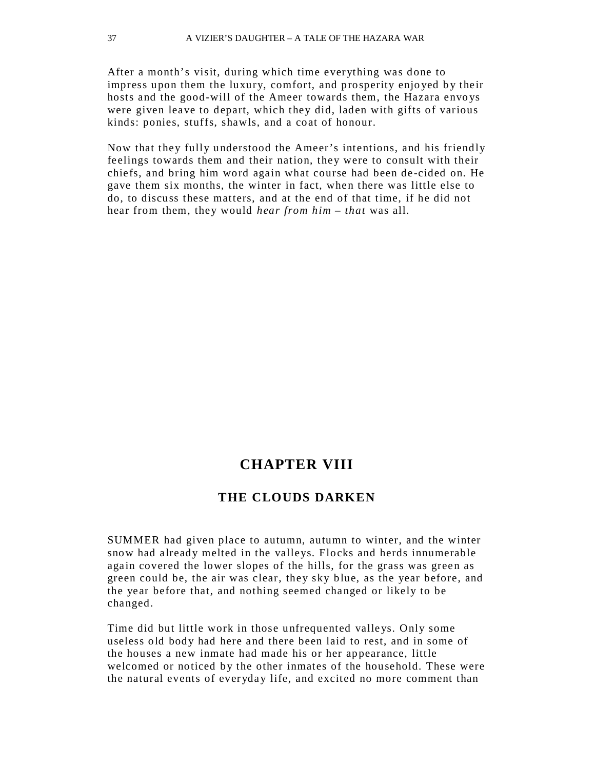After a month's visit, during which time everything was done to impress upon them the luxury, comfort, and prosperity enjoyed by their hosts and the good-will of the Ameer towards them, the Hazara envoys were given leave to depart, which they did, laden with gifts of various kinds: ponies, stuffs, shawls, and a coat of honour.

Now that they fully understood the Ameer's intentions, and his friendly feelings towards them and their nation, they were to consult with their chiefs, and bring him word again what course had been de -cided on. He gave them six months, the winter in fact, when there was little else to do, to discuss these matters, and at the end of that time, if he did not hear from them, they would *hear from him – that* was all.

# **CHAPTER VIII**

## **THE CLOUDS DARKEN**

SUMMER had given place to autumn, autumn to winter, and the winter snow had already melted in the valleys. Flocks and herds innumerable again covered the lower slopes of the hills, for the grass was green as green could be, the air was clear, they sky blue, as the year before, and the year before that, and nothing seemed changed or likely to be changed.

Time did but little work in those unfrequented valle ys. Only some useless old body had here and there been laid to rest, and in some of the houses a new inmate had made his or her appearance, little welcomed or noticed by the other inmates of the household. These were the natural events of everyday life, and excited no more comment than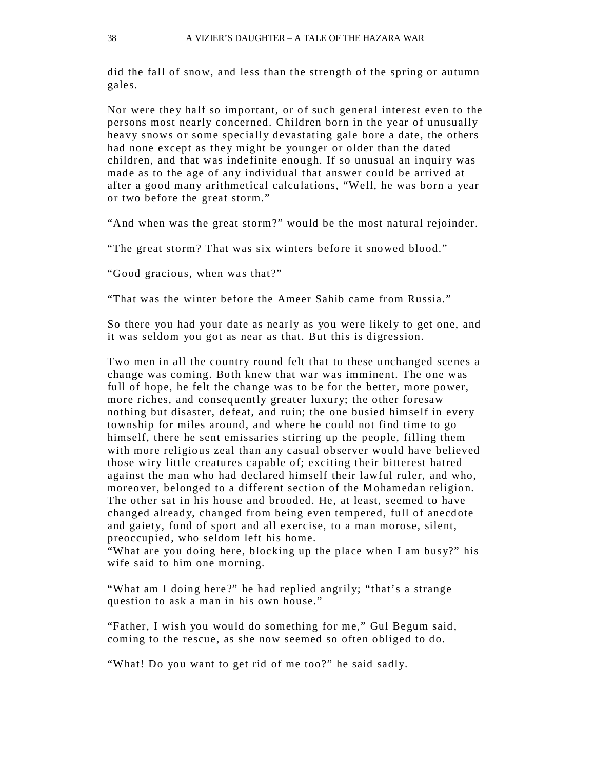did the fall of snow, and less than the strength of the spring or autumn gales.

Nor were they half so important, or of such general interest even to the persons most nearly concerned. Children born in the year of unusually heavy snows or some specially devastating gale bore a date, the others had none except as they might be younger or older than the dated children, and that was indefinite enough. If so unusual an inquiry was made as to the age of any individual that answer could be arrived at after a good many arithmetical calcu lations, "Well, he was born a year or two before the great storm."

"And when was the great storm?" would be the most natural rejoinder.

"The great storm? That was six winters before it snowed blood."

"Good gracious, when was that?"

"That was the winter before the Ameer Sahib came from Russia."

So there you had your date as nearly as you were likely to get one, and it was seldom you got as near as that. But this is digression.

Two men in all the country round felt that to these unchanged scenes a change was coming. Both knew that war was imminent. The one was full of hope, he felt the change was to be for the better, more power, more riches, and consequently greater luxury; the other foresaw nothing but disaster, defeat, and ruin; the one busied himself in every township for miles around, and where he could not find time to go himself, there he sent emissaries stirring up the people, filling them with more religious zeal than any casual observer would have believed those wiry little creatures capable of; exciting their bitterest hatred against the man who had declared himself their lawful ruler, and who, moreover, belonged to a different section of the Mohamedan religion. The other sat in his house and brooded. He, at least, seemed to have changed alread y, changed from being even tempered, full of anecdote and gaiety, fond of sport and all exercise, to a man morose, silent, preoccupied, who seldom left his home.

"What are you doing here, blocking up the place when I am busy?" his wife said to him one morning.

"What am I doing here?" he had replied angrily; "that's a strange question to ask a man in his own house."

"Father, I wish you would do something for me," Gul Begum said, coming to the rescue, as she now seemed so often obliged to do.

"What! Do you want to get rid of me too?" he said sadly.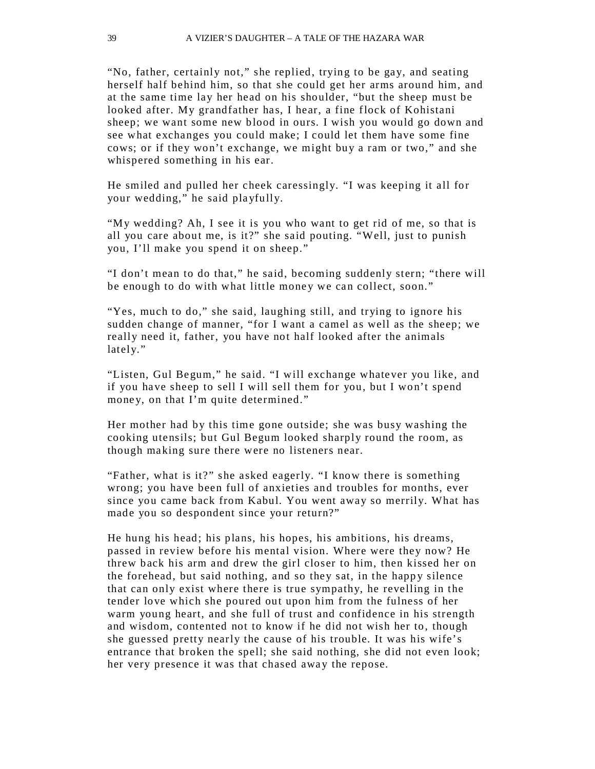"No, father, certainly not," she replied, trying to be gay, and seating herself half behind him, so that she could get her arms around him, and at the same time lay her head on his shoulder, "but the sheep must be looked after. My grandfather has, I hear, a fine flock of Kohistani sheep; we want some new blood in ours. I wish you would go down and see what exchanges you could make; I could let them have some fine cows; or if they won't exchange, we might buy a ram or two," and she whispered something in his ear.

He smiled and pulled her cheek caressingly. "I was keeping it all for your wedding," he said pla yfully.

"My wedding? Ah, I see it is you who want to get rid of me, so that is all you care about me, is it?" she said pouting. "Well, just to punish you, I'll make you spend it on sheep."

"I don't mean to do that," he said, becoming suddenly stern; "there will be enough to do with what little money we can collect, soon."

"Yes, much to do," she said, laughing still, and trying to ignore his sudden change of manner, "for I want a camel as well as the sheep; we really need it, father, you have not half looked after the animals lately."

"Listen, Gul Begum," he said. "I will exchange whatever you like, and if you have sheep to sell I will sell them for you, but I won't spend money, on that I'm quite determined."

Her mother had by this time gone outside; she was busy washing the cooking utensils; but Gul Begum looked sharply round the room, as though making sure there were no listeners near.

"Father, what is it?" she asked eagerly. "I know there is something wrong; you have been full of anxieties and troubles for months, ever since you came back from Kabul. You went away so merrily. What has made you so despondent since your return?"

He hung his head; his plans, his hopes, his ambitions, his dreams, passed in review before his mental vision. Where were they now? He threw back his arm and drew the girl closer to him, then kissed her on the forehead, but said nothing, and so they sat, in the happy silence that can only exist where there is true sympathy, he revelling in the tender love which she poured out upon him from the fulness of her warm young heart, and she full of trust and confidence in his strength and wisdom, contented not to know if he did not wish her to, though she guessed pretty nearly the cause of his trouble. It was his wife's entrance that broken the spell; she said nothing, she did not even look; her very presence it was that chased away the repose.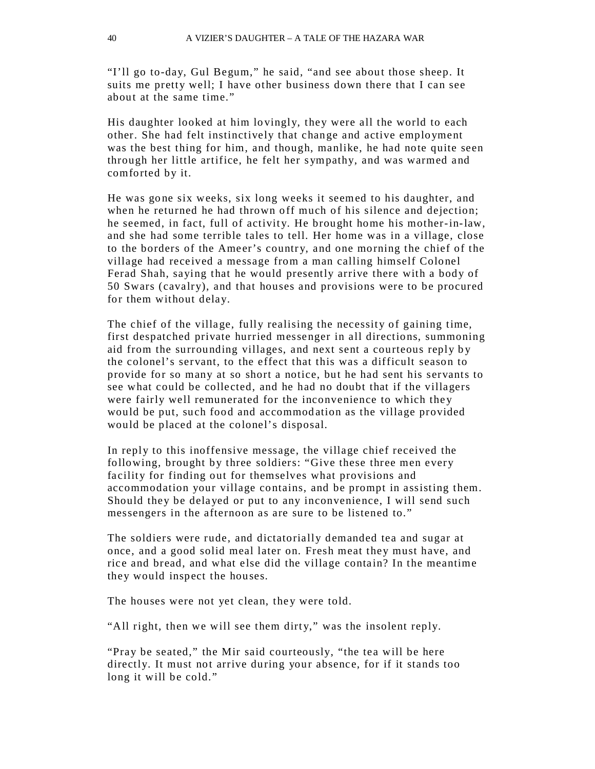"I'll go to-day, Gul Begum," he said, "and see about those sheep. It suits me pretty well; I have other business down there that I can see about at the same time."

His daughter looked at him lovingly, they were all the world to each other. She had felt instinctively that change and active employment was the best thing for him, and though, manlike, he had note quite seen through her little artifice, he felt her sympathy, and was warmed and comforted by it.

He was gone six weeks, six long weeks it seemed to his daughter, and when he returned he had thrown off much of his silence and dejection; he seemed, in fact, full of activity. He brought home his mother-in-law, and she had some terrible tales to tell. Her home was in a village, close to the borders of the Ameer's country, and one morning the chief of the village had received a message from a man calling himself Colonel Ferad Shah, saying that he would presently arrive there with a body of 50 Swars (cavalry), and that houses and provisions were to be procured for them without delay.

The chief of the village, fully realising the necessity of gaining time, first despatched private hurried messenger in all directions, summoning aid from the surrounding villages, and next sent a courteous reply by the colonel's servant, to the effect that this was a difficult season to provide for so many at so short a notice, but he had sent his servants to see what could be collected, and he had no doubt that if the villagers were fairly well remunerated for the inconvenience to which they would be put, such food and accommodation as the village provided would be placed at the colonel's disposal.

In reply to this inoffensive message, the village chief received the following, brought by three soldiers: "Give these three men every facility for finding out for themselves what provisions and accommodation your village contains, and be prompt in assisting them. Should they be delayed or put to any inconvenience, I will send such messengers in the afternoon as are sure to be listened to."

The soldiers were rude, and dictatorially demanded tea and sugar at once, and a good solid meal later on. Fresh meat they must have, and rice and bread, and what else did the village contain? In the meantime they would inspect the houses.

The houses were not yet clean, they were told.

"All right, then we will see them dirty," was the insolent reply.

"Pray be seated," the Mir said courteously, "the tea will be here directly. It must not arrive during your absence, for if it stands too long it will be cold."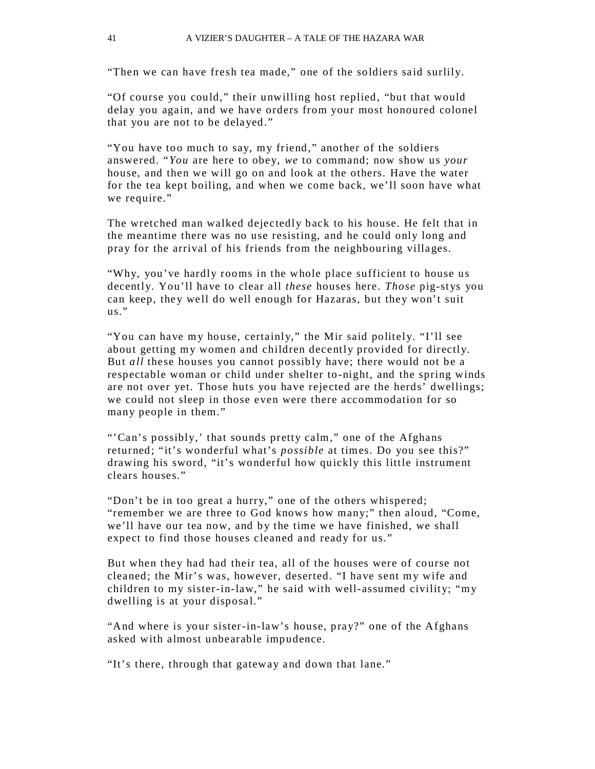"Then we can have fresh tea made," one of the soldiers said surlily.

"Of course you could," their unwilling host replied, "but that would delay you again, and we have orders from your most honoured colonel that you are not to be delayed."

"You have too much to say, my friend," another of the soldiers answered. "*You* are here to obey, *we* to command; now show us *your*  house, and then we will go on and look at the others. Have the water for the tea kept boiling, and when we come back, we'll soon have what we require."

The wretched man walked dejectedly back to his house. He felt that in the meantime there was no use resisting, and he could only long and pray for the arrival of his friends from the neighbouring villages.

"Why, you've hardly rooms in the whole place sufficient to house us decently. You'll have to clear all *these* houses here. *Those* pig-st ys you can keep, they well do well enough for Hazaras, but they won't suit  $us.$ "

"You can have my house, certainly," the Mir said politely. "I'll see about getting my women and children decently provided for directly. But *all* these houses you cannot possibly have; there would not be a respectable woman or child under shelter to-night, and the spring winds are not over yet. Those huts you have rejected are the herds' dwellings; we could not sleep in those even were there accommodation for so many people in them."

"'Can's possibly,' that sounds pretty calm," one of the Afghans returned; "it's wonderful what's *possible* at times. Do you see this?" drawing his sword, "it's wonderful how quickly this little instrument clears houses."

"Don't be in too great a hurry," one of the others whispered; "remember we are three to God knows how many;" then aloud, "Come, we'll have our tea now, and by the time we have finished, we shall expect to find those houses cleaned and ready for us."

But when they had had their tea, all of the houses were of course not cleaned; the Mir's was, however, deserted. "I have sent my wife and children to my sister-in-law," he said with well-assumed civility; "my dwelling is at your disposal."

"And where is your sister-in-law's house, pray?" one of the Afghans asked with almost unbearable impudence.

"It's there, through that gateway and down that lane."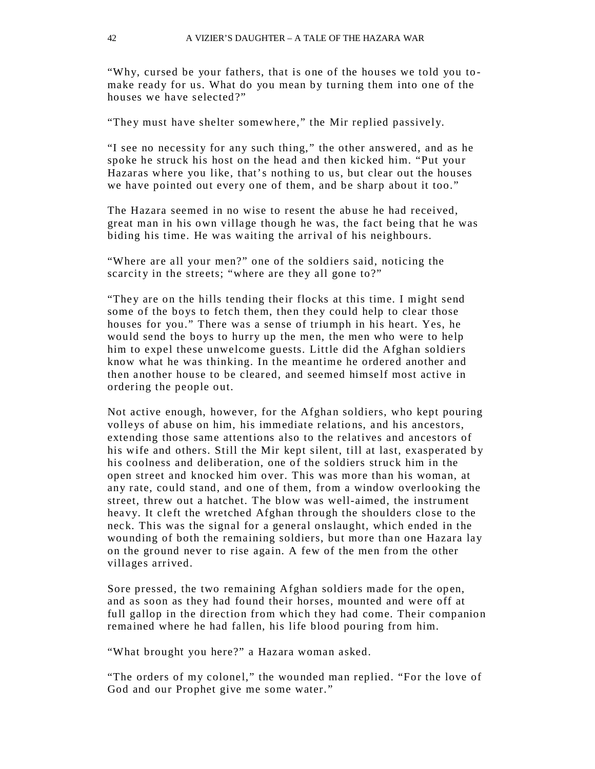"Why, cursed be your fathers, that is one of the houses we told you tomake ready for us. What do you mean by turning them into one of the houses we have selected?"

"They must have shelter somewhere," the Mir replied passively.

"I see no necessity for any such thing," the other answered, and as he spoke he struck his host on the head a nd then kicked him. "Put your Hazaras where you like, that's nothing to us, but clear out the houses we have pointed out every one of them, and be sharp about it too."

The Hazara seemed in no wise to resent the abuse he had received, great man in his own village though he was, the fact being that he was biding his time. He was waiting the arrival of his neighbours.

"Where are all your men?" one of the soldiers said, noticing the scarcity in the streets; "where are they all gone to?"

"They are on the hills tending their flocks at this time. I might send some of the boys to fetch them, then they could help to clear those houses for you." There was a sense of triumph in his heart. Yes, he would send the boys to hurry up the men, the men who were to help him to expel these unwelcome guests. Little did the Afghan soldiers know what he was thinking. In the meantime he ordered another and then another house to be cleared, and seemed himself most active in ordering the people out.

Not active enough, however, for the Afghan soldiers, who kept pouring volleys of abuse on him, his immediate relations, and his ancestors, extending those same attentions also to the relatives and ancestors of his wife and others. Still the Mir kept silent, till at last, exasperated by his coolness and deliberation, one of the soldiers struck him in the open street and knocked him over. This was more than his woman, at any rate, could stand, and one of them, from a window overlooking the street, threw out a hatchet. The blow was well-aimed, the instrument heavy. It cleft the wretched Afghan through the shoulders close to the neck. This was the signal for a general onslaught, which ended in the wounding of both the remaining soldiers, but more than one Hazara lay on the ground never to rise again. A few of the men from the other villages arrived.

Sore pressed, the two remaining Afghan soldiers made for the open, and as soon as they had found their horses, mounted and were off at full gallop in the direction from which they had come. Their companion remained where he had fallen, his life blood pouring from him.

"What brought you here?" a Hazara woman asked.

"The orders of my colonel," the wounded man replied. "For the love of God and our Prophet give me some water."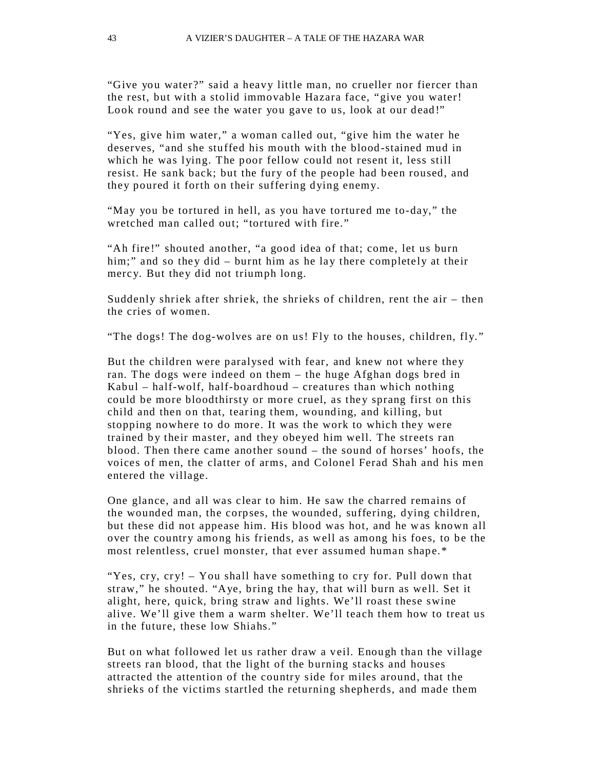"Give you water?" said a heavy little man, no crueller nor fiercer than the rest, but with a stolid immovable Hazara face, "give you water! Look round and see the water you gave to us, look at our dead!"

"Yes, give him water," a woman called out, "give him the water he deserves, "and she stuffed his mouth with the blood -stained mud in which he was lying. The poor fellow could not resent it, less still resist. He sank back; but the fury of the people had been roused, and they poured it forth on their suffering dying enemy.

"May you be tortured in hell, as you have tortured me to-day," the wretched man called out; "tortured with fire."

"Ah fire!" shouted another, "a good idea of that; come, let us burn him;" and so they did – burnt him as he lay there completely at their mercy. But they did not triumph long.

Suddenly shriek after shriek, the shrieks of children, rent the air – then the cries of women.

"The dogs! The dog-wolves are on us! Fly to the houses, children, fly."

But the children were paralysed with fear, and knew not where they ran. The dogs were indeed on them – the huge Afghan dogs bred in Kabul – half-wolf, half-boardhoud – creatures than which nothing could be more bloodthirsty or more cruel, as they sprang first on this child and then on that, tearing them, wounding, and killing, but stopping nowhere to do more. It was the work to which they were trained by their master, and they obeyed him well. The streets ran blood. Then there came another sound – the sound of horses' hoofs, the voices of men, the clatter of arms, and Colonel Ferad Shah and his men entered the village.

One glance, and all was clear to him. He saw the charred remains of the wounded man, the corpses, the wounded, suffering, dying children, but these did not appease him. His blood was hot, and he was known all over the country among his friends, as well as among his foes, to be the most relentless, cruel monster, that ever assumed human shape.\*

"Yes, cry, cry! – You shall have something to cry for. Pull down that straw," he shouted. "Aye, bring the hay, that will burn as well. Set it alight, here, quick, bring straw and lights. We'll roast these swine alive. We'll give them a warm shelter. We'll teach them how to treat us in the future, these low Shiahs."

But on what followed let us rather draw a veil. Enough than the village streets ran blood, that the light of the burning stacks and houses attracted the attention of the country side for miles around, that the shrieks of the victims startled the returning shepherds, and made them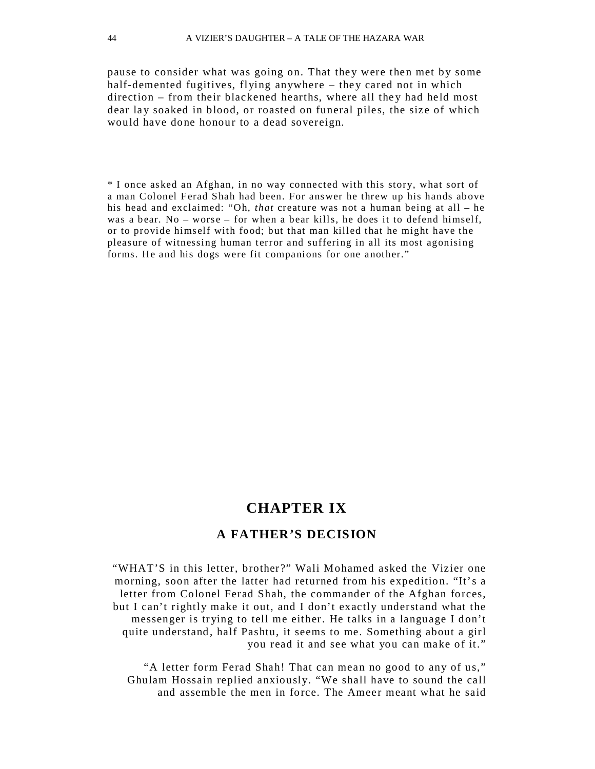pause to consider what was going on. That they were then met by some half-demented fugitives, flying anywhere – they cared not in which direction – from their blackened hearths, where all they had held most dear lay soaked in blood, or roasted on funeral piles, the size of which would have done honour to a dead sovereign.

\* I once asked an Afghan, in no way connected with this story, what sort of a man Colonel Ferad Shah had been. For answer he threw up his hands above his head and exclaimed: "Oh, *that* creature was not a human being at all – he was a bear. No – worse – for when a bear kills, he does it to defend himself, or to provide himself with food; b ut that man killed that he might have the pleasure of witnessing human terror and suffering in all its most agonising forms. He and his dogs were fit companions for one another."

# **CHAPTER IX**

### **A FATHER'S DECISION**

"WHAT'S in this letter, brother ?" Wali Mohamed asked the Vizier one morning, soon after the latter had returned from his expedition. "It's a letter from Colonel Ferad Shah, the commander of the Afghan forces, but I can't rightly make it out, and I don't exactly understand what the messenger is trying to tell me either. He talks in a language I don't quite understand, half Pashtu, it seems to me. Something about a girl you read it and see what you can make of it."

"A letter form Ferad Shah! That can mean no good to any of us," Ghulam Hossain replied anxiously. "We shall have to sound the call and assemble the men in force. The Ameer meant what he said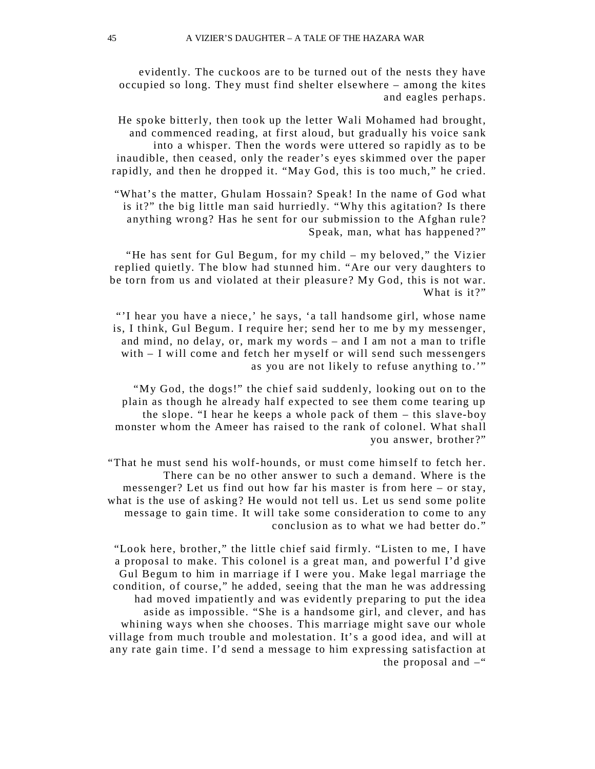evidently. The cuckoos are to be turned out of the nests they have occupied so long. They must find shelter elsewhere  $-$  among the kites and eagles perhaps.

He spoke bitterly, then took up the letter Wali Mohamed had brought, and commenced reading, at first aloud, but gradually his voice sank into a whisper. Then the words were uttered so rapidly as to be inaudible, then ceased, only the reader's eyes skimmed over the paper rapidly, and then he dropped it. "May God, this is too much," he cried.

"What's the matter, Ghulam Hossain? Speak! In the name of God what is it?" the big little man said hurriedly. "Why this agitation? Is there anything wrong? Has he sent for our submission to the Afghan rule? Speak, man, what has happened?"

"He has sent for Gul Begum, for my child – my beloved," the Vizier replied quietly. The blow had stunned him. "Are our very daughters to be torn from us and violated at their pleasure? My God, this is not war. What is it?"

"'I hear you have a niece,' he says, 'a tall handsome girl, whose name is, I think, Gul Begum. I require her; send her to me by my messenger, and mind, no delay, or, mark my words – and I am not a man to trifle with – I will come and fetch her myself or will send such messengers as you are not likely to refuse anything to .'"

"My God, the dogs!" the chief said suddenly, looking out on to the plain as though he already half expected to see them come tearing up the slope. "I hear he keeps a whole pack of them – this slave-boy monster whom the Ameer has raised to the rank of colonel. What shall you answer, brother ?"

"That he must send his wolf-hounds, or must come himself to fetch her. There can be no other answer to such a demand. Where is the messenger? Let us find out how far his master is from here – or stay, what is the use of asking? He would not tell us. Let us send some polite message to gain time. It will take some consideration to come to any conclusion as to what we had better do."

"Look here, brother," the little chief said firmly. "Listen to me, I have a proposal to make. This colonel is a great man, and powerful I'd give Gul Begum to him in marriage if I were you . Make legal marriage the condition, of course," he added, seeing that the man he was addressing had moved impatiently and was evidently preparing to put the idea aside as impossible. "She is a handsome girl, and clever, and has whining ways when she chooses. This marriage might save our whole village from much trouble and molestation. It's a good idea, and will at any rate gain time. I'd send a message to him expressing satisfaction at the proposal and  $-$ "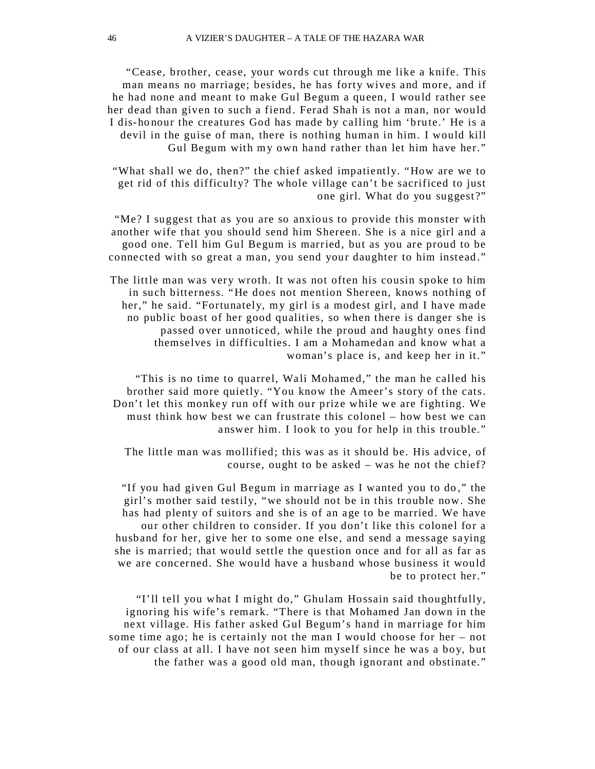"Cease, brother, cease, your words cut through me like a knife. This man means no marriage; besides, he has forty wives and more, and if he had none and meant to make Gul Begum a queen, I would rather see her dead than given to such a fiend. Ferad Shah is not a man, nor would I dis-ho nour the creatures God has made by calling him 'brute.' He is a devil in the guise of man, there is nothing human in him. I would kill Gul Begum with my own hand rather than let him have her."

"What shall we do, then?" the chief asked impatiently. "How are we to get rid of this difficulty? The whole village can't be sacrificed to just one girl. What do you suggest?"

"Me? I suggest that as you are so anxious to provide this monster with another wife that you should send him Shereen. She is a nice girl and a good one. Tell him Gul Begum is married, but as you are proud to be connected with so great a man, you send your daughter to him instead."

The little man was very wroth. It was not often his cousin spoke to him in such bitterness. "He does not mention Shereen, knows nothing of her," he said. "Fortunately, my girl is a modest girl, and I have made no public boast of her good qualities, so when there is danger she is passed over unnoticed, while the proud and haughty ones find themselves in difficulties. I am a Mohamedan and know what a woman's place is, and keep her in it."

"This is no time to quarrel, Wali Mohamed," the man he called his brother said more quietly. "You know the Ameer's story of the cats. Don't let this monkey run off with our prize while we are fighting. We must think how best we can frustrate this colonel – how best we can answer him. I look to you for help in this trouble."

The little man was mollified; this was as it should be. His advice, of course, ought to be asked – was he not the chief?

"If you had given Gul Begum in marriage as I wanted you to do ," the girl's mother said testily, "we should not be in this trouble now. She has had plenty of suitors and she is of an age to be married. We have our other children to consider. If you don't like this colonel for a husband for her, give her to some one else, and send a message saying she is married; that would settle the question once and for all as far as we are concerned. She would have a husband whose business it would be to protect her."

"I'll tell you what I might do," Ghulam Hossain said thoughtfully, ignoring his wife's remark. "There is that Mohamed Jan down in the next village. His father asked Gul Begum's hand in marriage for him some time ago; he is certainly not the man I would choose for her – not of our class at all. I have not seen him myself since he was a boy, but the father was a good old man, though ignorant and obstinate."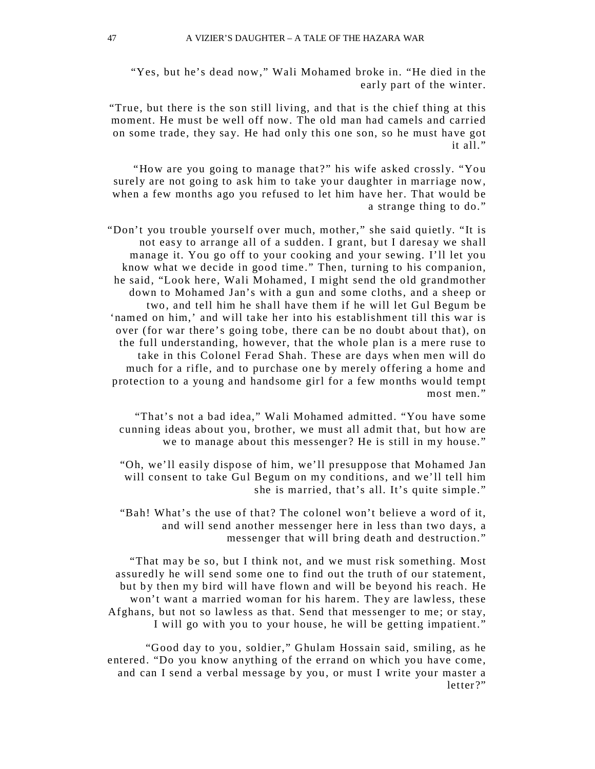"Yes, but he's dead now," Wali Mohamed broke in. "He died in the early part of the winter.

"True, but there is the son still living, and that is the chief thing at this moment. He must be well off now. The old man had camels and carried on some trade, they say. He had only this one son, so he must have got it all."

"How are you going to manage that ?" his wife asked crossly. "You surely are not going to ask him to take your daughter in marriage now, when a few months ago you refused to let him have her. That would be a strange thing to do."

"Don't you trouble yourself over much, mother," she said quietly. "It is not easy to arrange all of a sudden. I grant, but I daresay we shall manage it. You go off to your cooking and your sewing. I'll let you know what we decide in good time." Then, turning to his companion, he said, "Look here, Wali Mohamed, I might send the old grandmother down to Mohamed Jan's with a gun and some cloths, and a sheep or two, and tell him he shall have them if he will let Gul Begum be 'named on him,' and will take her into his establishment till this war is over (for war there's going tobe, there can be no doubt about that), on the full understanding, however, that the whole plan is a mere ruse to take in this Colonel Ferad Shah. These are days when men will do much for a rifle, and to purchase one by merely offering a home and protection to a young and handsome girl for a few months would tempt most men."

"That's not a bad idea," Wali Mohamed admitted. "You have some cunning ideas about you, brother, we must all admit that, but how are we to manage about this messenger? He is still in my house."

"Oh, we'll easily dispose of him, we'll presuppose that Mohamed Jan will consent to take Gul Begum on my conditions, and we'll tell him she is married, that's all. It's quite simple."

"Bah! What's the use of that? The colonel won't believe a word of it, and will send another messenger here in less than two days, a messenger that will bring death and destruction."

"That may be so, but I think not, and we must risk something. Most assuredly he will send some one to find out the truth of our statement, but by then my bird will have flown and will be beyond his reach. He won't want a married woman for his harem. They are lawless, these Afghans, but not so lawless as that. Send that messenger to me; or stay, I will go with you to your house, he will be getting impatient."

"Good day to you, soldier," Ghulam Hossain said, smiling, as he entered. "Do you know anything of the errand on which you have come, and can I send a verbal message by you, or must I write your master a letter?"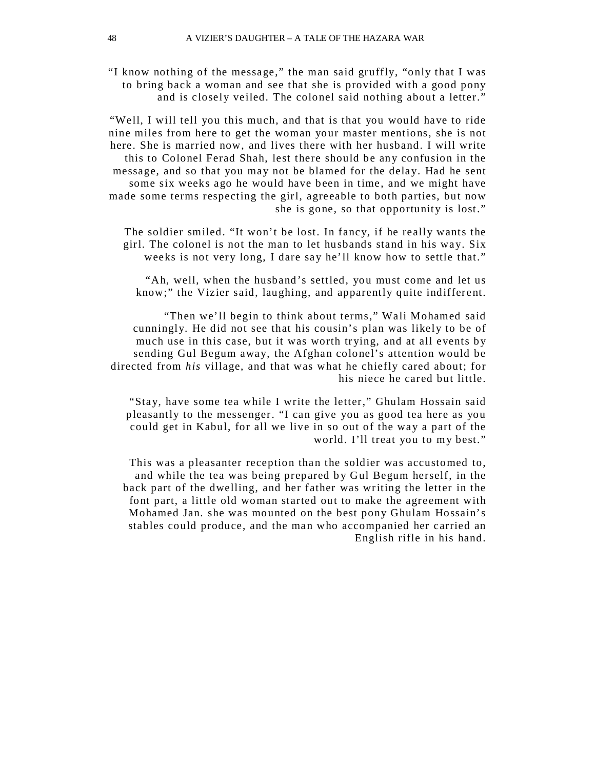"I know nothing of the message," the man said gruffly, "only that I was to bring back a woman and see that she is provided with a good pony and is closely veiled. The colonel said nothing about a letter."

"Well, I will tell you this much, and that is that you would have to ride nine miles from here to get the woman your master mentions, she is not here. She is married now, and lives there with her husband. I will write this to Colonel Ferad Shah, lest there should be any confusion in the message, and so that you may not be blamed for the delay. Had he sent some six weeks ago he would have been in time, and we might have made some terms respecting the girl, agreeable to both parties, but now she is gone, so that opportunity is lost."

The soldier smiled. "It won't be lost. In fancy, if he really wants the girl. The colonel is not the man to let husbands stand in his way. Six weeks is not very long, I dare say he'll know how to settle that."

"Ah, well, when the husband's settled, you must come and let us know;" the Vizier said, laughing, and apparently quite indifferent.

"Then we'll begin to think about terms," Wali Mohamed said cunningly. He did not see that his cousin's plan was likely to be of much use in this case, but it was worth trying, and at all events by sending Gul Begum away, the Afghan colonel's attention would be directed from *his* village, and that was what he chiefly cared about; for his niece he cared but little.

"Stay, have some tea while I write the letter," Ghulam Hossain said pleasantly to the messenger. "I can give you as good tea here as you could get in Kabul, for all we live in so out of the way a part of the world. I'll treat you to my best."

This was a pleasanter reception than the soldier was accustomed to, and while the tea was being prepared by Gul Begum herself, in the back part of the dwelling, and her father was writing the letter in the font part, a little old woman started out to make the agreement with Mohamed Jan. she was mounted on the best pony Ghulam Hossain's stables could produce, and the man who accompanied her carried an English rifle in his hand.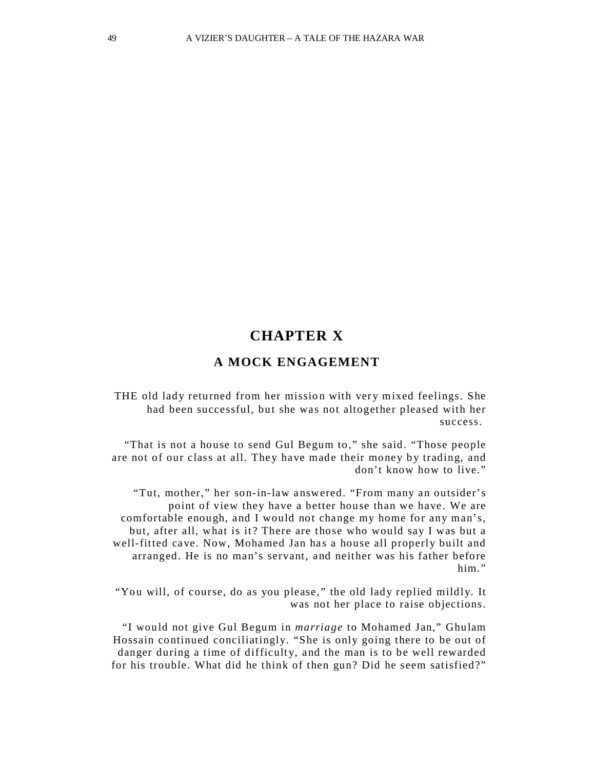## **CHAPTER X**

### **A MOCK ENGAGEMENT**

THE old lady returned from her mission with very mixed feelings. She had been successful, but she was not altogether pleased with her success.

"That is not a house to send Gul Begum to," she said. "Those people are not of our class at all. They have made their money by trading, and don't know how to live."

"Tut, mother," her son-in-law answered. "From many an outsider's point of view they have a better house than we have. We are comfortable enough, and I would not change my home for any man's, but, after all, what is it? There are those who would say I was but a well-fitted cave. Now, Mohamed Jan has a house all properly built and arranged. He is no man's servant, and neither was his father before him."

"You will, of course, do as you please," the old lady replied mildly. It was not her place to raise objections.

"I would not give Gul Begum in *marriage* to Mohamed Jan," Ghulam Hossain continued conciliatingly. "She is only going there to be out of danger during a time of difficulty, and the man is to be well rewarded for his trouble. What did he think of then gun? Did he seem satisfied?"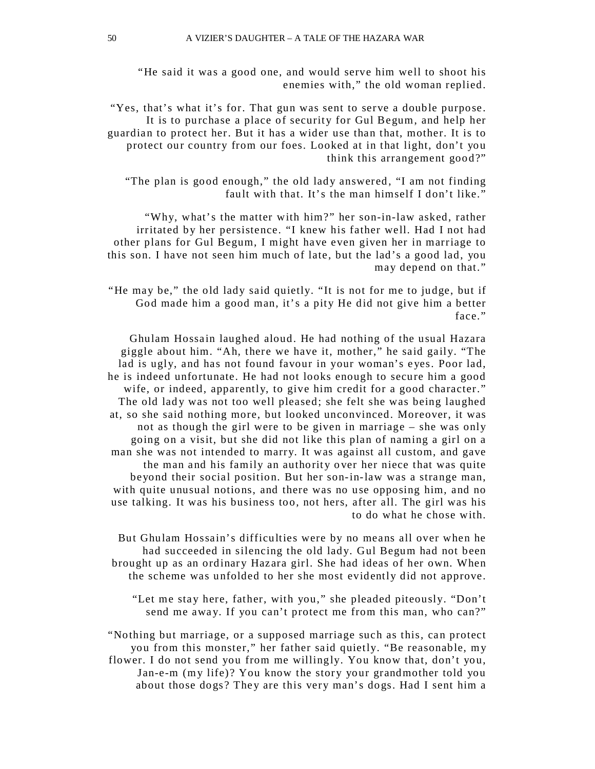"He said it was a good one, and would serve him well to shoot his enemies with," the old woman replied.

"Yes, that's what it's for. That gun was sent to serve a double purpose. It is to purchase a place of security for Gul Begum, and help her guardian to protect her. But it has a wider use than that, mother. It is to protect our country from our foes. Looked at in that light, don't you think this arrangement good?"

"The plan is good enough," the old lady answered, "I am not finding fault with that. It's the man himself I don't like."

"Why, what's the matter with him?" her son-in-law asked, rather irritated by her persistence. "I knew his father well. Had I not had other plans for Gul Begum, I might have even given her in marriage to this son. I have not seen him much of late, but the lad's a good lad, you may depend on that."

"He may be," the old lady said quietly. "It is not for me to judge, but if God made him a good man, it's a pity He did not give him a better face."

Ghulam Hossain laughed aloud. He had nothing of the usual Hazara giggle about him. "Ah, there we have it, mother," he said gaily. "The lad is ugly, and has not found favour in your woman's e yes. Poor lad, he is indeed unfortunate. He had not looks enough to secure him a good wife, or indeed, apparently, to give him credit for a good character." The old lady was not too well pleased; she felt she was being laughed at, so she said nothing more, but looked unconvinced. Moreover, it was not as though the girl were to be given in marriage – she was only going on a visit, but she did not like this plan of naming a girl on a man she was not intended to marry. It was against all custom, and gave the man and his family an authority over her niece that was quite beyond their social position. But her son-in-law was a strange man, with quite unusual notions, and there was no use opposing him, and no use talking. It was his business too, not hers, after all. The girl was his to do what he chose with.

But Ghulam Hossain's difficulties were by no means all over when he had succeeded in silencing the old lady. Gul Begum had not been brought up as an ordinary Hazara girl. She had ideas of her own. When the scheme was unfolded to her she most evidently did not approve.

"Let me stay here, father, with you," she pleaded piteously. "Don't send me away. If you can't protect me from this man, who can?"

"Nothing but marriage, or a supposed marriage such as this, can protect you from this monster," her father said quietly. "Be reasonable, my flower. I do not send you from me willingly. You know that, don't you, Jan-e-m (my life)? You know the story your grandmother told you about those dogs? They are this very man's dogs. Had I sent him a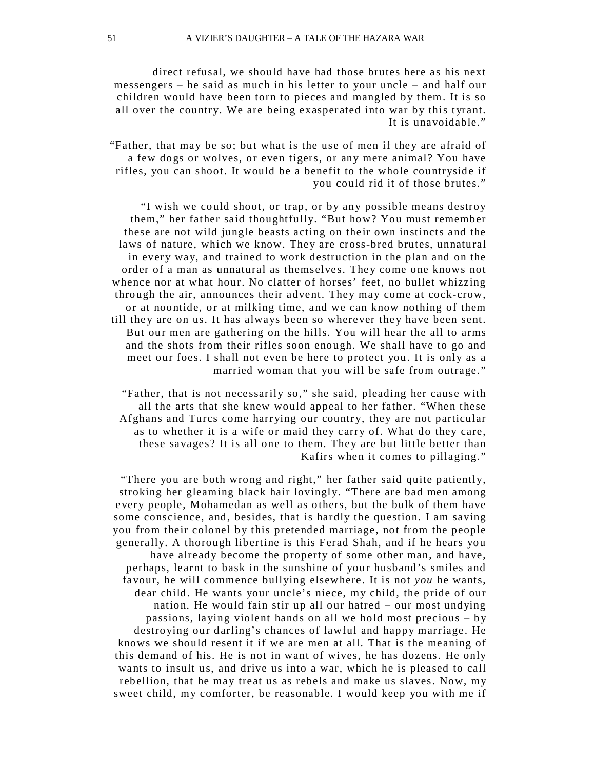direct refusal, we should have had those brutes here as his next messengers – he said as much in his letter to your uncle – and half our children would have been torn to pieces and mangled by them. It is so all over the country. We are being exasperated into war by this tyrant. It is unavoidable."

"Father, that may be so; but what is the use of men if they are afraid of a few dogs or wolves, or even tigers, or any mere animal? You have rifles, you can shoot. It would be a benefit to the whole countryside if you could rid it of those brutes."

"I wish we could shoot, or trap, or by any possible means destroy them," her father said thoughtfully. "But how? You must remember these are not wild jungle beasts acting on their own instincts and the laws of nature, which we know. They are cross-bred brutes, unnatural in every way, and trained to work destruction in the plan and on the order of a man as unnatural as themselves. They come one knows not whence nor at what hour. No clatter of horses' feet, no bullet whizzing through the air, announces their advent. They may come at cock-crow, or at noontide, or at milking time, and we can know nothing of them till they are on us. It has always been so wherever they have been sent. But our men are gathering on the hills. You will hear the all to arms and the shots from their rifles soon enough. We shall have to go and meet our foes. I shall not even be here to protect you. It is only as a married woman that you will be safe from outrage."

"Father, that is not necessarily so," she said, pleading her cause with all the arts that she knew would appeal to her father. "When these Afghans and Turcs come harrying our country, they are not particular as to whether it is a wife or maid they carry of. What do they care, these savages? It is all one to them. They are but little better than Kafirs when it comes to pillaging."

"There you are both wrong and right," her father said quite patiently, stroking her gleaming black hair lovingly. "There are bad men among every people, Mohamedan as well as others, but the bulk of them have some conscience, and, besides, that is hardly the question. I am saving you from their colonel by this pretended marriage, not from the people generally. A thorough libertine is this Ferad Shah, and if he hears you have already become the property of some other man, and have, perhaps, learnt to bask in the sunshine of your husband's smiles and favour, he will commence bullying elsewhere. It is not *you* he wants, dear child. He wants your uncle's niece, my child, the pride of our nation. He would fain stir up all our hatred – our most undying passions, laying violent hands on all we hold most precious – by destroying our darling's chances of lawful and happy marriage . He knows we should resent it if we are men at all. That is the meaning of this demand of his. He is not in want of wives, he has dozens. He only wants to insult us, and drive us into a war, which he is pleased to call rebellion, that he may treat us as rebels and make us slaves. Now, my sweet child, my comforter, be reasonable. I would keep you with me if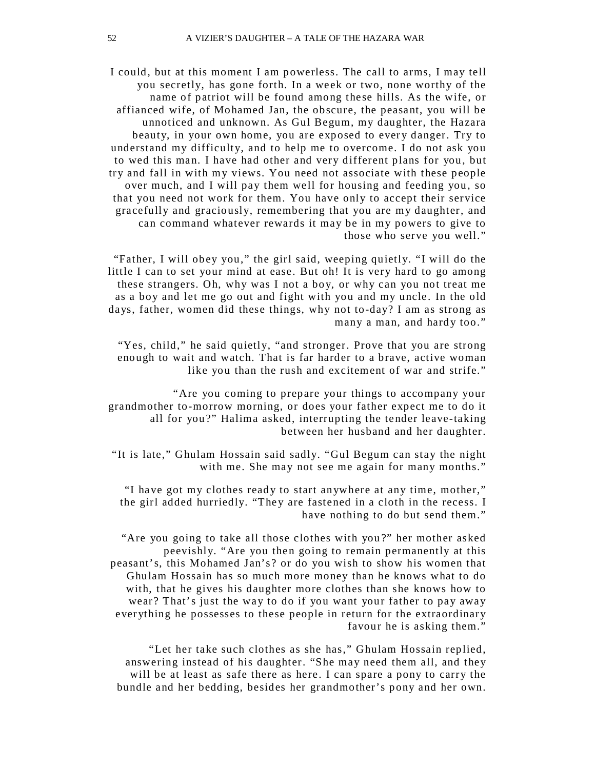I could, but at this moment I am powerless. The call to arms, I may tell you secretly, has gone forth. In a week or two, none worthy of the name of patriot will be found among these hills. As the wife, or affianced wife, of Mohamed Jan, the obscure, the peasant, you will be unnoticed and unknown. As Gul Begum, my daughter, the Hazara beauty, in your own home, you are exposed to every danger. Try to understand my difficulty, and to help me to overcome. I do not ask you to wed this man. I have had other and very different plans for you, but try and fall in with my views. You need not associate with these people over much, and I will pay them well for housing and feeding you, so that you need not work for them. You have only to accept their service gracefully and graciously, remembering that you are my daughter, and can command whatever rewards it may be in my powers to give to those who serve you well."

"Father, I will obey you," the girl said, weeping quietly. "I will do the little I can to set your mind at ease. But oh! It is very hard to go among these strangers. Oh, why was I not a boy, or why can you not treat me as a boy and let me go out and fight with you and my uncle . In the old days, father, women did these things, why not to-day? I am as strong as many a man, and hardy too."

"Yes, child," he said quietly, "and stronger. Prove that you are strong enough to wait and watch. That is far harder to a brave, active woman like you than the rush and excitement of war and strife."

"Are you coming to prepare your things to accompany your grandmother to-morrow morning, or does your father expect me to do it all for you?" Halima asked, interrupting the tender leave-taking between her husband and her daughter.

"It is late," Ghulam Hossain said sadly. "Gul Begum can stay the night with me. She may not see me again for many months."

"I have got my clothes ready to start anywhere at any time, mother," the girl added hurriedly. "They are fastened in a cloth in the recess. I have nothing to do but send them."

"Are you going to take all those clothes with you ?" her mother asked peevishly. "Are you then going to remain permanently at this peasant's, this Mohamed Jan's? or do you wish to show his women that Ghulam Hossain has so much more money than he knows what to do with, that he gives his daughter more clothes than she knows how to wear? That's just the way to do if you want your father to pay away ever ything he possesses to these people in return for the extraordinary favour he is asking them."

"Let her take such clothes as she has," Ghulam Hossain replied, answering instead of his daughter. "She may need them all, and they will be at least as safe there as here. I can spare a pony to carry the bundle and her bedding, besides her grandmother's pony and her own.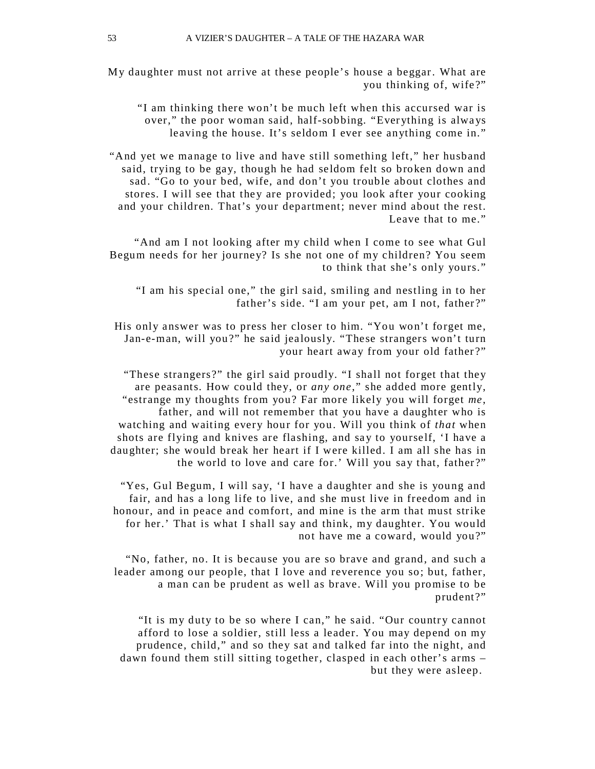My daughter must not arrive at these people's house a beggar. What are you thinking of, wife?"

"I am thinking there won't be much left when this accursed war is over," the poor woman said, half-sobbing. "Everything is always leaving the house. It's seldom I ever see anything come in."

"And yet we manage to live and have still something left," her husband said, trying to be gay, though he had seldom felt so broken down and sad. "Go to your bed, wife, and don't you trouble about clothes and stores. I will see that they are provided; you look after your cooking and your children. That's your department; never mind about the rest. Leave that to me."

"And am I not looking after my child when I come to see what Gul Begum needs for her journey? Is she not one of my children? You seem to think that she's only yours."

"I am his special one," the girl said, smiling and nestling in to her father's side. "I am your pet, am I not, father?"

His only answer was to press her closer to him. "You won't forget me, Jan-e-man, will you?" he said jealously. "These strangers won't turn your heart away from your old father ?"

"These strangers?" the girl said proudly. "I shall not forget that they are peasants. How could they, or *any one*," she added more gently, "estrange my thoughts from you? Far more likely you will forget *me*, father, and will not remember that you have a daughter who is watching and waiting every hour for you. Will you think of *that* when shots are flying and knives are flashing, and say to yourself, 'I have a daughter; she would break her heart if I were killed. I am all she has in the world to love and care for.' Will you say that, father?"

"Yes, Gul Begum, I will say, 'I have a daughter and she is young and fair, and has a long life to live, and she must live in freedom and in honour, and in peace and comfort, and mine is the arm that must strike for her.' That is what I shall say and think, my daughter. You would not have me a coward, would you?"

"No, father, no. It is because you are so brave and grand, and such a leader among our people, that I love and reverence you so; but, father, a man can be prudent as well as brave. Will you promise to be prudent?"

"It is my duty to be so where I can," he said. "Our country cannot afford to lose a soldier, still less a leader. You may depend on my prudence, child," and so they sat and talked far into the night, and dawn found them still sitting together, clasped in each other's arms – but they were asleep.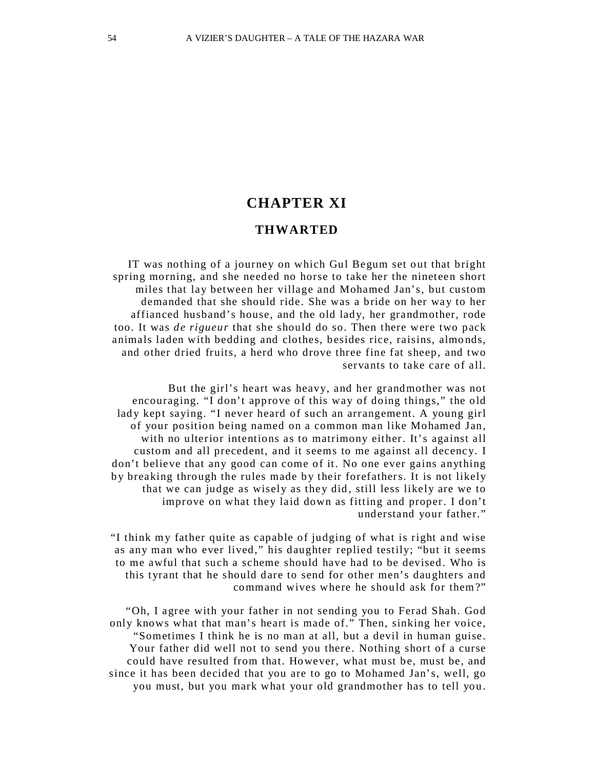### **CHAPTER XI**

#### **THWARTED**

IT was nothing of a journey on which Gul Begum set out that bright spring morning, and she needed no horse to take her the nineteen short miles that lay between her village and Mohamed Jan's, but custom demanded that she should ride. She was a bride on her way to her affianced husband's house, and the old lady, her grandmother, rode too. It was *de rigueur* that she should do so. Then there were two pack animals laden with bedding and clothes, besides rice, raisins, almonds, and other dried fruits, a herd who drove three fine fat sheep, and two servants to take care of all.

But the girl's heart was heavy, and her grandmother was not encouraging. "I don't approve of this way of doing things," the old lady kept saying. "I never heard of such an arrangement. A young girl of your position being named on a common man like Mohamed Jan, with no ulterior intentions as to matrimony either. It's against all custom and all precedent, and it seems to me against all decency. I don't believe that any good can come of it. No one ever gains anything by breaking through the rules made by their forefathers. It is not likely that we can judge as wisely as they did, still less likely are we to improve on what they laid down as fitting and proper. I don't understand your father."

"I think m y father quite as capable of judging of what is right and wise as any man who ever lived," his daughter replied testily; "but it seems to me awful that such a scheme should have had to be devised . Who is this tyrant that he should dare to send for other men's daughters and command wives where he should ask for them?"

"Oh, I agree with your father in not sending you to Ferad Shah. God only knows what that man's heart is made of." Then, sinking her voice, "Sometimes I think he is no man at all, but a devil in human guise. Your father did well not to send you there . Nothing short of a curse could have resulted from that. However, what must be, must be, and since it has been decided that you are to go to Mohamed Jan's, well, go you must, but you mark what your old grandmother has to tell you.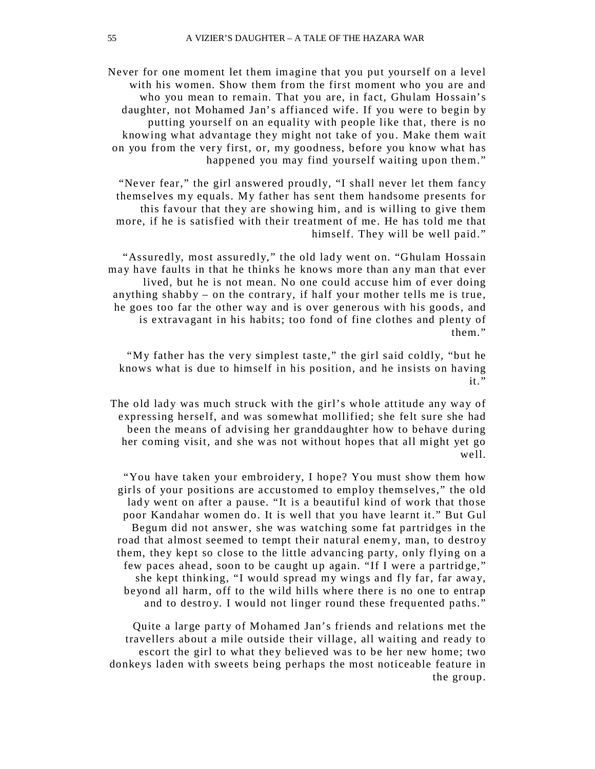Never for one moment let them imagine that you put yourself on a level with his women. Show them from the first moment who you are and who you mean to remain. That you are, in fact, Ghulam Hossain's daughter, not Mohamed Jan's affianced wife. If you were to begin by putting yourself on an equality with people like that, there is no knowing what advantage they might not take of you. Make them wait on you from the very first, or, my goodness, before you know what has happened you may find yourself waiting upon them."

"Never fear," the girl answered proudly, "I shall never let them fancy themselves my equals. My father has sent them handsome presents for this favour that they are showing him, and is willing to give them more, if he is satisfied with their treatment of me. He has told me that himself. They will be well paid."

"Assuredly, most assuredly," the old lady went on. "Ghulam Hossain may have faults in that he thinks he knows more than any man that ever lived, but he is not mean. No one could accuse him of ever doing anything shabby – on the contrary, if half your mother tells me is true, he goes too far the other way and is over generous with his goods, and is extravagant in his habits; too fond of fine clothes and plenty of them."

"My father has the very simplest taste," the girl said coldly, "but he knows what is due to himself in his position, and he insists on having it."

The old lady was much struck with the girl's whole attitude any way of expressing herself, and was somewhat mollified; she felt sure she had been the means of advising her granddaughter how to behave during her coming visit, and she was not without hopes that all might yet go well.

"You have taken your embroidery, I hope? You must show them how girls of your positions are accustomed to employ themselves," the old lady went on after a pause. "It is a beautiful kind of work that those poor Kandahar women do. It is well that you have learnt it." But Gul Begum did not answer, she was watching some fat partridges in the road that almost seemed to tempt their natural enem y, man, to destroy them, they kept so close to the little advancing party, only flying on a few paces ahead, soon to be caught up again. "If I were a partridge," she kept thinking, "I would spread my wings and fly far, far away, beyond all harm, off to the wild hills where there is no one to entrap and to destroy. I would not linger round these frequented paths."

Quite a large party of Mohamed Jan's friends and relations met the travellers about a mile outside their village, all waiting and ready to escort the girl to what they believed was to be her new home; two donkeys laden with sweets being perhaps the most noticeable feature in the group.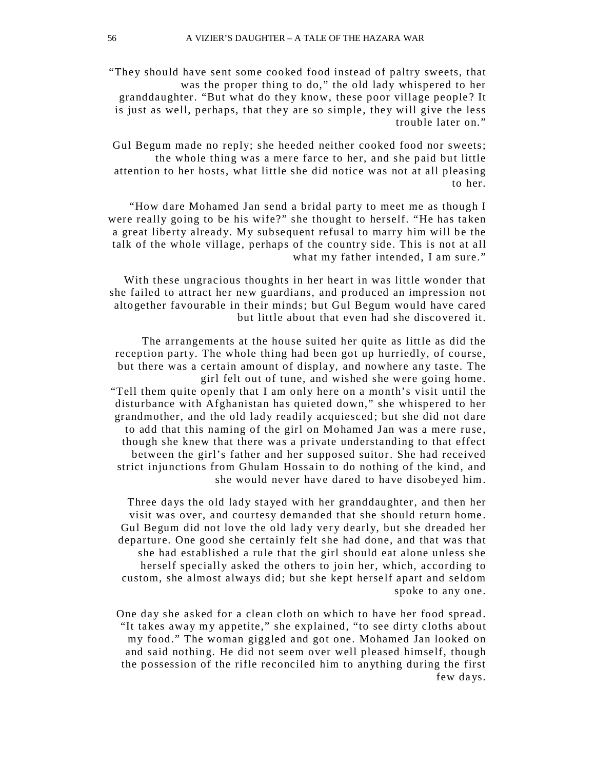"They should have sent some cooked food instead of paltry sweets, that was the proper thing to do," the old lady whispered to her granddaughter. "But what do they know, these poor village people ? It is just as well, perhaps, that they are so simple, they will give the less trouble later on."

Gul Begum made no reply; she heeded neither cooked food nor sweets; the whole thing was a mere farce to her, and she paid but little attention to her hosts, what little she did notice was not at all pleasing to her.

"How dare Mohamed Jan send a bridal party to meet me as though I were really going to be his wife?" she thought to herself. "He has taken a great liberty already. My subsequent refusal to marry him will be the talk of the whole village, perhaps of the country side. This is not at all what my father intended, I am sure."

With these ungracious thoughts in her heart in was little wonder that she failed to attract her new guardians, and produced an impression not altogether favourable in their minds; but Gul Begum would have cared but little about that even had she discovered it.

The arrangements at the house suited her quite as little as did the reception party. The whole thing had been got up hurriedly, of course, but there was a certain amount of display, and nowhere any taste. The girl felt out of tune, and wished she were going home. "Tell them quite openly that I am only here on a month's visit until the disturbance with Afghanistan has quieted down," she whispered to her grandmother, and the old lady readily acquiesced ; but she did not dare to add that this naming of the girl on Mohamed Jan was a mere ruse , though she knew that there was a private understanding to that effect between the girl's father and her supposed suitor. She had received strict injunctions from Ghulam Hossain to do nothing of the kind, and she would never have dared to have disobeyed him.

Three days the old lady stayed with her granddaughter, and then her visit was over, and courtesy demanded that she should return home . Gul Begum did not love the old lady very dearly, but she dreaded her departure. One good she certainly felt she had done, and that was that she had established a rule that the girl should eat alone unless she herself specially asked the others to join her, which, according to custom, she almost always did; but she kept herself apart and seldom spoke to any one.

One day she asked for a clean cloth on which to have her food spread . "It takes away my appetite," she explained, "to see dirty cloths about my food." The woman giggled and got one. Mohamed Jan looked on and said nothing. He did not seem over well pleased himself, though the possession of the rifle reconciled him to anything during the first few days.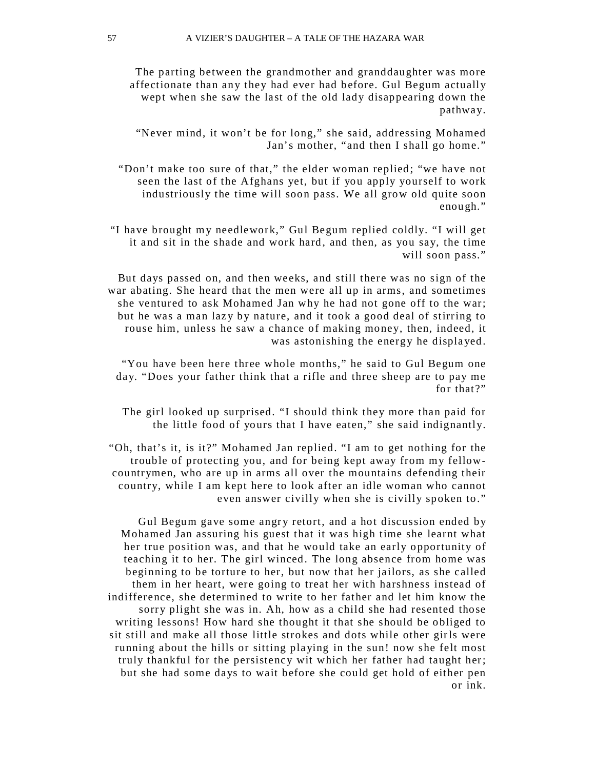The parting between the grandmother and granddaughter was more affectionate than any they had ever had before. Gul Begum actually wept when she saw the last of the old lady disappearing down the pathway.

"Never mind, it won't be for long," she said, addressing Mohamed Jan's mother, "and then I shall go home."

"Don't make too sure of that," the elder woman replied; "we have not seen the last of the Afghans yet, but if you apply yourself to work industriously the time will soon pass. We all grow old quite soon enough."

"I have brought my needlework," Gul Begum replied coldly. "I will get it and sit in the shade and work hard, and then, as you say, the time will soon pass."

But days passed on, and then weeks, and still there was no sign of the war abating. She heard that the men were all up in arms, and sometimes she ventured to ask Mohamed Jan why he had not gone off to the war; but he was a man lazy by nature, and it took a good deal of stirring to rouse him, unless he saw a chance of making money, then, indeed, it was astonishing the energy he displayed.

"You have been here three whole months," he said to Gul Begum one day. "Does your father think that a rifle and three sheep are to pay me for that?"

The girl looked up surprised. "I should think they more than paid for the little food of yours that I have eaten," she said indignantly.

"Oh, that's it, is it?" Mohamed Jan replied. "I am to get nothing for the trouble of protecting you, and for being kept away from my fellowcountrymen, who are up in arms all over the mountains defending their country, while I am kept here to look after an idle woman who cannot even answer civilly when she is civilly spoken to."

Gul Begum gave some angry retort, and a hot discussion ended by Mohamed Jan assuring his guest that it was high time she learnt what her true position was, and that he would take an early opportunity of teaching it to her. The girl winced. The long absence from home was beginning to be torture to her, but now that her jailors, as she called them in her heart, were going to treat her with harshness instead of indifference, she determined to write to her father and let him know the sorry plight she was in. Ah, how as a child she had resented those writing lessons! How hard she thought it that she should be obliged to sit still and make all those little strokes and dots while other girls were running about the hills or sitting playing in the sun! now she felt most truly thankful for the persistency wit which her father had taught her; but she had some days to wait before she could get hold of either pen or ink.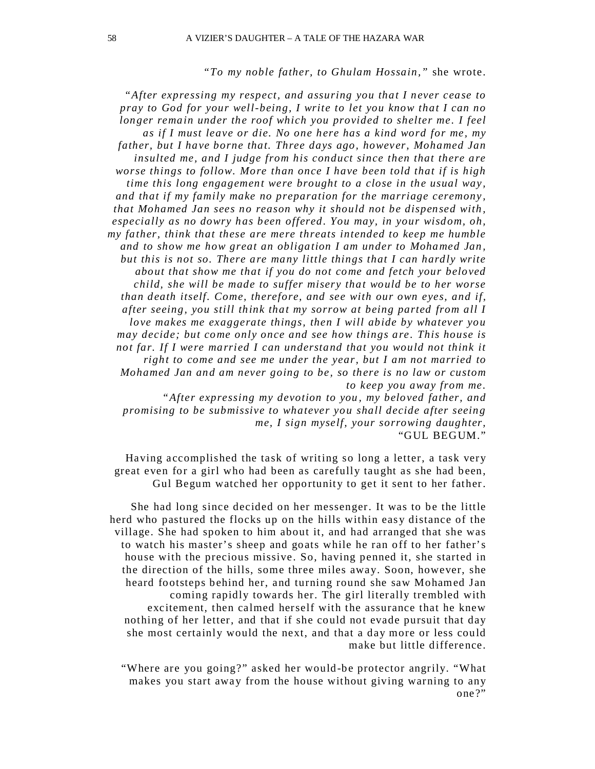#### *"To my noble father, to Ghulam Hossain,"* she wrote.

*"After expressing my respect, and assuring you that I never cease to pray to God for your well-being, I write to let you know that I can no longer remain under the roof which you provided to shelter me. I feel as if I must leave or die. No one here has a kind word for me, my father, but I have borne that. Three days ago, however, Mohamed Jan insulted me, and I judge from his conduct since then that there are worse things to follow. More than once I have been told that if is high time this long engagement were brought to a close in the usual way , and that if my family make no preparation for the marriage ceremony , that Mohamed Jan sees no reason why it should not be dispensed with , especially as no dowry has been offered. You may, in your wisdom, oh, my father, think that these are mere threats intended to keep me humble and to show me how great an obligation I am under to Mohamed Jan , but this is not so. There are many little things that I can hardly write about that show me that if you do not come and fetch your beloved child, she will be made to suffer misery that would be to her worse than death itself. Come, therefore, and see with our own eyes, and if, after seeing, you still think that my sorrow at being parted from all I love makes me exaggerate things, then I will abide by whatever you may decide; but come only once and see how things are . This house is not far. If I were married I can understand that you would not think it right to come and see me under the year, but I am not married to Mohamed Jan and am never going to be, so there is no law or custom to keep you away from me.*

 *"After expressing my devotion to you , my beloved father, and promising to be submissive to whatever you shall decide after seeing me, I sign myself, your sorrowing daughter,* "GUL BEGUM."

Having accomplished the task of writing so long a letter, a task very great even for a girl who had been as carefully taught as she had been, Gul Begum watched her opportunity to get it sent to her father.

She had long since decided on her messenger. It was to be the little herd who pastured the flocks up on the hills within easy distance of the village. She had spoken to him about it, and had arranged that she was to watch his master's sheep and goats while he ran off to her father's house with the precious missive. So, having penned it, she started in the direction of the hills, some three miles away. Soon, however, she heard footsteps behind her, and turning round she saw Mohamed Jan coming rapidly towards her. The girl literally trembled with excitement, then calmed herself with the assurance that he knew nothing of her letter, and that if she could not evade pursuit that day she most certainly would the next, and that a day more or less could make but little difference.

"Where are you going?" asked her would -be protector angrily. "What makes you start away from the house without giving warning to any one ?"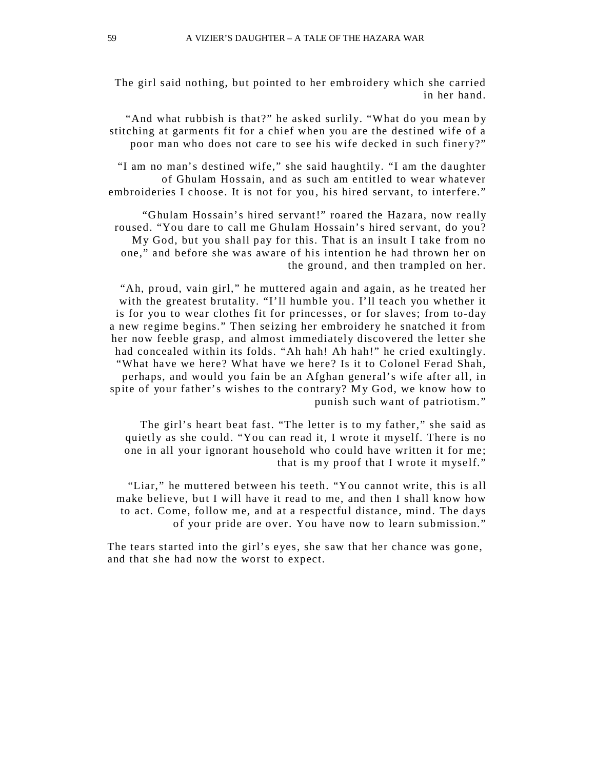The girl said nothing, but pointed to her embroidery which she carried in her hand.

"And what rubbish is that?" he asked surlily. "What do you mean by stitching at garments fit for a chief when you are the destined wife of a poor man who does not care to see his wife decked in such finery?"

"I am no man's destined wife," she said haughtily. "I am the daughter of Ghulam Hossain, and as such am entitled to wear whatever embroideries I choose. It is not for you , his hired servant, to interfere."

"Ghulam Hossain's hired servant!" roared the Hazara, now really roused. "You dare to call me Ghulam Hossain's hired servant, do you? My God, but you shall pay for this. That is an insult I take from no one," and before she was aware of his intention he had thrown her on the ground, and then trampled on her.

"Ah, proud, vain girl," he muttered again and again, as he treated her with the greatest brutality. "I'll humble you. I'll teach you whether it is for you to wear clothes fit for princesses, or for slaves; from to-day a new regime begins." Then seizing her embroidery he snatched it from her now feeble grasp, and almost immediately discovered the letter she had concealed within its folds. "Ah hah! Ah hah!" he cried exultingly. "What have we here? What have we here? Is it to Colonel Ferad Shah, perhaps, and would you fain be an Afghan general's wife after all, in spite of your father's wishes to the contrary? My God, we know how to punish such want of patriotism. "

The girl's heart beat fast. "The letter is to my father," she said as quietly as she could. "You can read it, I wrote it myself. There is no one in all your ignorant household who could have written it for me ; that is my proof that I wrote it myself."

"Liar," he muttered between his teeth. "You cannot write, this is all make believe, but I will have it read to me, and then I shall know how to act. Come, follow me, and at a respectful distance, mind. The da ys of your pride are over. You have now to learn submission."

The tears started into the girl's eyes, she saw that her chance was gone, and that she had now the worst to expect.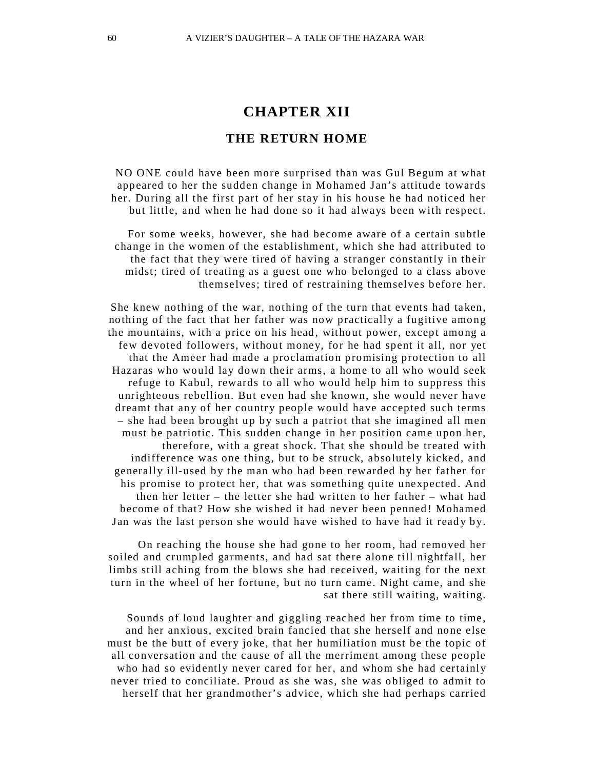#### **THE RETURN HOME**

NO ONE could have been more surprised than was Gul Begum at what appeared to her the sudden change in Mohamed Jan's attitude towards her. During all the first part of her stay in his house he had noticed her but little, and when he had done so it had always been with respect.

For some weeks, however, she had become aware of a certain subtle change in the women of the establishment, which she had attributed to the fact that they were tired of having a stranger constantly in their midst; tired of treating as a guest one who belonged to a class above themselves; tired of restraining themselves before her.

She knew nothing of the war, nothing of the turn that events had taken, nothing of the fact that her father was now practically a fugitive among the mountains, with a price on his head, without power, except among a few devoted followers, without money, for he had spent it all, nor yet that the Ameer had made a proclamation promising protection to all Hazaras who would lay down their arms, a home to all who would seek refuge to Kabul, rewards to all who would help him to suppress this unrighteous rebellion. But even had she known, she would never have dreamt that any of her country people would have accepted such terms – she had been brought up by such a patriot that she imagined all men must be patriotic. This sudden change in her position came upon her, therefore, with a great shock. That she should be treated with indifference was one thing, but to be struck, absolutely kicked, and generally ill-used by the man who had been rewarded by her father for his promise to protect her, that was something quite unexpected . And then her letter – the letter she had written to her father – what had become of that? How she wished it had never been penned! Mohamed Jan was the last person she would have wished to have had it ready by.

On reaching the house she had gone to her room, had removed her soiled and crumpled garments, and had sat there alone till nightfall, her limbs still aching from the blows she had received, waiting for the next turn in the wheel of her fortune, but no turn came. Night came, and she sat there still waiting, waiting.

Sounds of loud laughter and giggling reached her from time to time, and her anxious, excited brain fancied that she herself and none else must be the butt of every joke, that her humiliation must be the topic of all conversation and the cause of all the merriment among these people who had so evidently never cared for her, and whom she had certainly never tried to conciliate. Proud as she was, she was obliged to admit to herself that her grandmother's advice, which she had perhaps carried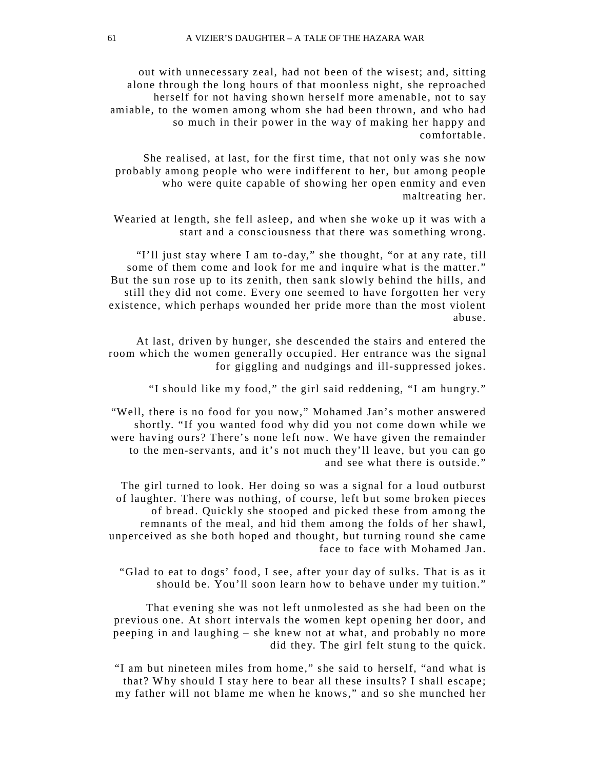out with unnecessary zeal, had not been of the wisest; and, sitting alone through the long hours of that moonless night, she reproached herself for not having shown herself more amenable, not to say amiable, to the women among whom she had been thrown, and who had so much in their power in the way of making her happy and comfortable.

She realised, at last, for the first time, that not only was she now probably among people who were indifferent to her, but among people who were quite capable of showing her open enmity and even maltreating her.

Wearied at length, she fell asleep, and when she woke up it was with a start and a consciousness that there was something wrong.

"I'll just stay where I am to-day," she thought, "or at any rate, till some of them come and look for me and inquire what is the matter." But the sun rose up to its zenith, then sank slowly behind the hills, and still they did not come. Every one seemed to have forgotten her very existence, which perhaps wounded her pride more than the most violent abuse.

At last, driven by hunger, she descended the stairs and entered the room which the women generally occupied. Her entrance was the signal for giggling and nudgings and ill-suppressed jokes.

"I should like my food," the girl said reddening, "I am hungry."

"Well, there is no food for you now," Mohamed Jan's mother answered shortly. "If you wanted food why did you not come down while we were having ours? There's none left now. We have given the remainder to the men-servants, and it's not much they'll leave, but you can go and see what there is outside."

The girl turned to look. Her doing so was a signal for a loud outburst of laughter. There was nothing, of course, left but some broken pieces of bread. Quickly she stooped and picked these from among the remnants of the meal, and hid them among the folds of her shawl, unperceived as she both hoped and thought, but turning round she came face to face with Mohamed Jan.

"Glad to eat to dogs' food, I see, after your day of sulks. That is as it should be. You'll soon learn how to behave under my tuition."

That evening she was not left unmolested as she had been on the previous one. At short intervals the women kept opening her door, and peeping in and laughing – she knew not at what, and probably no more did they. The girl felt stung to the quick.

"I am but nineteen miles from home," she said to herself, "and what is that? Why should I stay here to bear all these insults? I shall escape; my father will not blame me when he knows," and so she munched her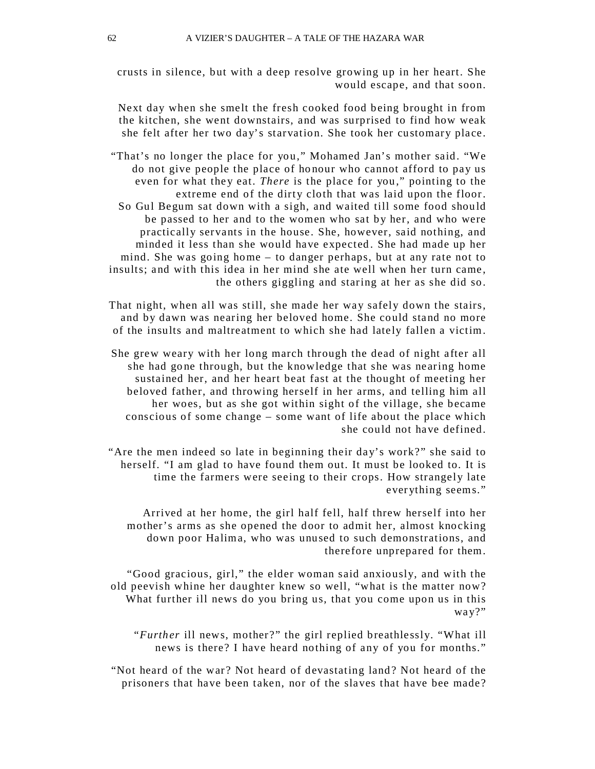crusts in silence, but with a deep resolve growing up in her heart. She would escape, and that soon.

Next day when she smelt the fresh cooked food being brought in from the kitchen, she went downstairs, and was surprised to find how weak she felt after her two day's starvation. She took her customary place.

"That's no longer the place for you," Mohamed Jan's mother said. "We do not give people the place of honour who cannot afford to pay us even for what they eat. *There* is the place for you," pointing to the extreme end of the dirty cloth that was laid upon the floor. So Gul Begum sat down with a sigh, and waited till some food should be passed to her and to the women who sat by her, and who were practically servants in the house. She, however, said nothing, and minded it less than she would have expected . She had made up her mind. She was going home – to danger perhaps, but at any rate not to insults; and with this idea in her mind she ate well when her turn came , the others giggling and staring at her as she did so.

That night, when all was still, she made her way safely down the stairs, and by dawn was nearing her beloved home. She could stand no more of the insults and maltreatment to which she had lately fallen a victim.

She grew weary with her long march through the dead of night after all she had gone through, but the knowledge that she was nearing home sustained her, and her heart beat fast at the thought of meeting her beloved father, and throwing herself in her arms, and telling him all her woes, but as she got within sight of the village, she became conscious of some change – some want of life about the place which she could not have defined.

"Are the men indeed so late in beginning their day's work?" she said to herself. "I am glad to have found them out. It must be looked to. It is time the farmers were seeing to their crops. How strangely late ever ything seems."

Arrived at her home, the girl half fell, half threw herself into her mother's arms as she opened the door to admit her, almost knocking down poor Halima, who was unused to such demonstrations, and therefore unprepared for them.

"Good gracious, girl," the elder woman said anxiously, and with the old peevish whine her daughter knew so well, "what is the matter now? What further ill news do you bring us, that you come upon us in this way?"

"*Further* ill news, mother ?" the girl replied breathlessly. "What ill news is there? I have heard nothing of any of you for months."

"Not heard of the war? Not heard of devastating land? Not heard of the prisoners that have been taken, nor of the slaves that have bee made?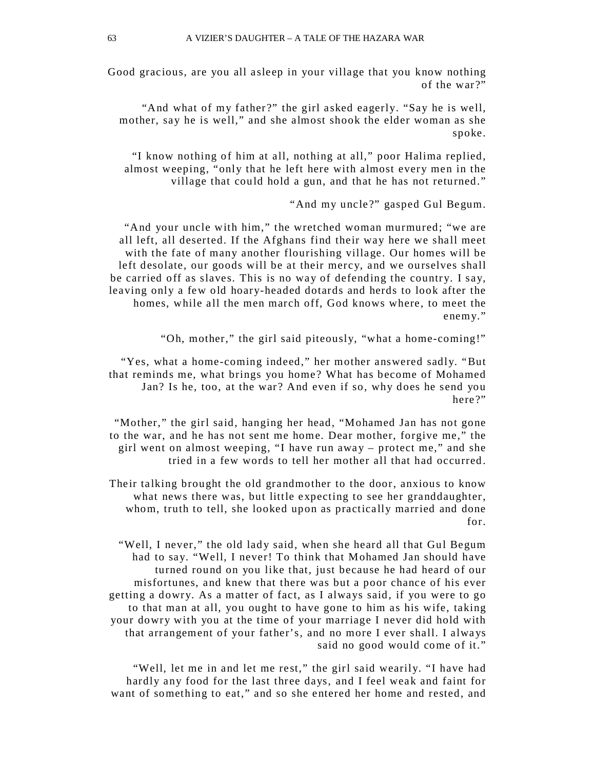Good gracious, are you all asleep in your village that you know nothing of the war?"

"And what of my father ?" the girl asked eagerly. "Say he is well, mother, say he is well," and she almost shook the elder woman as she spoke.

"I know nothing of him at all, nothing at all," poor Halima replied, almost weeping, "only that he left here with almost every men in the village that could hold a gun, and that he has not returned."

"And my uncle ?" gasped Gul Begum.

"And your uncle with him," the wretched woman murmured; "we are all left, all deserted. If the Afghans find their way here we shall meet with the fate of many another flourishing village. Our homes will be left desolate, our goods will be at their mercy, and we ourselves shall be carried off as slaves. This is no way of defending the country. I say, leaving only a few old hoary-headed dotards and herds to look after the homes, while all the men march off, God knows where, to meet the enemy."

"Oh, mother," the girl said piteously, "what a home-coming!"

"Yes, what a home-coming indeed," her mother answered sadly. "But that reminds me, what brings you home? What has become of Mohamed Jan? Is he, too, at the war? And even if so, why does he send you here?"

"Mother," the girl said, hanging her head, "Mohamed Jan has not gone to the war, and he has not sent me home. Dear mother, forgive me," the girl went on almost weeping, "I have run awa y – protect me," and she tried in a few words to tell her mother all that had occurred .

Their talking brought the old grandmother to the door, anxious to know what news there was, but little expecting to see her granddaughter, whom, truth to tell, she looked upon as practically married and done for.

"Well, I never," the old lady said, when she heard all that Gul Begum had to say. "Well, I never! To think that Mohamed Jan should have turned round on you like that, just because he had heard of our misfortunes, and knew that there was but a poor chance of his ever getting a dowry. As a matter of fact, as I always said , if you were to go to that man at all, you ought to have gone to him as his wife, taking your dowry with you at the time of your marriage I never did hold with that arrangement of your father's, and no more I ever shall. I always said no good would come of it."

"Well, let me in and let me rest," the girl said wearily. "I have had hardly any food for the last three days, and I feel weak and faint for want of something to eat," and so she entered her home and rested, and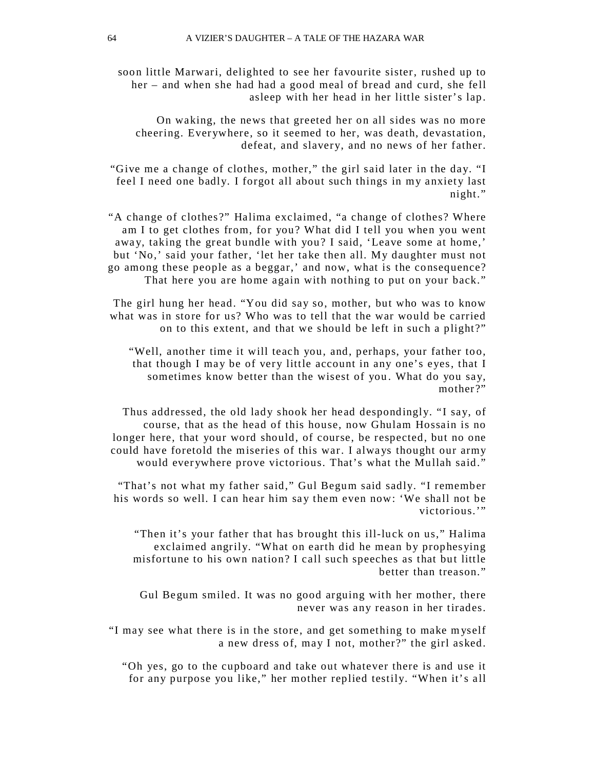soon little Marwari, delighted to see her favourite sister, rushed up to her – and when she had had a good meal of bread and curd, she fell asleep with her head in her little sister's lap.

On waking, the news that greeted her on all sides was no more cheering. Everywhere, so it seemed to her, was death, devastation, defeat, and slavery, and no news of her father.

"Give me a change of clothes, mother," the girl said later in the day. "I feel I need one badly. I forgot all about such things in my anxiety last night."

"A change of clothes?" Halima exclaimed, "a change of clothes? Where am I to get clothes from, for you? What did I tell you when you went away, taking the great bundle with you? I said, 'Leave some at home,' but 'No,' said your father, 'let her take then all. My daughter must not go among these people as a beggar,' and now, what is the consequence? That here you are home again with nothing to put on your back."

The girl hung her head. "You did say so, mother, but who was to know what was in store for us? Who was to tell that the war would be carried on to this extent, and that we should be left in such a plight?"

"Well, another time it will teach you, and, perhaps, your father too, that though I may be of very little account in any one's eyes, that I sometimes know better than the wisest of you . What do you say, mother?"

Thus addressed, the old lady shook her head despondingly. "I say, of course, that as the head of this house, now Ghulam Hossain is no longer here, that your word should, of course, be respected, but no one could have foretold the miseries of this war. I alwa ys thought our army would everywhere prove victorious. That's what the Mullah said."

"That's not what my father said," Gul Begum said sadly. "I remember his words so well. I can hear him say them even now: 'We shall not be victorious.'"

"Then it's your father that has brought this ill-luck on us," Halima exclaimed angrily. "What on earth did he mean by prophesying misfortune to his own nation? I call such speeches as that but little better than treason."

Gul Begum smiled. It was no good arguing with her mother, there never was any reason in her tirades.

"I may see what there is in the store, and get something to make m yself a new dress of, may I not, mother?" the girl asked.

"Oh yes, go to the cupboard and take out whatever there is and use it for any purpose you like," her mother replied testily. "When it's all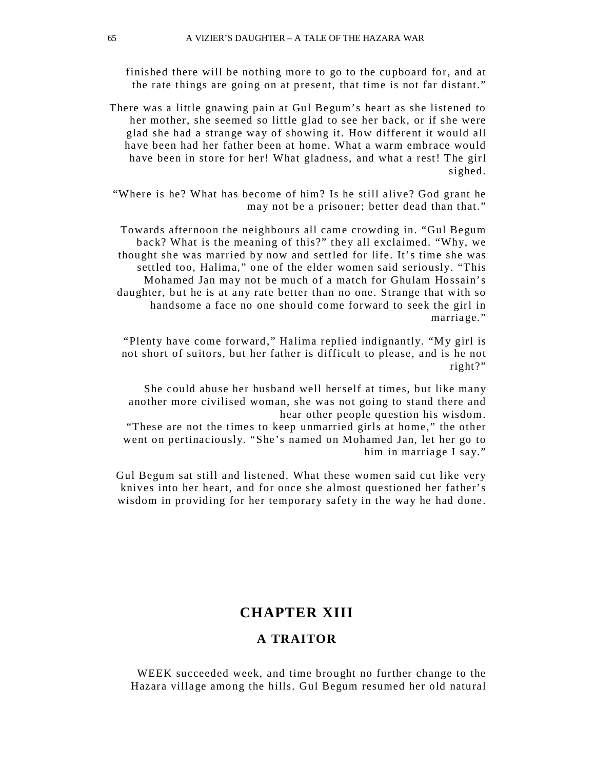finished there will be nothing more to go to the cupboard for, and at the rate things are going on at present, that time is not far distant."

There was a little gnawing pain at Gul Begum's heart as she listened to her mother, she seemed so little glad to see her back, or if she were glad she had a strange way of showing it. How different it would all have been had her father been at home. What a warm embrace would have been in store for her! What gladness, and what a rest! The girl sighed.

"Where is he? What has become of him? Is he still alive? God grant he may not be a prisoner; better dead than that."

Towards afternoon the neighbours all came crowding in. "Gul Begum back? What is the meaning of this?" they all exclaimed. "Why, we thought she was married by now and settled for life. It's time she was settled too, Halima," one of the elder women said seriously. "This Mohamed Jan may not be much of a match for Ghulam Hossain's daughter, but he is at any rate better than no one. Strange that with so handsome a face no one should come forward to seek the girl in marriage."

"Plenty have come forward," Halima replied indignantly. "My girl is not short of suitors, but her father is difficult to please, and is he not right?"

She could abuse her husband well herself at times, but like many another more civilised woman, she was not going to stand there and hear other people question his wisdom.

"These are not the times to keep unmarried girls at home," the other went on pertinaciously. "She's named on Mohamed Jan, let her go to him in marriage I say."

Gul Begum sat still and listened. What these women said cut like very knives into her heart, and for once she almost questioned her father's wisdom in providing for her temporary safety in the way he had done.

# **CHAPTER XIII**

#### **A TRAITOR**

WEEK succeeded week, and time brought no further change to the Hazara village among the hills. Gul Begum resumed her old natural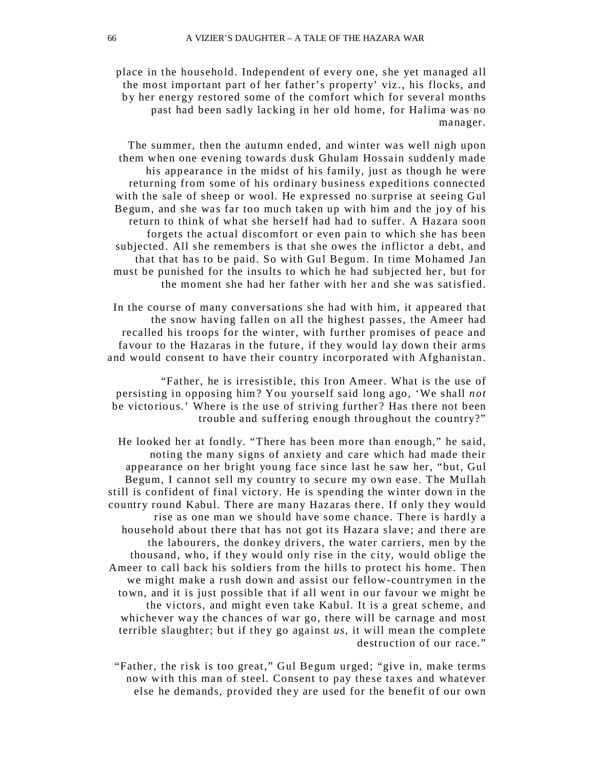place in the household. Independent of every one, she yet managed all the most important part of her father's property' viz ., his flocks, and b y her energy restored some of the comfort which for several months past had been sadly lacking in her old home, for Halima was no manager.

The summer, then the autumn ended, and winter was well nigh upon them when one evening towards dusk Ghulam Hossain suddenly made his appearance in the midst of his family, just as though he were returning from some of his ordinary business expeditions connected with the sale of sheep or wool. He expressed no surprise at seeing Gul Begum, and she was far too much taken up with him and the joy of his return to think of what she herself had had to suffer. A Hazara soon forgets the actual discomfort or even pain to which she has been subjected. All she remembers is that she owes the inflictor a debt, and that that has to be paid. So with Gul Begum. In time Mohamed Jan must be punished for the insults to which he had subjected her, but for the moment she had her father with her and she was satisfied.

In the course of many conversations she had with him, it appeared that the snow having fallen on all the highest passes, the Ameer had recalled his troops for the winter, with further promises of peace and favour to the Hazaras in the future, if they would lay down their arms and would consent to have their country incorporated with Afghanistan.

"Father, he is irresistible, this Iron Ameer. What is the use of persisting in opposing him? You yourself said long ago, 'We shall *not*  be victorious.' Where is the use of striving further? Has there not been trouble and suffering enough throughout the country?"

He looked her at fondly. "There has been more than enough," he said, noting the many signs of anxiety and care which had made their appearance on her bright young face since last he saw her, "but, Gul Begum, I cannot sell my country to secure my own ease. The Mullah still is confident of final victory. He is spending the winter down in the country round Kabul. There are many Hazaras there. If only they would rise as one man we should have some chance. There is hardly a household about there that has not got its Hazara slave ; and there are the labourers, the donkey drivers, the water carriers, men by the thousand, who, if they would only rise in the city, would oblige the Ameer to call back his soldiers from the hills to protect his home . Then we might make a rush down and assist our fellow-countrymen in the town, and it is just possible that if all went in our favour we might be the victors, and might even take Kabul. It is a great scheme, and whichever way the chances of war go, there will be carnage and most terrible slaughter; but if they go against *us*, it will mean the complete destruction of our race."

"Father, the risk is too great," Gul Begum urged; "give in, make terms now with this man of steel. Consent to pay these taxes and whatever else he demands, provided they are used for the benefit of our own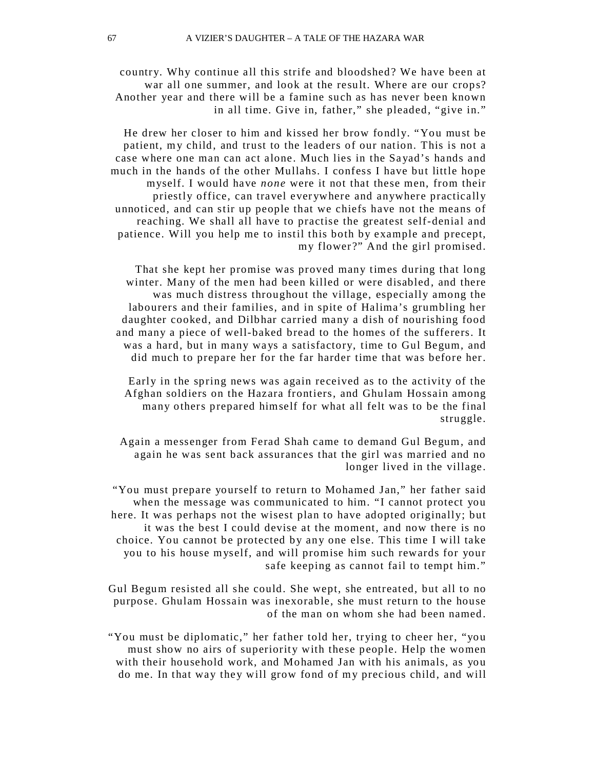country. Why continue all this strife and bloodshed? We have been at war all one summer, and look at the result. Where are our crops? Another year and there will be a famine such as has never been known in all time. Give in, father," she pleaded, "give in."

He drew her closer to him and kissed her brow fondly. "You must be patient, m y child, and trust to the leaders of our nation. This is not a case where one man can act alone. Much lies in the Sa yad's hands and much in the hands of the other Mullahs. I confess I have but little hope myself. I would have *none* were it not that these men, from their priestly office, can travel ever ywhere and anywhere practically unnoticed, and can stir up people that we chiefs have not the means of reaching. We shall all have to practise the greatest self-denial and patience. Will you help me to instil this both by example and precept, my flower ?" And the girl promised.

That she kept her promise was proved many times during that long winter. Many of the men had been killed or were disabled, and there was much distress throughout the village, especially among the labourers and their families, and in spite of Halima's grumbling her daughter cooked, and Dilbhar carried many a dish of nourishing food and many a piece of well-baked bread to the homes of the sufferers. It was a hard, but in many ways a satisfactory, time to Gul Begum, and did much to prepare her for the far harder time that was before her.

Early in the spring news was again received as to the activity of the Afghan soldiers on the Hazara frontiers, and Ghulam Hossain among many others prepared himself for what all felt was to be the final struggle.

Again a messenger from Ferad Shah came to demand Gul Begum, and again he was sent back assurances that the girl was married and no longer lived in the village.

"You must prepare yourself to return to Mohamed Jan," her father said when the message was communicated to him. "I cannot protect you here. It was perhaps not the wisest plan to have adopted originally; but it was the best I could devise at the moment, and now there is no choice. You cannot be protected by any one else. This time I will take you to his house myself, and will promise him such rewards for your safe keeping as cannot fail to tempt him."

Gul Begum resisted all she could. She wept, she entreated, but all to no purpose. Ghulam Hossain was inexorable, she must return to the house of the man on whom she had been named.

"You must be diplomatic," her father told her, trying to cheer her, "you must show no airs of superiority with these people. Help the women with their household work, and Mohamed Jan with his animals, as you do me. In that way they will grow fond of my precious child, and will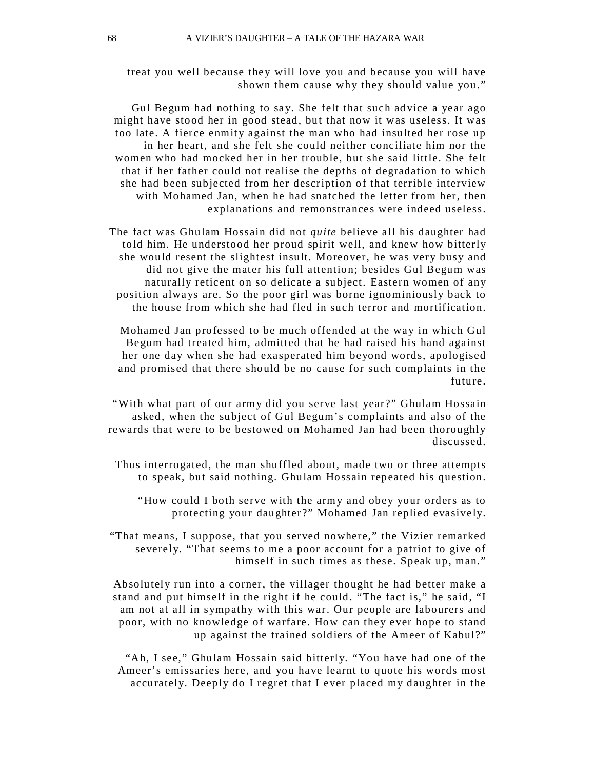treat you well because they will love you and because you will have shown them cause why they should value you."

Gul Begum had nothing to say. She felt that such advice a year ago might have stood her in good stead, but that now it was useless. It was too late. A fierce enmity against the man who had insulted her rose up in her heart, and she felt she could neither conciliate him nor the women who had mocked her in her trouble, but she said little. She felt that if her father could not realise the depths of degradation to which she had been subjected from her description of that terrible interview with Mohamed Jan, when he had snatched the letter from her, then explanations and remonstrances were indeed useless.

The fact was Ghulam Hossain did not *quite* believe all his daughter had told him. He understood her proud spirit well, and knew how bitterly she would resent the slightest insult. Moreover, he was very busy and did not give the mater his full attention; besides Gul Begum was naturally reticent on so delicate a subject. Eastern women of any position alwa ys are. So the poor girl was borne ignominiously back to the house from which she had fled in such terror and mortification.

Mohamed Jan professed to be much offended at the way in which Gul Begum had treated him, admitted that he had raised his hand against her one day when she had exasperated him beyond words, apologised and promised that there should be no cause for such complaints in the future.

"With what part of our army did you serve last year ?" Ghulam Hossain asked, when the subject of Gul Begum's complaints and also of the rewards that were to be bestowed on Mohamed Jan had been thoroughly discussed.

Thus interrogated, the man shuffled about, made two or three attempts to speak, but said nothing. Ghulam Hossain repeated his question.

"How could I both serve with the arm y and obey your orders as to protecting your daughter?" Mohamed Jan replied evasively.

"That means, I suppose, that you served nowhere," the Vizier remarked severely. "That seems to me a poor account for a patriot to give of himself in such times as these. Speak up, man."

Absolutely run into a corner, the villager thought he had better make a stand and put himself in the right if he could. "The fact is," he said, "I am not at all in sympathy with this war. Our people are labourers and poor, with no knowledge of warfare. How can they ever hope to stand up against the trained soldiers of the Ameer of Kabul?"

"Ah, I see," Ghulam Hossain said bitterly. "You have had one of the Ameer's emissaries here, and you have learnt to quote his words most accurately. Deeply do I regret that I ever placed my daughter in the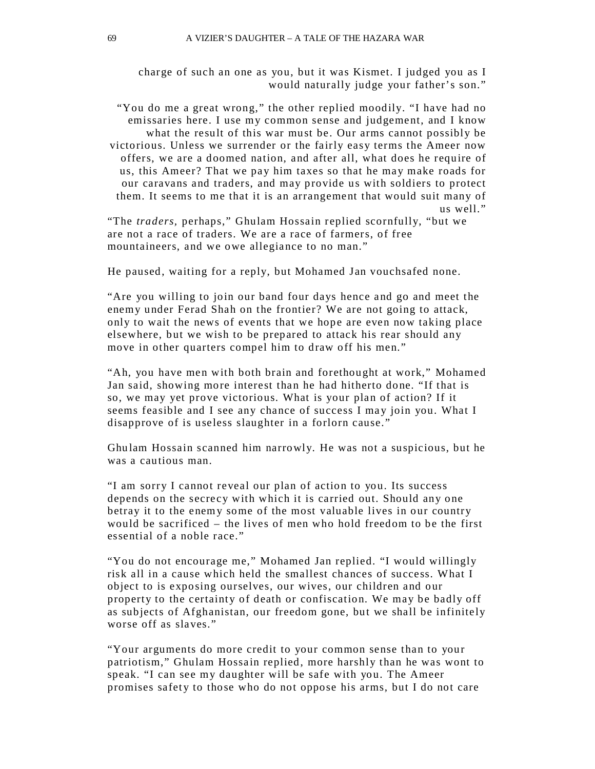charge of such an one as you, but it was Kismet. I judged you as I would naturally judge your father's son."

"You do me a great wrong," the other replied moodily. "I have had no emissaries here. I use my common sense and judgement, and I know what the result of this war must be. Our arms cannot possibly be victorious. Unless we surrender or the fairly easy terms the Ameer now offers, we are a doomed nation, and after all, what does he require of us, this Ameer? That we pay him taxes so that he may make roads for our caravans and traders, and may provide us with soldiers to protect them. It seems to me that it is an arrangement that would suit many of us well."

"The *traders,* perhaps," Ghulam Hossain replied scornfully, "but we are not a race of traders. We are a race of farmers, of free mountaineers, and we owe allegiance to no man."

He paused, waiting for a reply, but Mohamed Jan vouchsafed none.

"Are you willing to join our band four days hence and go and meet the enemy under Ferad Shah on the frontier? We are not going to attack, only to wait the news of events that we hope are even now taking place elsewhere, but we wish to be prepared to attack his rear should any move in other quarters compel him to draw off his men."

"Ah, you have men with both brain and forethought at work," Mohamed Jan said, showing more interest than he had hitherto done. "If that is so, we may yet prove victorious. What is your plan of action? If it seems feasible and I see any chance of success I may join you. What I disapprove of is useless slaughter in a forlorn cause."

Ghu lam Hossain scanned him narrowly. He was not a suspicious, but he was a cautious man.

"I am sorry I cannot reveal our plan of action to you. Its success depends on the secrecy with which it is carried out. Should any one betray it to the enemy some of the most valuable lives in our country would be sacrificed – the lives of men who hold freedom to be the first essential of a noble race."

"You do not encourage me," Mohamed Jan replied. "I would willingly risk all in a cause which held the smallest chances of success. What I object to is exposing ourselves, our wives, our children and our property to the certainty of death or confiscation. We may be badly off as subjects of Afghanistan, our freedom gone, but we shall be infinitely worse off as slaves."

"Your arguments do more credit to your common sense than to your patriotism," Ghulam Hossain replied, more harshly than he was wont to speak. "I can see my daughter will be safe with you. The Ameer promises safety to those who do not oppose his arms, but I do not care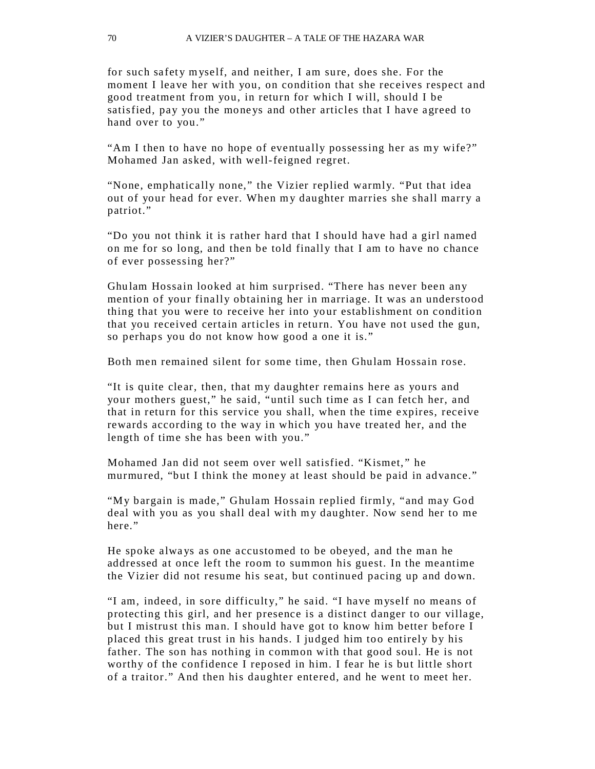for such safety myself, and neither, I am sure, does she. For the moment I leave her with you, on condition that she receives respect and good treatment from you, in return for which I will, should I be satisfied, pay you the mone ys and other articles that I have agreed to hand over to you."

"Am I then to have no hope of eventually possessing her as my wife?" Mohamed Jan asked, with well-feigned regret.

"None, emphatically none," the Vizier replied warmly. "Put that idea out of your head for ever. When my daughter marries she shall marry a patriot."

"Do you not think it is rather hard that I should have had a girl named on me for so long, and then be told finally that I am to have no chance of ever possessing her?"

Ghu lam Hossain looked at him surprised. "There has never been any mention of your finally obtaining her in marriage. It was an understood thing that you were to receive her into your establishment on condition that you received certain articles in return. You have not used the gun, so perhaps you do not know how good a one it is."

Both men remained silent for some time, then Ghulam Hossain rose.

"It is quite clear, then, that my daughter remains here as yours and your mothers guest," he said, "until such time as I can fetch her, and that in return for this service you shall, when the time expires, receive rewards according to the way in which you have treated her, and the length of time she has been with you."

Mohamed Jan did not seem over well satisfied. "Kismet," he murmured, "but I think the money at least should be paid in advance."

"My bargain is made," Ghulam Hossain replied firmly, "and may God deal with you as you shall deal with my daughter. Now send her to me here."

He spoke always as one accustomed to be obeyed, and the man he addressed at once left the room to summon his guest. In the meantime the Vizier did not resume his seat, but continued pacing up and down.

"I am, indeed, in sore difficulty," he said. "I have myself no means of protecting this girl, and her presence is a distinct danger to our village, but I mistrust this man. I should have got to know him better before I placed this great trust in his hands. I judged him too entirely by his father. The son has nothing in common with that good soul. He is not worthy of the confidence I reposed in him. I fear he is but little short of a traitor." And then his daughter entered, and he went to meet her.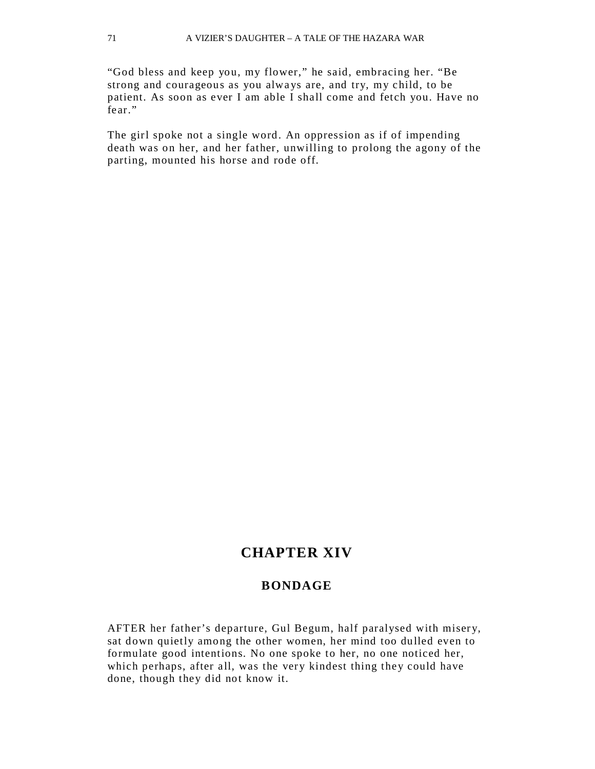"God bless and keep you, my flower," he said, embracing her. "Be strong and courageous as you always are, and try, my child, to be patient. As soon as ever I am able I shall come and fetch you. Have no fear."

The girl spoke not a single word. An oppression as if of impending death was on her, and her father, unwilling to prolong the agony of the parting, mounted his horse and rode off.

# **CHAPTER XIV**

#### **BONDAGE**

AFTER her father's departure, Gul Begum, half paralysed with miser y, sat down quietly among the other women, her mind too dulled even to formulate good intentions. No one spoke to her, no one noticed her, which perhaps, after all, was the very kindest thing they could have done, though they did not know it.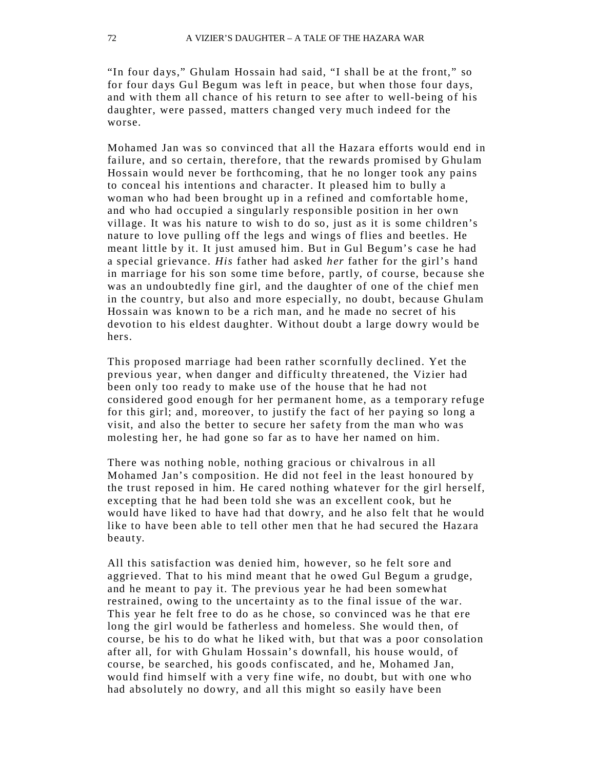"In four days," Ghulam Hossain had said, "I shall be at the front," so for four days Gul Begum was left in peace, but when those four days, and with them all chance of his return to see after to well-being of his daughter, were passed, matters changed very much indeed for the worse.

Mohamed Jan was so convinced that all the Hazara efforts would end in failure, and so certain, therefore, that the rewards promised by Ghulam Hossain would never be forthcoming, that he no longer took any pains to conceal his intentions and character. It pleased him to bully a woman who had been brought up in a refined and comfortable home, and who had occupied a singularly responsible position in her own village. It was his nature to wish to do so, just as it is some children's nature to love pulling off the legs and wings of flies and beetles. He meant little by it. It just amused him. But in Gul Begum's case he had a special grievance. *His* father had asked *her* father for the girl's hand in marriage for his son some time before, partly, of course, because she was an undoubtedly fine girl, and the daughter of one of the chief men in the country, but also and more especially, no doubt, because Ghulam Hossain was known to be a rich man, and he made no secret of his devotion to his eldest daughter. Without doubt a large dowry would be hers.

This proposed marriage had been rather scornfully declined. Yet the previous year, when danger and difficulty threatened, the Vizier had been only too ready to make use of the house that he had not considered good enough for her permanent home, as a temporary refuge for this girl; and, moreover, to justify the fact of her paying so long a visit, and also the better to secure her safety from the man who was molesting her, he had gone so far as to have her named on him.

There was nothing noble, nothing gracious or chivalrous in all Mohamed Jan's composition. He did not feel in the least honoured by the trust reposed in him. He cared nothing whatever for the girl herself, excepting that he had been told she was an excellent cook, but he would have liked to have had that dowry, and he also felt that he would like to have been able to tell other men that he had secured the Hazara beauty.

All this satisfaction was denied him, however, so he felt sore and aggrieved. That to his mind meant that he owed Gul Begum a grudge, and he meant to pay it. The previous year he had been somewhat restrained, owing to the uncertainty as to the final issue of the war. This year he felt free to do as he chose, so convinced was he that ere long the girl would be fatherless and homeless. She would then, of course, be his to do what he liked with, but that was a poor consolation after all, for with Ghulam Hossain's downfall, his house would, of course, be searched, his goods confiscated, and he, Mohamed Jan, would find himself with a very fine wife, no doubt, but with one who had absolutely no dowry, and all this might so easily have been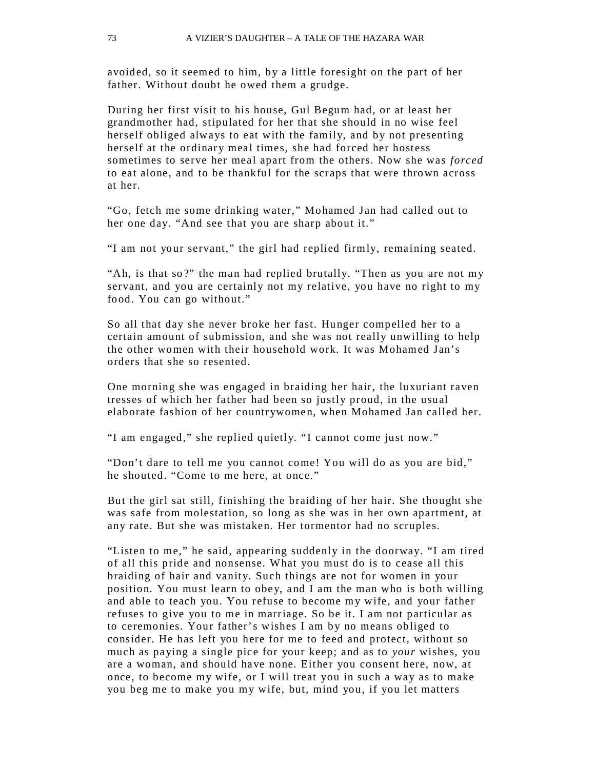avoided, so it seemed to him, by a little foresight on the part of her father. Without doubt he owed them a grudge.

During her first visit to his house, Gul Begum had, or at least her grandmother had, stipulated for her that she should in no wise feel herself obliged always to eat with the family, and by not presenting herself at the ordinary meal times, she had forced her hostess sometimes to serve her meal apart from the others. Now she was *forced*  to eat alone, and to be thankful for the scraps that were thrown across at her.

"Go, fetch me some drinking water," Mohamed Jan had called out to her one day. "And see that you are sharp about it."

"I am not your servant," the girl had replied firmly, remaining seated.

"Ah, is that so ?" the man had replied brutally. "Then as you are not my servant, and you are certainly not my relative, you have no right to my food. You can go without."

So all that day she never broke her fast. Hunger compelled her to a certain amount of submission, and she was not really unwilling to help the other women with their household work. It was Mohamed Jan's orders that she so resented.

One morning she was engaged in braiding her hair, the luxuriant raven tresses of which her father had been so justly proud, in the usual elaborate fashion of her countr ywomen, when Mohamed Jan called her.

"I am engaged," she replied quietly. "I cannot come just now."

"Don't dare to tell me you cannot come! You will do as you are bid," he shouted. "Come to me here, at once."

But the girl sat still, finishing the braiding of her hair. She thought she was safe from molestation, so long as she was in her own apartment, at any rate. But she was mistaken. Her tormentor had no scruples.

"Listen to me," he said, appearing suddenly in the doorway. "I am tired of all this pride and nonsense. What you must do is to cease all this braiding of hair and vanity. Such things are not for women in your position. You must learn to obey, and I am the man who is both willing and able to teach you. You refuse to become my wife, and your father refuses to give you to me in marriage. So be it. I am not particular as to ceremonies. Your father's wishes I am by no means obliged to consider. He has left you here for me to feed and protect, without so much as paying a single pice for your keep; and as to *your* wishes, you are a woman, and should have none. Either you consent here, now, at once, to become my wife, or I will treat you in such a way as to make you beg me to make you my wife, but, mind you, if you let matters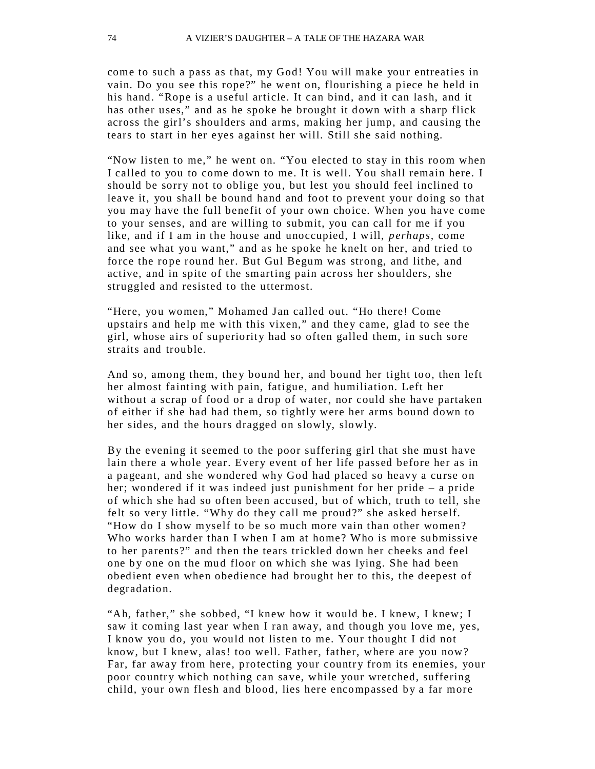come to such a pass as that, my God! You will make your entreaties in vain. Do you see this rope?" he went on, flourishing a piece he held in his hand. "Rope is a useful article. It can bind, and it can lash, and it has other uses," and as he spoke he brought it down with a sharp flick across the girl's shoulders and arms, making her jump, and causing the tears to start in her eyes against her will. Still she said nothing.

"Now listen to me," he went on. "You elected to stay in this room when I called to you to come down to me. It is well. You shall remain here. I should be sorry not to oblige you, but lest you should feel inclined to leave it, you shall be bound hand and foot to prevent your doing so that you may have the full benefit of your own choice. When you have come to your senses, and are willing to submit, you can call for me if you like, and if I am in the house and unoccupied, I will, *perhaps,* come and see what you want," and as he spoke he knelt on her, and tried to force the rope round her. But Gul Begum was strong, and lithe, and active, and in spite of the smarting pain across her shoulders, she struggled and resisted to the uttermost.

"Here, you women," Mohamed Jan called out. "Ho there! Come upstairs and help me with this vixen," and they came, glad to see the girl, whose airs of superiority had so often galled them, in such sore straits and trouble.

And so, among them, they bound her, and bound her tight too, then left her almost fainting with pain, fatigue, and humiliation. Left her without a scrap of food or a drop of water, nor could she have partaken of either if she had had them, so tightly were her arms bound down to her sides, and the hours dragged on slowly, slowly.

By the evening it seemed to the poor suffering girl that she must have lain there a whole year. Every event of her life passed before her as in a pageant, and she wondered why God had placed so heavy a curse on her; wondered if it was indeed just punishment for her pride – a pride of which she had so often been accused, but of which, truth to tell, she felt so very little. "Why do they call me proud?" she asked herself. "How do I show myself to be so much more vain than other women? Who works harder than I when I am at home? Who is more submissive to her parents?" and then the tears trickled down her cheeks and feel one by one on the mud floor on which she was lying. She had been obedient even when obedience had brought her to this, the deepest of degradation.

"Ah, father," she sobbed, "I knew how it would be. I knew, I knew; I saw it coming last year when I ran away, and though you love me, yes, I know you do, you would not listen to me. Your thought I did not know, but I knew, alas! too well. Father, father, where are you now? Far, far away from here, protecting your country from its enemies, your poor country which nothing can save, while your wretched, suffering child, your own flesh and blood, lies here encompassed by a far more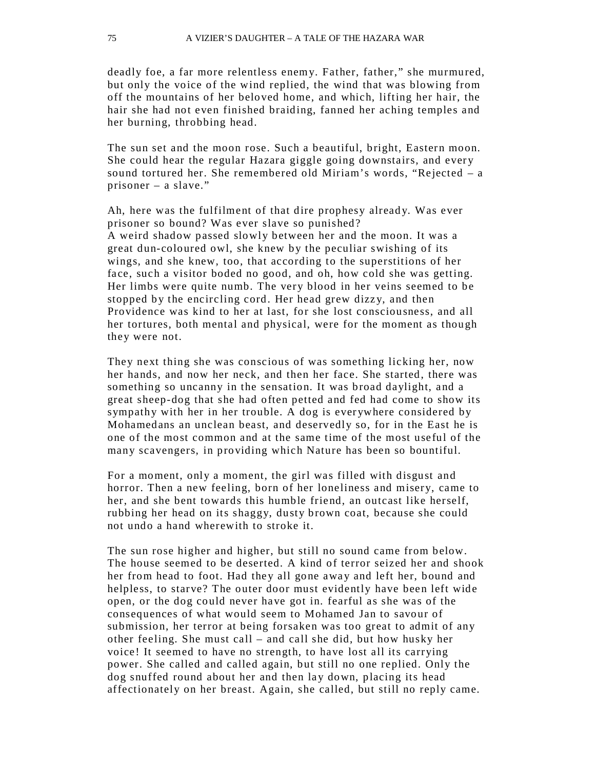deadly foe, a far more relentless enemy. Father, father," she murmured, but only the voice of the wind replied, the wind that was blowing from off the mountains of her beloved home, and which, lifting her hair, the hair she had not even finished braiding, fanned her aching temples and her burning, throbbing head.

The sun set and the moon rose. Such a beautiful, bright, Eastern moon. She could hear the regular Hazara giggle going downstairs, and every sound tortured her. She remembered old Miriam's words, "Rejected – a prisoner – a slave."

Ah, here was the fulfilment of that dire prophesy already. Was ever prisoner so bound? Was ever slave so punished? A weird shadow passed slowly between her and the moon. It was a great dun-coloured owl, she knew by the peculiar swishing of its wings, and she knew, too, that according to the superstitions of her face, such a visitor boded no good, and oh, how cold she was getting. Her limbs were quite numb. The very blood in her veins seemed to be stopped by the encircling cord. Her head grew dizzy, and then Providence was kind to her at last, for she lost consciousness, and all her tortures, both mental and physical, were for the moment as though they were not.

They next thing she was conscious of was something licking her, now her hands, and now her neck, and then her face. She started, there was something so uncanny in the sensation. It was broad daylight, and a great sheep-dog that she had often petted and fed had come to show its sympathy with her in her trouble. A dog is ever ywhere considered by Mohamedans an unclean beast, and deservedly so, for in the East he is one of the most common and at the same time of the most useful of the many scavengers, in providing which Nature has been so bountiful.

For a moment, only a moment, the girl was filled with disgust and horror. Then a new feeling, born of her loneliness and misery, came to her, and she bent towards this humble friend, an outcast like herself, rubbing her head on its shaggy, dusty brown coat, because she could not undo a hand wherewith to stroke it.

The sun rose higher and higher, but still no sound came from below. The house seemed to be deserted. A kind of terror seized her and shook her from head to foot. Had they all gone away and left her, bound and helpless, to starve? The outer door must evidently have been left wide open, or the dog could never have got in. fearful as she was of the consequences of what would seem to Mohamed Jan to savour of submission, her terror at being forsaken was too great to admit of any other feeling. She must call – and call she did, but how husky her voice! It seemed to have no strength, to have lost all its carrying power. She called and called again, but still no one replied. Only the dog snuffed round about her and then lay down, placing its head affectionately on her breast. Again, she called, but still no reply came.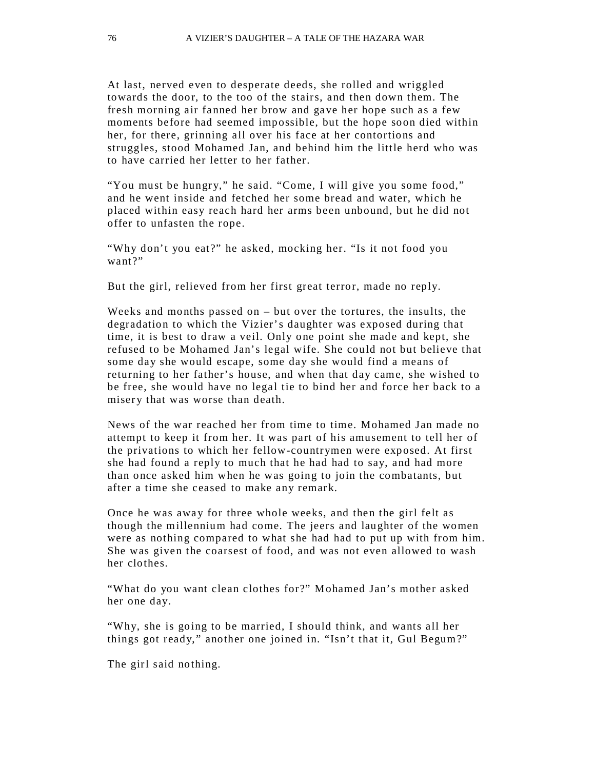At last, nerved even to desperate deeds, she rolled and wriggled towards the door, to the too of the stairs, and then down them. The fresh morning air fanned her brow and gave her hope such as a few moments before had seemed impossible, but the hope soon died within her, for there, grinning all over his face at her contortions and struggles, stood Mohamed Jan, and behind him the little herd who was to have carried her letter to her father.

"You must be hungry," he said. "Come, I will give you some food," and he went inside and fetched her some bread and water, which he placed within easy reach hard her arms been unbound, but he did not offer to unfasten the rope.

"Why don't you eat?" he asked, mocking her. "Is it not food you want?"

But the girl, relieved from her first great terror, made no reply.

Weeks and months passed on – but over the tortures, the insults, the degradation to which the Vizier's daughter was exposed during that time, it is best to draw a veil. Only one point she made and kept, she refused to be Mohamed Jan's legal wife. She could not but believe that some day she would escape, some day she would find a means of returning to her father's house, and when that day came, she wished to be free, she would have no legal tie to bind her and force her back to a misery that was worse than death.

News of the war reached her from time to time. Mohamed Jan made no attempt to keep it from her. It was part of his amusement to tell her of the privations to which her fellow-countrymen were exposed. At first she had found a reply to much that he had had to say, and had more than once asked him when he was going to join the combatants, but after a time she ceased to make any remark.

Once he was away for three whole weeks, and then the girl felt as though the millennium had come. The jeers and laughter of the women were as nothing compared to what she had had to put up with from him. She was given the coarsest of food, and was not even allowed to wash her clothes.

"What do you want clean clothes for?" Mohamed Jan's mother asked her one day.

"Why, she is going to be married, I should think, and wants all her things got ready," another one joined in. "Isn't that it, Gul Begum?"

The girl said nothing.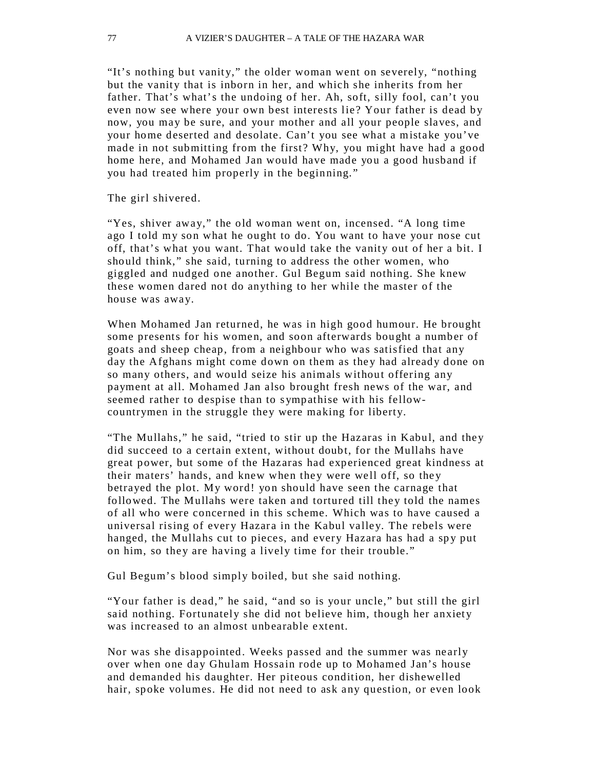"It's nothing but vanity," the older woman went on severely, "nothing" but the vanity that is inborn in her, and which she inherits from her father. That's what's the undoing of her. Ah, soft, silly fool, can't you even now see where your own best interests lie? Your father is dead by now, you may be sure, and your mother and all your people slaves, and your home deserted and desolate. Can't you see what a mistake you've made in not submitting from the first? Why, you might have had a good home here, and Mohamed Jan would have made you a good husband if you had treated him properly in the beginning."

The girl shivered.

"Yes, shiver away," the old woman went on, incensed. "A long time ago I told my son what he ought to do. You want to have your nose cut off, that's what you want. That would take the vanity out of her a bit. I should think," she said, turning to address the other women, who giggled and nudged one another. Gul Begum said nothing. She knew these women dared not do anything to her while the master of the house was away.

When Mohamed Jan returned, he was in high good humour. He brought some presents for his women, and soon afterwards bought a number of goats and sheep cheap, from a neighbour who was satisfied that any day the Afghans might come down on them as they had already done on so many others, and would seize his animals without offering any payment at all. Mohamed Jan also brought fresh news of the war, and seemed rather to despise than to sympathise with his fellowcountrymen in the struggle they were making for liberty.

"The Mullahs," he said, "tried to stir up the Hazaras in Kabul, and they did succeed to a certain extent, without doubt, for the Mullahs have great power, but some of the Hazaras had experienced great kindness at their maters' hands, and knew when they were well off, so they betrayed the plot. My word! yon should have seen the carnage that followed. The Mullahs were taken and tortured till they told the names of all who were concerned in this scheme. Which was to have caused a universal rising of every Hazara in the Kabul valley. The rebels were hanged, the Mullahs cut to pieces, and every Hazara has had a spy put on him, so they are having a lively time for their trouble."

Gul Begum's blood simply boiled, but she said nothing.

"Your father is dead," he said, "and so is your uncle," but still the girl said nothing. Fortunately she did not believe him, though her anxiety was increased to an almost unbearable extent.

Nor was she disappointed. Weeks passed and the summer was ne arly over when one day Ghulam Hossain rode up to Mohamed Jan's house and demanded his daughter. Her piteous condition, her dishewelled hair, spoke volumes. He did not need to ask any question, or even look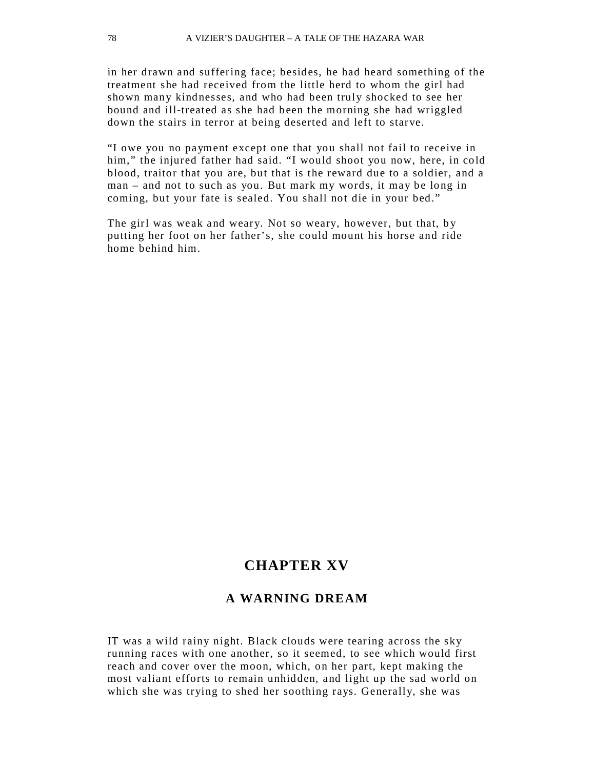in her drawn and suffering face; besides, he had heard something of the treatment she had received from the little herd to whom the girl had shown many kindnesses, and who had been truly shocked to see her bound and ill-treated as she had been the morning she had wriggled down the stairs in terror at being deserted and left to starve.

"I owe you no payment except one that you shall not fail to receive in him," the injured father had said. "I would shoot you now, here, in cold blood, traitor that you are, but that is the reward due to a soldier, and a man – and not to such as you. But mark my words, it may be long in coming, but your fate is sealed. You shall not die in your bed."

The girl was weak and weary. Not so weary, however, but that, by putting her foot on her father's, she could mount his horse and ride home behind him.

# **CHAPTER XV**

## **A WARNING DREAM**

IT was a wild rainy night. Black clouds were tearing across the sky running races with one another, so it seemed, to see which would first reach and cover over the moon, which, on her part, kept making the most valiant efforts to remain unhidden, and light up the sad world on which she was trying to shed her soothing rays. Generally, she was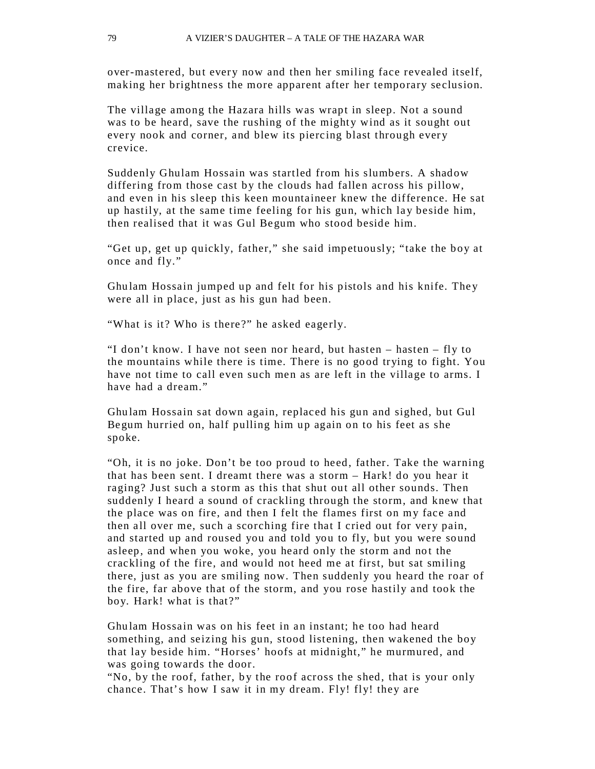over-mastered, but every now and then her smiling face revealed itself, making her brightness the more apparent after her temporary seclusion.

The village among the Hazara hills was wrapt in sleep. Not a sound was to be heard, save the rushing of the mighty wind as it sought out every nook and corner, and blew its piercing blast through every crevice.

Suddenly Ghulam Hossain was startled from his slumbers. A shadow differing from those cast by the clouds had fallen across his pillow, and even in his sleep this keen mountaineer knew the difference. He sat up hastily, at the same time feeling for his gun, which lay beside him, then realised that it was Gul Begum who stood beside him.

"Get up, get up quickly, father," she said impetuously; "take the boy at once and fly."

Ghu lam Hossain jumped up and felt for his pistols and his knife. The y were all in place, just as his gun had been.

"What is it? Who is there?" he asked eagerly.

"I don't know. I have not seen nor heard, but hasten – hasten – fly to the mountains while there is time. There is no good trying to fight. You have not time to call even such men as are left in the village to arms. I have had a dream"

Ghu lam Hossain sat down again, replaced his gun and sighed, but Gul Begum hurried on, half pulling him up again on to his feet as she spoke.

"Oh, it is no joke. Don't be too proud to heed, father. Take the warning that has been sent. I dreamt there was a storm – Hark! do you hear it raging? Just such a storm as this that shut out all other sounds. Then suddenly I heard a sound of crackling through the storm, and knew that the place was on fire, and then I felt the flames first on my face and then all over me, such a scorching fire that I cried out for very pain, and started up and roused you and told you to fly, but you were sound asleep, and when you woke, you heard only the storm and not the crackling of the fire, and would not heed me at first, but sat smiling there, just as you are smiling now. Then suddenly you heard the roar of the fire, far above that of the storm, and you rose hastily and took the boy. Hark! what is that?"

Ghu lam Hossain was on his feet in an instant; he too had heard something, and seizing his gun, stood listening, then wakened the boy that lay beside him. "Horses' hoofs at midnight," he murmured, and was going towards the door.

"No, by the roof, father, by the roof across the shed, that is your only chance. That's how I saw it in my dream. Fly! fly! they are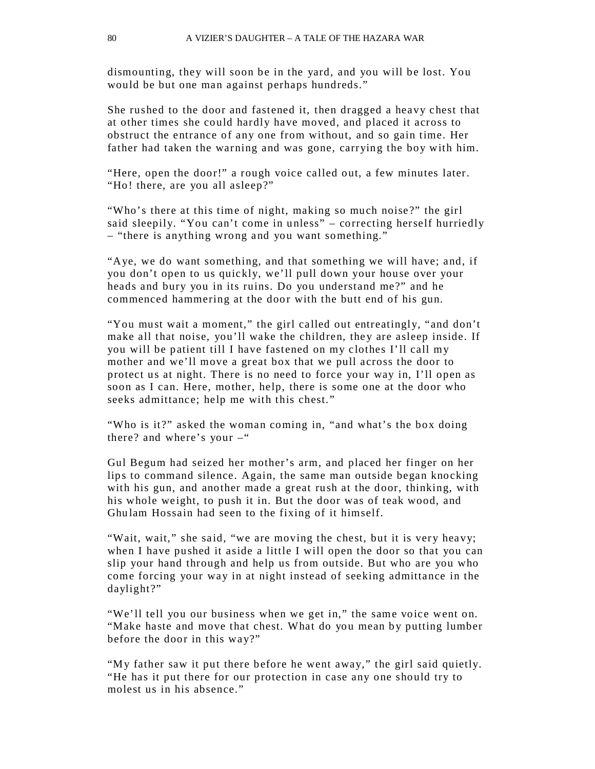dismounting, they will soon be in the yard, and you will be lost. You would be but one man against perhaps hundreds."

She rushed to the door and fastened it, then dragged a heavy chest that at other times she could hardly have moved, and placed it across to obstruct the entrance of any one from without, and so gain time. Her father had taken the warning and was gone, carrying the boy with him.

"Here, open the door!" a rough voice called out, a few minutes later. "Ho! there, are you all asleep?"

"Who's there at this time of night, making so much noise?" the girl said sleepily. "You can't come in unless" – correcting herself hurriedly – "there is anything wrong and you want something."

"Aye, we do want something, and that something we will have; and, if you don't open to us quickly, we'll pull down your house over your heads and bury you in its ruins. Do you understand me?" and he commenced hammering at the door with the butt end of his gun.

"You must wait a moment," the girl called out entreatingly, "and don't make all that noise, you'll wake the children, they are asleep inside. If you will be patient till I have fastened on my clothes I'll call my mother and we'll move a great box that we pull across the door to protect us at night. There is no need to force your way in, I'll open as soon as I can. Here, mother, help, there is some one at the door who seeks admittance; help me with this chest."

"Who is it?" asked the woman coming in, "and what's the box doing there? and where's your  $-$ "

Gul Begum had seized her mother's arm, and placed her finger on her lips to command silence. Again, the same man outside began knocking with his gun, and another made a great rush at the door, thinking, with his whole weight, to push it in. But the door was of teak wood, and Ghulam Hossain had seen to the fixing of it himself.

"Wait, wait," she said, "we are moving the chest, but it is very heavy; when I have pushed it aside a little I will open the door so that you can slip your hand through and help us from outside. But who are you who come forcing your way in at night instead of seeking admittance in the daylight?"

"We'll tell you our business when we get in," the same voice went on. "Make haste and move that chest. What do you mean by putting lumber before the door in this way?"

"My father saw it put there before he went away," the girl said quietly. "He has it put there for our protection in case any one should try to molest us in his absence."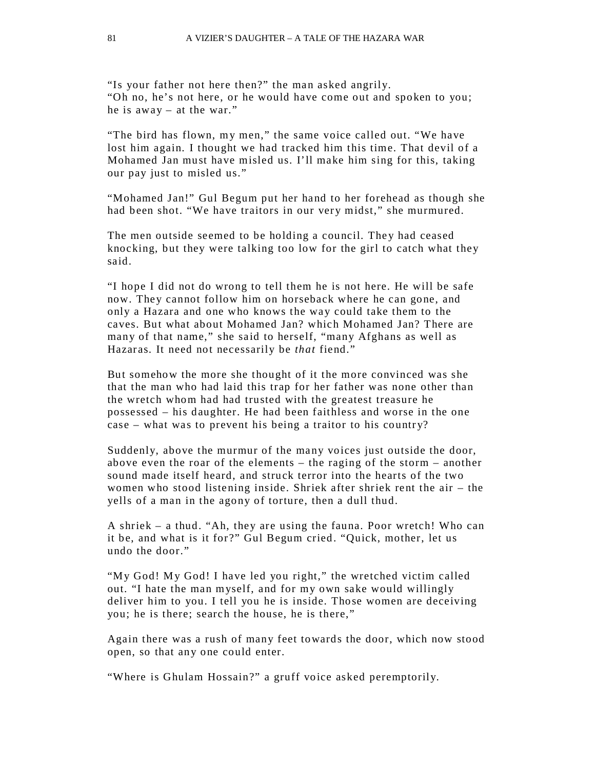"Is your father not here then?" the man asked angrily. "Oh no, he's not here, or he would have come out and spoken to you; he is away – at the war."

"The bird has flown, my men," the same voice called out. "We have lost him again. I thought we had tracked him this time. That devil of a Mohamed Jan must have misled us. I'll make him sing for this, taking our pay just to misled us."

"Mohamed Jan!" Gul Begum put her hand to her forehead as though she had been shot. "We have traitors in our very midst," she murmured.

The men outside seemed to be holding a council. They had ceased knocking, but they were talking too low for the girl to catch what they said.

"I hope I did not do wrong to tell them he is not here. He will be safe now. They cannot follow him on horseback where he can gone, and only a Hazara and one who knows the way could take them to the caves. But what about Mohamed Jan? which Mohamed Jan? There are many of that name," she said to herself, "many Afghans as well as Hazar as. It need not necessarily be *that* fiend."

But somehow the more she thought of it the more convinced was she that the man who had laid this trap for her father was none other than the wretch whom had had trusted with the greatest treasure he possessed – his daughter. He had been faithless and worse in the one case – what was to prevent his being a traitor to his country?

Suddenly, above the murmur of the many voices just outside the door, above even the roar of the elements – the raging of the storm – another sound made itself heard, and struck terror into the hearts of the two women who stood listening inside. Shriek after shriek rent the air – the yells of a man in the agony of torture, then a dull thud.

A shriek – a thud. "Ah, they are using the fauna. Poor wretch! Who can it be, and what is it for?" Gul Begum cried. "Quick, mother, let us undo the door."

"My God! My God! I have led you right," the wretched victim called out. "I hate the man myself, and for my own sake would willingly deliver him to you. I tell you he is inside. Those women are deceiving you; he is there; search the house, he is there,"

Again there was a rush of many feet towards the door, which now stood open, so that any one could enter.

"Where is Ghulam Hossain?" a gruff voice asked peremptorily.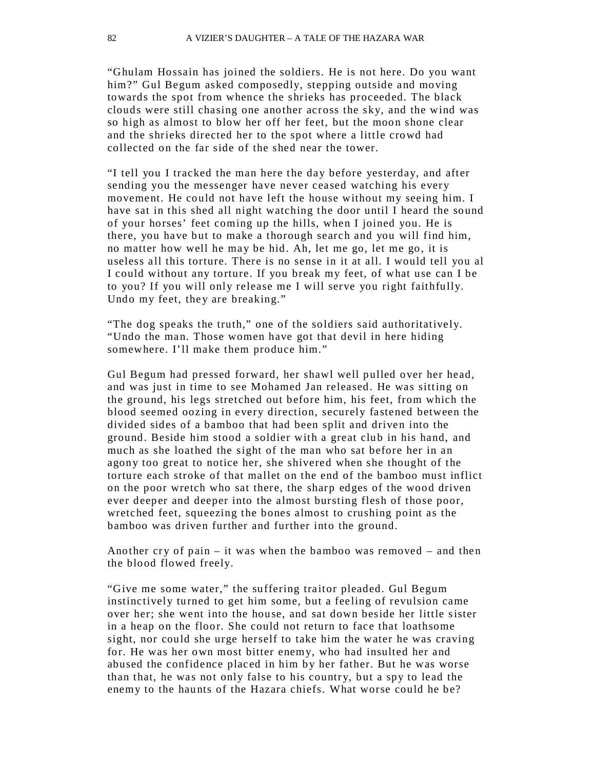"Ghulam Hossain has joined the soldiers. He is not here. Do you want him?" Gul Begum asked composedly, stepping outside and moving towards the spot from whence the shrieks has proceeded. The black clouds were still chasing one another across the sky, and the wind was so high as almost to blow her off her feet, but the moon shone clear and the shrieks directed her to the spot where a little crowd had collected on the far side of the shed near the tower.

"I tell you I tracked the man here the day before yesterday, and after sending you the messenger have never ceased watching his every movement. He could not have left the house without my seeing him. I have sat in this shed all night watching the door until I heard the sound of your horses' feet coming up the hills, when I joined you. He is there, you have but to make a thorough search and you will find him, no matter how well he may be hid. Ah, let me go, let me go, it is useless all this torture. There is no sense in it at all. I would tell you al I could without any torture. If you break my feet, of what use can I be to you? If you will only release me I will serve you right faithfully. Undo my feet, they are breaking."

"The dog speaks the truth," one of the soldiers said authoritatively. "Undo the man. Those women have got that devil in here hiding somewhere. I'll make them produce him."

Gul Begum had pressed forward, her shawl well pulled over her head, and was just in time to see Mohamed Jan released. He was sitting on the ground, his legs stretched out before him, his feet, from which the blood seemed oozing in every direction, securely fastened between the divided sides of a bamboo that had been split and driven into the ground. Beside him stood a soldier with a great club in his hand, and much as she loathed the sight of the man who sat before her in an agony too great to notice her, she shivered when she thought of the torture each stroke of that mallet on the end of the bamboo must inflict on the poor wretch who sat there, the sharp edges of the wood driven ever deeper and deeper into the almost bursting flesh of those poor, wretched feet, squeezing the bones almost to crushing point as the bamboo was driven further and further into the ground.

Another cry of pain – it was when the bamboo was removed – and then the blood flowed freely.

"Give me some water," the suffering traitor pleaded. Gul Begum instinctively turned to get him some, but a feeling of revulsion came over her; she went into the house, and sat down beside her little sister in a heap on the floor. She could not return to face that loathsome sight, nor could she urge herself to take him the water he was craving for. He was her own most bitter enemy, who had insulted her and abused the confidence placed in him by her father. But he was worse than that, he was not only false to his country, but a spy to lead the enemy to the haunts of the Hazara chiefs. What worse could he be?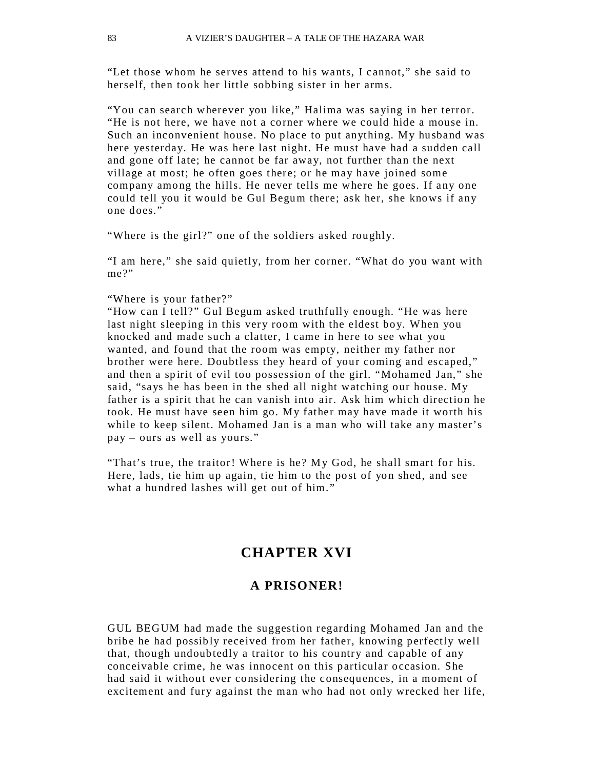"Let those whom he serves attend to his wants, I cannot," she said to herself, then took her little sobbing sister in her arms.

"You can search wherever you like," Halima was saying in her terror. "He is not here, we have not a corner where we could hide a mouse in. Such an inconvenient house. No place to put anything. My husband was here yesterday. He was here last night. He must have had a sudden call and gone off late; he cannot be far away, not further than the next village at most; he often goes there; or he may have joined some company among the hills. He never tells me where he goes. If any one could tell you it would be Gul Begum there; ask her, she knows if any one does."

"Where is the girl?" one of the soldiers asked roughly.

"I am here," she said quietly, from her corner. "What do you want with me?"

#### "Where is your father?"

"How can I tell?" Gul Begum asked truthfully enough. "He was here last night sleeping in this very room with the eldest boy. When you knocked and made such a clatter, I came in here to see what you wanted, and found that the room was empty, neither my father nor brother were here. Doubtless they heard of your coming and escaped," and then a spirit of evil too possession of the girl. "Mohamed Jan," she said, "says he has been in the shed all night watching our house. My father is a spirit that he can vanish into air. Ask him which direction he took. He must have seen him go. My father may have made it worth his while to keep silent. Mohamed Jan is a man who will take any master's pay – ours as well as yours."

"That's true, the traitor! Where is he? My God, he shall smart for his. Here, lads, tie him up again, tie him to the post of yon shed, and see what a hundred lashes will get out of him."

## **CHAPTER XVI**

#### **A PRISONER!**

GUL BEGUM had made the suggestion regarding Mohamed Jan and the bribe he had possibly received from her father, knowing perfectly well that, though undoubtedly a traitor to his country and capable of any conceivable crime, he was innocent on this particular occasion. She had said it without ever considering the consequences, in a moment of excitement and fury against the man who had not only wrecked her life,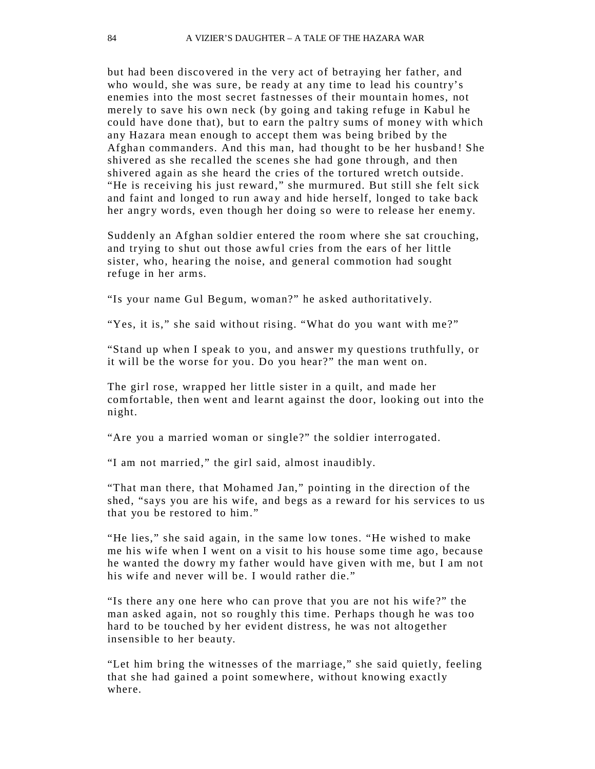but had been discovered in the very act of betraying her father, and who would, she was sure, be ready at any time to lead his country's enemies into the most secret fastnesses of their mountain homes, not merely to save his own neck (by going and taking refuge in Kabul he could have done that), but to earn the paltry sums of money with which any Hazara mean enough to accept them was being bribed by the Afghan commanders. And this man, had thought to be her husband ! She shivered as she recalled the scenes she had gone through, and then shivered again as she heard the cries of the tortured wretch outside. "He is receiving his just reward," she murmured. But still she felt sick and faint and longed to run away and hide herself, longed to take back her angry words, even though her doing so were to release her enemy.

Suddenly an Afghan soldier entered the room where she sat crouching, and trying to shut out those awful cries from the ears of her little sister, who, hearing the noise, and general commotion had sought refuge in her arms.

"Is your name Gul Begum, woman?" he asked authoritatively.

"Yes, it is," she said without rising. "What do you want with me?"

"Stand up when I speak to you, and answer my questions truthfu lly, or it will be the worse for you. Do you hear?" the man went on.

The girl rose, wrapped her little sister in a quilt, and made her comfortable, then went and learnt against the door, looking out into the night.

"Are you a married woman or single?" the soldier interrogated.

"I am not married," the girl said, almost inaudibly.

"That man there, that Mohamed Jan," pointing in the direction of the shed, "says you are his wife, and begs as a reward for his services to us that you be restored to him."

"He lies," she said again, in the same low tones. "He wished to make me his wife when I went on a visit to his house some time ago, because he wanted the dowry my father would have given with me, but I am not his wife and never will be. I would rather die."

"Is there any one here who can prove that you are not his wife?" the man asked again, not so roughly this time. Perhaps though he was too hard to be touched by her evident distress, he was not altogether insensible to her beauty.

"Let him bring the witnesses of the marriage," she said quietly, feeling that she had gained a point somewhere, without knowing exactly where.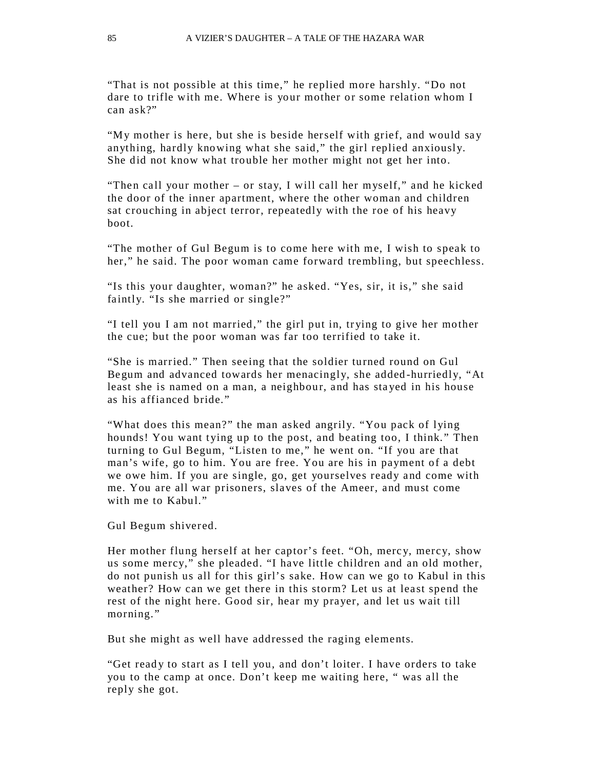"That is not possible at this time," he replied more harshly. "Do not dare to trifle with me. Where is your mother or some relation whom I can ask?"

"My mother is here, but she is beside herself with grief, and would say anything, hardly knowing what she said," the girl replied anxiously. She did not know what trouble her mother might not get her into.

"Then call your mother – or stay, I will call her myself," and he kicked the door of the inner apartment, where the other woman and children sat crouching in abject terror, repeatedly with the roe of his heavy boot.

"The mother of Gul Begum is to come here with me, I wish to speak to her," he said. The poor woman came forward trembling, but speechless.

"Is this your daughter, woman?" he asked. "Yes, sir, it is," she said faintly. "Is she married or single?"

"I tell you I am not married," the girl put in, trying to give her mother the cue; but the poor woman was far too terrified to take it.

"She is married." Then seeing that the soldier turned round on Gul Begum and advanced towards her menacingly, she added -hurriedly, "At least she is named on a man, a neighbour, and has sta yed in his house as his affianced bride."

"What does this mean?" the man asked angrily. "You pack of lying hounds! You want tying up to the post, and beating too, I think." Then turning to Gul Begum, "Listen to me," he went on. "If you are that man's wife, go to him. You are free. You are his in payment of a debt we owe him. If you are single, go, get yourselves ready and come with me. You are all war prisoners, slaves of the Ameer, and must come with me to Kabul."

Gul Begum shivered.

Her mother flung herself at her captor's feet. "Oh, merc y, mercy, show us some mercy," she pleaded. "I have little children and an old mother, do not punish us all for this girl's sake. How can we go to Kabul in this weather? How can we get there in this storm? Let us at least spend the rest of the night here. Good sir, hear my prayer, and let us wait till morning."

But she might as well have addressed the raging elements.

"Get ready to start as I tell you, and don't loiter. I have orders to take you to the camp at once. Don't keep me waiting here, " was all the reply she got.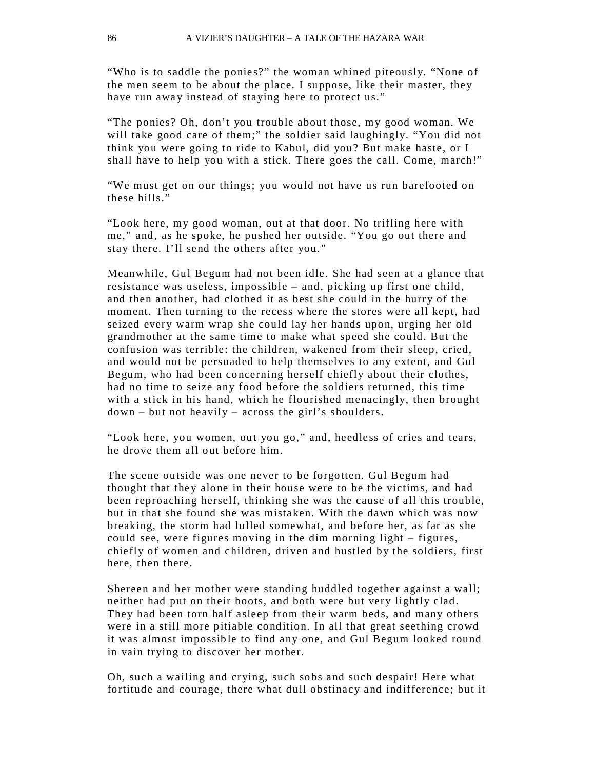"Who is to saddle the ponies?" the woman whined piteously. "None of the men seem to be about the place. I suppose, like their master, they have run away instead of staying here to protect us."

"The ponies? Oh, don't you trouble about those, my good woman. We will take good care of them;" the soldier said laughingly. "You did not think you were going to ride to Kabul, did you? But make haste, or I shall have to help you with a stick. There goes the call. Come, march!"

"We must get on our things; you would not have us run barefooted on these hills."

"Look here, my good woman, out at that door. No trifling here with me," and, as he spoke, he pushed her outside. "You go out there and stay there. I'll send the others after you."

Meanwhile, Gul Begum had not been idle. She had seen at a glance that resistance was useless, impossible – and, picking up first one child, and then another, had clothed it as best she could in the hurry of the moment. Then turning to the recess where the stores were all kept, had seized every warm wrap she could lay her hands upon, urging her old grandmother at the same time to make what speed she could. But the confusion was terrible: the children, wakened from their sleep, cried, and would not be persuaded to help themselves to any extent, and Gul Begum, who had been co ncerning herself chiefly about their clothes, had no time to seize any food before the soldiers returned, this time with a stick in his hand, which he flourished menacingly, then brought down – but not heavily – across the girl's shoulders.

"Look here, you women, out you go," and, heedless of cries and tears, he drove them all out before him.

The scene outside was one never to be forgotten. Gul Begum had thought that they alone in their house were to be the victims, and had been reproaching herself, thinking she was the cause of all this trouble, but in that she found she was mistaken. With the dawn which was now breaking, the storm had lulled somewhat, and before her, as far as she could see, were figures moving in the dim morning light – figures, chiefly of women and children, driven and hustled by the soldiers, first here, then there.

Shereen and her mother were standing huddled together against a wall; neither had put on their boots, and both were but very lightly clad. They had been torn half asleep from their warm beds, and many others were in a still more pitiable condition. In all that great seething crowd it was almost impossible to find any one, and Gul Begum looked round in vain trying to discover her mother.

Oh, such a wailing and crying, such sobs and such despair! Here what fortitude and courage, there what dull obstinacy and indifference; but it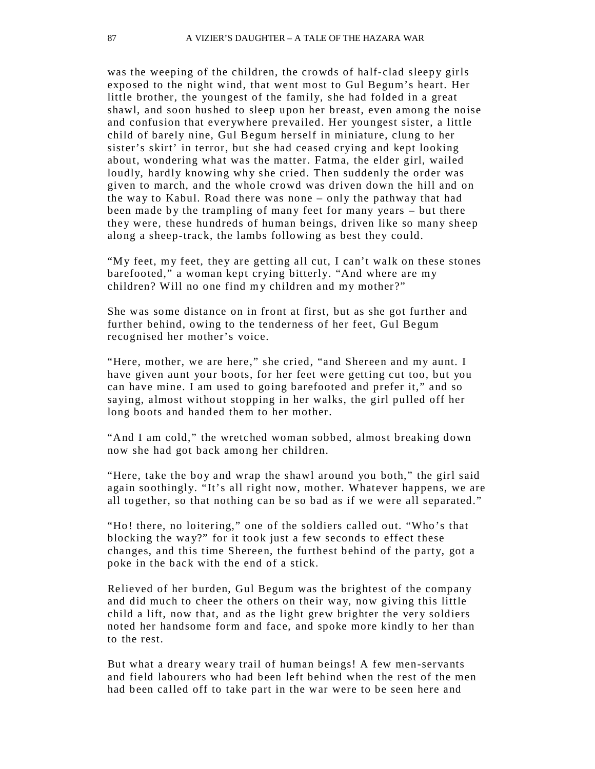was the weeping of the children, the crowds of half-clad sleepy girls exposed to the night wind, that went most to Gul Begum's heart. Her little brother, the youngest of the family, she had folded in a great shawl, and soon hushed to sleep upon her breast, even among the noise and confusion that everywhere prevailed. Her youngest sister, a little child of barely nine, Gul Begum herself in miniature, clung to her sister's skirt' in terror, but she had ceased crying and kept looking about, wondering what was the matter. Fatma, the elder girl, wailed loudly, hardly knowing why she cried. Then suddenly the order was given to march, and the whole crowd was driven down the hill and on the way to Kabul. Road there was none – only the pathway that had been made by the trampling of many feet for many years – but there they were, these hundreds of human beings, driven like so many sheep along a sheep-track, the lambs following as best they could.

"My feet, my feet, they are getting all cut, I can't walk on these stones barefooted," a woman kept crying bitterly. "And where are my children? Will no one find my children and my mother?"

She was some distance on in front at first, but as she got further and further behind, owing to the tenderness of her feet, Gul Begum recognised her mother's voice.

"Here, mother, we are here," she cried, "and Shereen and my aunt. I have given aunt your boots, for her feet were getting cut too, but you can have mine. I am used to going barefooted and prefer it," and so saying, almost without stopping in her walks, the girl pulled off her long boots and handed them to her mother.

"And I am cold," the wretched woman sobbed, almost breaking down now she had got back among her children.

"Here, take the boy and wrap the shawl around you both," the girl said again soothingly. "It's all right now, mother. Whatever happens, we are all together, so that nothing can be so bad as if we were all separated."

"Ho! there, no loitering," one of the soldiers called out. "Who's that blocking the way?" for it took just a few seconds to effect these changes, and this time Shereen, the furthest behind of the party, got a poke in the back with the end of a stick.

Relieved of her burden, Gul Begum was the brightest of the company and did much to cheer the others on their way, now giving this little child a lift, now that, and as the light grew brighter the very soldiers noted her handsome form and face, and spoke more kindly to her than to the rest.

But what a dreary weary trail of human beings! A few men-servants and field labourers who had been left behind when the rest of the men had been called off to take part in the war were to be seen here and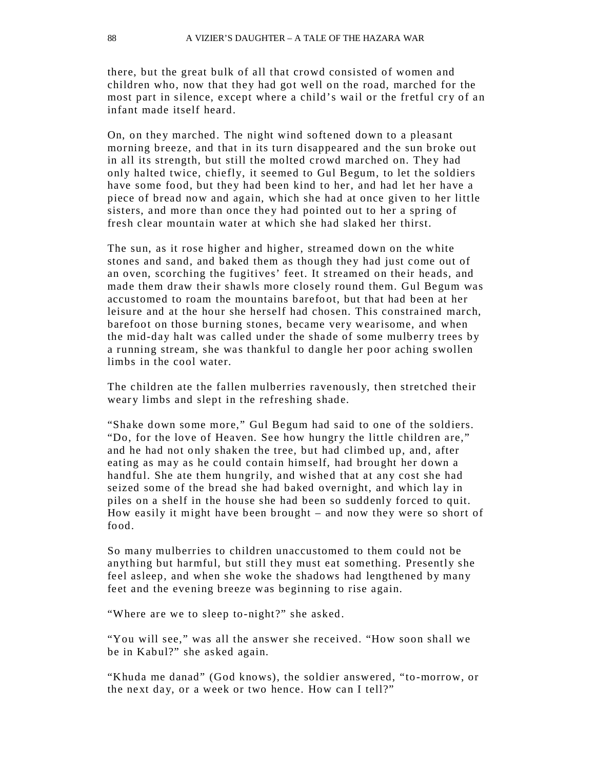there, but the great bulk of all that crowd consisted of women and children who, now that they had got well on the road, marched for the most part in silence, except where a child's wail or the fretful cry of an infant made itself heard.

On, on they marched. The night wind softened down to a pleasant morning breeze, and that in its turn disappeared and the sun broke out in all its strength, but still the molted crowd marched on. They had only halted twice, chiefly, it seemed to Gul Begum, to let the soldiers have some food, but they had been kind to her, and had let her have a piece of bread now and again, which she had at once given to her little sisters, and more than once they had pointed out to her a spring of fresh clear mountain water at which she had slaked her thirst.

The sun, as it rose higher and higher, streamed down on the white stones and sand, and baked them as though they had just come out of an oven, scorching the fugitives' feet. It streamed on their heads, and made them draw their shawls more closely round them. Gul Begum was accustomed to roam the mountains barefo ot, but that had been at her leisure and at the hour she herself had chosen. This constrained march, barefoot on those burning stones, became very wearisome, and when the mid-day halt was called under the shade of some mulberry trees by a running stream, she was thankful to dangle her poor aching swollen limbs in the cool water.

The children ate the fallen mulberries ravenously, then stretched their weary limbs and slept in the refreshing shade.

"Shake down some more," Gul Begum had said to one of the soldiers. "Do, for the love of Heaven. See how hungry the little children are," and he had not only shaken the tree, but had climbed up, and, after eating as may as he could contain himself, had brought her down a handful. She ate them hungrily, and wished that at any cost she had seized some of the bread she had baked overnight, and which lay in piles on a shelf in the house she had been so suddenly forced to quit. How easily it might have been brought – and now they were so short of food.

So many mulberries to children unaccustomed to them could not be anything but harmful, but still they must eat something. Presently she feel asleep, and when she woke the shadows had lengthened by many feet and the evening breeze was beginning to rise again.

"Where are we to sleep to-night?" she asked.

"You will see," was all the answer she received. "How soon shall we be in Kabul?" she asked again.

"Khuda me danad" (God knows), the soldier answered, "to-morrow, or the next day, or a week or two hence. How can I tell?"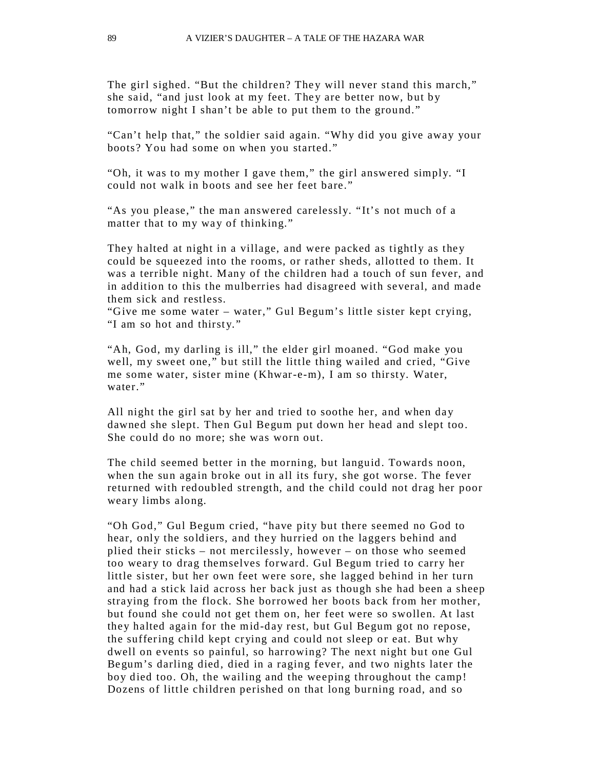The girl sighed. "But the children? They will never stand this march," she said, "and just look at my feet. They are better now, but by tomorrow night I shan't be able to put them to the ground."

"Can't help that," the soldier said again. "Why did you give away your boots? You had some on when you started."

"Oh, it was to my mother I gave them," the girl answered simply. "I could not walk in boots and see her feet bare."

"As you please," the man answered carelessly. "It's not much of a matter that to my way of thinking."

They halted at night in a village, and were packed as tightly as they could be squeezed into the rooms, or rather sheds, allotted to them. It was a terrible night. Many of the children had a touch of sun fever, and in addition to this the mulberries had disagreed with several, and made them sick and restless.

"Give me some water – water," Gul Begum's little sister kept crying, "I am so hot and thirsty."

"Ah, God, my darling is ill," the elder girl moaned. "God make you well, my sweet one," but still the little thing wailed and cried, "Give me some water, sister mine (Khwar-e-m), I am so thirsty. Water, water"

All night the girl sat by her and tried to soothe her, and when day dawned she slept. Then Gul Begum put down her head and slept too. She could do no more; she was worn out.

The child seemed better in the morning, but languid. Towards noon, when the sun again broke out in all its fury, she got worse. The fever returned with redoubled strength, and the child could not drag her poor weary limbs along.

"Oh God," Gul Begum cried, "have pity but there seemed no God to hear, only the soldiers, and they hurried on the laggers behind and plied their sticks – not mercilessly, however – on those who seemed too weary to drag themselves forward. Gul Begum tried to carry her little sister, but her own feet were sore, she lagged behind in her turn and had a stick laid across her back just as though she had been a sheep straying from the flock. She borrowed her boots back from her mother, but found she could not get them on, her feet were so swollen. At last they halted again for the mid-day rest, but Gul Begum got no repose, the suffering child kept crying and could not sleep or eat. But why dwell on events so painful, so harrowing? The next night but one Gul Begum's darling died, died in a raging fever, and two nights later the boy died too. Oh, the wailing and the weeping throughout the camp! Dozens of little children perished on that long burning road, and so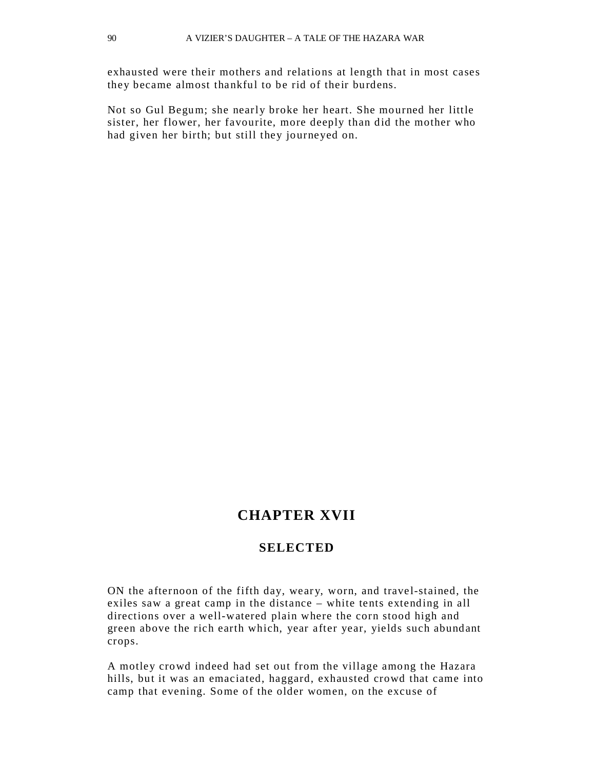exhausted were their mothers and relations at length that in most cases they became almost thankful to be rid of their burdens.

Not so Gul Begum; she nearly broke her heart. She mourned her little sister, her flower, her favourite, more deeply than did the mother who had given her birth; but still they journeyed on.

## **CHAPTER XVII**

#### **SELECTED**

ON the afternoon of the fifth day, weary, worn, and travel-stained, the exiles saw a great camp in the distance – white tents extending in all directions over a well-watered plain where the corn stood high and green above the rich earth which, year after year, yields such abundant crops.

A motley crowd indeed had set out from the village among the Hazara hills, but it was an emaciated, haggard, exhausted crowd that came into camp that evening. Some of the older women, on the excuse of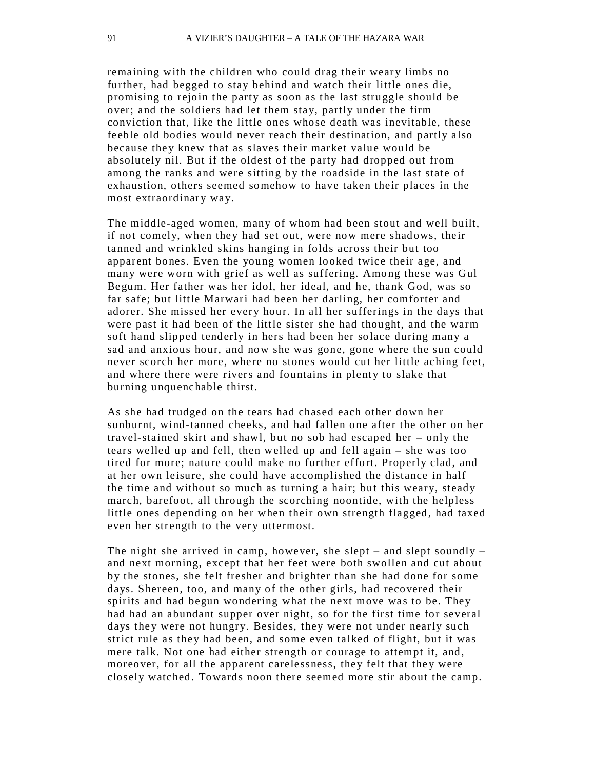remaining with the children who could drag their weary limbs no further, had begged to stay behind and watch their little ones die, promising to rejoin the party as soon as the last struggle should be over; and the soldiers had let them stay, partly under the firm conviction that, like the little ones whose death was inevitable, these feeble old bodies would never reach their destination, and partly also because they knew that as slaves their market value would be absolutely nil. But if the oldest of the party had dropped out from among the ranks and were sitting by the roadside in the last state of exhaustion, others seemed somehow to have taken their places in the most extraordinary way.

The middle-aged women, many of whom had been stout and well built, if not comely, when they had set out, were now mere shadows, their tanned and wrinkled skins hanging in folds across their but too apparent bones. Even the young women looked twice their age, and many were worn with grief as well as suffering. Among these was Gul Begum. Her father was her idol, her ideal, and he, thank God, was so far safe; but little Marwari had been her darling, her comforter and adorer. She missed her every hour. In all her sufferings in the days that were past it had been of the little sister she had thought, and the warm soft hand slipped tenderly in hers had been her solace during many a sad and anxious hour, and now she was gone, gone where the sun could never scorch her more, where no stones would cut her little aching feet, and where there were rivers and fountains in plenty to slake that burning unquenchable thirst.

As she had trudged on the tears had chased each other down her sunburnt, wind-tanned cheeks, and had fallen one after the other on her travel-stained skirt and shawl, but no sob had escaped her – only the tears welled up and fell, then welled up and fell again – she was too tired for more; nature could make no further effort. Properly clad, and at her own leisure, she could have accomplished the distance in half the time and without so much as turning a hair; but this weary, steady march, barefoot, all through the scorching noontide, with the helpless little ones depending on her when their own strength flagged, had taxed even her strength to the very uttermost.

The night she arrived in camp, however, she slept – and slept soundly – and next morning, except that her feet were both swollen and cut about by the stones, she felt fresher and brighter than she had done for some days. Shereen, too, and many of the other girls, had recovered their spirits and had begun wondering what the next move was to be. They had had an abundant supper over night, so for the first time for several days they were not hungry. Besides, they were not under nearly such strict rule as they had been, and some even talked of flight, but it was mere talk. Not one had either strength or courage to attempt it, and, moreover, for all the apparent carelessness, they felt that they were closely watched. Towards noon there seemed more stir about the camp.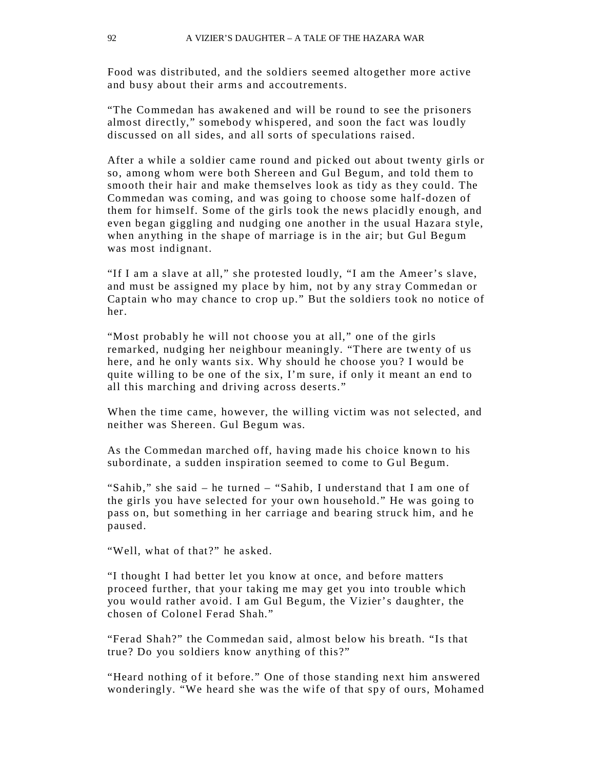Food was distributed, and the soldiers seemed altogether more active and busy about their arms and accoutrements.

"The Commedan has awakened and will be round to see the prisoners almost directly," somebody whispered, and soon the fact was loudly discussed on all sides, and all sorts of speculations raised.

After a while a soldier came round and picked out about twenty girls or so, among whom were both Shereen and Gul Begum, and told them to smooth their hair and make themselves lo ok as tidy as they could. The Commedan was coming, and was going to choose some half-dozen of them for himself. Some of the girls took the news placidly enough, and even began giggling and nudging one another in the usual Hazara style, when anything in the shape of marriage is in the air; but Gul Begum was most indignant.

"If I am a slave at all," she protested loudly, "I am the Ameer's slave, and must be assigned my place by him, not by any stray Commedan or Captain who may chance to crop up." But the soldiers took no notice of her.

"Most probably he will not choose you at all," one of the girls remarked, nudging her neighbour meaningly. "There are twenty of us here, and he only wants six. Why should he choose you? I would be quite willing to be one of the six, I'm sure, if only it meant an end to all this marching and driving across deserts."

When the time came, however, the willing victim was not selected, and neither was Shereen. Gul Begum was.

As the Commedan marched off, having made his choice known to his subordinate, a sudden inspiration seemed to come to Gul Begum.

"Sahib," she said – he turned – "Sahib, I understand that I am one of the girls you have selected for your own household." He was going to pass on, but something in her carriage and bearing struck him, and he paused.

"Well, what of that?" he asked.

"I thought I had better let you know at once, and before matters proceed further, that your taking me may get you into trouble which you would rather avoid. I am Gul Begum, the Vizier's daughter, the chosen of Colonel Ferad Shah."

"Ferad Shah?" the Commedan said, almost below his breath. "Is that true? Do you soldiers know anything of this?"

"Heard nothing of it before." One of those standing next him answered wonderingly. "We heard she was the wife of that spy of ours, Mohamed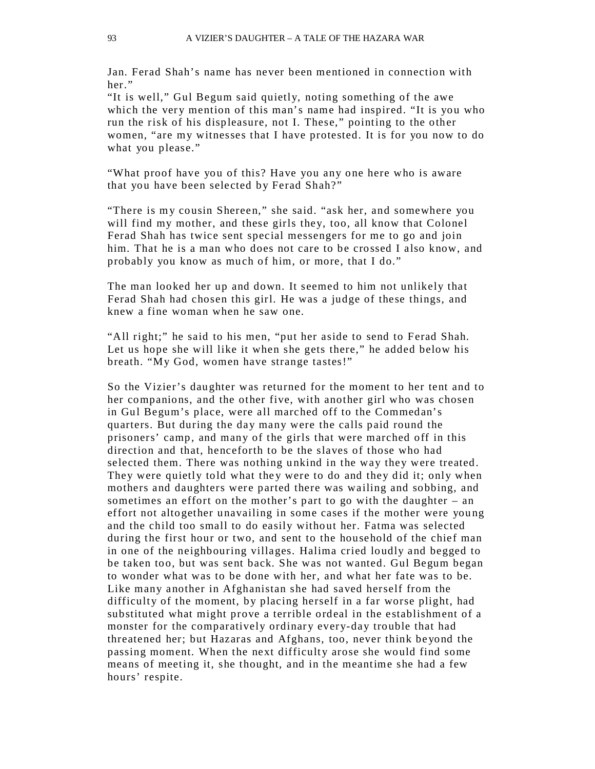Jan. Ferad Shah's name has never been mentioned in connection with her"

"It is well," Gul Begum said quietly, noting something of the awe which the very mention of this man's name had inspired. "It is you who run the risk of his displeasure, not I. These," pointing to the other women, "are my witnesses that I have protested. It is for you now to do what you please."

"What proof have you of this? Have you any one here who is aware that you have been selected by Ferad Shah?"

"There is my cousin Shereen," she said. "ask her, and somewhere you will find my mother, and these girls they, too, all know that Colonel Ferad Shah has twice sent special messengers for me to go and join him. That he is a man who does not care to be crossed I also know, and probably you know as much of him, or more, that I do."

The man looked her up and down. It seemed to him not unlikely that Ferad Shah had chosen this girl. He was a judge of these things, and knew a fine woman when he saw one.

"All right;" he said to his men, "put her aside to send to Ferad Shah. Let us hope she will like it when she gets there," he added below his breath. "My God, women have strange tastes!"

So the Vizier's daughter was returned for the moment to her tent and to her companions, and the other five, with another girl who was chosen in Gul Begum's place, were all marched off to the Commedan's quarters. But during the day many were the calls paid round the prisoners' camp, and many of the girls that were marched off in this direction and that, henceforth to be the slaves of those who had selected them. There was nothing unkind in the way they were treated. They were quietly told what they were to do and they did it; only when mothers and daughters were parted there was wailing and sobbing, and sometimes an effort on the mother's part to go with the daughter – an effort not altogether unavailing in some cases if the mother were young and the child too small to do easily without her. Fatma was selected during the first hour or two, and sent to the household of the chief man in one of the neighbouring villages. Halima cried loudly and begged to be taken too, but was sent back. She was not wanted. Gul Begum began to wonder what was to be done with her, and what her fate was to be. Like many another in Afghanistan she had saved herself from the difficulty of the moment, by placing herself in a far worse plight, had substituted what might prove a terrible ordeal in the establishment of a monster for the comparatively ordinary every-day trouble that had threatened her; but Hazaras and Afghans, too, never think be yond the passing moment. When the next difficulty arose she would find some means of meeting it, she thought, and in the meantime she had a few hours' respite.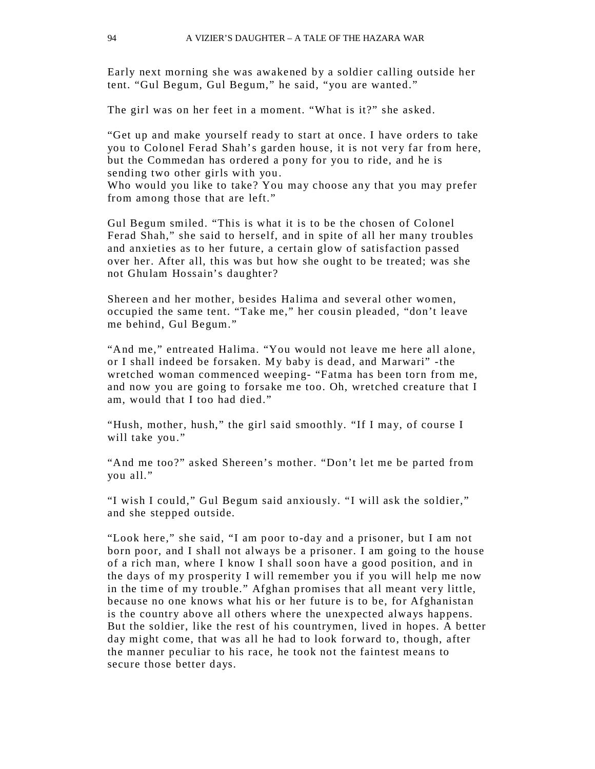Early next morning she was awakened by a soldier calling outside her tent. "Gul Begum, Gul Begum," he said, "you are wanted."

The girl was on her feet in a moment. "What is it?" she asked.

"Get up and make yourself ready to start at once. I have orders to take you to Colonel Ferad Shah's garden house, it is not very far from here, but the Commedan has ordered a pony for you to ride, and he is sending two other girls with you.

Who would you like to take? You may choose any that you may prefer from among those that are left."

Gul Begum smiled. "This is what it is to be the chosen of Colonel Ferad Shah," she said to herself, and in spite of all her many troubles and anxieties as to her future, a certain glow of satisfaction passed over her. After all, this was but how she ought to be treated; was she not Ghulam Hossain's daughter?

Shereen and her mother, besides Halima and several other women, occupied the same tent. "Take me," her cousin pleaded, "don't leave me behind, Gul Begum."

"And me," entreated Halima. "You would not leave me here all alone, or I shall indeed be forsaken. My baby is dead, and Marwari" -the wretched woman commenced weeping- "Fatma has been torn from me, and now you are going to forsake me too. Oh, wretched creature that I am, would that I too had died."

"Hush, mother, hush," the girl said smoothly. "If I may, of course I will take you."

"And me too?" asked Shereen's mother. "Don't let me be parted from you all."

"I wish I could," Gul Begum said anxiously. "I will ask the soldier," and she stepped outside.

"Look here," she said, "I am poor to-day and a prisoner, but I am not born poor, and I shall not always be a prisoner. I am going to the house of a rich man, where I know I shall soon have a good position, and in the days of my prosperity I will remember you if you will help me now in the time of my trouble." Afghan promises that all meant very little, because no one knows what his or her future is to be, for Afghanistan is the country above all others where the unexpected always happens. But the soldier, like the rest of his countrymen, lived in hopes. A better day might come, that was all he had to look forward to, though, after the manner peculiar to his race, he took not the faintest means to secure those better days.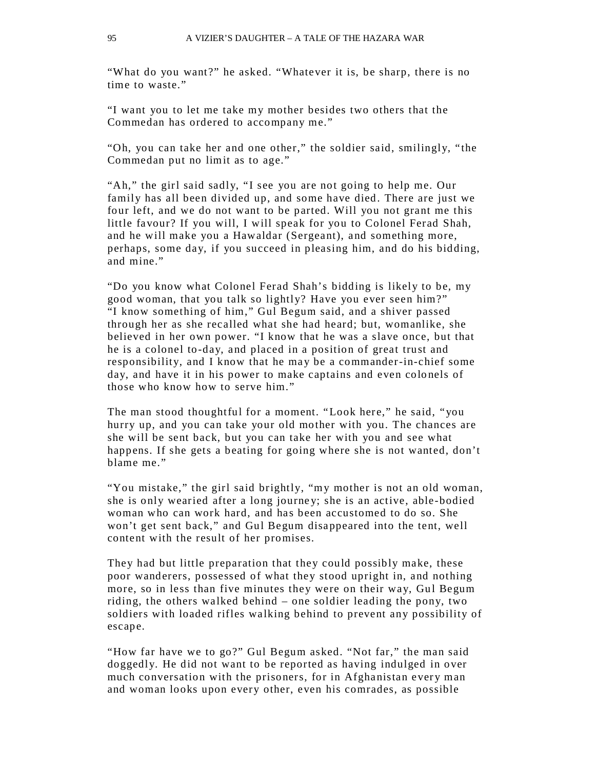"What do you want?" he asked. "Whatever it is, be sharp, there is no time to waste."

"I want you to let me take my mother besides two others that the Commedan has ordered to accompany me."

"Oh, you can take her and one other," the soldier said, smilingly, "the Commedan put no limit as to age."

"Ah," the girl said sadly, "I see you are not going to help me. Our family has all been divided up, and some have died. There are just we four left, and we do not want to be parted. Will you not grant me this little favour? If you will, I will speak for you to Colonel Ferad Shah, and he will make you a Hawaldar (Sergeant), and something more, perhaps, some day, if you succeed in pleasing him, and do his bidding, and mine."

"Do you know what Colonel Ferad Shah's bidding is likely to be, my good woman, that you talk so lightly? Have you ever seen him?" "I know something of him," Gul Begum said, and a shiver passed through her as she recalled what she had heard; but, womanlike, she believed in her own power. "I know that he was a slave once, but that he is a colonel to -day, and placed in a position of great trust and responsibility, and I know that he may be a commander-in-chief some day, and have it in his power to make captains and even colonels of those who know how to serve him."

The man stood thoughtful for a moment. "Look here," he said, "you hurry up, and you can take your old mother with you. The chances are she will be sent back, but you can take her with you and see what happens. If she gets a beating for going where she is not wanted, don't blame me."

"You mistake," the girl said brightly, "my mother is not an old woman, she is only wearied after a long journe y; she is an active, able -bodied woman who can work hard, and has been accustomed to do so. She won't get sent back," and Gul Begum disappeared into the tent, well content with the result of her promises.

They had but little preparation that they could possibly make, these poor wanderers, possessed of what they stood upright in, and nothing more, so in less than five minutes they were on their way, Gul Begum riding, the others walked behind – one soldier leading the pony, two soldiers with loaded rifles walking behind to prevent any possibility of escape.

"How far have we to go?" Gul Begum asked. "Not far," the man said doggedly. He did not want to be reported as having indulged in over much conversation with the prisoners, for in Afghanistan every man and woman looks upon every other, even his comrades, as possible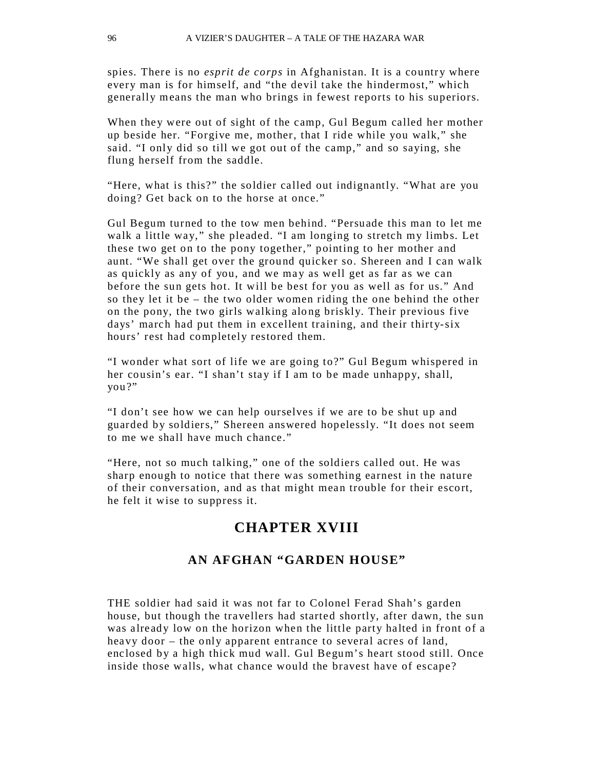spies. There is no *esprit de corps* in Afghanistan. It is a country where every man is for himself, and "the devil take the hindermost," which generally means the man who brings in fewest reports to his superiors.

When they were out of sight of the camp, Gul Begum called her mother up beside her. "Forgive me, mother, that I ride while you walk," she said. "I only did so till we got out of the camp," and so saying, she flung herself from the saddle.

"Here, what is this?" the soldier called out indignantly. "What are you doing? Get back on to the horse at once."

Gul Begum turned to the tow men behind. "Persuade this man to let me walk a little way," she pleaded. "I am longing to stretch my limbs. Let these two get on to the pony together," pointing to her mother and aunt. "We shall get over the ground quicker so. Shereen and I can walk as quickly as any of you, and we may as well get as far as we can before the sun gets hot. It will be best for you as well as for us." And so they let it be – the two older women riding the one behind the other on the pony, the two girls walking along briskly. Their previous five days' march had put them in excellent training, and their thirty-six hours' rest had completely restored them.

"I wonder what sort of life we are going to?" Gul Begum whispered in her cousin's ear. "I shan't stay if I am to be made unhappy, shall, you?"

"I don't see how we can help ourselves if we are to be shut up and guarded by soldiers," Shereen answered hopelessly. "It does not seem to me we shall have much chance."

"Here, not so much talking," one of the soldiers called out. He was sharp enough to notice that there was something earnest in the nature of their conversation, and as that might mean trouble for their escort, he felt it wise to suppress it.

# **CHAPTER XVIII**

#### **AN AFGHAN "GARDEN HOUSE"**

THE soldier had said it was not far to Colonel Ferad Shah's garden house, but though the travellers had started shortly, after dawn, the sun was already low on the horizon when the little party halted in front of a heavy door – the only apparent entrance to several acres of land, enclosed by a high thick mud wall. Gul Begum's heart stood still. Once inside those walls, what chance would the bravest have of escape?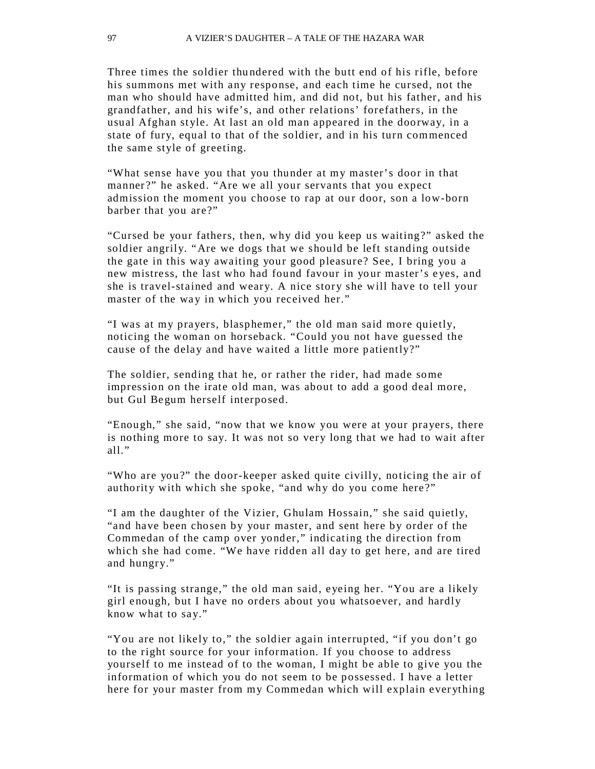Three times the soldier thu ndered with the butt end of his rifle, before his summons met with any response, and each time he cursed, not the man who should have admitted him, and did not, but his father, and his grandfather, and his wife's, and other relations' forefathers, in the usual Afghan style. At last an old man appeared in the doorway, in a state of fury, equal to that of the soldier, and in his turn commenced the same style of greeting.

"What sense have you that you thunder at my master's door in that manner?" he asked. "Are we all your servants that you expect admission the moment you choose to rap at our door, son a low-born barber that you are?"

"Cursed be your fathers, then, why did you keep us waiting?" asked the soldier angrily. "Are we dogs that we should be left standing outside the gate in this way awaiting your good pleasure? See, I bring you a new mistress, the last who had found favour in your master's eyes, and she is travel-stained and weary. A nice story she will have to tell your master of the way in which you received her."

"I was at my prayers, blasphemer," the old man said more quietly, noticing the woman on horseback. "Could you not have guessed the cause of the delay and have waited a little more patiently?"

The soldier, sending that he, or rather the rider, had made some impression on the irate old man, was about to add a good deal more, but Gul Begum herself interposed.

"Enough," she said, "now that we know you were at your prayers, there is nothing more to say. It was not so very long that we had to wait after all."

"Who are you?" the door-keeper asked quite civilly, noticing the air of authority with which she spoke, "and why do you come here?"

"I am the daughter of the Vizier, Ghulam Hossain," she said quietly, "and have been chosen by your master, and sent here by order of the Commedan of the camp over yonder," indicating the direction from which she had come. "We have ridden all day to get here, and are tired and hungry."

"It is passing strange," the old man said, eyeing her. "You are a likely girl enough, but I have no orders about you whatsoever, and hardly know what to say."

"You are not likely to," the soldier again interrupted, "if you don't go to the right source for your information. If you choose to address yourself to me instead of to the woman, I might be able to give you the information of which you do not seem to be possessed. I have a letter here for your master from my Commedan which will explain ever ything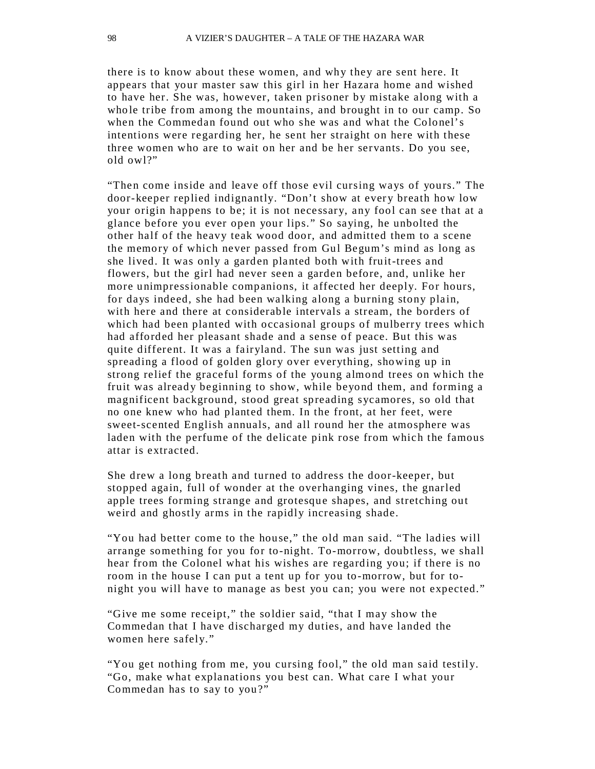there is to know about these women, and why they are sent here. It appears that your master saw this girl in her Hazara home and wished to have her. She was, however, taken prisoner by mistake along with a who le tribe from among the mountains, and brought in to our camp. So when the Commedan found out who she was and what the Colonel's intentions were regarding her, he sent her straight on here with these three women who are to wait on her and be her servants. Do you see, old owl?"

"Then come inside and leave off those evil cursing ways of yours." The door-keeper replied indignantly. "Don't show at every breath how low your origin happens to be; it is not necessary, any fool can see that at a glance before you ever open your lips." So saying, he unbolted the other half of the heavy teak wood door, and admitted them to a scene the memory of which never passed from Gul Begum's mind as long as she lived. It was only a garden planted both with fruit-trees and flowers, but the girl had never seen a garden before, and, unlike her more unimpressionable companions, it affected her deeply. For hours, for days indeed, she had been walking along a burning stony plain, with here and there at considerable intervals a stream, the borders of which had been planted with occasional groups of mulberry trees which had afforded her pleasant shade and a sense of peace. But this was quite different. It was a fairyland. The sun was just setting and spreading a flood of golden glory over everything, showing up in strong relief the graceful forms of the young almond trees on which the fruit was already beginning to show, while beyond them, and forming a magnificent background, stood great spreading sycamores, so old that no one knew who had planted them. In the front, at her feet, were sweet-scented English annuals, and all round her the atmosphere was laden with the perfume of the delicate pink rose from which the famous attar is extracted.

She drew a long breath and turned to address the door-keeper, but stopped again, full of wonder at the overhanging vines, the gnarled apple trees forming strange and grotesque shapes, and stretching out weird and ghostly arms in the rapidly increasing shade.

"You had better come to the house," the old man said. "The ladies will arrange something for you for to-night. To-morrow, doubtless, we shall hear from the Colonel what his wishes are regarding you; if there is no room in the house I can put a tent up for you to-morrow, but for tonight you will have to manage as best you can; you were not expected."

"Give me some receipt," the so ldier said, "that I may show the Commedan that I have discharged my duties, and have landed the women here safely."

"You get nothing from me, you cursing fool," the old man said testily. "Go, make what explanations you best can. What care I what your Commedan has to say to you?"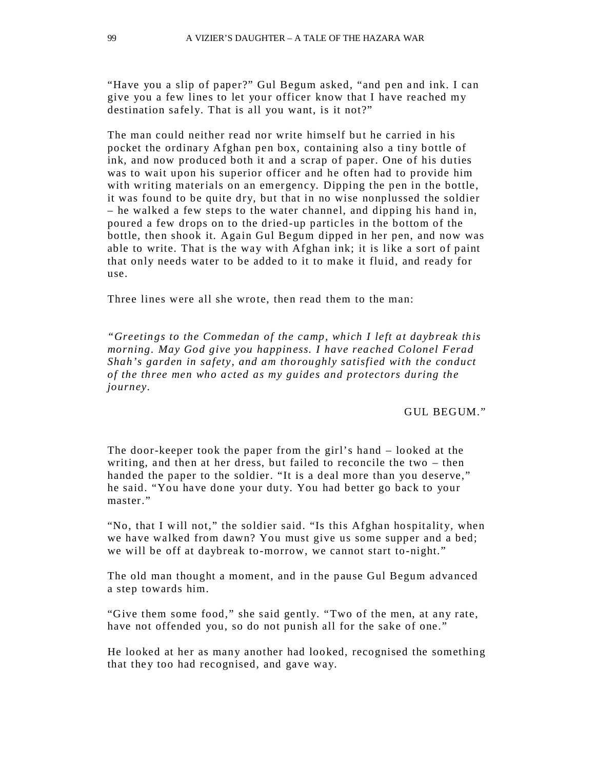"Have you a slip of paper?" Gul Begum asked, "and pen and ink. I can give you a few lines to let your officer know that I have reached my destination safely. That is all you want, is it not?"

The man could neither read nor write himself but he carried in his pocket the ordinary Afghan pen box, containing also a tiny bottle of ink, and now produced both it and a scrap of paper. One of his duties was to wait upon his superior officer and he often had to provide him with writing materials on an emergency. Dipping the pen in the bottle, it was found to be quite dry, but that in no wise nonplussed the soldier – he walked a few steps to the water channel, and dipping his hand in, poured a few drops on to the dried-up particles in the bottom of the bottle, then shook it. Again Gul Begum dipped in her pen, and now was able to write. That is the way with Afghan ink; it is like a sort of paint that only needs water to be added to it to make it fluid, and ready for use.

Three lines were all she wrote, then read them to the man:

*"Greetings to the Commedan of the camp, which I left at daybreak this morning. May God give you happiness. I have reached Colonel Ferad Shah's garden in safety, and am thoroughly satisfied with the conduct of the three men who acted as my guides and protectors during the journey.*

GUL BEGUM."

The door-keeper took the paper from the girl's hand – looked at the writing, and then at her dress, but failed to reconcile the two – then handed the paper to the soldier. "It is a deal more than you deserve," he said. "You have done your duty. You had better go back to your master."

"No, that I will not," the soldier said. "Is this Afghan hospitality, when we have walked from dawn? You must give us some supper and a bed; we will be off at daybreak to-morrow, we cannot start to-night."

The old man thought a moment, and in the pause Gul Begum advanced a step towards him.

"Give them some food," she said gently. "Two of the men, at any rate, have not offended you, so do not punish all for the sake of one."

He looked at her as many another had looked, recognised the something that they too had recognised, and gave way.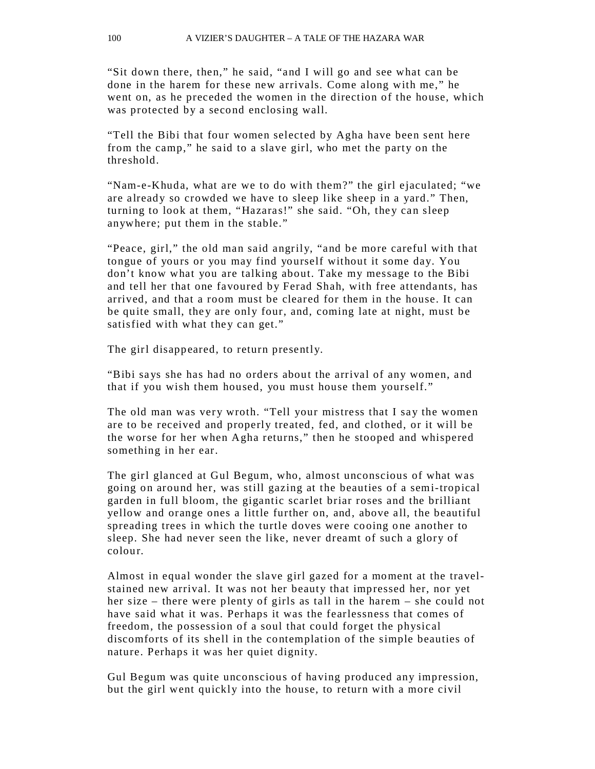"Sit down there, then," he said, "and I will go and see what can be done in the harem for these new arrivals. Come along with me," he went on, as he preceded the women in the direction of the house, which was protected by a second enclosing wall.

"Tell the Bibi that four women selected by Agha have been sent here from the camp," he said to a slave girl, who met the party on the threshold.

"Nam-e-Khuda, what are we to do with them?" the girl ejaculated; "we are already so crowded we have to sleep like sheep in a yard." Then, turning to look at them, "Hazaras!" she said. "Oh, they can sleep anywhere; put them in the stable."

"Peace, girl," the old man said angrily, "and be more careful with that tongue of yours or you may find yourself without it some day. You don't know what you are talking about. Take my message to the Bibi and tell her that one favoured by Ferad Shah, with free attendants, has arrived, and that a room must be cleared for them in the house. It can be quite small, they are only four, and, coming late at night, must be satisfied with what they can get."

The girl disappeared, to return presently.

"Bibi says she has had no orders about the arrival of any women, and that if you wish them housed, you must house them yourself."

The old man was very wroth. "Tell your mistress that I say the women are to be received and properly treated, fed, and clothed, or it will be the worse for her when Agha returns," then he stooped and whispered something in her ear.

The girl glanced at Gul Begum, who, almost unconscious of what was going on around her, was still gazing at the beauties of a semi-tropical garden in full bloom, the gigantic scarlet briar roses and the brilliant yellow and orange ones a little further on, and, above all, the beautiful spreading trees in which the turtle doves were cooing one another to sleep. She had never seen the like, never dreamt of such a glory of colour.

Almost in equal wonder the slave girl gazed for a moment at the travelstained new arrival. It was not her beauty that impressed her, nor yet her size – there were plenty of girls as tall in the harem  $-$  she could not have said what it was. Perhaps it was the fearlessness that comes of freedom, the possession of a soul that could forget the physical discomforts of its shell in the contemplation of the simple beauties of nature. Perhaps it was her quiet dignity.

Gul Begum was quite unconscious of having produced any impression, but the girl went quickly into the house, to return with a more civil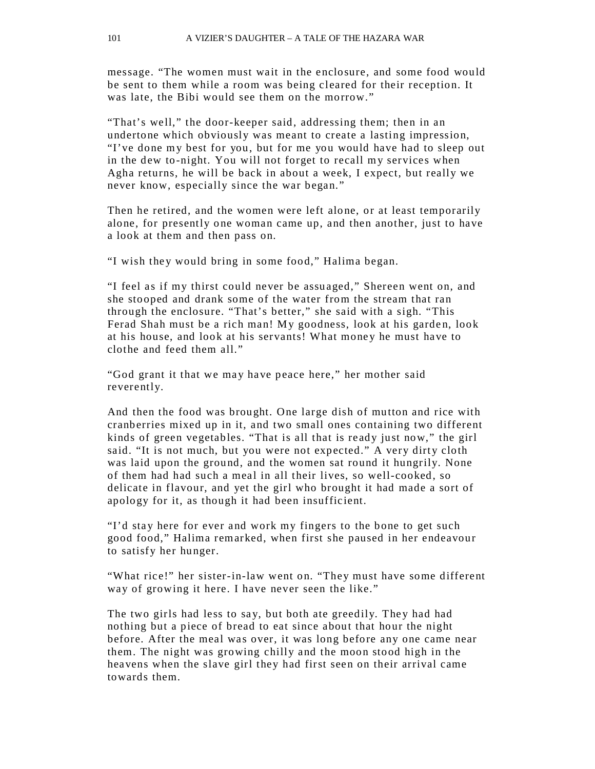message. "The women must wait in the enclosure, and some food would be sent to them while a room was being cleared for their reception. It was late, the Bibi would see them on the morrow."

"That's well," the door-keeper said, addressing them; then in an undertone which obviously was meant to create a lasting impression, "I've done my best for you, but for me you would have had to sleep out in the dew to-night. You will not forget to recall my services when Agha returns, he will be back in about a week, I expect, but really we never know, especially since the war began."

Then he retired, and the women were left alone, or at least temporarily alone, for presently one woman came up, and then another, just to have a look at them and then pass on.

"I wish they would bring in some food," Halima began.

"I feel a s if my thirst could never be assu aged," Shereen went on, and she stooped and drank some of the water from the stream that ran through the enclosure. "That's better," she said with a sigh. "This Ferad Shah must be a rich man! My goodness, look at his garden, look at his house, and look at his servants! What money he must have to clothe and feed them all."

"God grant it that we may have peace here," her mother said reverently.

And then the food was brought. One large dish of mutton and rice with cranberries mixed up in it, and two small ones containing two different kinds of green vegetables. "That is all that is ready just now," the girl said. "It is not much, but you were not expected." A very dirty cloth was laid upon the ground, and the women sat round it hungrily. None of them had had such a meal in all their lives, so well-cooked, so delicate in flavour, and yet the girl who brought it had made a sort of apology for it, as though it had been insufficient.

"I'd stay here for ever and work my fingers to the bone to get such good food," Halima remarked, when first she paused in her endeavour to satisfy her hunger.

"What rice!" her sister-in-law went on. "They must have some different way of growing it here. I have never seen the like."

The two girls had less to say, but both ate greedily. They had had nothing but a piece of bread to eat since about that hour the night before. After the meal was over, it was long before any one came near them. The night was growing chilly and the moon stood high in the heavens when the slave girl they had first seen on their arrival came towards them.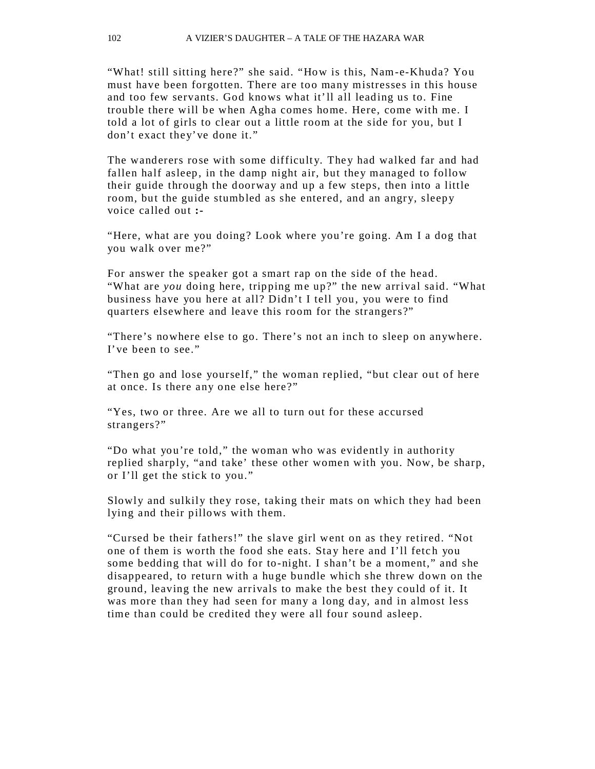"What! still sitting here?" she said. "How is this, Nam-e-Khuda? You must have been forgotten. There are too many mistresses in this house and too few servants. God knows what it'll all leading us to. Fine trouble there will be when Agha comes home. Here, come with me. I told a lot of girls to clear out a little room at the side for you, but I don't exact they've done it."

The wanderers rose with some difficulty. They had walked far and had fallen half asleep, in the damp night air, but they managed to follow their guide through the doorway and up a few steps, then into a little room, but the guide stumbled as she entered, and an angry, sleepy voice called out **:-**

"Here, what are you doing? Look where you're going. Am I a dog that you walk over me?"

For answer the speaker got a smart rap on the side of the head. "What are *you* doing here, tripping me up?" the new arrival said. "What business have you here at all? Didn't I tell you, you were to find quarters elsewhere and leave this room for the strangers?"

"There's nowhere else to go. There's not an inch to sleep on anywhere. I've been to see."

"Then go and lose yourself," the woman replied, "but clear out of here at once. Is there any one else here?"

"Yes, two or three. Are we all to turn out for these accursed strangers?"

"Do what you're told," the woman who was evidently in authority replied sharply, "and take' these other women with you. Now, be sharp, or I'll get the stick to you."

Slowly and sulkily they rose, taking their mats on which they had been lying and their pillows with them.

"Cursed be their fathers!" the slave girl went on as they retired. "Not one of them is worth the food she eats. Stay here and I'll fetch you some bedding that will do for to-night. I shan't be a moment," and she disappeared, to return with a hu ge bundle which she threw down on the ground, leaving the new arrivals to make the best the y could of it. It was more than they had seen for many a long day, and in almost less time than could be credited they were all four sound asleep.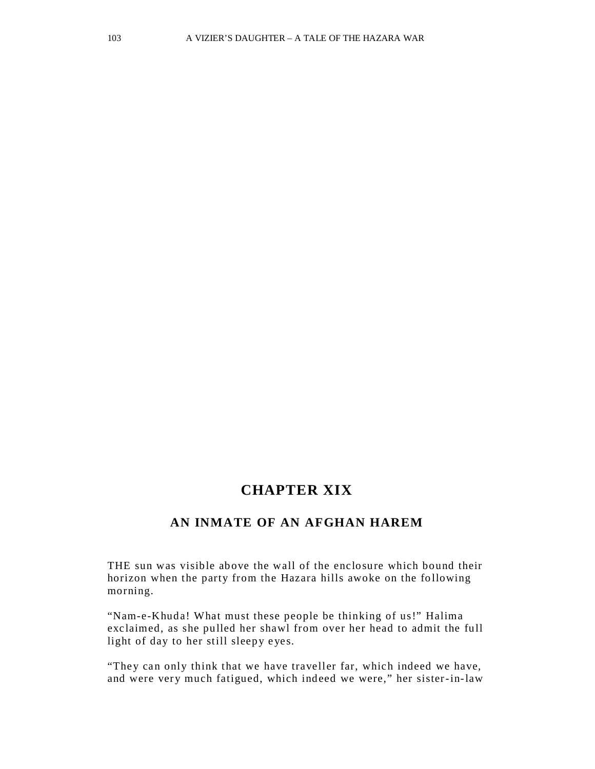# **CHAPTER XIX**

### **AN INMATE OF AN AFGHAN HAREM**

THE sun was visible above the wall of the enclosure which bound their horizon when the party from the Hazara hills awoke on the following morning.

"Nam-e-Khuda! What must these people be thinking of us!" Halima exclaimed, as she pulled her shawl from over her head to admit the full light of day to her still sleepy eyes.

"They can only think that we have traveller far, which indeed we have, and were very much fatigued, which indeed we were," her sister-in-law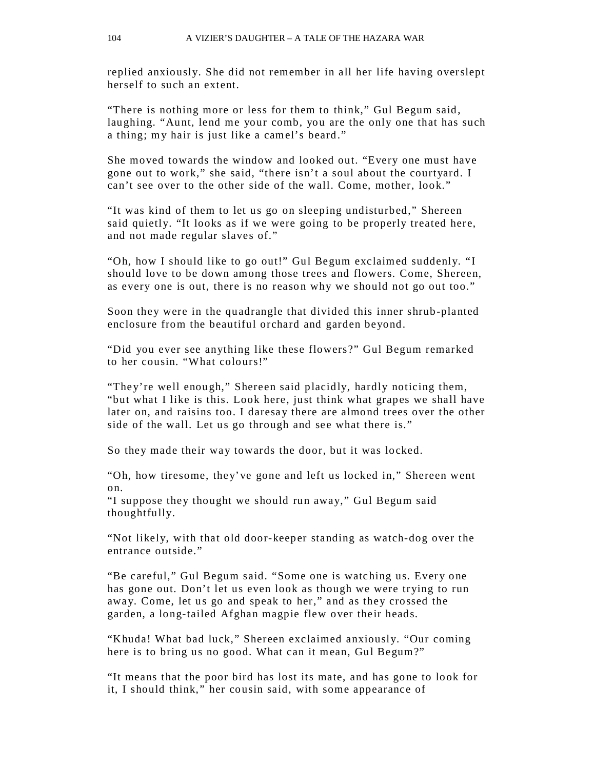replied anxiously. She did not remember in all her life having overslept herself to such an extent.

"There is nothing more or less for them to think," Gul Begum said, laughing. "Aunt, lend me your comb, you are the only one that has such a thing; my hair is just like a camel's beard."

She moved towards the window and looked out. "Every one must have gone out to work," she said, "there isn't a soul about the courtyard. I can't see over to the other side of the wall. Come, mother, look."

"It was kind of them to let us go on sleeping undisturbed," Shereen said quietly. "It looks as if we were going to be properly treated here, and not made regular slaves of."

"Oh, how I should like to go out!" Gul Begum exclaimed suddenly. "I should love to be down among those trees and flowers. Come, Shereen, as every one is out, there is no reason why we should not go out too."

Soon they were in the quadrangle that divided this inner shrub-planted enclosure from the beautiful orchard and garden beyond.

"Did you ever see anything like these flowers?" Gul Begum remarked to her cousin. "What colours!"

"They're well enough," Shereen said placidly, hardly noticing them, "but what I like is this. Look here, just think what grapes we shall have later on, and raisins too. I daresay there are almond trees over the other side of the wall. Let us go through and see what there is."

So they made their way towards the door, but it was locked.

"Oh, how tiresome, they've gone and left us locked in," Shereen went on.

"I suppose they thought we should run away," Gul Begum said thoughtfully.

"Not likely, with that old door-keeper standing as watch-dog over the entrance outside."

"Be careful," Gul Begum said. "Some one is watching us. Every one has gone out. Don't let us even look as though we were trying to run away. Come, let us go and speak to her," and as they crossed the garden, a long-tailed Afghan magpie flew over their heads.

"Khuda! What bad luck," Shereen exclaimed anxiously. "Our coming here is to bring us no good. What can it mean, Gul Begum?"

"It means that the poor bird has lost its mate, and has gone to look for it, I should think," her cousin said, with some appearance of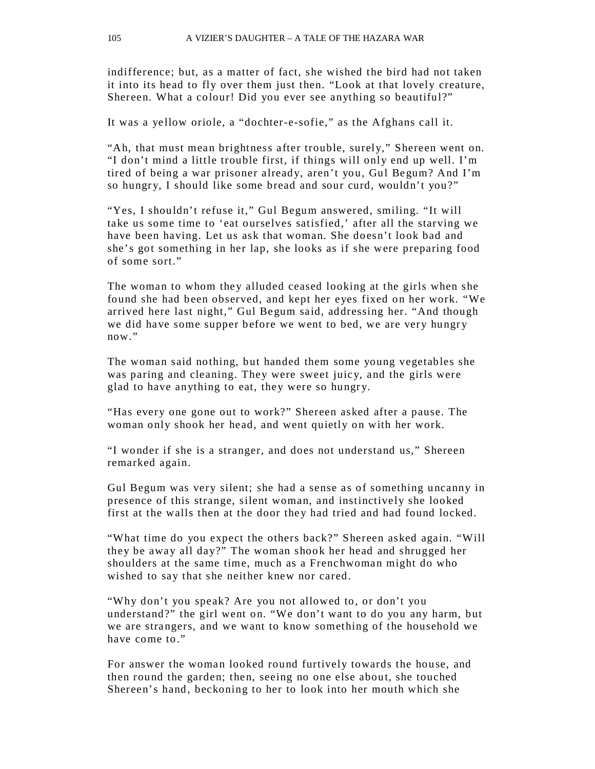indifference; but, as a matter of fact, she wished the bird had not taken it into its head to fly over them just then. "Look at that lovely creature, Shereen. What a colour! Did you ever see anything so beautiful?"

It was a yellow oriole, a "dochter-e-sofie," as the Afghans call it.

"Ah, that must mean brightness after trouble, surely," Shereen went on. "I don't mind a little trouble first, if things will only end up well. I'm tired of being a war prisoner already, aren't you, Gul Begum? And I'm so hungry, I should like some bread and sour curd, wouldn't you?"

"Yes, I shouldn't refuse it," Gul Begum answered, smiling. "It will take us some time to 'eat ourselves satisfied,' after all the starving we have been having. Let us ask that woman. She doesn't look bad and she's got something in her lap, she looks as if she were preparing food of some sort."

The woman to whom they alluded ceased looking at the girls when she found she had been observed, and kept her eyes fixed on her work. "We arrived here last night," Gul Begum said, addressing her. "And though we did have some supper before we went to bed, we are very hungry now."

The woman said nothing, but handed them some young vegetables she was paring and cleaning. They were sweet juicy, and the girls were glad to have anything to eat, they were so hungry.

"Has every one gone out to work?" Shereen asked after a pause. The woman only shook her head, and went quietly on with her work.

"I wonder if she is a stranger, and does not understand us," Shereen remarked again.

Gul Begum was very silent; she had a sense as of something uncanny in presence of this strange, silent woman, and instinctively she looked first at the walls then at the door they had tried and had found locked.

"What time do you expect the others back?" Shereen asked again. "Will they be away all day?" The woman shook her head and shrugged her shoulders at the same time, much as a Frenchwoman might do who wished to say that she neither knew nor cared.

"Why don't you speak? Are you not allowed to, or don't you understand?" the girl went on. "We don't want to do you any harm, but we are strangers, and we want to know something of the household we have come to."

For answer the woman looked round furtively towards the house, and then round the garden; then, seeing no one else about, she touched Shereen's hand, beckoning to her to look into her mouth which she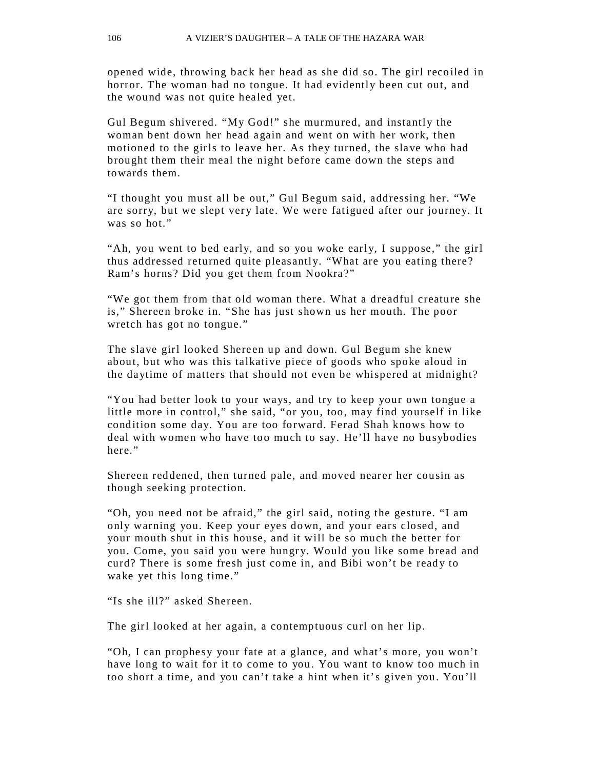opened wide, throwing back her head as she did so. The girl recoiled in horror. The woman had no tongue. It had evidently been cut out, and the wound was not quite healed yet.

Gul Begum shivered. "My God!" she murmured, and instantly the woman bent down her head again and went on with her work, then motioned to the girls to leave her. As they turned, the slave who had brought them their meal the night before came down the steps and towards them.

"I thought you must all be out," Gul Begum said, addressing her. "We are sorry, but we slept very late. We were fatigued after our journey. It was so hot."

"Ah, you went to bed early, and so you woke early, I suppose," the girl thus addressed returned quite pleasantly. "What are you eating there? Ram's horns? Did you get them from Nookra?"

"We got them from that old woman there. What a dreadful creature she is," Shereen broke in. "She has just shown us her mouth. The poor wretch has got no tongue."

The slave girl looked Shereen up and down. Gul Begum she knew about, but who was this talkative piece of goods who spoke aloud in the daytime of matters that should not even be whispered at midnight?

"You had better look to your ways, and try to keep your own tongue a little more in control," she said, "or you, too, may find yourself in like condition some day. You are too forward. Ferad Shah knows how to deal with women who have too much to say. He'll have no busybodies here."

Shereen reddened, then turned pale, and moved nearer her cousin as though seeking protection.

"Oh, you need not be afraid," the girl said, noting the gesture. "I am only warning you. Keep your eyes down, and your ears closed, and your mouth shut in this house, and it will be so much the better for you. Come, you said you were hungry. Would you like some bread and curd? There is some fresh just come in, and Bibi won't be ready to wake yet this long time."

"Is she ill?" asked Shereen.

The girl looked at her again, a contemptuous curl on her lip.

"Oh, I can prophesy your fate at a glance, and what's more, you won't have long to wait for it to come to you. You want to know too much in too short a time, and you can't take a hint when it's given you. You'll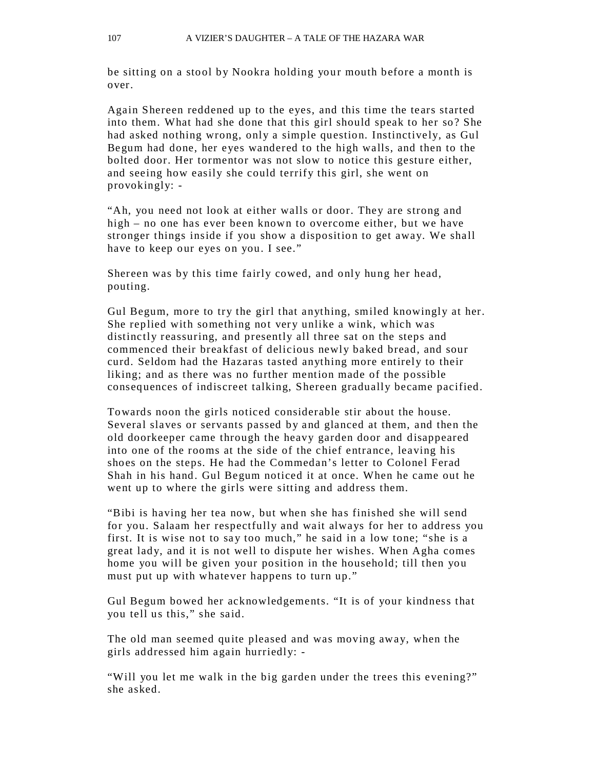be sitting on a stool by Nookra holding your mouth before a month is over.

Again Shereen reddened up to the eyes, and this time the tears started into them. What had she done that this girl should speak to her so? She had asked nothing wrong, only a simple question. Instinctively, as Gul Begum had done, her eyes wandered to the high walls, and then to the bolted door. Her tormentor was not slow to notice this gesture either, and seeing how easily she could terrify this girl, she went on provokingly: -

"Ah, you need not look at either walls or door. They are strong and high – no one has ever been known to overcome either, but we have stronger things inside if you show a disposition to get away. We shall have to keep our eyes on you. I see."

Shereen was by this time fairly cowed, and only hung her head, pouting.

Gul Begum, more to try the girl that anything, smiled knowingly at her. She replied with something not very unlike a wink, which was distinctly reassuring, and presently all three sat on the steps and commenced their breakfast of delicious newly baked bread, and sour curd. Seldom had the Hazaras tasted anything more entirely to their liking; and as there was no further mention made of the possible consequences of indiscreet talking, Shereen gradually became pacified.

Towards noon the girls noticed considerable stir about the house. Several slaves or servants passed by and glanced at them, and then the old doorkeeper came through the heavy garden door and disappeared into one of the rooms at the side of the chief entrance, leaving his shoes on the steps. He had the Commedan's letter to Colonel Ferad Shah in his hand. Gul Begum noticed it at once. When he came out he went up to where the girls were sitting and address them.

"Bibi is having her tea now, but when she has finished she will send for you. Salaam her respectfully and wait always for her to address you first. It is wise not to say too much," he said in a low tone; "she is a great lady, and it is not well to dispute her wishes. When Agha comes home you will be given your position in the household; till then you must put up with whatever happens to turn up."

Gul Begum bowed her acknowledgements. "It is of your kindness that you tell us this," she said.

The old man seemed quite pleased and was moving away, when the girls addressed him again hurriedly: -

"Will you let me walk in the big garden under the trees this evening?" she asked.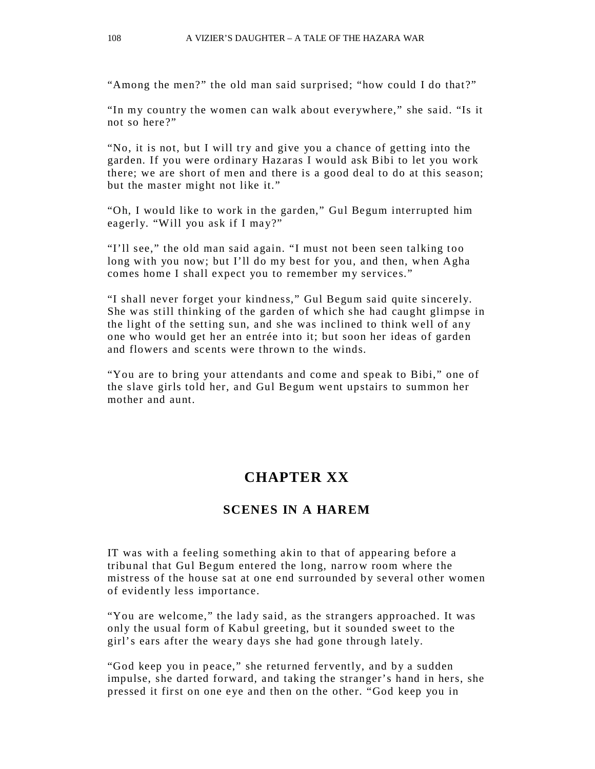"Among the men?" the old man said surprised; "how could I do that?"

"In my country the women can walk about everywhere," she said. "Is it not so here?"

"No, it is not, but I will try and give you a chance of getting into the garden. If you were ordinary Hazaras I would ask Bibi to let you work there; we are short of men and there is a good deal to do at this season; but the master might not like it."

"Oh, I would like to work in the garden," Gul Begum interrupted him eagerly. "Will you ask if I may?"

"I'll see," the old man said again. "I must not been seen talking too long with you now; but I'll do my best for you, and then, when Agha comes home I shall expect you to remember my services."

"I shall never forget your kindness," Gul Begum said quite sincerely. She was still thinking of the garden of which she had caught glimpse in the light of the setting sun, and she was inclined to think well of any one who would get her an entrée into it; but soon her ideas of garden and flowers and scents were thrown to the winds.

"You are to bring your attendants and come and speak to Bibi," one of the slave girls told her, and Gul Begum went upstairs to summon her mother and aunt.

# **CHAPTER XX**

### **SCENES IN A HAREM**

IT was with a feeling something akin to that of appearing before a tribunal that Gul Begum entered the long, narrow room where the mistress of the house sat at one end surrounded by several other women of evidently less importance.

"You are welcome," the lady said, as the strangers approached. It was only the usual form of Kabul greeting, but it sounded sweet to the girl's ears after the weary days she had gone through lately.

"God keep you in peace," she returned fervently, and by a sudden impulse, she darted forward, and taking the stranger's hand in hers, she pressed it first on one eye and then on the other. "God keep you in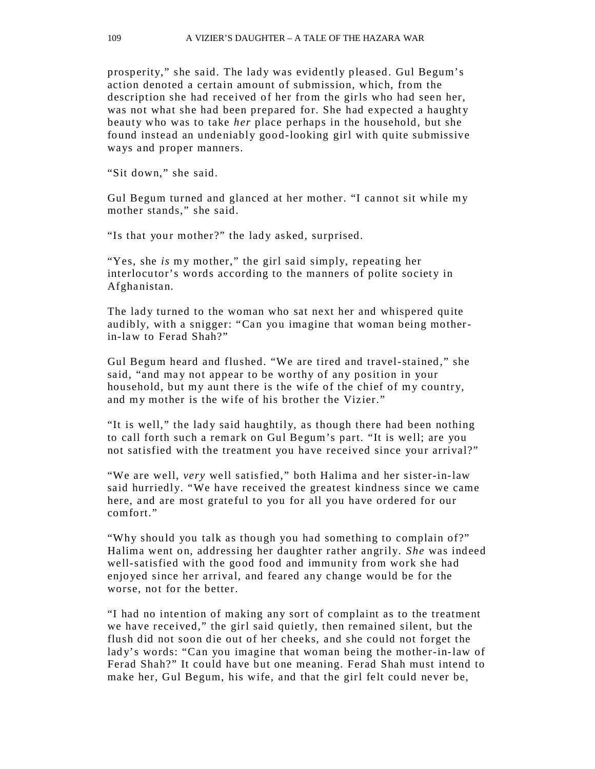prosperity," she said. The lady was evidently pleased. Gul Begum's action denoted a certain amount of submission, which, from the description she had received of her from the girls who had seen her, was not what she had been prepared for. She had expected a haughty beauty who was to take *her* place perhaps in the household, but she found instead an undeniably good-looking girl with quite submissive ways and proper manners.

"Sit down," she said.

Gul Begum turned and glanced at her mother. "I cannot sit while my mother stands," she said.

"Is that your mother?" the lady asked, surprised.

"Yes, she *is* my mother," the girl said simply, repeating her interlocutor's words according to the manners of polite society in Afghanistan.

The lady turned to the woman who sat next her and whispered quite audibly, with a snigger: "Can you imagine that woman being motherin-law to Ferad Shah?"

Gul Begum heard and flushed. "We are tired and travel-stained," she said, "and may not appear to be worthy of any position in your household, but my aunt there is the wife of the chief of my country, and my mother is the wife of his brother the Vizier."

"It is well," the lady said haughtily, as though there had been nothing to call forth such a remark on Gul Begum's part. "It is well; are you not satisfied with the treatment you have received since your arrival?"

"We are well, *very* well satisfied," both Halima and her sister-in-law said hurriedly. "We have received the greatest kindness since we came here, and are most grateful to you for all you have ordered for our comfort."

"Why should you talk as though you had something to complain of?" Halima went on, addressing her daughter rather angrily. *She* was indeed well-satisfied with the good food and immunity from work she had enjoyed since her arrival, and feared any change would be for the worse, not for the better.

"I had no intention of making any sort of complaint as to the treatment we have received," the girl said quietly, then remained silent, but the flush did not soon die out of her cheeks, and she could not forget the lady's words: "Can you imagine that woman being the mother-in-law of Ferad Shah?" It could have but one meaning. Ferad Shah must intend to make her, Gul Begum, his wife, and that the girl felt could never be,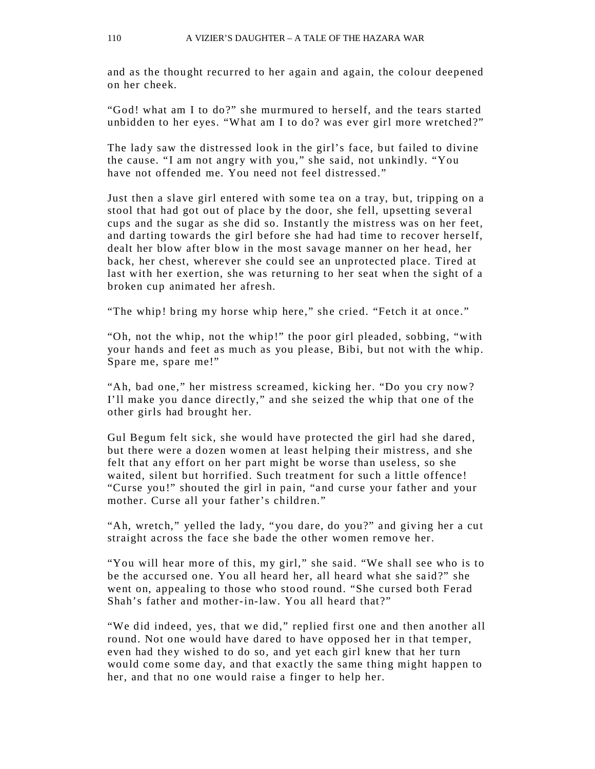and as the thought recurred to her again and again, the colour deepened on her cheek.

"God! what am I to do?" she murmured to herself, and the tears started unbidden to her eyes. "What am I to do? was ever girl more wretched?"

The lady saw the distressed look in the girl's face, but failed to divine the cause. "I am not angry with you," she said, not unkindly. "You have not offended me. You need not feel distressed."

Just then a slave girl entered with some tea on a tray, but, tripping on a stool that had got out of place by the door, she fell, upsetting several cups and the sugar as she did so. Instantly the mistress was on her feet, and darting towards the girl before she had had time to recover herself, dealt her blow after blow in the most savage manner on her head, her back, her chest, wherever she could see an unprotected place. Tired at last with her exertion, she was returning to her seat when the sight of a broken cup animated her afresh.

"The whip! bring my horse whip here," she cried. "Fetch it at once."

"Oh, not the whip, not the whip!" the poor girl pleaded, sobbing, "with your hands and feet as much as you please, Bibi, but not with the whip. Spare me, spare me!"

"Ah, bad one," her mistress screamed, kicking her. "Do you cry now? I'll make you dance directly," and she seized the whip that one of the other girls had brought her.

Gul Begum felt sick, she would have protected the girl had she dared, but there were a dozen women at least helping their mistress, and she felt that any effort on her part might be worse than useless, so she waited, silent but horrified. Such treatment for such a little offence! "Curse you!" shouted the girl in pain, "and curse your father and your mother. Curse all your father's children."

"Ah, wretch," yelled the lady, "you dare, do you?" and giving her a cut straight across the face she bade the other women remove her.

"You will hear more of this, my girl," she said. "We shall see who is to be the accursed one. You all heard her, all heard what she said?" she went on, appealing to those who stood round. "She cursed both Ferad Shah's father and mother-in-law. You all heard that?"

"We did indeed, yes, that we did," replied first one and then another all round. Not one would have dared to have opposed her in that temper, even had they wished to do so, and yet each girl knew that her turn would come some day, and that exactly the same thing might happen to her, and that no one would raise a finger to help her.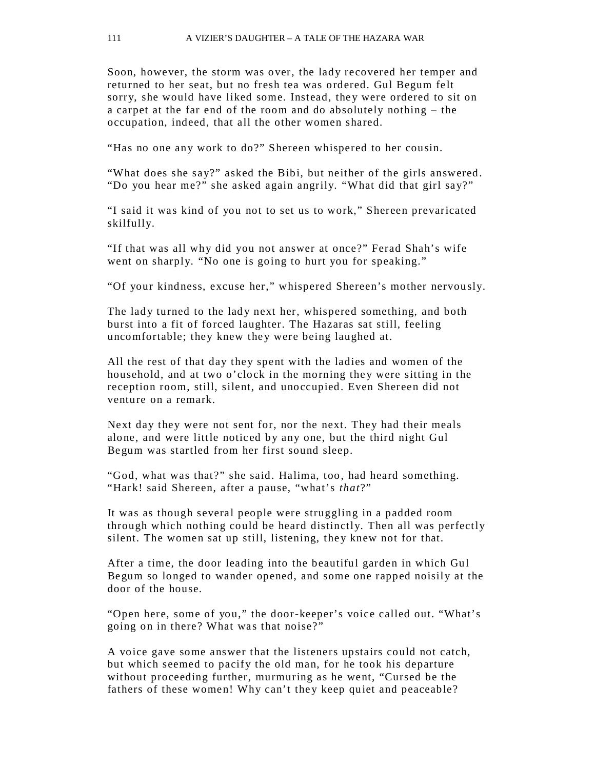Soon, however, the storm was over, the lady recovered her temper and returned to her seat, but no fresh tea was ordered. Gul Begum felt sorry, she would have liked some. Instead, they were ordered to sit on a carpet at the far end of the room and do absolutely nothing – the occupation, indeed, that all the other women shared.

"Has no one any work to do?" Shereen whispered to her cousin.

"What does she say?" asked the Bibi, but neither of the girls answered. "Do you hear me?" she asked again angrily. "What did that girl say?"

"I said it was kind of you not to set us to work," Shereen prevaricated skilfully.

"If that was all why did you not answer at once?" Ferad Shah's wife went on sharply. "No one is going to hurt you for speaking."

"Of your kindness, excuse her," whispered Shereen's mother nervou sly.

The lady turned to the lady next her, whispered something, and both burst into a fit of forced laughter. The Hazaras sat still, feeling uncomfortable; they knew they were being laughed at.

All the rest of that day they spent with the ladies and women of the household, and at two o'clock in the morning they were sitting in the reception room, still, silent, and unoccupied. Even Shereen did not venture on a remark.

Next day they were not sent for, nor the next. They had their meals alone, and were little noticed by any one, but the third night Gul Begum was startled from her first sound sleep.

"God, what was that?" she said. Halima, too, had heard something. "Hark! said Shereen, after a pause, "what's *that*?"

It was as though several people were struggling in a padded room through which nothing could be heard distinctly. Then all was perfectly silent. The women sat up still, listening, they knew not for that.

After a time, the door leading into the beautiful garden in which Gul Begum so longed to wander opened, and some one rapped noisily at the door of the house.

"Open here, some of you," the door-keeper's voice called out. "What's going on in there? What was that noise?"

A voice gave some answer that the listeners upstairs could not catch, but which seemed to pacify the old man, for he took his departure without proceeding further, murmuring as he went, "Cursed be the fathers of these women! Why can't they keep quiet and peaceable?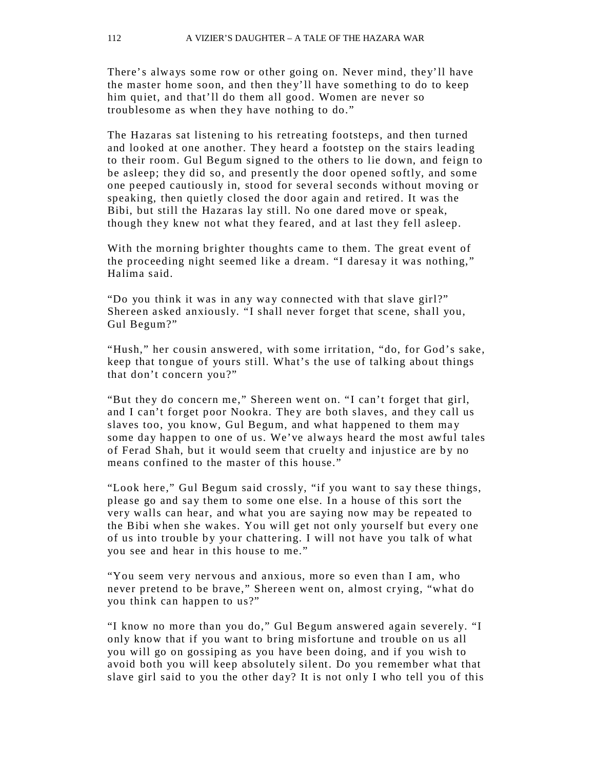There's always some row or other going on. Never mind, they'll have the master home soon, and then the y'll have something to do to keep him quiet, and that'll do them all good. Women are never so troublesome as when they have nothing to do."

The Hazaras sat listening to his retreating footsteps, and then turned and looked at one another. They heard a footstep on the stairs leading to their room. Gul Begum signed to the others to lie down, and feign to be asleep; they did so, and presently the door opened softly, and some one peeped cautiously in, stood for several seconds without moving or speaking, then quietly closed the door again and retired. It was the Bibi, but still the Hazaras lay still. No one dared move or speak, though they knew not what they feared, and at last they fell asleep.

With the morning brighter thoughts came to them. The great event of the proceeding night seemed like a dream. "I daresay it was nothing," Halima said.

"Do you think it was in any way connected with that slave girl?" Shereen asked anxiously. "I shall never forget that scene, shall you, Gul Begum?"

"Hush," her cousin answered, with some irritation, "do, for God's sake, keep that tongue of yours still. What's the use of talking about things that don't concern you?"

"But they do concern me," Shereen went on. "I can't forget that girl, and I can't forget poor Nookra. The y are both slaves, and they call us slaves too, you know, Gul Begum, and what happened to them may some day happen to one of us. We've always heard the most awful tales of Ferad Shah, but it would seem that cruelty and injustice are by no means confined to the master of this house."

"Look here," Gul Begum said crossly, "if you want to say these things, please go and say them to some one else. In a house of this sort the very walls can hear, and what you are saying now may be repeated to the Bibi when she wakes. You will get not only yourself but every one of us into trouble by your chattering. I will not have you talk of what you see and hear in this house to me."

"You seem very nervous and anxious, more so even than I am, who never pretend to be brave," Shereen went on, almost cr ying, "what do you think can happen to us?"

"I know no more than you do," Gul Begum answered again severely. "I only know that if you want to bring misfortune and trouble on us all you will go on gossiping as you have been doing, and if you wish to avoid both you will keep absolutely silent. Do you remember what that slave girl said to you the other day? It is not only I who tell you of this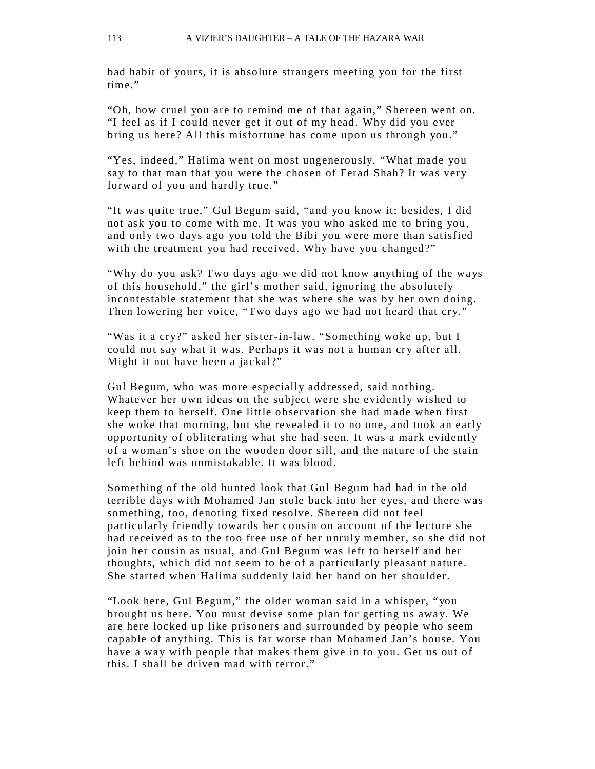bad habit of yours, it is absolute strangers meeting you for the first time"

"Oh, how cruel you are to remind me of that again," Shereen went on. "I feel as if I could never get it out of my head. Why did you ever bring us here? All this misfortune has come upon us through you."

"Yes, indeed," Halima went on most ungenerously. "What made you say to that man that you were the chosen of Ferad Shah? It was very forward of you and hardly true."

"It was quite true," Gul Begum said, "and you know it; besides, I did not ask you to come with me. It was you who asked me to bring you, and only two days ago you told the Bibi you were more than satisfied with the treatment you had received. Why have you changed?"

"Why do you ask? Two days ago we did not know anything of the ways of this household," the girl's mother said, ignoring the absolutely incontestable statement that she was where she was by her own doing. Then lowering her voice, "Two days ago we had not heard that cry."

"Was it a cry?" asked her sister-in-law. "Something woke up, but I could not say what it was. Perhaps it was not a human cry after all. Might it not have been a jackal?"

Gul Begum, who was more especially addressed, said nothing. Whatever her own ideas on the subject were she evidently wished to keep them to herself. One little observation she had made when first she woke that morning, but she revealed it to no one, and took an early opportunity of obliterating what she had seen. It was a mark evidently of a woman's shoe on the wooden door sill, and the nature of the stain left behind was unmistakable. It was blood.

Something of the old hunted look that Gul Begum had had in the old terrible days with Mohamed Jan stole back into her eyes, and there was something, too, denoting fixed resolve. Shereen did not feel particularly friendly towards her cousin on account of the lecture she had received as to the too free use of her unruly member, so she did not join her cousin as usual, and Gul Begum was left to herself and her thoughts, which did not seem to be of a particularly pleasant nature. She started when Halima suddenly laid her hand on her shoulder.

"Look here, Gul Begum," the older woman said in a whisper, "you brought us here. You must devise some plan for getting us away. We are here locked up like prisoners and surrounded by people who seem capable of anything. This is far worse than Mohamed Jan's house. You have a way with people that makes them give in to you. Get us out of this. I shall be driven mad with terror."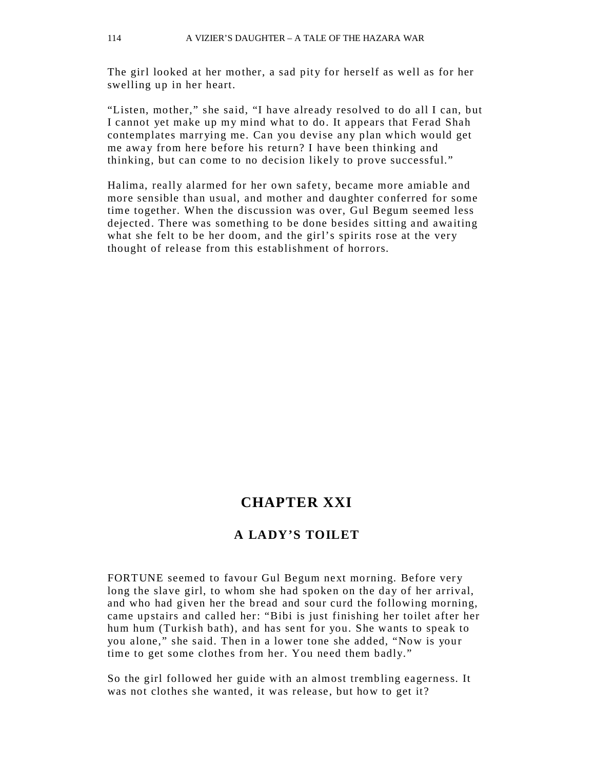The girl looked at her mother, a sad pity for herself as well as for her swelling up in her heart.

"Listen, mother," she said, "I have already resolved to do all I can, but I cannot yet make up my mind what to do. It appears that Ferad Shah contemplates marr ying me. Can you devise any plan which would get me away from here before his return? I have been thinking and thinking, but can come to no decision likely to prove successful."

Halima, really alarmed for her own safety, became more amiable and more sensible than usual, and mother and daughter conferred for some time together. When the discussion was over, Gul Begum seemed less dejected. There was something to be done besides sitting and awaiting what she felt to be her doom, and the girl's spirits rose at the very thought of release from this establishment of horrors.

## **CHAPTER XXI**

#### **A LADY'S TOILET**

FORTUNE seemed to favour Gul Begum next morning. Before very long the slave girl, to whom she had spoken on the day of her arrival, and who had given her the bread and sour curd the following morning, came upstairs and called her: "Bibi is just finishing her toilet after her hum hum (Turkish bath), and has sent for you. She wants to speak to you alone," she said. Then in a lower tone she added, "Now is your time to get some clothes from her. You need them badly."

So the girl followed her guide with an almost trembling eagerness. It was not clothes she wanted, it was release, but how to get it?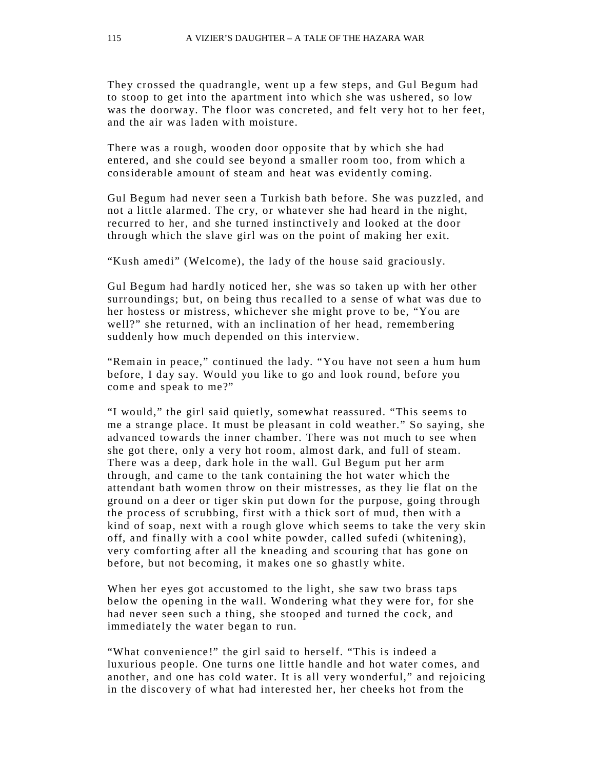They crossed the quadrangle, went up a few steps, and Gul Begum had to stoop to get into the apartment into which she was ushered, so low was the doorway. The floor was concreted, and felt very hot to her feet, and the air was laden with moisture.

There was a rough, wooden door opposite that by which she had entered, and she could see beyond a smaller room too, from which a considerable amount of steam and heat was evidently coming.

Gul Begum had never seen a Turkish bath before. She was puzzled, and not a little alarmed. The cry, or whatever she had heard in the night, recurred to her, and she turned instinctively and looked at the door through which the slave girl was on the point of making her exit.

"Kush amedi" (Welcome), the lady of the house said graciously.

Gul Begum had hardly noticed her, she was so taken up with her other surroundings; but, on being thus recalled to a sense of what was due to her hostess or mistress, whichever she might prove to be, "You are well?" she returned, with an inclination of her head, remembering suddenly how much depended on this interview.

"Remain in peace," continued the lady. "You have not seen a hum hum before, I day say. Would you like to go and look round, before you come and speak to me?"

"I would," the girl said quietly, somewhat reassured. "This seems to me a strange place. It must be pleasant in cold weather." So saying, she advanced towards the inner chamber. There was not much to see when she got there, only a very hot room, almost dark, and full of steam. There was a deep, dark hole in the wall. Gul Begum put her arm through, and came to the tank containing the hot water which the attendant bath women throw on their mistresses, as they lie flat on the ground on a deer or tiger skin put down for the purpose, going through the process of scrubbing, first with a thick sort of mud, then with a kind of soap, next with a rough glove which seems to take the very skin off, and finally with a cool white powder, called sufedi (whitening), very comforting after all the kneading and scouring that has gone on before, but not becoming, it makes one so ghastly white.

When her eyes got accustomed to the light, she saw two brass taps below the opening in the wall. Wondering what they were for, for she had never seen such a thing, she stooped and turned the cock, and immediately the water began to run.

"What convenience!" the girl said to herself. "This is indeed a luxurious people. One turns one little handle and hot water comes, and another, and one has cold water. It is all very wonderful," and rejoicing in the discovery of what had interested her, her cheeks hot from the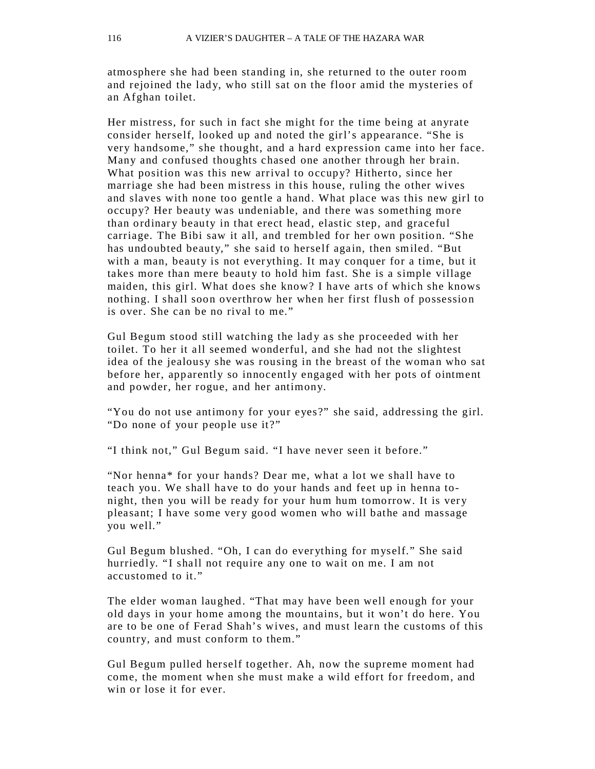atmosphere she had been standing in, she returned to the outer room and rejoined the lady, who still sat on the floor amid the mysteries of an Afghan toilet.

Her mistress, for such in fact she might for the time being at anyrate consider herself, looked up and noted the girl's appearance. "She is very handsome," she thought, and a hard expression came into her face. Many and confused thoughts chased one another through her brain. What position was this new arrival to occupy? Hitherto, since her marriage she had been mistress in this house, ruling the other wives and slaves with none too gentle a hand. What place was this new girl to occupy? Her beauty was undeniable, and there was something more than ordinary beauty in that erect head, elastic step, and graceful carriage. The Bibi saw it all, and trembled for her own position. "She has undoubted beauty," she said to herself again, then smiled. "But with a man, beauty is not everything. It may conquer for a time, but it takes more than mere beauty to hold him fast. She is a simple village maiden, this girl. What does she know? I have arts of which she knows nothing. I shall soon overthrow her when her first flush of possession is over. She can be no rival to me."

Gul Begum stood still watching the lady as she proceeded with her toilet. To her it all seemed wonderful, and she had not the slightest idea of the jealousy she was rousing in the breast of the woman who sat before her, apparently so innocently engaged with her pots of ointment and powder, her rogue, and her antimony.

"You do not use antimony for your eyes?" she said, addressing the girl. "Do none of your people use it?"

"I think not," Gul Begum said. "I have never seen it before."

"Nor henna\* for your hands? Dear me, what a lot we shall have to teach you. We shall have to do your hands and feet up in henna tonight, then you will be ready for your hum hum tomorrow. It is very pleasant; I have some very good women who will bathe and massage you well."

Gul Begum blushed. "Oh, I can do ever ything for myself." She said hurriedly. "I shall not require any one to wait on me. I am not accustomed to it."

The elder woman laughed. "That may have been well enough for your old days in your home among the mountains, but it won't do here. You are to be one of Ferad Shah's wives, and must learn the customs of this country, and must conform to them."

Gul Begum pulled herself together. Ah, now the supreme moment had come, the moment when she must make a wild effort for freedom, and win or lose it for ever.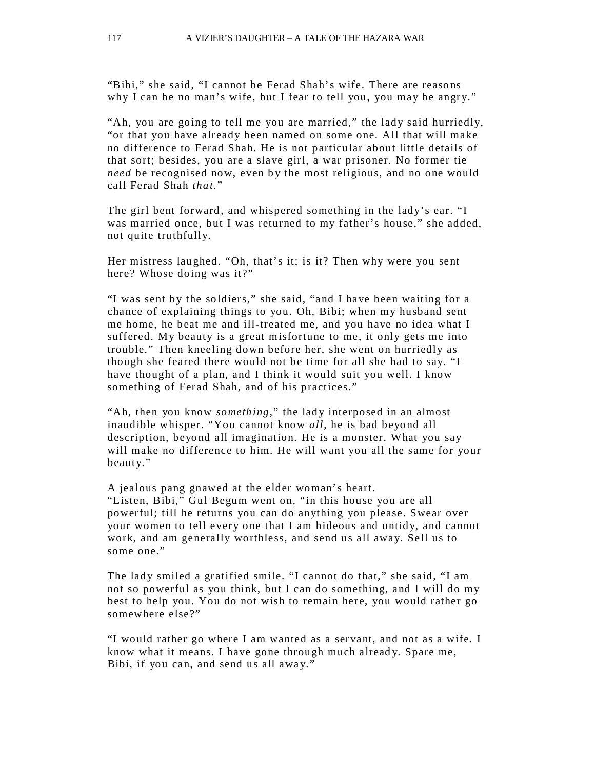"Bibi," she said, "I cannot be Ferad Shah's wife. There are reaso ns why I can be no man's wife, but I fear to tell you, you may be angry."

"Ah, you are going to tell me you are married," the lady said hurriedly, "or that you have already been named on some one. All that will make no difference to Ferad Shah. He is not particular about little details of that sort; besides, you are a slave girl, a war prisoner. No former tie *need* be recognised now, even by the most religious, and no one would call Ferad Shah *that*."

The girl bent forward, and whispered something in the lady's ear. "I was married once, but I was returned to my father's house," she added, not quite truthfully.

Her mistress laughed. "Oh, that's it; is it? Then why were you sent here? Whose doing was it?"

"I was sent by the soldiers," she said, "and I have been waiting for a chance of explaining things to you. Oh, Bibi; when my husband sent me home, he beat me and ill-treated me, and you have no idea what I suffered. My beauty is a great misfortune to me, it only gets me into trouble." Then kneeling down before her, she went on hurriedly as though she feared there would not be time for all she had to say. "I have thought of a plan, and I think it would suit you well. I know something of Ferad Shah, and of his practices."

"Ah, then you know *something*," the lady interposed in an almost inaudible whisper. "You cannot know *all*, he is bad beyo nd all description, beyond all imagination. He is a monster. What you say will make no difference to him. He will want you all the same for your beauty."

A jealous pang gnawed at the elder woman's heart. "Listen, Bibi," Gul Begum went on, "in this house you are all powerful; till he returns you can do anything you please. Swear over your women to tell every one that I am hideous and untidy, and cannot work, and am generally worthless, and send us all away. Sell us to some one."

The lady smiled a gratified smile. "I cannot do that," she said, "I am not so powerful as you think, but I can do something, and I will do my best to help you. You do not wish to remain here, you would rather go somewhere else?"

"I would rather go where I am wanted as a servant, and not as a wife. I know what it means. I have gone through much alread y. Spare me, Bibi, if you can, and send us all away."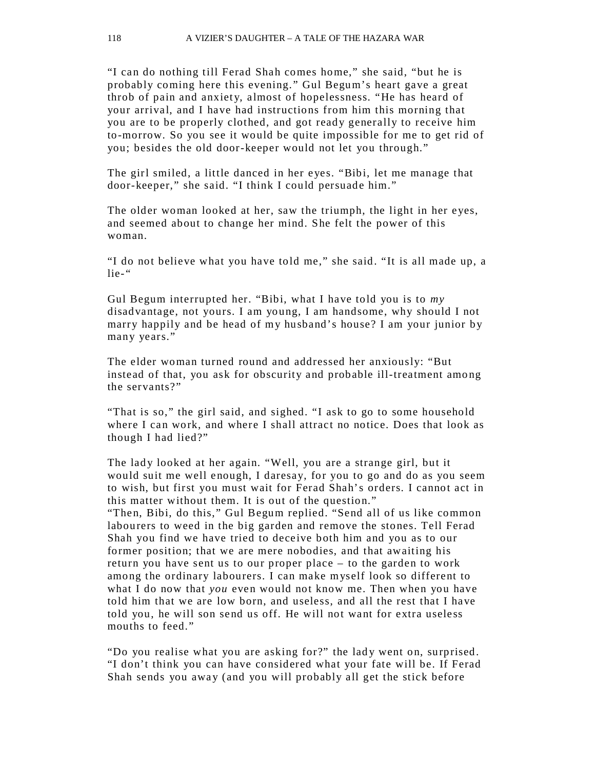"I can do nothing till Ferad Shah comes home," she said, "but he is probably coming here this evening." Gul Begum's heart gave a great throb of pain and anxiety, almost of hopelessness. "He has heard of your arrival, and I have had instructions from him this morning that you are to be properly clothed, and got ready generally to receive him to-morrow. So you see it would be quite impossible for me to get rid of you; besides the old door-keeper would not let you through."

The girl smiled, a little danced in her eyes. "Bibi, let me manage that door-keeper," she said. "I think I could persuade him."

The older woman looked at her, saw the triumph, the light in her eyes, and seemed about to change her mind. She felt the power of this woman.

"I do not believe what you have told me," she said. "It is all made up, a lie-"

Gul Begum interrupted her. "Bibi, what I have told you is to *my*  disadvantage, not yours. I am young, I am handsome, why should I not marry happily and be head of my husband's house? I am your junior by many years."

The elder woman turned round and addressed her anxiously: "But instead of that, you ask for obscurity and probable ill-treatment amo ng the servants?"

"That is so," the girl said, and sighed. "I ask to go to some household where I can work, and where I shall attract no notice. Does that look as though I had lied?"

The lady looked at her again. "Well, you are a strange girl, but it would suit me well enough, I daresay, for you to go and do as you seem to wish, but first you must wait for Ferad Shah's orders. I cannot act in this matter without them. It is out of the question." "Then, Bibi, do this," Gul Begum replied. "Send all of us like common labourers to weed in the big garden and remove the stones. Tell Ferad Shah you find we have tried to deceive both him and you as to our former position; that we are mere nobodies, and that awaiting his return you have sent us to our proper place – to the garden to work among the ordinary labourers. I can make myself look so different to what I do now that *you* even would not know me. Then when you have told him that we are low born, and useless, and all the rest that I have told you, he will son send us off. He will not want for extra useless mouths to feed."

"Do you realise what you are asking for?" the lady went on, surprised. "I don't think you can have considered what your fate will be. If Ferad Shah sends you away (and you will probably all get the stick before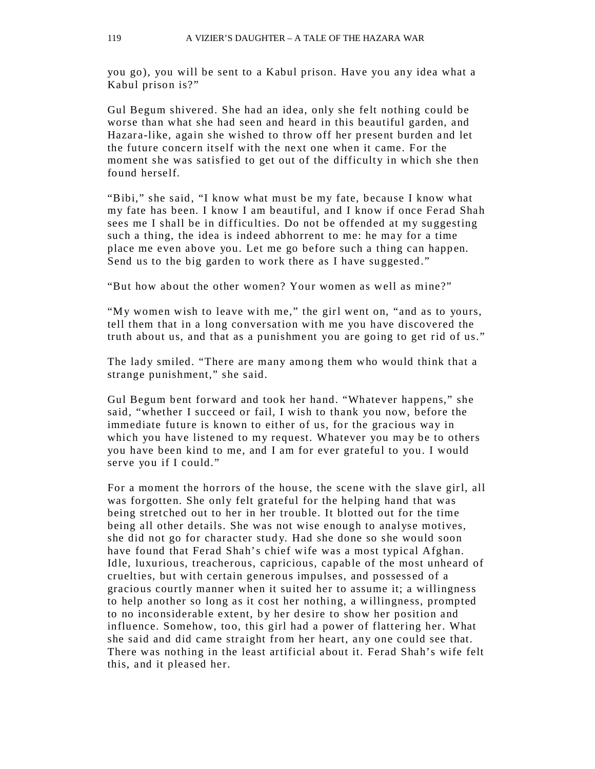you go), you will be sent to a Kabul prison. Have you any idea what a Kabul prison is?"

Gul Begum shivered. She had an idea, only she felt nothing could be worse than what she had seen and heard in this beautiful garden, and Hazara-like, again she wished to throw off her present burden and let the future concern itself with the next one when it came. For the moment she was satisfied to get out of the difficulty in which she then found herself.

"Bibi," she said, "I know what must be my fate, because I know what my fate has been. I know I am beautiful, and I know if once Ferad Shah sees me I shall be in difficulties. Do not be offended at my suggesting such a thing, the idea is indeed abhorrent to me: he may for a time place me even above you. Let me go before such a thing can happen. Send us to the big garden to work there as I have suggested."

"But how about the other women? Your women as well as mine?"

"My women wish to leave with me," the girl went on, "and as to yours, tell them that in a long conversation with me you have discovered the truth about us, and that as a punishment you are going to get rid of us."

The lady smiled. "There are many among them who would think that a strange punishment," she said.

Gul Begum bent forward and took her hand. "Whatever happens," she said, "whether I succeed or fail, I wish to thank you now, before the immediate future is known to either of us, for the gracious way in which you have listened to my request. Whatever you may be to others you have been kind to me, and I am for ever grateful to you. I would serve you if I could."

For a moment the horrors of the house, the scene with the slave girl, all was forgotten. She only felt grateful for the helping hand that was being stretched out to her in her trouble. It blotted out for the time being all other details. She was not wise enough to analyse motives, she did not go for character stud y. Had she done so she would soon have found that Ferad Shah's chief wife was a most typical Afghan. Idle, luxurious, treacherous, capricious, capable of the most unheard of cruelties, but with certain generous impulses, and possessed of a gracious courtly manner when it suited her to assume it; a willingness to help another so long as it cost her nothing, a willingness, prompted to no inconsiderable extent, by her desire to show her position and influence. Somehow, too, this girl had a power of flattering her. What she said and did came straight from her heart, any one could see that. There was nothing in the least artificial about it. Ferad Shah's wife felt this, and it pleased her.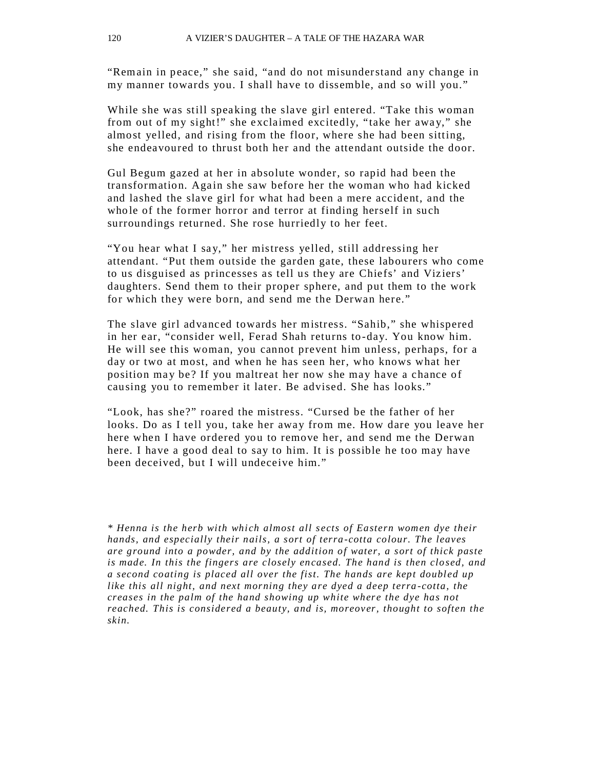"Remain in peace," she said, "and do not misunderstand any change in my manner towards you. I shall have to dissemble, and so will you."

While she was still speaking the slave girl entered. "Take this woman from out of my sight!" she exclaimed excitedly, "take her away," she almost yelled, and rising from the floor, where she had been sitting, she endeavoured to thrust both her and the attendant outside the door.

Gul Begum gazed at her in absolute wonder, so rapid had been the transformation. Again she saw before her the woman who had kicked and lashed the slave girl for what had been a mere accident, and the who le of the former horror and terror at finding herself in such surroundings returned. She rose hurriedly to her feet.

"You hear what I say," her mistress yelled, still addressing her attendant. "Put them outside the garden gate, these labourers who come to us disguised as princesses as tell us they are Chiefs' and Viziers' daughters. Send them to their proper sphere, and put them to the work for which they were born, and send me the Derwan here."

The slave girl advanced towards her mistress. "Sahib," she whispered in her ear, "consider well, Ferad Shah returns to-day. You know him. He will see this woman, you cannot prevent him unless, perhaps, for a day or two at most, and when he has seen her, who knows what her position ma y be? If you maltreat her now she may have a chance of causing you to remember it later. Be advised. She has looks."

"Look, has she?" roared the mistress. "Cursed be the father of her looks. Do as I tell you, take her away from me. How dare you leave her here when I have ordered you to remove her, and send me the Derwan here. I have a good deal to say to him. It is possible he too may have been deceived, but I will undeceive him."

*\* Henna is the herb with which almost all s ects of Eastern women dye their hands, and especially their nails, a sort of terra -cotta colour. The leaves are ground into a powder, and by the addition of water, a sort of thick paste is made. In this the fingers are closely en cased. The hand is then closed, and a second coating is placed all over the fist. The hands are kept doubled up like this all night, and next morning they are dyed a deep terra -cotta, the creases in the palm of the hand showing up white where the dye has not reached. This is considered a beauty, and is, moreover, thought to soften the skin.*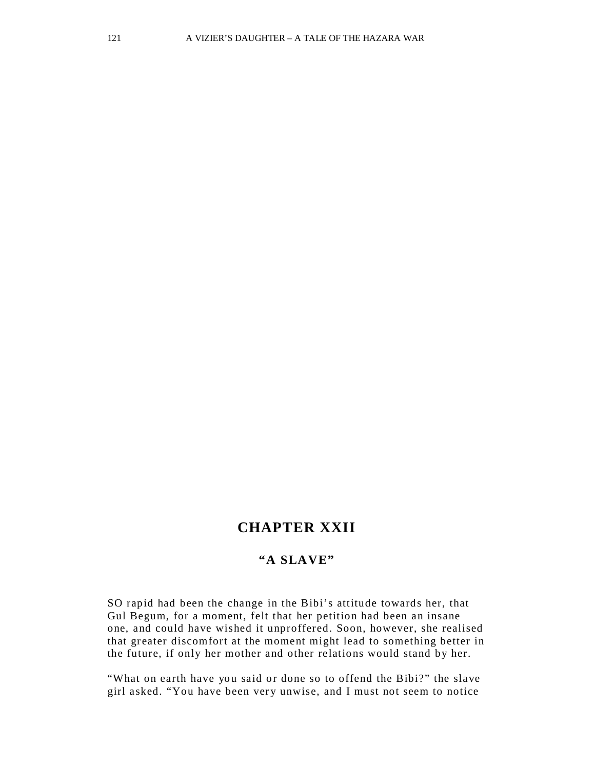# **CHAPTER XXII**

#### **"A SLAVE"**

SO rapid had been the change in the Bibi's attitude towards her, that Gul Begum, for a moment, felt that her petition had been an insane one, and could have wished it unproffered. Soon, however, she realised that greater discomfort at the moment might lead to something better in the future, if only her mother and other relations would stand by her.

"What on earth have you said or done so to offend the Bibi?" the slave girl asked. "You have been very unwise, and I must not seem to notice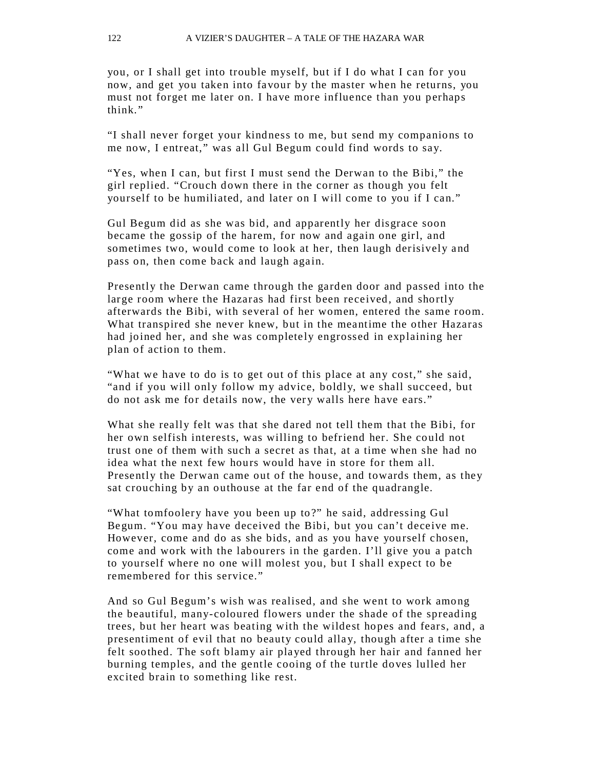you, or I shall get into trouble myself, but if I do what I can for you now, and get you taken into favour by the master when he returns, you must not forget me later on. I have more influence than you perhaps think."

"I shall never forget your kindness to me, but send my companions to me now, I entreat," was all Gul Begum could find words to say.

"Yes, when I can, but first I must send the Derwan to the Bibi," the girl replied. "Crouch down there in the corner as though you felt yourself to be humiliated, and later on I will come to you if I can."

Gul Begum did as she was bid, and apparently her disgrace soon became the gossip of the harem, for now and again one girl, and sometimes two, would come to look at her, then laugh derisively and pass on, then come back and laugh again.

Presently the Derwan came through the garden door and passed into the large room where the Hazaras had first been received, and shortly afterwards the Bibi, with several of her women, entered the same room. What transpired she never knew, but in the meantime the other Hazaras had joined her, and she was completely engrossed in explaining her plan of action to them.

"What we have to do is to get out of this place at any cost," she said, "and if you will only follow my advice, boldly, we shall succeed, but do not ask me for details now, the very walls here have ears."

What she really felt was that she dared not tell them that the Bibi, for her own selfish interests, was willing to befriend her. She could not trust one of them with such a secret as that, at a time when she had no idea what the next few hours would have in store for them all. Presently the Derwan came out of the house, and towards them, as they sat crouching by an outhouse at the far end of the quadrangle.

"What tomfoolery have you been up to?" he said, addressing Gul Begum. "You may have deceived the Bibi, but you can't deceive me. However, come and do as she bids, and as you have yourself chosen, come and work with the labourers in the garden. I'll give you a patch to yourself where no one will molest you, but I shall expect to be remembered for this service."

And so Gul Begum's wish was realised, and she went to work among the beautiful, many-coloured flowers under the shade of the spreading trees, but her heart was beating with the wildest hopes and fears, and, a presentiment of evil that no beauty could alla y, though after a time she felt soothed. The soft blamy air played through her hair and fanned her burning temples, and the gentle cooing of the turtle doves lulled her excited brain to something like rest.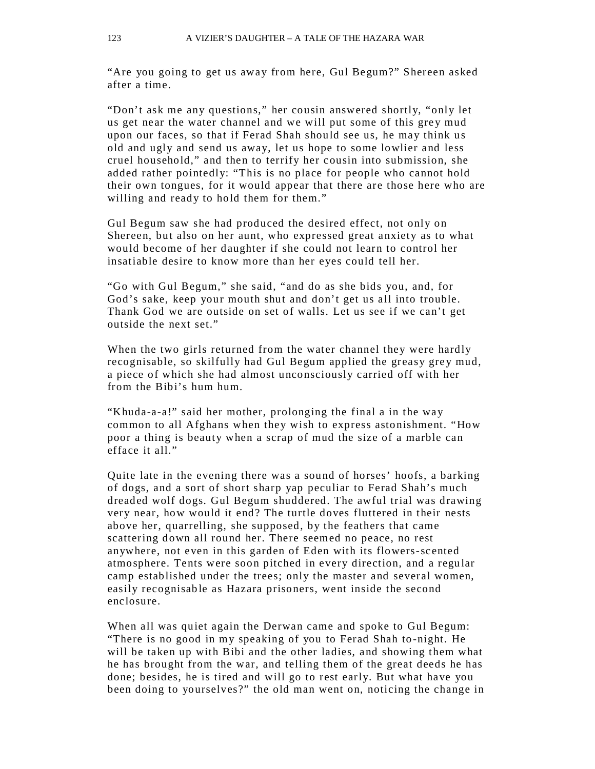"Are you going to get us away from here, Gul Begum?" Shereen asked after a time.

"Don't ask me any questions," her cousin answered shortly, "only let us get near the water channel and we will put some of this grey mud upon our faces, so that if Ferad Shah should see us, he may think us old and ugly and send us away, let us hope to some lowlier and less cruel household," and then to terrify her cousin into submission, she added rather pointedly: "This is no place for people who cannot hold their own tongues, for it would appear that there are those here who are willing and ready to hold them for them."

Gul Begum saw she had produced the desired effect, not only on Shereen, but also on her aunt, who expressed great anxiety as to what would become of her daughter if she could not learn to control her insatiable desire to know more than her eyes could tell her.

"Go with Gul Begum," she said, "and do as she bids you, and, for God's sake, keep your mouth shut and don't get us all into trouble. Thank God we are outside on set of walls. Let us see if we can't get outside the next set."

When the two girls returned from the water channel they were hardly recognisable, so skilfully had Gul Begum applied the greasy grey mud, a piece of which she had almost unconsciously carried off with her from the Bibi's hum hum.

"Khuda-a-a!" said her mother, prolonging the final a in the way common to all Afghans when they wish to express astonishment. "How poor a thing is beauty when a scrap of mud the size of a marble can efface it all."

Quite late in the evening there was a sound of horses' hoofs, a barking of dogs, and a sort of short sharp yap peculiar to Ferad Shah's much dreaded wolf dogs. Gul Begum shuddered. The awful trial was drawing very near, how would it end? The turtle doves fluttered in their nests above her, quarrelling, she supposed, by the feathers that came scattering down all round her. There seemed no peace, no rest anywhere, not even in this garden of Eden with its flowers-scented atmosphere. Tents were soon pitched in every direction, and a regular camp established under the trees; only the master and several women, easily recognisable as Hazara prisoners, went inside the second enclosure.

When all was quiet again the Derwan came and spoke to Gul Begum: "There is no good in my speaking of you to Ferad Shah to-night. He will be taken up with Bibi and the other ladies, and showing them what he has brought from the war, and telling them of the great deeds he has done; besides, he is tired and will go to rest early. But what have you been doing to yourselves?" the old man went on, noticing the change in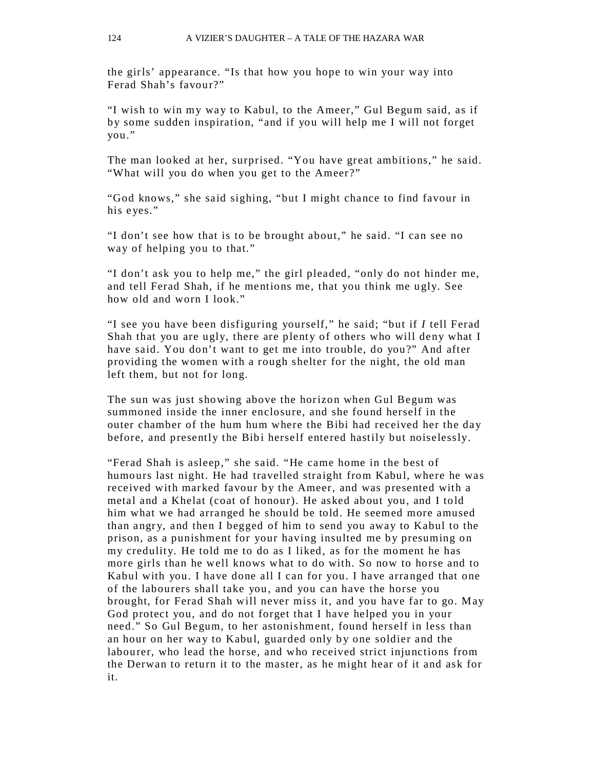the girls' appearance. "Is that how you hope to win your way into Ferad Shah's favour?"

"I wish to win my wa y to Kabul, to the Ameer," Gul Begum said, as if by some sudden inspiration, "and if you will help me I will not forget you."

The man looked at her, surprised. "You have great ambitions," he said. "What will you do when you get to the Ameer?"

"God knows," she said sighing, "but I might chance to find favour in his eyes."

"I don't see how that is to be brought about," he said. "I can see no way of helping you to that."

"I don't ask you to help me," the girl pleaded, "only do not hinder me, and tell Ferad Shah, if he mentions me, that you think me ugly. See how old and worn I look."

"I see you have been disfiguring yourself," he said; "but if *I* tell Ferad Shah that you are ugly, there are plenty of others who will deny what I have said. You don't want to get me into trouble, do you?" And after providing the women with a rough shelter for the night, the old man left them, but not for long.

The sun was just showing above the horizon when Gul Begum was summoned inside the inner enclosure, and she found herself in the outer chamber of the hum hum where the Bibi had received her the day before, and presently the Bibi herself entered hastily but noiselessly.

"Ferad Shah is asleep," she said. "He came home in the best of humours last night. He had travelled straight from Kabul, where he was received with marked favour by the Ameer, and was presented with a metal and a Khelat (coat of honour). He asked about you, and I told him what we had arranged he should be told. He seemed more amused than angry, and then I begged of him to send you away to Kabul to the prison, as a punishment for your having insulted me by presuming on my credulity. He told me to do as I liked, as for the moment he has more girls than he well knows what to do with. So now to horse and to Kabul with you. I have done all I can for you. I have arranged that one of the labourers shall take you, and you can have the horse you brought, for Ferad Shah will never miss it, and you have far to go. May God protect you, and do not forget that I have helped you in your need." So Gul Begum, to her astonishment, found herself in less than an hour on her way to Kabul, guarded only by one soldier and the labourer, who lead the horse, and who received strict injunctions from the Derwan to return it to the master, as he might hear of it and ask for it.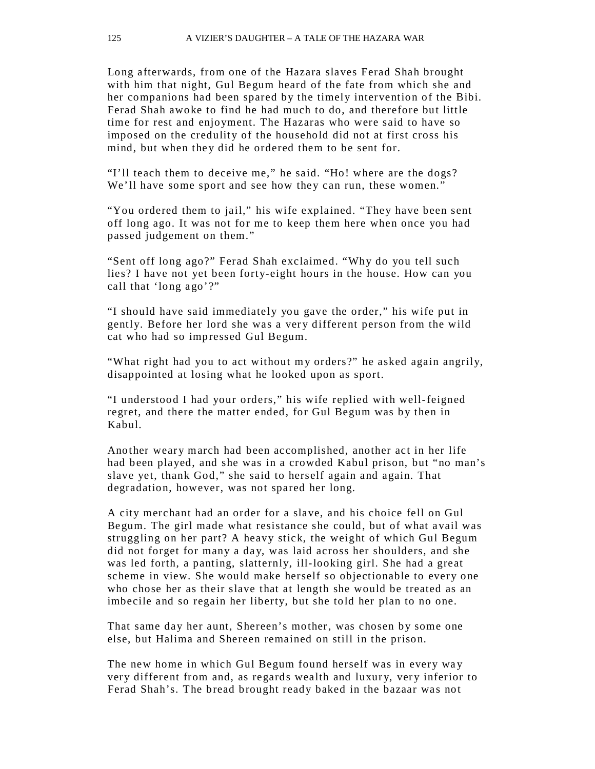Long afterwards, from one of the Hazara slaves Ferad Shah brought with him that night, Gul Begum heard of the fate from which she and her companions had been spared by the timely intervention of the Bibi. Ferad Shah awoke to find he had much to do, and therefore but little time for rest and enjoyment. The Hazaras who were said to have so imposed on the credulity of the household did not at first cross his mind, but when they did he ordered them to be sent for.

"I'll teach them to deceive me," he said. "Ho! where are the dogs? We'll have some sport and see how they can run, these women."

"You ordered them to jail," his wife explained. "They have been sent off long ago. It was not for me to keep them here when once you had passed judgement on them."

"Sent off long ago?" Ferad Shah exclaimed. "Why do you tell such lies? I have not yet been forty-eight hours in the house. How can you call that 'long ago'?"

"I should have said immediately you gave the order," his wife put in gently. Before her lord she was a very different person from the wild cat who had so impressed Gul Begum.

"What right had you to act without my orders?" he asked again angrily, disappointed at losing what he looked upon as sport.

"I understood I had your orders," his wife replied with well-feigned regret, and there the matter ended, for Gul Begum was by then in Kabul.

Another weary march had been accomplished, another act in her life had been played, and she was in a crowded Kabul prison, but "no man's slave yet, thank God," she said to herself again and again. That degradation, however, was not spared her long.

A city merchant had an order for a slave, and his choice fell on Gul Begum. The girl made what resistance she could, but of what avail was struggling on her part? A heavy stick, the weight of which Gul Begum did not forget for many a day, was laid across her shoulders, and she was led forth, a panting, slatternly, ill-looking girl. She had a great scheme in view. She would make herself so objectionable to every one who chose her as their slave that at length she would be treated as an imbecile and so regain her liberty, but she told her plan to no one.

That same day her aunt, Shereen's mother, was chosen by some one else, but Halima and Shereen remained on still in the prison.

The new home in which Gul Begum found herself was in every way very different from and, as regards wealth and luxury, very inferior to Ferad Shah's. The bread brought ready baked in the bazaar was not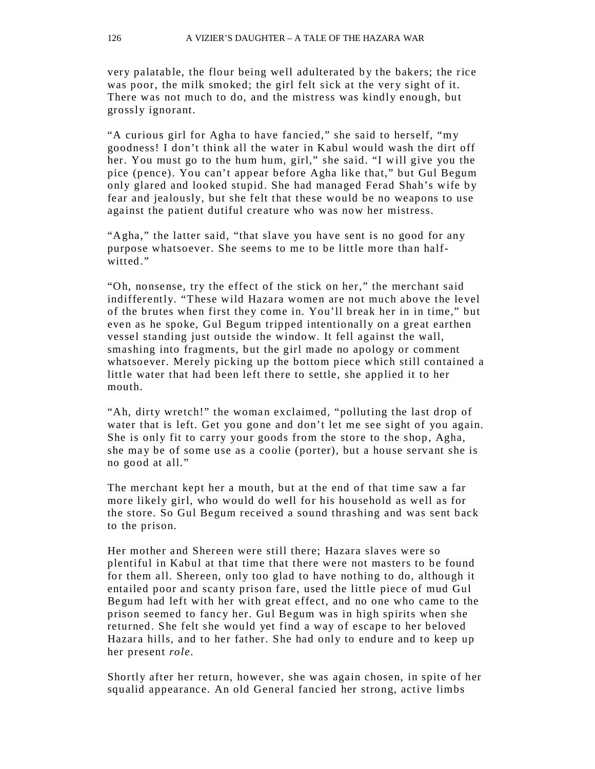very palatable, the flour being well adulterated by the bakers; the rice was poor, the milk smoked; the girl felt sick at the very sight of it. There was not much to do, and the mistress was kindly enough, but grossly ignorant.

"A curious girl for Agha to have fancied," she said to herself, "my goodness! I don't think all the water in Kabul would wash the dirt off her. You must go to the hum hum, girl," she said. "I will give you the pice (pence). You can't appear before Agha like that," but Gul Begum only glared and looked stupid. She had managed Ferad Shah's wife by fear and jealously, but she felt that these would be no weapons to use against the patient dutiful cre ature who was now her mistress.

"Agha," the latter said, "that slave you have sent is no good for any purpose whatsoever. She seems to me to be little more than halfwitted."

"Oh, nonsense, try the effect of the stick on her," the merchant said indifferently. "These wild Hazara women are not much above the level of the brutes when first they come in. You'll break her in in time," but even as he spoke, Gul Begum tripped intentionally on a great earthen vessel standing just outside the window. It fell against the wall, smashing into fragments, but the girl made no apology or comment whatsoever. Merely picking up the bottom piece which still contained a little water that had been left there to settle, she applied it to her mouth.

"Ah, dirty wretch!" the woman exclaimed, "polluting the last drop of water that is left. Get you gone and don't let me see sight of you again. She is only fit to carry your goods from the store to the shop, Agha, she ma y be of some use as a coolie (porter), but a house servant she is no good at all."

The merchant kept her a mouth, but at the end of that time saw a far more likely girl, who would do well for his household as well as for the store. So Gul Begum received a sound thrashing and was sent back to the prison.

Her mother and Shereen were still there; Hazara slaves were so plentiful in Kabul at that time that there were not masters to be found for them all. Shereen, only too glad to have nothing to do, although it entailed poor and scanty prison fare, used the little piece of mud Gul Begum had left with her with great effect, and no one who came to the prison seemed to fancy her. Gul Begum was in high spirits when she returned. She felt she would yet find a way of escape to her beloved Hazara hills, and to her father. She had only to endure and to keep up her present *role.*

Shortly after her return, however, she was again chosen, in spite of her squalid appearance. An old General fancied her strong, active limbs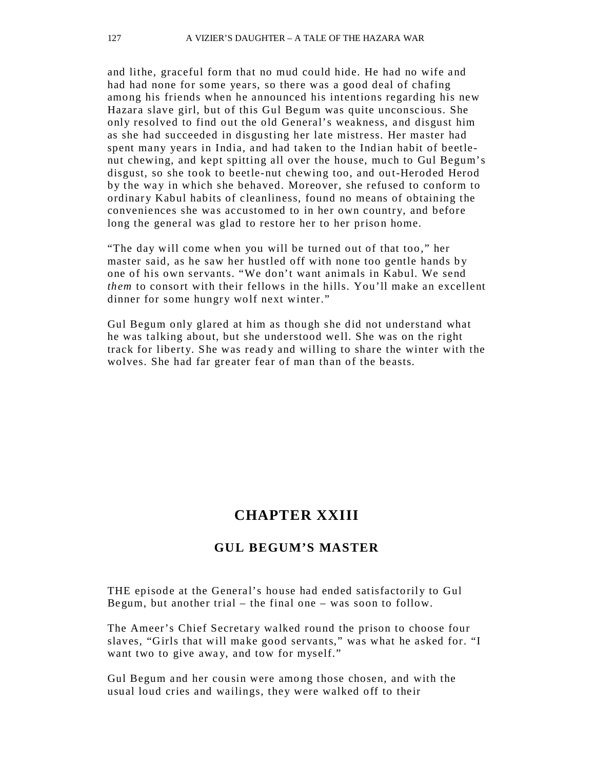and lithe, graceful form that no mud could hide. He had no wife and had had none for some years, so there was a good deal of chafing among his friends when he announced his intentions regarding his new Hazara slave girl, but of this Gul Begum was quite unconscious. She only resolved to find out the old General's weakness, and disgust him as she had succeeded in disgusting her late mistress. Her master had spent many years in India, and had taken to the Indian habit of beetlenut chewing, and kept spitting all over the house, much to Gul Begum's disgust, so she took to beetle-nut chewing too, and out-Heroded Herod by the way in which she behaved. Moreover, she refused to conform to ordinary Kabul habits of cleanliness, found no means of obtaining the conveniences she was accustomed to in her own country, and before long the general was glad to restore her to her prison home.

"The day will come when you will be turned out of that too," her master said, as he saw her hustled off with none too gentle hands by one of his own servants. "We don't want animals in Kabul. We send *them* to consort with their fellows in the hills. You'll make an excellent dinner for some hungry wolf next winter."

Gul Begum only glared at him as though she did not understand what he was talking about, but she understood well. She was on the right track for liberty. She was ready and willing to share the winter with the wolves. She had far greater fear of man than of the beasts.

## **CHAPTER XXIII**

#### **GUL BEGUM'S MASTER**

THE episode at the General's house had ended satisfactorily to Gul Begum, but another trial – the final one – was soon to follow.

The Ameer's Chief Secretary walked round the prison to choose four slaves, "Girls that will make good servants," was what he asked for. "I want two to give away, and tow for myself."

Gul Begum and her cousin were among those chosen, and with the usual loud cries and wailings, they were walked off to their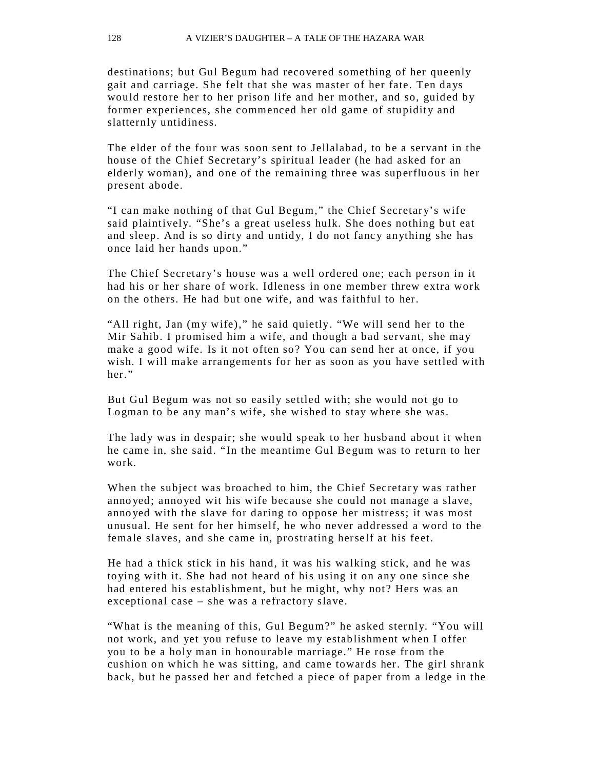destinations; but Gul Begum had recovered something of her queenly gait and carriage. She felt that she was master of her fate. Ten days would restore her to her prison life and her mother, and so, guided by former experiences, she commenced her old game of stupidity and slatternly untidiness.

The elder of the four was soon sent to Jellalabad, to be a servant in the house of the Chief Secretary's spiritual leader (he had asked for an elderly woman), and one of the remaining three was superfluous in her present abode.

"I can make nothing of that Gul Begum," the Chief Secretar y's wife said plaintively. "She's a great useless hulk. She does nothing but eat and sleep. And is so dirty and untidy, I do not fancy anything she has once laid her hands upon."

The Chief Secretary's house was a well ordered one; each person in it had his or her share of work. Idleness in one member threw extra work on the others. He had but one wife, and was faithful to her.

"All right, Jan (my wife)," he said quietly. "We will send her to the Mir Sahib. I promised him a wife, and though a bad servant, she may make a good wife. Is it not often so? You can send her at once, if you wish. I will make arrangements for her as soon as you have settled with her."

But Gul Begum was not so easily settled with; she would not go to Logman to be any man's wife, she wished to stay where she was.

The lady was in despair; she would speak to her husband about it when he came in, she said. "In the meantime Gul Begum was to return to her work.

When the subject was broached to him, the Chief Secretary was rather anno yed; annoyed wit his wife because she could not manage a slave, anno yed with the slave for daring to oppose her mistress; it was most unusual. He sent for her himself, he who never addressed a word to the female slaves, and she came in, prostrating herself at his feet.

He had a thick stick in his hand, it was his walking stick, and he was to ying with it. She had not heard of his using it on any one since she had entered his establishment, but he might, why not? Hers was an exceptional case  $-$  she was a refractory slave.

"What is the meaning of this, Gul Begum?" he asked sternly. "You will not work, and yet you refuse to leave my establishment when I offer you to be a holy man in honourable marriage." He rose from the cushion on which he was sitting, and came towards her. The girl shrank back, but he passed her and fetched a piece of paper from a ledge in the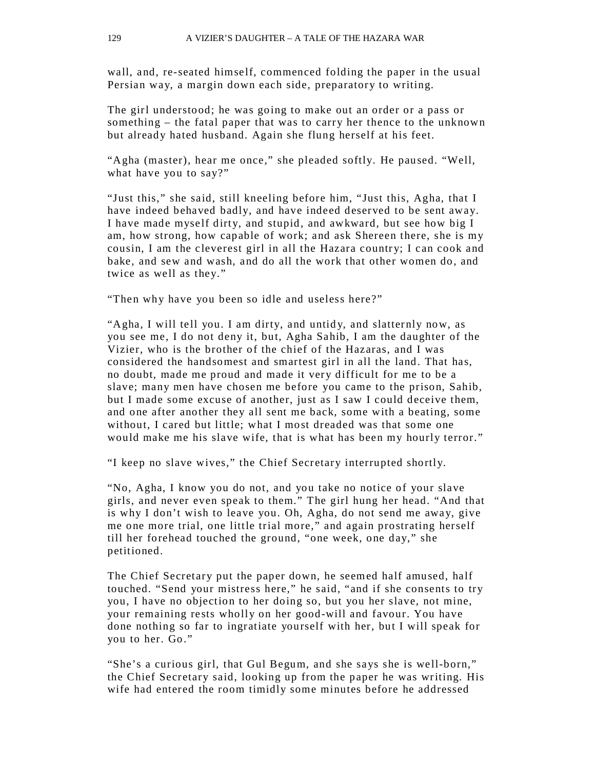wall, and, re-seated himself, commenced folding the paper in the usual Persian way, a margin down each side, preparatory to writing.

The girl understood; he was going to make out an order or a pass or something – the fatal paper that was to carry her thence to the unknown but already hated husband. Again she flung herself at his feet.

"Agha (master), hear me once," she pleaded softly. He paused. "Well, what have you to say?"

"Just this," she said, still kneeling before him, "Just this, Agha, that I have indeed behaved badly, and have indeed deserved to be sent away. I have made myself dirty, and stupid, and awkward, but see how big I am, how strong, how capable of work; and ask Shereen there, she is my cousin, I am the cleverest girl in all the Hazara country; I can cook and bake, and sew and wash, and do all the work that other women do, and twice as well as they."

"Then why have you been so idle and useless here?"

"Agha, I will tell you. I am dirty, and untidy, and slatternly now, as you see me, I do not deny it, but, Agha Sahib, I am the daughter of the Vizier, who is the brother of the chief of the Hazaras, and I was considered the handsomest and smartest girl in all the land. That has, no doubt, made me proud and made it very difficult for me to be a slave; many men have chosen me before you came to the prison, Sahib, but I made some excuse of another, just as I saw I could deceive them, and one after another they all sent me back, some with a beating, some without, I cared but little; what I most dreaded was that some one would make me his slave wife, that is what has been my hourly terror."

"I keep no slave wives," the Chief Secretary interrupted shortly.

"No, Agha, I know you do not, and you take no notice of your slave girls, and never even speak to them." The girl hung her head. "And that is why I don't wish to leave you. Oh, Agha, do not send me away, give me one more trial, one little trial more," and again prostrating herself till her forehead touched the ground, "one week, one day," she petitioned.

The Chief Secretary put the paper down, he seemed half amused, half touched. "Send your mistress here," he said, "and if she consents to try you, I have no objection to her doing so, but you her slave, not mine, your remaining rests wholly on her good-will and favour. You have done nothing so far to ingratiate yourself with her, but I will speak for you to her. Go."

"She's a curious girl, that Gul Begum, and she says she is well-born," the Chief Secretary said, looking up from the paper he was writing. His wife had entered the room timidly some minutes before he addressed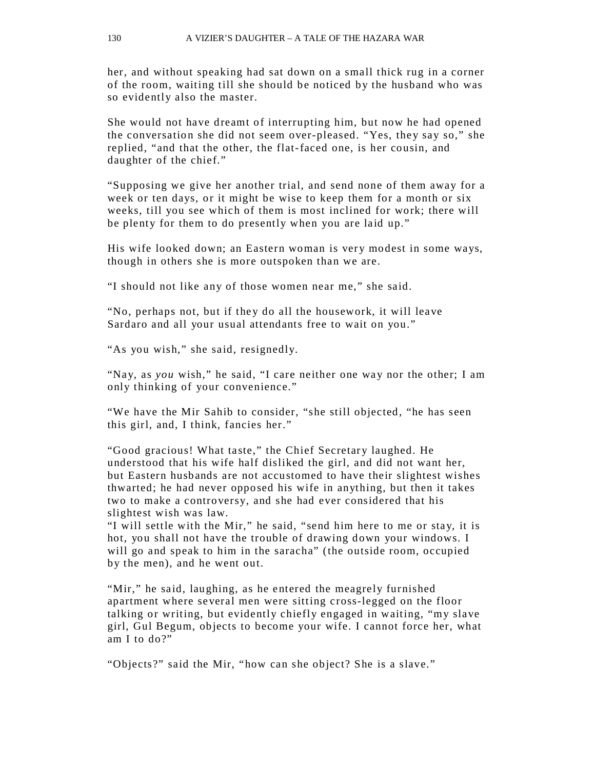her, and without speaking had sat down on a small thick rug in a corner of the room, waiting till she should be noticed by the husband who was so evidently also the master.

She would not have dreamt of interrupting him, but now he had opened the conversation she did not seem over-pleased. "Yes, they say so," she replied, "and that the other, the flat-faced one, is her cousin, and daughter of the chief."

"Supposing we give her another trial, and send none of them away for a week or ten days, or it might be wise to keep them for a month or six weeks, till you see which of them is most inclined for work; there will be plenty for them to do presently when you are laid up."

His wife looked down; an Eastern woman is very modest in some ways, though in others she is more outspoken than we are.

"I should not like any of those women near me," she said.

"No, perhaps not, but if they do all the housework, it will leave Sardaro and all your usual attendants free to wait on you."

"As you wish," she said, resignedly.

"Nay, as *you* wish," he said, "I care neither one way nor the other; I am only thinking of your convenience."

"We have the Mir Sahib to consider, "she still objected, "he has seen this girl, and, I think, fancies her."

"Good gracious! What taste," the Chief Secretary laughed. He understood that his wife half disliked the girl, and did not want her, but Eastern husbands are not accustomed to have their slightest wishes thwarted; he had never opposed his wife in anything, but then it takes two to make a controversy, and she had ever considered that his slightest wish was law.

"I will settle with the Mir," he said, "send him here to me or stay, it is hot, you shall not have the trouble of drawing down your windows. I will go and speak to him in the saracha" (the outside room, occupied by the men), and he went out.

"Mir," he said, laughing, as he entered the meagrely furnished apartment where several men were sitting cross-legged on the floor talking or writing, but evidently chiefly engaged in waiting, "my slave girl, Gul Begum, objects to become your wife. I cannot force her, what am I to do?"

"Objects?" said the Mir, "how can she object? She is a slave."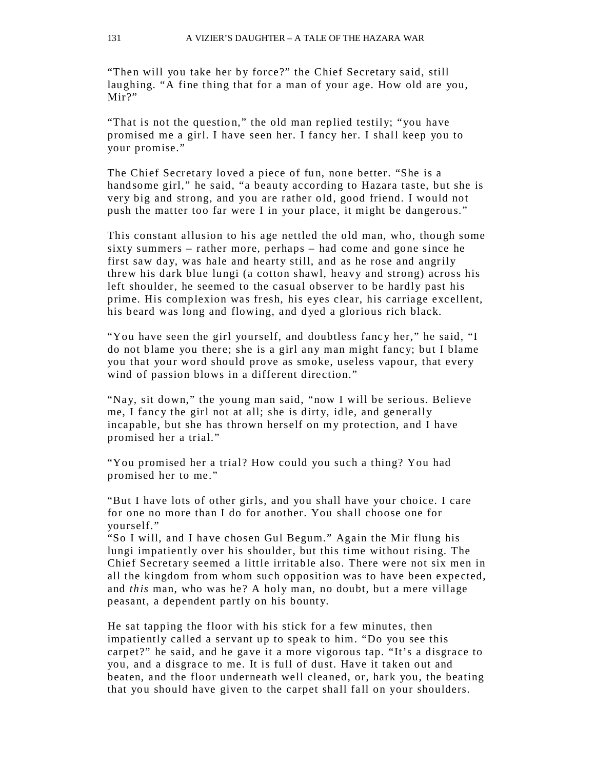"Then will you take her by force?" the Chief Secretary said, still laughing. "A fine thing that for a man of your age. How old are you, Mir?"

"That is not the question," the old man replied testily; "you have promised me a girl. I have seen her. I fancy her. I shall keep you to your promise."

The Chief Secretary loved a piece of fun, none better. "She is a handsome girl," he said, "a beauty according to Hazara taste, but she is very big and strong, and you are rather old, good friend. I would not push the matter too far were I in your place, it might be dangerous."

This constant allusion to his age nettled the old man, who, though some sixty summers – rather more, perhaps – had come and gone since he first saw day, was hale and hearty still, and as he rose and angrily threw his dark blue lungi (a cotton shawl, heavy and strong) across his left shoulder, he seemed to the casual observer to be hardly past his prime. His complexion was fresh, his eyes clear, his carriage excellent, his beard was long and flowing, and d yed a glorious rich black.

"You have seen the girl yourself, and doubtless fancy her," he said, "I do not blame you there; she is a girl any man might fanc y; but I blame you that your word should prove as smoke, useless vapour, that every wind of passion blows in a different direction."

"Nay, sit down," the young man said, "now I will be serious. Believe me, I fancy the girl not at all; she is dirty, idle, and generally incapable, but she has thrown herself on my protection, and I have promised her a trial."

"You promised her a trial? How could you such a thing? You had promised her to me."

"But I have lots of other girls, and you shall have your choice. I care for one no more than I do for another. You shall choose one for yourself."

"So I will, and I have chosen Gul Begum." Again the Mir flung his lungi impatiently over his shoulder, but this time without rising. The Chief Secretary seemed a little irritable also. There were not six men in all the kingdom from whom such opposition was to have been expected, and *this* man, who was he? A holy man, no doubt, but a mere village peasant, a dependent partly on his bounty.

He sat tapping the floor with his stick for a few minutes, then impatiently called a servant up to speak to him. "Do you see this carpet?" he said, and he gave it a more vigorous tap. "It's a disgrace to you, and a disgrace to me. It is full of dust. Have it taken out and beaten, and the floor underneath well cleaned, or, hark you, the beating that you should have given to the carpet shall fall on your shoulders.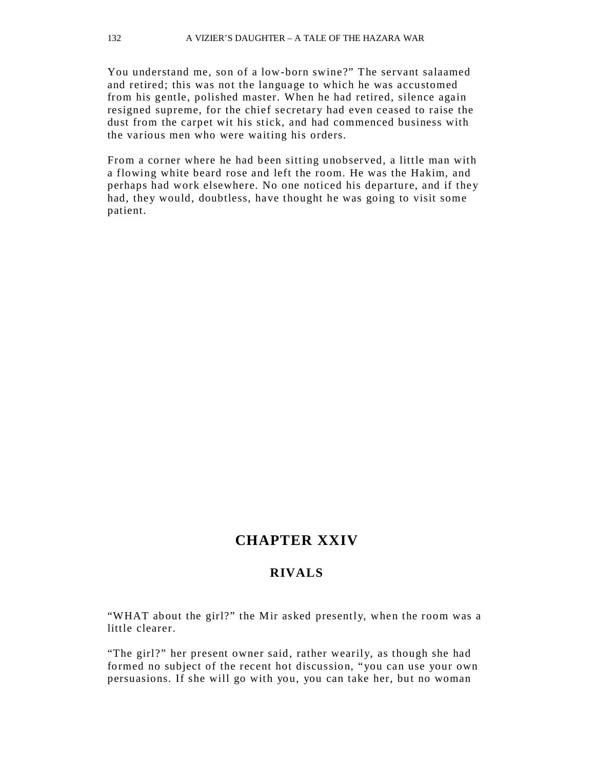You understand me, son of a low-born swine?" The servant salaamed and retired; this was not the language to which he was accustomed from his gentle, polished master. When he had retired, silence again resigned supreme, for the chief secretary had even ceased to raise the dust from the carpet wit his stick, and had commenced business with the various men who were waiting his orders.

From a corner where he had been sitting unobserved, a little man with a flowing white beard rose and left the room. He was the Hakim, and perhaps had work elsewhere. No one noticed his departure, and if they had, they would, doubtless, have thought he was going to visit some patient.

### **CHAPTER XXIV**

#### **RIVALS**

"WHAT about the girl?" the Mir asked presently, when the room was a little clearer.

"The girl?" her present owner said, rather wearily, as though she had formed no subject of the recent hot discussion, "you can use your own persuasions. If she will go with you, you can take her, but no woman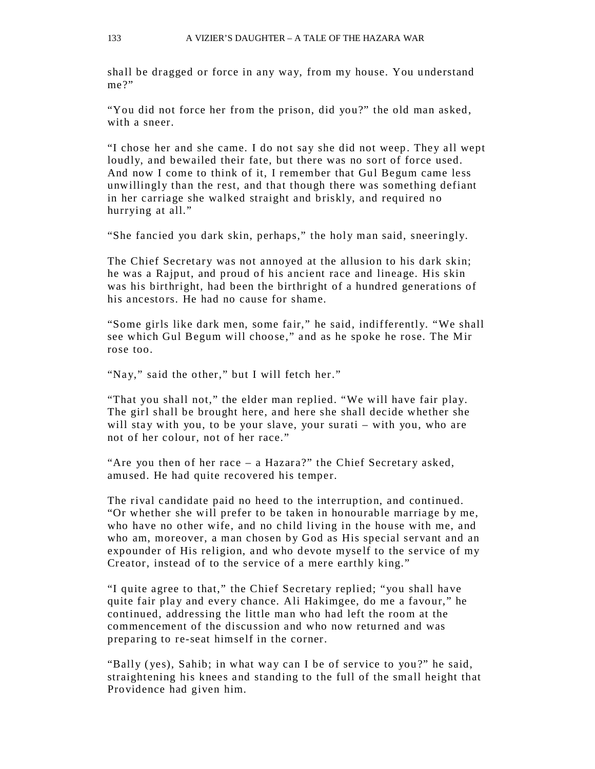shall be dragged or force in any way, from my house. You understand me?"

"You did not force her from the prison, did you?" the old man asked, with a sneer.

"I chose her and she came. I do not say she did not weep. They all wept loudly, and bewailed their fate, but there was no sort of force used. And now I come to think of it, I remember that Gul Begum came less unwillingly than the rest, and that though there was something defiant in her carriage she walked straight and briskly, and required no hurrying at all."

"She fancied you dark skin, perhaps," the holy man said, sneeringly.

The Chief Secretary was not annoyed at the allusion to his dark skin; he was a Rajput, and proud of his ancient race and lineage. His skin was his birthright, had been the birthright of a hundred generations of his ancestors. He had no cause for shame.

"Some girls like dark men, some fair," he said, indifferently. "We shall see which Gul Begum will choose," and as he spoke he rose. The Mir rose too.

"Nay," said the other," but I will fetch her."

"That you shall not," the elder man replied. "We will have fair play. The girl shall be brought here, and here she shall decide whether she will stay with you, to be your slave, your surati – with you, who are not of her colour, not of her race."

"Are you then of her race  $-$  a Hazara?" the Chief Secretary asked, amused. He had quite recovered his temper.

The rival candidate paid no heed to the interruption, and continued. "Or whether she will prefer to be taken in honourable marriage by me, who have no other wife, and no child living in the house with me, and who am, moreover, a man chosen by God as His special servant and an expounder of His religion, and who devote myself to the service of my Creator, instead of to the service of a mere earthly king."

"I quite agree to that," the Chief Secretary replied; "you shall have quite fair play and every chance. Ali Hakimgee, do me a favour," he continued, addressing the little man who had left the room at the commencement of the discussion and who now returned and was preparing to re-seat himself in the corner.

"Bally ( yes), Sahib; in what way can I be of service to you ?" he said, straightening his knees and standing to the full of the small height that Providence had given him.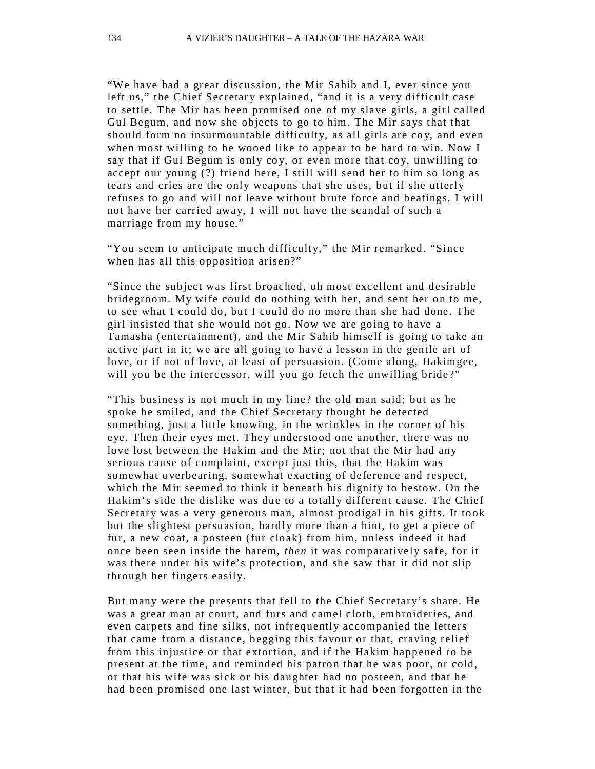"We have had a great discussion, the Mir Sahib and I, ever since you left us," the Chief Secretary explained, "and it is a very difficult case to settle. The Mir has been promised one of my slave girls, a girl called Gul Begum, and now she objects to go to him. The Mir says that that should form no insurmountable difficulty, as all girls are coy, and even when most willing to be wooed like to appear to be hard to win. Now I say that if Gul Begum is only coy, or even more that coy, unwilling to accept our young (?) friend here, I still will send her to him so long as tears and cries are the only weapons that she uses, but if she utterly refuses to go and will not leave without brute force and beatings, I will not have her carried away, I will not have the scandal of such a marriage from my house."

"You seem to anticipate much difficulty," the Mir remarked. "Since when has all this opposition arisen?"

"Since the subject was first broached, oh most excellent and desirable bridegroom. My wife could do nothing with her, and sent her on to me, to see what I could do, but I could do no more than she had done. The girl insisted that she would not go. Now we are going to have a Tamasha (entertainment), and the Mir Sahib himself is going to take an active part in it; we are all going to have a lesson in the gentle art of love, or if not of love, at least of persuasion. (Come along, Hakimgee, will you be the intercessor, will you go fetch the unwilling bride?"

"This business is not much in my line? the old man said; but as he spoke he smiled, and the Chief Secretary thought he detected something, just a little knowing, in the wrinkles in the corner of his eye. Then their eyes met. They understood one another, there was no love lost between the Hakim and the Mir; not that the Mir had any serious cause of complaint, except just this, that the Hakim was somewhat overbearing, somewhat exacting of deference and respect, which the Mir seemed to think it beneath his dignity to bestow. On the Hakim's side the dislike was due to a totally different cause. The Chief Secretary was a very generous man, almost prodigal in his gifts. It took but the slightest persuasion, hardly more than a hint, to get a piece of fur, a new coat, a posteen (fur cloak) from him, unless indeed it had once been seen inside the harem, *then* it was comparatively safe, for it was there under his wife's protection, and she saw that it did not slip through her fingers easily.

But many were the presents that fell to the Chief Secretary's share. He was a great man at court, and furs and camel cloth, embroideries, and even carpets and fine silks, not infrequently accompanied the letters that came from a distance, begging this favour or that, craving relief from this injustice or that extortion, and if the Hakim happened to be present at the time, and reminded his patron that he was poor, or cold, or that his wife was sick or his daughter had no posteen, and that he had been promised one last winter, but that it had been forgotten in the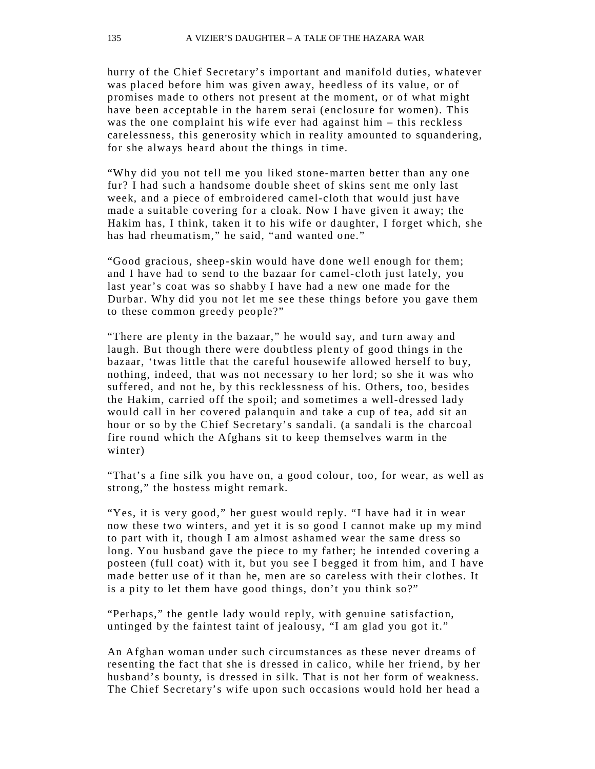hurry of the Chief Secretary's important and manifold duties, whatever was placed before him was given away, heedless of its value, or of promises made to others not present at the moment, or of what might have been acceptable in the harem serai (enclosure for women). This was the one complaint his wife ever had against him – this reckless carelessness, this generosity which in reality amounted to squandering, for she always heard about the things in time.

"Why did you not tell me you liked stone-marten better than any one fur? I had such a handsome double sheet of skins sent me only last week, and a piece of embroidered camel-cloth that would just have made a suitable covering for a cloak. Now I have given it away; the Hakim has, I think, taken it to his wife or daughter, I forget which, she has had rheumatism," he said, "and wanted one."

"Good gracious, sheep-skin would have done well enough for them; and I have had to send to the bazaar for camel- cloth just lately, you last year's coat was so shabby I have had a new one made for the Durbar. Why did you not let me see these things before you gave them to these common greedy people?"

"There are plenty in the bazaar," he would say, and turn away and laugh. But though there were doubtless plenty of good things in the bazaar, 'twas little that the careful housewife allowed herself to buy, nothing, indeed, that was not necessary to her lord; so she it was who suffered, and not he, by this recklessness of his. Others, too, besides the Hakim, carried off the spoil; and sometimes a well-dressed lady would call in her covered palanquin and take a cup of tea, add sit an hour or so by the Chief Secretary's sandali. (a sandali is the charcoal fire round which the Afghans sit to keep themselves warm in the winter)

"That's a fine silk you have on, a good colour, too, for wear, as well as strong," the hostess might remark.

"Yes, it is very good," her guest would reply. "I have had it in wear now these two winters, and yet it is so good I cannot make up my mind to part with it, though I am almost ashamed wear the same dress so long. You husband gave the piece to my father; he intended covering a posteen (full coat) with it, but you see I begged it from him, and I have made better use of it than he, men are so careless with their clothes. It is a pity to let them have good things, don't you think so?"

"Perhaps," the gentle lady would reply, with genuine satisfaction, untinged by the faintest taint of jealousy, "I am glad you got it."

An Afghan woman under such circumstances as these never dreams of resenting the fact that she is dressed in calico, while her friend, by her husband's bounty, is dressed in silk. That is not her form of weakness. The Chief Secretary's wife upon such occasions would hold her head a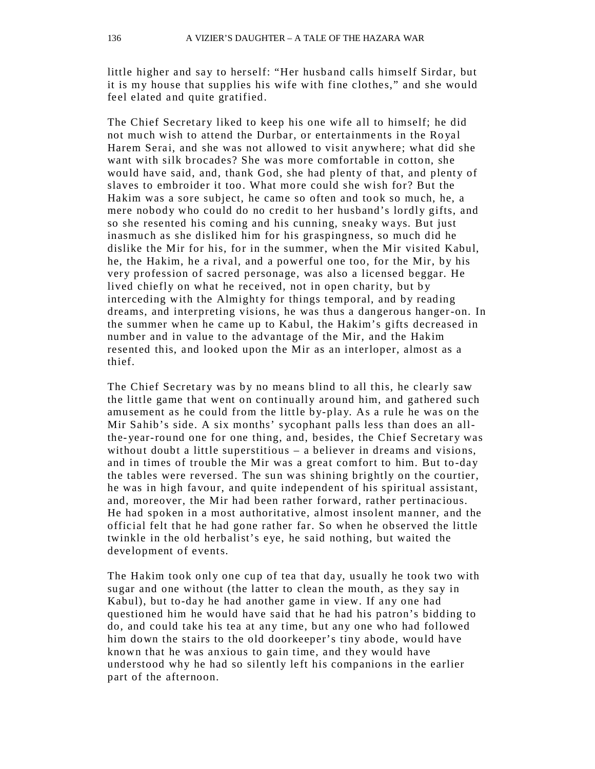little higher and say to herself: "Her husband calls himself Sirdar, but it is my house that supplies his wife with fine clothes," and she would feel elated and quite gratified.

The Chief Secretary liked to keep his one wife all to himself; he did not much wish to attend the Durbar, or entertainments in the Royal Harem Serai, and she was not allowed to visit anywhere; what did she want with silk brocades? She was more comfortable in cotton, she would have said, and, thank God, she had plenty of that, and plenty of slaves to embroider it too. What more could she wish for? But the Hakim was a sore subject, he came so often and took so much, he, a mere nobody who could do no credit to her husband's lordly gifts, and so she resented his coming and his cunning, sneaky ways. But just inasmuch as she disliked him for his graspingness, so much did he dislike the Mir for his, for in the summer, when the Mir visited Kabul, he, the Hakim, he a rival, and a powerful one too, for the Mir, by his very profession of sacred personage, was also a licensed beggar. He lived chiefly on what he received, not in open charity, but by interceding with the Almighty for things temporal, and by reading dreams, and interpreting visions, he was thus a dangerous hanger-on. In the summer when he came up to Kabul, the Hakim's gifts decreased in number and in value to the advantage of the Mir, and the Hakim resented this, and looked upon the Mir as an interloper, almost as a thief.

The Chief Secretary was by no means blind to all this, he clearly saw the little game that went on continually around him, and gathered such amusement as he could from the little by-play. As a rule he was on the Mir Sahib's side. A six months' sycophant palls less than does an allthe-year-round one for one thing, and, besides, the Chief Secretary was without doubt a little superstitious – a believer in dreams and visions, and in times of trouble the Mir was a great comfort to him. But to-day the tables were reversed. The sun was shining brightly on the courtier, he was in high favour, and quite independent of his spiritual assistant, and, moreover, the Mir had been rather forward, rather pertinacious. He had spoken in a most authoritative, almost insolent manner, and the official felt that he had gone rather far. So when he observed the little twinkle in the old herbalist's eye, he said nothing, but waited the development of events.

The Hakim took only one cup of tea that day, usually he took two with sugar and one without (the latter to clean the mouth, as they say in Kabul), but to-day he had another game in view. If any one had questioned him he would have said that he had his patron's bidding to do, and could take his tea at any time, but any one who had followed him down the stairs to the old doorkeeper's tiny abode, would have known that he was anxious to gain time, and they would have understood why he had so silently left his companions in the earlier part of the afternoon.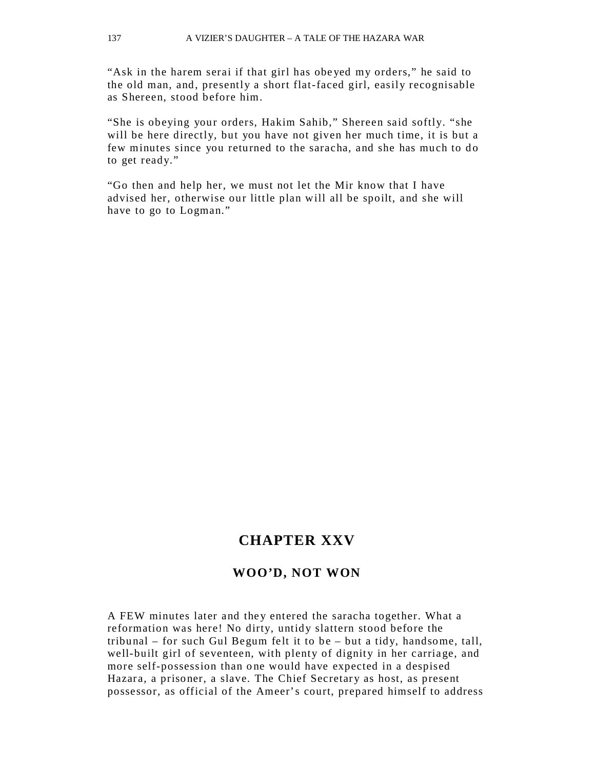"Ask in the harem serai if that girl has obe yed my orders," he said to the old man, and, presently a short flat-faced girl, easily recognisable as Shereen, stood before him.

"She is obeying your orders, Hakim Sahib," Shereen said softly. "she will be here directly, but you have not given her much time, it is but a few minutes since you returned to the saracha, and she has much to do to get ready."

"Go then and help her, we must not let the Mir know that I have advised her, otherwise our little plan will all be spoilt, and she will have to go to Logman."

### **CHAPTER XXV**

#### **WOO'D, NOT WON**

A FEW minutes later and they entered the saracha together. What a reformation was here! No dirty, untidy slattern stood before the tribunal – for such Gul Begum felt it to be – but a tidy, handsome, tall, well-built girl of seventeen, with plenty of dignity in her carriage, and more self-possession than one would have expected in a despised Hazara, a prisoner, a slave. The Chief Secretary as host, as present possessor, as official of the Ameer's court, prepared himself to address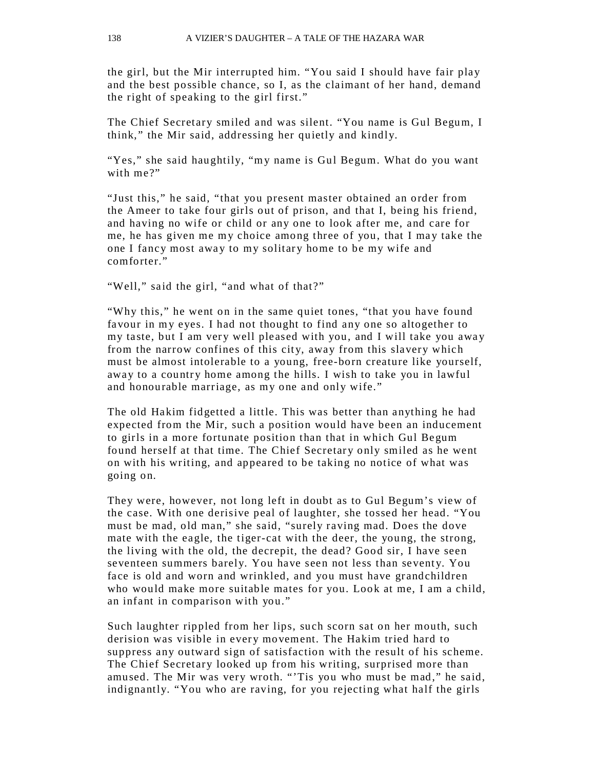the girl, but the Mir interrupted him. "You said I should have fair play and the best possible chance, so I, as the claimant of her hand, demand the right of speaking to the girl first."

The Chief Secretary smiled and was silent. "You name is Gul Begum, I think," the Mir said, addressing her quietly and kindly.

"Yes," she said haughtily, "my name is Gul Begum. What do you want with me?"

"Just this," he said, "that you present master obtained an order from the Ameer to take four girls out of prison, and that I, being his friend, and having no wife or child or any one to look after me, and care for me, he has given me my choice among three of you, that I may take the one I fancy most away to my solitary home to be my wife and comforter."

"Well," said the girl, "and what of that?"

"Why this," he went on in the same quiet tones, "that you have found favour in my eyes. I had not thought to find any one so altogether to my taste, but I am very well pleased with you, and I will take you away from the narrow confines of this city, away from this slavery which must be almost intolerable to a young, free-born creature like yourself, away to a country home among the hills. I wish to take you in lawful and honourable marriage, as my one and only wife."

The old Hakim fidgetted a little. This was better than anything he had expected from the Mir, such a position would have been an inducement to girls in a more fortunate position than that in which Gul Begum found herself at that time. The Chief Secretary only smiled as he went on with his writing, and appeared to be taking no notice of what was going on.

They were, however, not long left in doubt as to Gul Begum's view of the case. With one derisive peal of laughter, she tossed her head. "You must be mad, old man," she said, "surely raving mad. Does the dove mate with the eagle, the tiger-cat with the deer, the young, the strong, the living with the old, the decrepit, the dead? Good sir, I have seen seventeen summers barely. You have seen not less than seventy. You face is old and worn and wrinkled, and you must have grandchildren who would make more suitable mates for you. Look at me, I am a child, an infant in comparison with you."

Such laughter rippled from her lips, such scorn sat on her mouth, such derision was visible in every movement. The Hakim tried hard to suppress any outward sign of satisfaction with the result of his scheme. The Chief Secretary looked up from his writing, surprised more than amused. The Mir was very wroth. "'Tis you who must be mad," he said, indignantly. "You who are raving, for you rejecting what half the girls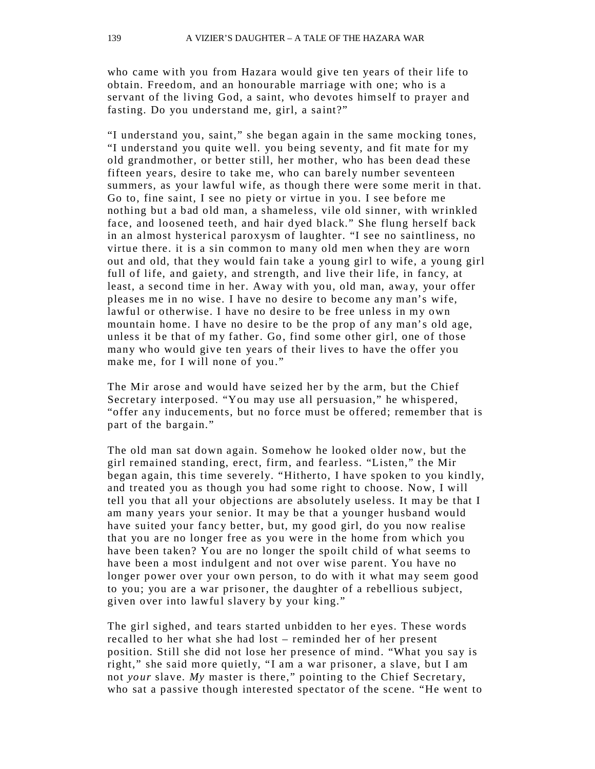who came with you from Hazara would give ten years of their life to obtain. Freedom, and an honourable marriage with one; who is a servant of the living God, a saint, who devotes himself to prayer and fasting. Do you understand me, girl, a saint?"

"I understand you, saint," she began again in the same mocking tones, "I understand you quite well. you being sevent y, and fit mate for my old grandmother, or better still, her mother, who has been dead these fifteen years, desire to take me, who can barely number seventeen summers, as your lawful wife, as though there were some merit in that. Go to, fine saint, I see no piety or virtue in you. I see before me nothing but a bad old man, a shameless, vile old sinner, with wrinkled face, and loosened teeth, and hair dyed black." She flung herself back in an almost hysterical paroxysm of laughter. "I see no saintliness, no virtue there. it is a sin common to many old men when they are worn out and old, that they would fain take a young girl to wife, a young girl full of life, and gaiety, and strength, and live their life, in fancy, at least, a second time in her. Away with you, old man, away, your offer pleases me in no wise. I have no desire to become any man's wife, lawful or otherwise. I have no desire to be free unless in my own mountain home. I have no desire to be the prop of any man's old age, unless it be that of my father. Go, find some other girl, one of those many who would give ten years of their lives to have the offer you make me, for I will none of you."

The Mir arose and would have seized her by the arm, but the Chief Secretary interposed. "You may use all persuasion," he whispered, "offer any inducements, but no force must be offered; remember that is part of the bargain."

The old man sat down again. Somehow he looked older now, but the girl remained standing, erect, firm, and fearless. "Listen," the Mir began again, this time severely. "Hitherto, I have spoken to you kindly, and treated you as though you had some right to choose. Now, I will tell you that all your objections are absolutely useless. It may be that I am many years your senior. It may be that a younger husband would have suited your fancy better, but, my good girl, do you now realise that you are no longer free as you were in the home from which you have been taken? You are no longer the spoilt child of what seems to have been a most indulgent and not over wise parent. You have no longer power over your own person, to do with it what may seem good to you; you are a war prisoner, the daughter of a rebellious subject, given over into lawful slavery by your king."

The girl sighed, and tears started unbidden to her eyes. These words recalled to her what she had lost – reminded her of her present position. Still she did not lose her presence of mind. "What you say is right," she said more quietly, "I am a war prisoner, a slave, but I am not *your* slave. My master is there," pointing to the Chief Secretary, who sat a passive though interested spectator of the scene. "He went to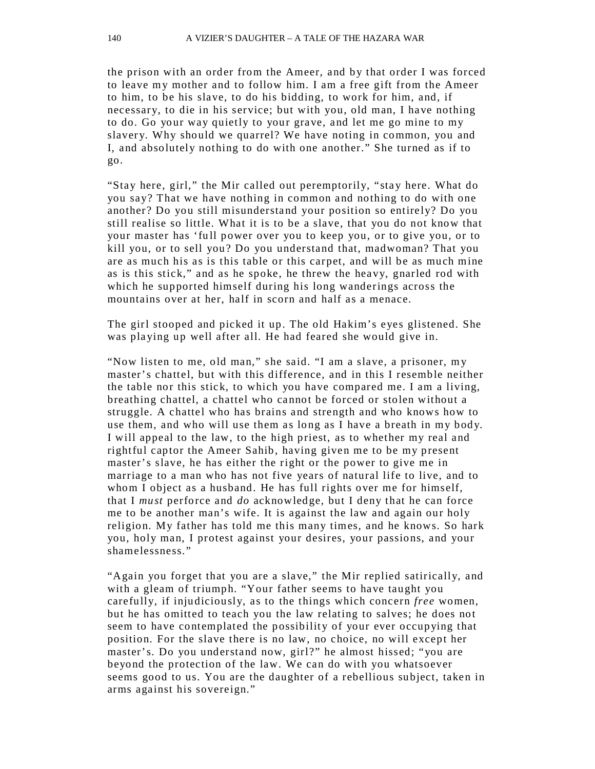the prison with an order from the Ameer, and by that order I was forced to leave my mother and to follow him. I am a free gift from the Ameer to him, to be his slave, to do his bidding, to work for him, and, if necessary, to die in his service; but with you, old man, I have nothing to do. Go your way quietly to your grave, and let me go mine to my slavery. Why should we quarrel? We have noting in common, you and I, and absolutely nothing to do with one another." She turned as if to go.

"Stay here, girl," the Mir called out peremptorily, "stay here. What do you say? That we have nothing in common and nothing to do with one another? Do you still misunderstand your position so entirely? Do you still realise so little. What it is to be a slave, that you do not know that your master has 'full power over you to keep you, or to give you, or to kill you, or to sell you? Do you understand that, madwoman? That you are as much his as is this table or this carpet, and will be as much mine as is this stick," and as he spoke, he threw the heavy, gnarled rod with which he supported himself during his long wanderings across the mountains over at her, half in scorn and half as a menace.

The girl stooped and picked it up. The old Hakim's eyes glistened. She was playing up well after all. He had feared she would give in.

"Now listen to me, old man," she said. "I am a slave, a prisoner, my master's chattel, but with this difference, and in this I resemble neither the table nor this stick, to which you have compared me. I am a living, breathing chattel, a chattel who cannot be forced or stolen without a struggle. A chattel who has brains and strength and who knows how to use them, and who will use them as long as I have a breath in my body. I will appeal to the law, to the high priest, as to whether my real and rightful captor the Ameer Sahib, having given me to be my present master's slave, he has either the right or the power to give me in marriage to a man who has not five years of natural life to live, and to whom I object as a husband. He has full rights over me for himself, that I *must* perforce and *do* acknowledge, but I deny that he can force me to be another man's wife. It is against the law and again our holy religion. My father has told me this many times, and he knows. So hark you, holy man, I protest against your desires, your passions, and your shamelessness."

"Again you forget that you are a slave," the Mir replied satirically, and with a gleam of triumph. "Your father seems to have taught you carefully, if injudiciously, as to the things which concern *free* women, but he has omitted to teach you the law relating to salves; he does not seem to have contemplated the possibility of your ever occupying that position. For the slave there is no law, no choice, no will except her master's. Do you understand now, girl?" he almost hissed; "you are beyond the protection of the law. We can do with you whatsoever seems good to us. You are the daughter of a rebellious subject, taken in arms against his sovereign."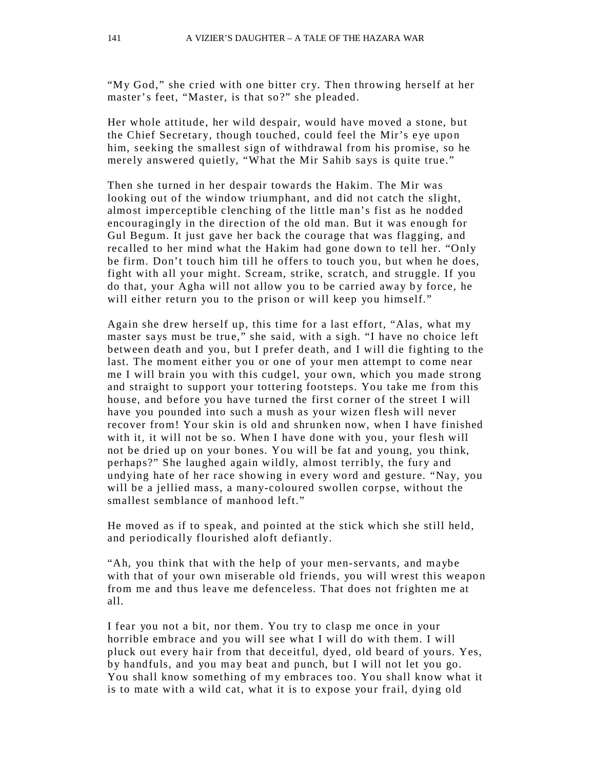"My God," she cried with one bitter cry. Then throwing herself at her master's feet, "Master, is that so?" she pleaded.

Her whole attitude, her wild despair, would have moved a stone, but the Chief Secretary, though touched, could feel the Mir's eye upon him, seeking the smallest sign of withdrawal from his promise, so he merely answered quietly, "What the Mir Sahib says is quite true."

Then she turned in her despair towards the Hakim. The Mir was looking out of the window triumphant, and did not catch the slight, almost imperceptible clenching of the little man's fist as he nodded encouragingly in the direction of the old man. But it was enough for Gul Begum. It just gave her back the courage that was flagging, and recalled to her mind what the Hakim had gone down to tell her. "Only be firm. Don't touch him till he offers to touch you, but when he does, fight with all your might. Scream, strike, scratch, and struggle. If you do that, your Agha will not allow you to be carried away by force, he will either return you to the prison or will keep you himself."

Again she drew herself up, this time for a last effort, "Alas, what my master says must be true," she said, with a sigh. "I have no choice left between death and you, but I prefer death, and I will die fighting to the last. The moment either you or one of your men attempt to come near me I will brain you with this cudgel, your own, which you made strong and straight to support your tottering footsteps. You take me from this house, and before you have turned the first corner of the street I will have you pounded into such a mush as your wizen flesh will never recover from! Your skin is old and shrunken now, when I have finished with it, it will not be so. When I have done with you, your flesh will not be dried up on your bones. You will be fat and young, you think, perhaps?" She laughed again wildly, almost terribly, the fury and undying hate of her race showing in every word and gesture. "Nay, you will be a jellied mass, a many-coloured swollen corpse, without the smallest semblance of manhood left."

He moved as if to speak, and pointed at the stick which she still held, and periodically flourished aloft defiantly.

"Ah, you think that with the help of your men-servants, and maybe with that of your own miserable old friends, you will wrest this weapon from me and thus leave me defenceless. That does not frighten me at all.

I fear you not a bit, nor them. You try to clasp me once in your horrible embrace and you will see what I will do with them. I will pluck out every hair from that deceitful, dyed, old beard of yours. Yes, by handfuls, and you may beat and punch, but I will not let you go. You shall know something of my embraces too. You shall know what it is to mate with a wild cat, what it is to expose your frail, dying old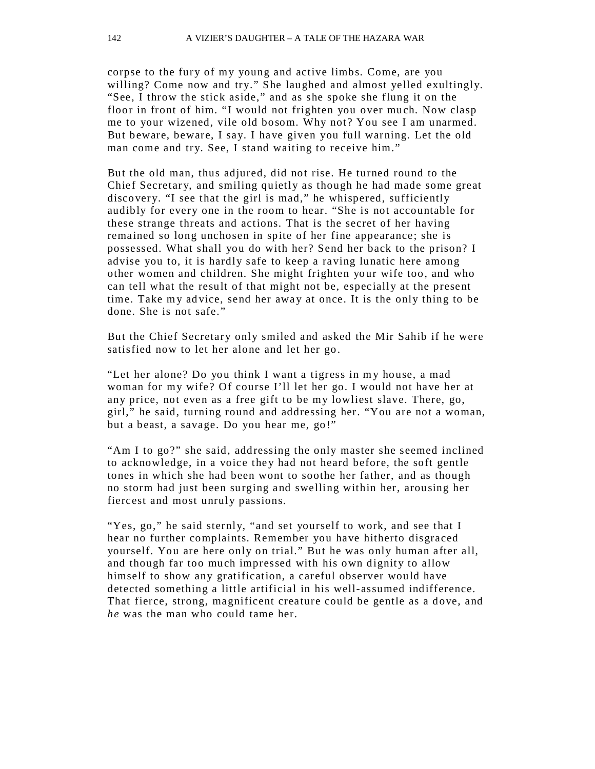corpse to the fury of my young and active limbs. Come, are you willing? Come now and try." She laughed and almost yelled exultingly. "See, I throw the stick aside," and as she spoke she flung it on the floor in front of him. "I would not frighten you over much. Now clasp me to your wizened, vile old bosom. Why not? You see I am unarmed. But beware, beware, I say. I have given you full warning. Let the old man come and try. See, I stand waiting to receive him."

But the old man, thus adjured, did not rise. He turned round to the Chief Secretary, and smiling quietly as though he had made some great discovery. "I see that the girl is mad," he whispered, sufficiently audibly for every one in the room to hear. "She is not accountable for these strange threats and actions. That is the secret of her having remained so long unchosen in spite of her fine appearance; she is possessed. What shall you do with her? Send her back to the prison? I advise you to, it is hardly safe to keep a raving lunatic here among other women and children. She might frighten your wife too, and who can tell what the result of that might not be, especially at the present time. Take my advice, send her away at once. It is the only thing to be done. She is not safe."

But the Chief Secretary only smiled and asked the Mir Sahib if he were satisfied now to let her alone and let her go.

"Let her alone? Do you think I want a tigress in my house, a mad woman for my wife? Of course I'll let her go. I would not have her at any price, not even as a free gift to be my lowliest slave. There, go, girl," he said, turning round and addressing her. "You are not a woman, but a beast, a savage. Do you hear me, go!"

"Am I to go?" she said, addressing the only master she seemed inclined to acknowledge, in a voice they had not heard before, the soft gentle tones in which she had been wont to soothe her father, and as though no storm had just been surging and swelling within her, arousing her fiercest and most unruly passions.

"Yes, go," he said sternly, "and set yourself to work, and see that I hear no further complaints. Remember you have hitherto disgraced yourself. You are here only on trial." But he was only human after all, and though far too much impressed with his own dignity to allow himself to show any gratification, a careful observer would have detected something a little artificial in his well- assumed indifference. That fierce, strong, magnificent creature could be gentle as a dove, and *he* was the man who could tame her.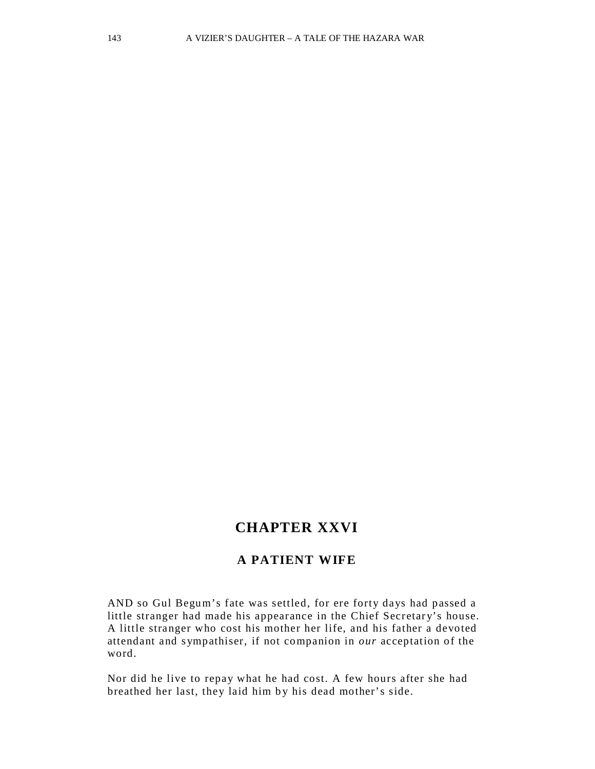# **CHAPTER XXVI**

#### **A PATIENT WIFE**

AND so Gul Begum's fate was settled, for ere forty days had passed a little stranger had made his appearance in the Chief Secretary's house. A little stranger who cost his mother her life, and his father a devoted attendant and sympathiser, if not companion in *our* acceptation of the word.

Nor did he live to repay what he had cost. A few hours after she had breathed her last, they laid him by his dead mother's side.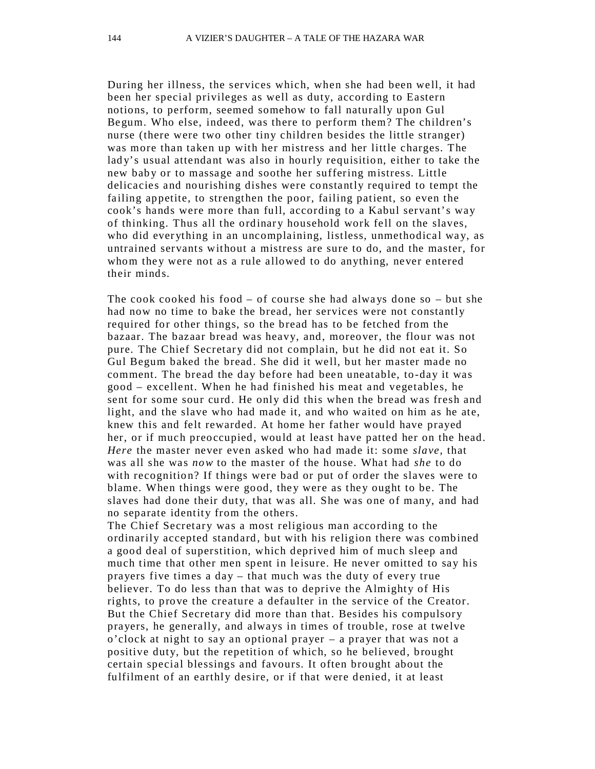During her illness, the services which, when she had been well, it had been her special privileges as well as duty, according to Eastern notions, to perform, seemed somehow to fall naturally upon Gul Begum. Who else, indeed, was there to perform them? The children's nurse (there were two other tiny children besides the little stranger) was more than taken up with her mistress and her little charges. The lady's usual attendant was also in hourly requisition, either to take the new baby or to massage and soothe her suffering mistress. Little delicacies and nourishing dishes were constantly required to tempt the failing appetite, to strengthen the poor, failing patient, so even the cook's hands were more than full, according to a Kabul servant's way of thinking. Thus all the ordinary household work fell on the slaves, who did everything in an uncomplaining, listless, unmethodical way, as untrained servants without a mistress are sure to do, and the master, for whom they were not as a rule allowed to do anything, never entered their minds.

The cook cooked his food – of course she had always done so – but she had now no time to bake the bread, her services were not constantly required for other things, so the bread has to be fetched from the bazaar. The bazaar bread was heavy, and, moreover, the flour was not pure. The Chief Secretary did not complain, but he did not eat it. So Gul Begum baked the bread. She did it well, but her master made no comment. The bread the day before had been uneatable, to -day it was good – excellent. When he had finished his meat and vegetables, he sent for some sour curd. He only did this when the bread was fresh and light, and the slave who had made it, and who waited on him as he ate, knew this and felt rewarded. At home her father would have prayed her, or if much preoccupied, would at least have patted her on the head. *Here* the master never even asked who had made it: some *slave,* that was all she was *now* to the master of the house. What had *she* to do with recognition? If things were bad or put of order the slaves were to blame. When things were good, they were as they ought to be. The slaves had done their duty, that was all. She was one of many, and had no separate identity from the others.

The Chief Secretary was a most religious man according to the ordinarily accepted standard, but with his religion there was combined a good deal of superstition, which deprived him of much sleep and much time that other men spent in leisure. He never omitted to say his prayers five times a day – that much was the duty of every true believer. To do less than that was to deprive the Almighty of His rights, to prove the creature a defaulter in the service of the Creator. But the Chief Secretary did more than that. Besides his compulsory prayers, he generally, and always in times of trouble, rose at twelve  $\sigma$ 'clock at night to say an optional prayer – a prayer that was not a positive duty, but the repetition of which, so he believed, brought certain special blessings and favours. It often brought about the fulfilment of an earthly desire, or if that were denied, it at least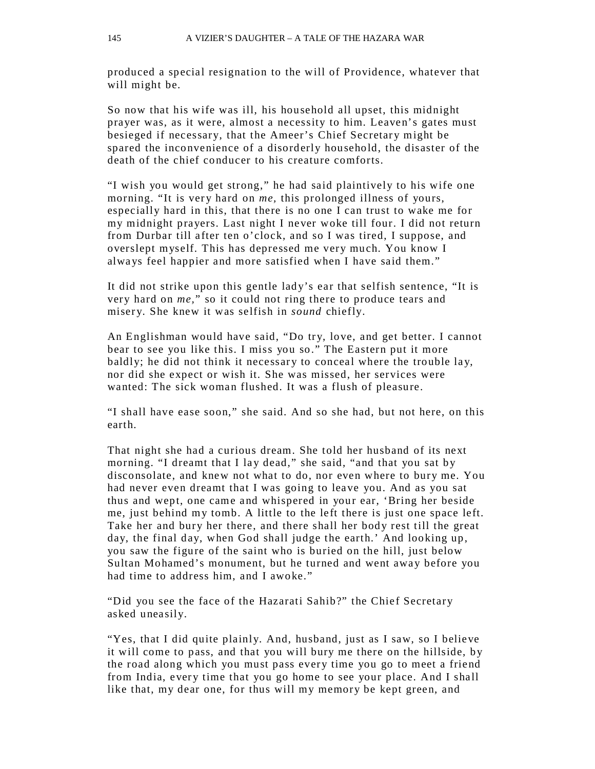produced a special resignation to the will of Providence, whatever that will might be.

So now that his wife was ill, his household all upset, this midnight prayer was, as it were, almost a necessity to him. Leaven's gates must besieged if necessary, that the Ameer's Chief Secretary might be spared the inconvenience of a disorderly household, the disaster of the death of the chief conducer to his creature comforts.

"I wish you would get strong," he had said plaintively to his wife one morning. "It is very hard on *me*, this prolonged illness of yours, especially hard in this, that there is no one I can trust to wake me for my midnight prayers. Last night I never woke till four. I did not return from Durbar till after ten o'clock, and so I was tired, I suppose, and overslept myself. This has depressed me very much. You know I alwa ys feel happier and more satisfied when I have said them."

It did not strike upon this gentle lad y's ear that selfish sentence, "It is very hard on *me,*" so it could not ring there to produce tears and miser y. She knew it was selfish in *sound* chiefly.

An Englishman would have said, "Do try, love, and get better. I cannot bear to see you like this. I miss you so." The Eastern put it more baldly; he did not think it necessary to conceal where the trouble lay, nor did she expect or wish it. She was missed, her services were wanted: The sick woman flushed. It was a flush of pleasure.

"I shall have ease soon," she said. And so she had, but not here, on this earth.

That night she had a curious dream. She told her husband of its next morning. "I dreamt that I lay dead," she said, "and that you sat by disconsolate, and knew not what to do, nor even where to bury me. You had never even dreamt that I was going to leave you. And as you sat thus and wept, one came and whispered in your ear, 'Bring her beside me, just behind my tomb. A little to the left there is just one space left. Take her and bury her there, and there shall her body rest till the great day, the final day, when God shall judge the earth.' And looking up, you saw the figure of the saint who is buried on the hill, just below Sultan Mohamed's monument, but he turned and went away before you had time to address him, and I awoke."

"Did you see the face of the Hazarati Sahib?" the Chief Secretary asked uneasily.

"Yes, that I did quite plainly. And, husband, just as I saw, so I believe it will come to pass, and that you will bury me there on the hillside, by the road along which you must pass every time you go to meet a friend from India, every time that you go home to see your place. And I shall like that, my dear one, for thus will my memory be kept green, and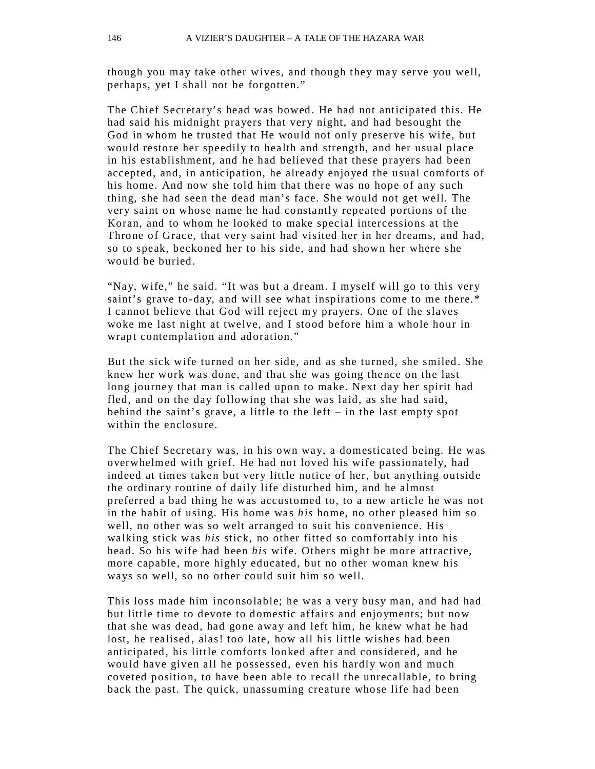though you may take other wives, and though they may serve you well, perhaps, yet I shall not be forgotten."

The Chief Secretary's head was bowed. He had not anticipated this. He had said his midnight prayers that very night, and had besought the God in whom he trusted that He would not only preserve his wife, but would restore her speedily to health and strength, and her usual place in his establishment, and he had believed that these prayers had been accepted, and, in anticipation, he already enjoyed the usual comforts of his home. And now she told him that there was no hope of any such thing, she had seen the dead man's face. She would not get well. The very saint on whose name he had constantly repeated portions of the Koran, and to whom he looked to make special intercessions at the Throne of Grace, that very saint had visited her in her dreams, and had, so to speak, beckoned her to his side, and had shown her where she would be buried.

"Nay, wife," he said. "It was but a dream. I myself will go to this very saint's grave to-day, and will see what inspirations come to me there.\* I cannot believe that God will reject my prayers. One of the slaves woke me last night at twelve, and I stood before him a whole hour in wrapt contemplation and adoration."

But the sick wife turned on her side, and as she turned, she smiled. She knew her work was done, and that she was going thence on the last long journey that man is called upon to make. Next day her spirit had fled, and on the day following that she was laid, as she had said, behind the saint's grave, a little to the left – in the last empty spot within the enclosure.

The Chief Secretary was, in his own way, a domesticated being. He was overwhelmed with grief. He had not loved his wife passionately, had indeed at times taken but very little notice of her, but anything outside the ordinary routine of daily life disturbed him, and he almost preferred a bad thing he was accustomed to, to a new article he was not in the habit of using. His home was *his* home, no other pleased him so well, no other was so welt arranged to suit his convenience. His walking stick was *his* stick, no other fitted so comfortably into his head. So his wife had been *his* wife. Others might be more attractive, more capable, more highly educated, but no other woman knew his ways so well, so no other could suit him so well.

This loss made him inconsolable; he was a very busy man, and had had but little time to devote to domestic affairs and enjo yments; but now that she was dead, had gone away and left him, he knew what he had lost, he realised, alas! too late, how all his little wishes had been anticipated, his little comforts looked after and considered, and he would have given all he possessed, even his hardly won and much coveted position, to have been able to recall the unrecallable, to bring back the past. The quick, unassuming creature whose life had been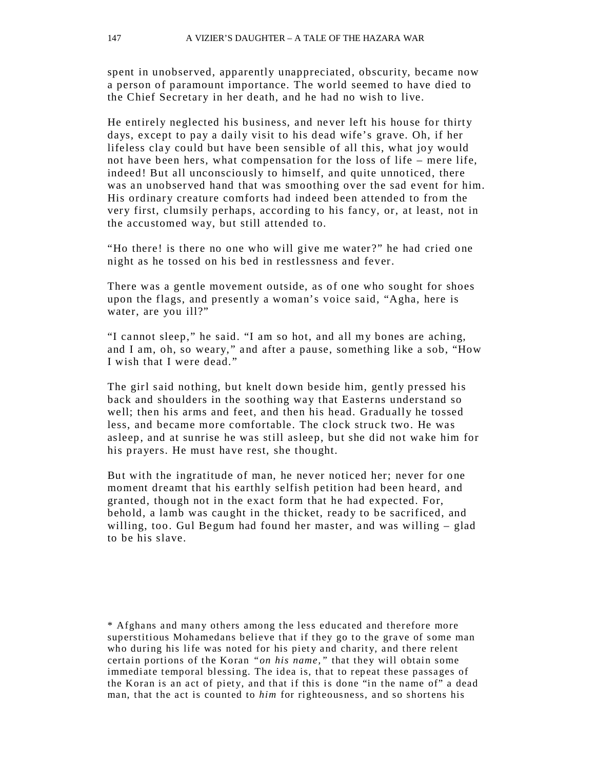spent in unobserved, apparently unappreciated, obscurity, became now a person of paramount importance. The world seemed to have died to the Chief Secretary in her death, and he had no wish to live.

He entirely neglected his business, and never left his house for thirty days, except to pay a daily visit to his dead wife's grave. Oh, if her lifeless clay could but have been sensible of all this, what joy would not have been hers, what compensation for the loss of life – mere life, indeed! But all unconsciously to himself, and quite unnoticed, there was an unobserved hand that was smoothing over the sad event for him. His ordinary creature comforts had indeed been attended to from the very first, clumsily perhaps, according to his fancy, or, at least, not in the accustomed way, but still attended to.

"Ho there! is there no one who will give me water?" he had cried one night as he tossed on his bed in restlessness and fever.

There was a gentle movement outside, as of one who sought for shoes upon the flags, and presently a woman's voice said, "Agha, here is water, are you ill?"

"I cannot sleep," he said. "I am so hot, and all my bones are aching, and I am, oh, so weary," and after a pause, something like a sob, "How I wish that I were dead."

The girl said nothing, but knelt down beside him, gently pressed his back and shoulders in the soothing way that Easterns understand so well; then his arms and feet, and then his head. Gradually he tossed less, and became more comfortable. The clock struck two. He was asleep, and at sunrise he was still asleep, but she did not wake him for his prayers. He must have rest, she thought.

But with the ingratitude of man, he never noticed her; never for one moment dreamt that his earthly selfish petition had been heard, and granted, though not in the exact form that he had expected. For, behold, a lamb was caught in the thicket, ready to be sacrificed, and willing, too. Gul Begum had found her master, and was willing – glad to be his slave.

<sup>\*</sup> Afghans and man y others among the less educated and therefore more superstitious Mohamedans believe that if they go to the grave of some man who during his life was noted for his piety and charity, and there relent certain p ortions of the Koran *"on his name,"* that they will obtain some immediate temporal blessing. The idea is, that to repeat these passages of the Koran is an act of piety, and that if this is done "in the name of" a dead man, that the act is counted to *him* for righteousness, and so shortens his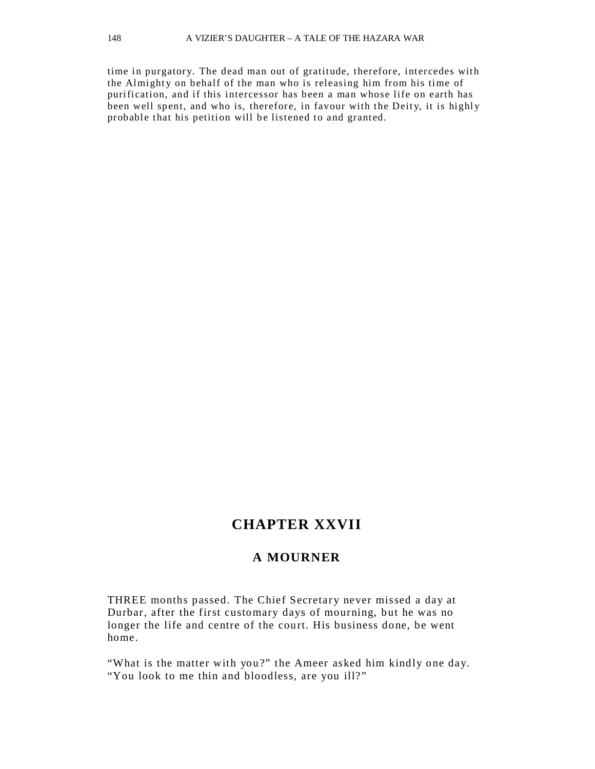time in purgatory. The dead man out of gratitude, therefore, intercedes with the Almighty on behalf of the man who is releasing him from his time of purification, and if this intercessor has been a man whose life on earth has been well spent, and who is, therefore, in favour with the Deity, it is highly probable that his petition will be listened to and granted.

# **CHAPTER XXVII**

#### **A MOURNER**

THREE months passed. The Chief Secretary never missed a day at Durbar, after the first customary days of mourning, but he was no longer the life and centre of the court. His business done, be went home.

"What is the matter with you?" the Ameer asked him kindly one day. "You look to me thin and bloodless, are you ill?"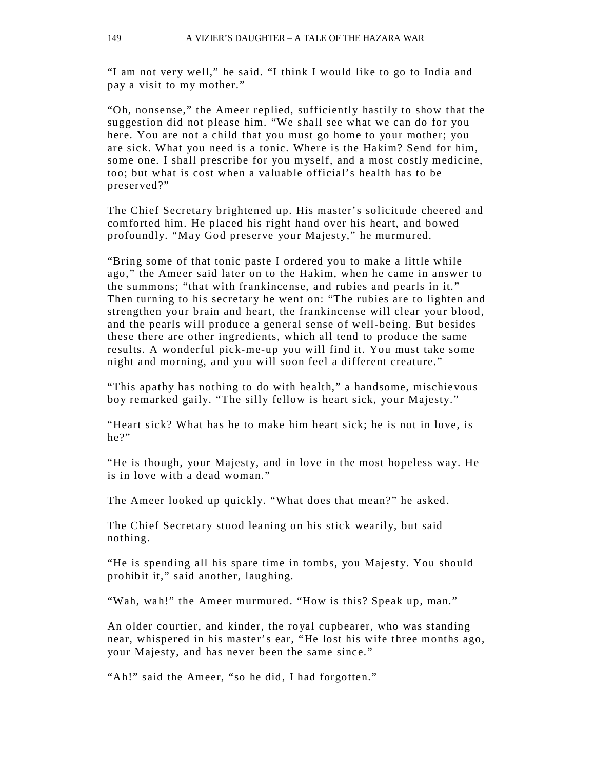"I am not very well," he said. "I think I would like to go to India and pay a visit to my mother."

"Oh, nonsense," the Ameer replied, sufficiently hastily to show that the suggestion did not please him. "We shall see what we can do for you here. You are not a child that you must go home to your mother; you are sick. What you need is a tonic. Where is the Hakim? Send for him, some one. I shall prescribe for you myself, and a most costly medicine, too; but what is cost when a valuable official's health has to be preserved?"

The Chief Secretary brightened up. His master's solicitude cheered and comforted him. He placed his right hand over his heart, and bowed profoundly. "May God preserve your Majesty," he murmured.

"Bring some of that tonic paste I ordered you to make a little while ago," the Ameer said later on to the Hakim, when he came in answer to the summons; "that with frankincense, and rubies and pearls in it." Then turning to his secretary he went on: "The rubies are to lighten and strengthen your brain and heart, the frankincense will clear your blood, and the pearls will produce a general sense of well-being. But besides these there are other ingredients, which all tend to produce the same results. A wonderful pick-me-up you will find it. You must take some night and morning, and you will soon feel a different creature."

"This apathy has nothing to do with health," a handsome, mischievous boy remarked gaily. "The silly fellow is heart sick, your Majesty."

"Heart sick? What has he to make him heart sick; he is not in love, is he?"

"He is though, your Majesty, and in love in the most hopeless way. He is in love with a dead woman."

The Ameer looked up quickly. "What does that mean?" he asked.

The Chief Secretary stood leaning on his stick wearily, but said nothing.

"He is spending all his spare time in tombs, you Majesty. You should prohibit it," said another, laughing.

"Wah, wah!" the Ameer murmured. "How is this? Speak up, man."

An older courtier, and kinder, the royal cupbearer, who was standing near, whispered in his master's ear, "He lost his wife three months ago, your Majesty, and has never been the same since."

"Ah!" said the Ameer, "so he did, I had forgotten."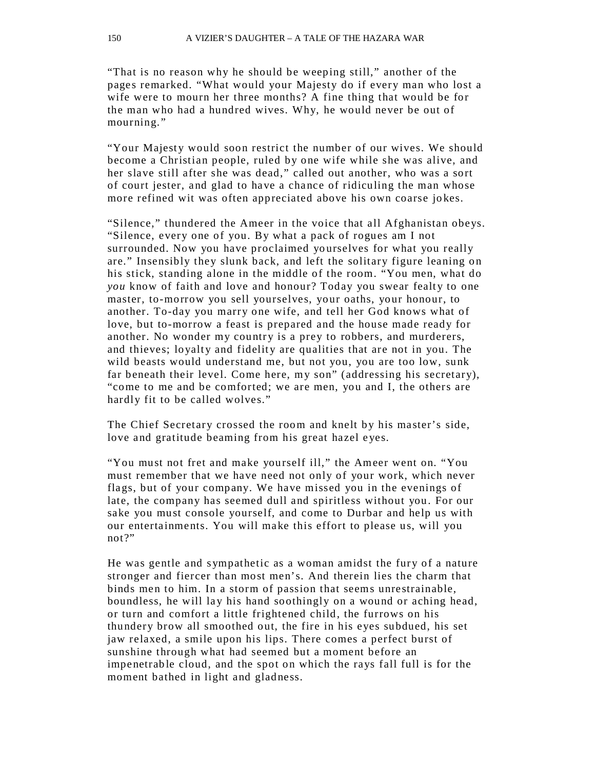"That is no reason why he should be weeping still," another of the pages remarked. "What would your Majesty do if every man who lost a wife were to mourn her three months? A fine thing that would be for the man who had a hundred wives. Why, he would never be out of mourning."

"Your Majesty would soon restrict the number of our wives. We should become a Christian people, ruled by one wife while she was alive, and her slave still after she was dead," called out another, who was a sort of court jester, and glad to have a chance of ridiculing the man whose more refined wit was often appreciated above his own coarse jokes.

"Silence," thundered the Ameer in the voice that all Afghanistan obeys. "Silence, every one of you. By what a pack of rogues am I not surrounded. Now you have proclaimed yourselves for what you really are." Insensibly they slunk back, and left the solitary figure leaning on his stick, standing alone in the middle of the room. "You men, what do *you* know of faith and love and honour? Today you swear fealty to one master, to-morrow you sell yourselves, your oaths, your honour, to another. To-day you marry one wife, and tell her God knows what of love, but to-morrow a feast is prepared and the house made ready for another. No wonder my country is a prey to robbers, and murderers, and thieves; loyalty and fidelity are qualities that are not in you. The wild beasts would understand me, but not you, you are too low, sunk far beneath their level. Come here, my son" (addressing his secretary), "come to me and be comforted; we are men, you and I, the others are hardly fit to be called wolves."

The Chief Secretary crossed the room and knelt by his master's side, love and gratitude beaming from his great hazel eyes.

"You must not fret and make yourself ill," the Ameer went on. "You must remember that we have need not only of your work, which never flags, but of your company. We have missed you in the evenings of late, the company has seemed dull and spiritless without you. For our sake you must console yourself, and come to Durbar and help us with our entertainments. You will make this effort to please us, will you not?"

He was gentle and sympathetic as a woman amidst the fury of a nature stronger and fiercer than most men's. And therein lies the charm that binds men to him. In a storm of passion that seems unrestrainable, boundless, he will lay his hand soothingly on a wound or aching head, or turn and comfort a little frightened child, the furrows on his thundery brow all smoothed out, the fire in his eyes subdued, his set jaw relaxed, a smile upon his lips. There comes a perfect burst of sunshine through what had seemed but a moment before an impenetrable cloud, and the spot on which the rays fall full is for the moment bathed in light and gladness.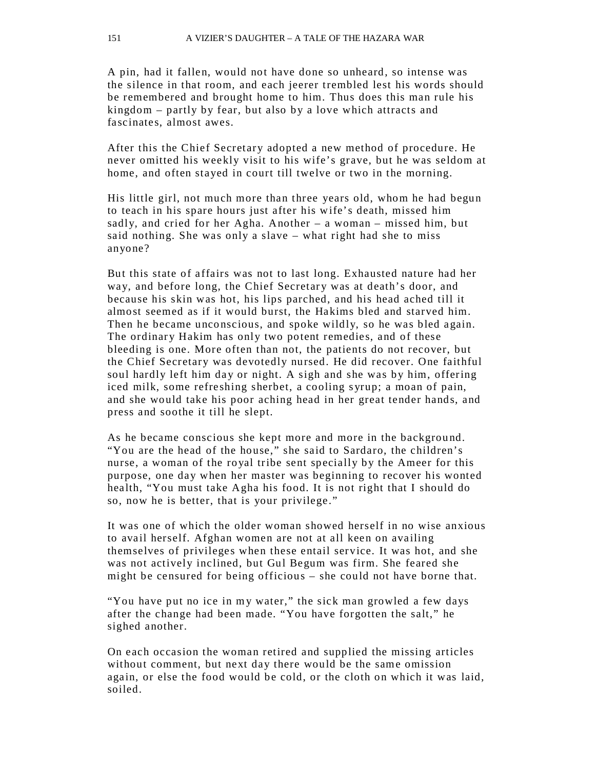A pin, had it fallen, would not have done so unheard, so intense was the silence in that room, and each jeerer trembled lest his words should be remembered and brought home to him. Thus does this man rule his kingdom – partly by fear, but also by a love which attracts and fascinates, almost awes.

After this the Chief Secretary adopted a new method of procedure. He never omitted his weekly visit to his wife's grave, but he was seldom at home, and often stayed in court till twelve or two in the morning.

His little girl, not much more than three years old, whom he had begun to teach in his spare hours just after his wife's death, missed him sadly, and cried for her Agha. Another – a woman – missed him, but said nothing. She was only a slave – what right had she to miss anyone?

But this state of affairs was not to last long. Exhausted nature had her way, and before long, the Chief Secretary was at death's door, and because his skin was hot, his lips parched, and his head ached till it almost seemed as if it would burst, the Hakims bled and starved him. Then he became unconscious, and spoke wildly, so he was bled again. The ordinary Hakim has only two potent remedies, and of these bleeding is one. More often than not, the patients do not recover, but the Chief Secretary was devotedly nursed. He did recover. One faithful soul hardly left him day or night. A sigh and she was by him, offering iced milk, some refreshing sherbet, a cooling syrup; a moan of pain, and she would take his poor aching head in her great tender hands, and press and soothe it till he slept.

As he became conscious she kept more and more in the background. "You are the head of the house," she said to Sardaro, the children's nurse, a woman of the royal tribe sent specially by the Ameer for this purpose, one day when her master was beginning to recover his wonted health, "You must take Agha his food. It is not right that I should do so, now he is better, that is your privilege."

It was one of which the older woman showed herself in no wise anxious to avail herself. Afghan women are not at all keen on availing themselves of privileges when these entail service. It was hot, and she was not actively inclined, but Gul Begum was firm. She feared she might be censured for being officious – she could not have borne that.

"You have put no ice in my water," the sick man growled a few days after the change had been made. "You have forgotten the salt," he sighed another.

On each occasion the woman retired and supplied the missing articles without comment, but next day there would be the same omission again, or else the food would be cold, or the cloth on which it was laid, soiled.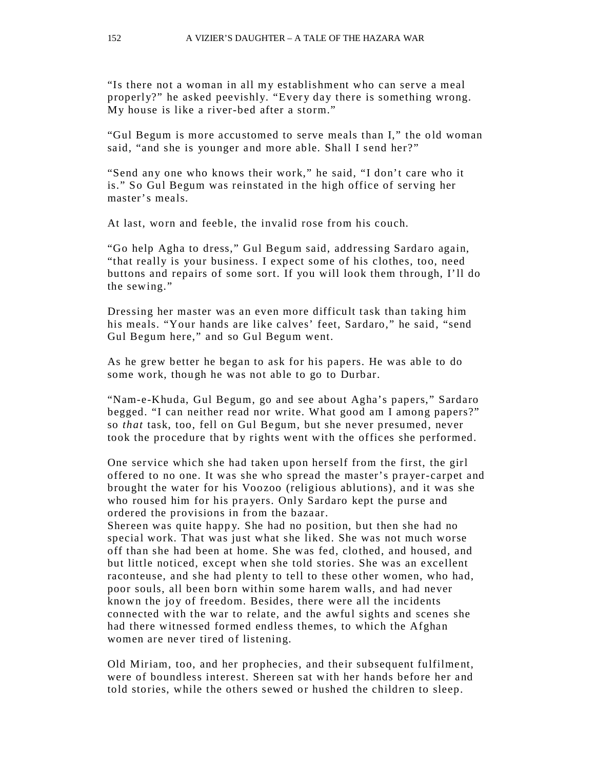"Is there not a woman in all my establishment who can serve a meal properly?" he asked peevishly. "Every day there is something wrong. My house is like a river-bed after a storm."

"Gul Begum is more accustomed to serve meals than I," the o ld woman said, "and she is younger and more able. Shall I send her?"

"Send any one who knows their work," he said, "I don't care who it is." So Gul Begum was reinstated in the high office of serving her master's meals.

At last, worn and feeble, the invalid rose from his couch.

"Go help Agha to dress," Gul Begum said, addressing Sardaro again, "that really is your business. I expect some of his clothes, too, need buttons and repairs of some sort. If you will look them through, I'll do the sewing."

Dressing her master was an even more difficult task than taking him his meals. "Your hands are like calves' feet, Sardaro," he said, "send Gul Begum here," and so Gul Begum went.

As he grew better he began to ask for his papers. He was able to do some work, though he was not able to go to Durbar.

"Nam-e-Khuda, Gul Begum, go and see about Agha's papers," Sardaro begged. "I can neither read nor write. What good am I among papers?" so *that* task, too, fell on Gul Begum, but she never presumed, never took the procedure that by rights went with the offices she performed.

One service which she had taken upon herself from the first, the girl offered to no one. It was she who spread the master's prayer-carpet and brought the water for his Voozoo (religious ablutions), a nd it was she who roused him for his prayers. Only Sardaro kept the purse and ordered the provisions in from the bazaar.

Shereen was quite happy. She had no position, but then she had no special work. That was just what she liked. She was not much worse off than she had been at home. She was fed, clothed, and housed, and but little noticed, except when she told stories. She was an excellent raconteuse, and she had plenty to tell to these other women, who had, poor souls, all been born within some harem walls, and had never known the joy of freedom. Besides, there were all the incidents connected with the war to relate, and the awful sights and scenes she had there witnessed formed endless themes, to which the Afghan women are never tired of listening.

Old Miriam, too, and her prophecies, and their subsequent fulfilment, were of boundless interest. Shereen sat with her hands before her and told stories, while the others sewed or hushed the children to sleep.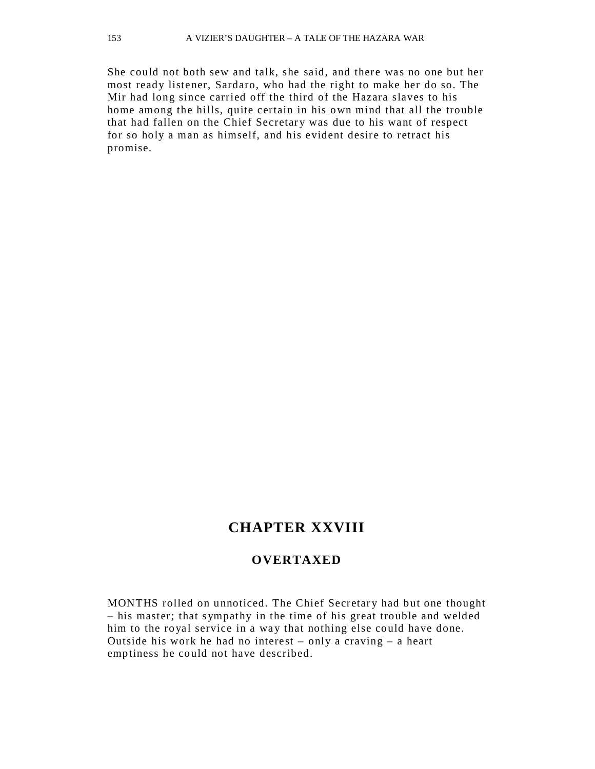She could not both sew and talk, she said, and ther e was no one but her most ready listener, Sardaro, who had the right to make her do so. The Mir had long since carried off the third of the Hazara slaves to his home among the hills, quite certain in his own mind that all the trouble that had fallen on the Chief Secretary was due to his want of respect for so holy a man as himself, and his evident desire to retract his promise.

# **CHAPTER XXVIII**

#### **OVERTAXED**

MONTHS rolled on unnoticed. The Chief Secretary had but one thought – his master; that sympathy in the time of his great trouble and welded him to the royal service in a way that nothing else could have done. Outside his work he had no interest – only a craving – a heart emptiness he could not have described.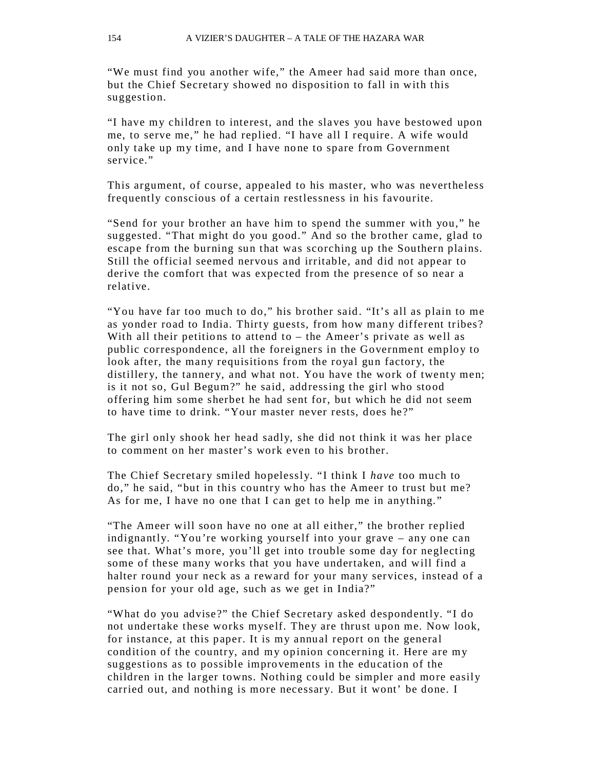"We must find you another wife," the Ameer had said more than once, but the Chief Secretary showed no disposition to fall in with this suggestion.

"I have my children to interest, and the slaves you have bestowed upon me, to serve me," he had replied. "I have all I require. A wife would only take up my time, and I have none to spare from Government service."

This argument, of course, appealed to his master, who was nevertheless frequently conscious of a certain restlessness in his favourite.

"Send for your brother an have him to spend the summer with you," he suggested. "That might do you good." And so the brother came, glad to escape from the burning sun that was scorching up the Southern plains. Still the official seemed nervous and irritable, and did not appear to derive the comfort that was expected from the presence of so near a relative.

"You have far too much to do," his brother said. "It's all as plain to me as yonder road to India. Thirty guests, from how many different tribes? With all their petitions to attend to  $-$  the Ameer's private as well as public correspondence, all the foreigners in the Government employ to look after, the many requisitions from the royal gun factory, the distillery, the tannery, and what not. You have the work of twenty men; is it not so, Gul Begum?" he said, addressing the girl who stood offering him some sherbet he had sent for, but which he did not seem to have time to drink. "Your master never rests, does he?"

The girl only shook her head sadly, she did not think it was her place to comment on her master's work even to his brother.

The Chief Secretary smiled hopelessly. "I think I *have* too much to do," he said, "but in this country who has the Ameer to trust but me? As for me, I have no one that I can get to help me in anything."

"The Ameer will soon have no one at all either," the brother replied indignantly. "You're working yourself into your grave – any one can see that. What's more, you'll get into trouble some day for neglecting some of these many works that you have undertaken, and will find a halter round your neck as a reward for your many services, instead of a pension for your old age, such as we get in India?"

"What do you advise?" the Chief Secretary asked despondently. "I do not undertake these works myself. They are thrust upon me. Now look, for instance, at this paper. It is my annual report on the general condition of the country, and my opinion concerning it. Here are my suggestions as to possible improvements in the education of the children in the larger towns. Nothing could be simpler and more easily carried out, and nothing is more necessary. But it wont' be done. I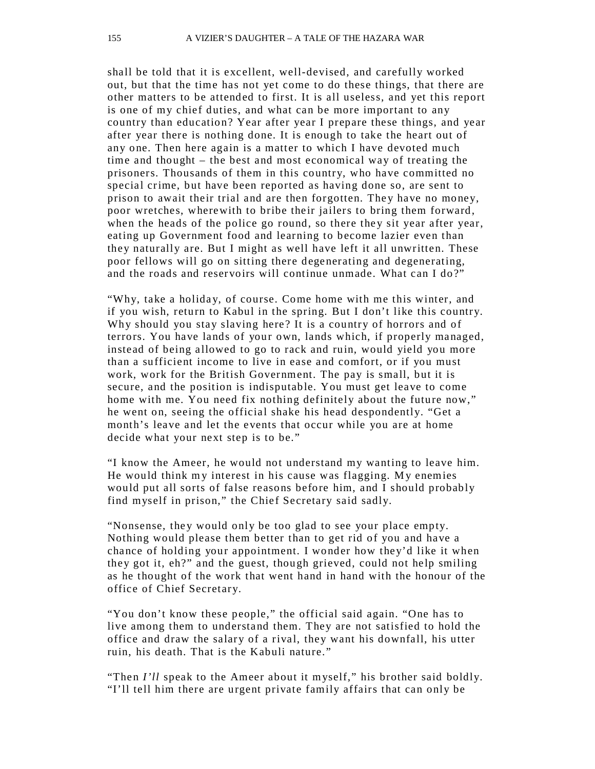shall be told that it is excellent, well-devised, and carefully worked out, but that the time has not yet come to do these things, that there are other matters to be attended to first. It is all useless, and yet this report is one of my chief duties, and what can be more important to any country than education? Year after year I prepare these things, and year after year there is nothing done. It is enough to take the heart out of any one. Then here again is a matter to which I have devoted much time and thought – the best and most economical way of treating the prisoners. Thousands of them in this country, who have committed no special crime, but have been reported as having done so, are sent to prison to await their trial and are then forgotten. They have no money, poor wretches, wherewith to bribe their jailers to bring them forward, when the heads of the police go round, so there they sit year after year, eating up Government food and learning to become lazier even than they naturally are. But I might as well have left it all unwritten. These poor fellows will go on sitting there degenerating and degenerating, and the roads and reservoirs will continue unmade. What can I do?"

"Why, take a holiday, of course. Come home with me this winter, and if you wish, return to Kabul in the spring. But I don't like this country. Why should you stay slaving here? It is a country of horrors and of terrors. You have lands of your own, lands which, if properly managed, instead of being allowed to go to rack and ruin, would yield you more than a sufficient income to live in ease and comfort, or if you must work, work for the British Government. The pay is small, but it is secure, and the position is indisputable. You must get leave to come home with me. You need fix nothing definitely about the future now," he went on, seeing the official shake his head despondently. "Get a month's leave and let the events that occur while you are at home decide what your next step is to be."

"I know the Ameer, he would not understand my wanting to leave him. He would think my interest in his cause was flagging. My enemies would put all sorts of false reasons before him, and I should probably find myself in prison," the Chief Secretary said sadly.

"Nonsense, they would only be too glad to see your place empty. Nothing would please them better than to get rid of you and have a chance of holding your appointment. I wonder how they'd like it when they got it, eh?" and the guest, though grieved, could not help smiling as he thought of the work that went hand in hand with the honour of the office of Chief Secretary.

"You don't know these people," the official said again. "One has to live among them to understand them. They are not satisfied to hold the office and draw the salary of a rival, they want his downfall, his utter ruin, his death. That is the Kabuli nature."

"Then *I'll* speak to the Ameer about it myself," his brother said boldly. "I'll tell him there are urgent private family affairs that can only be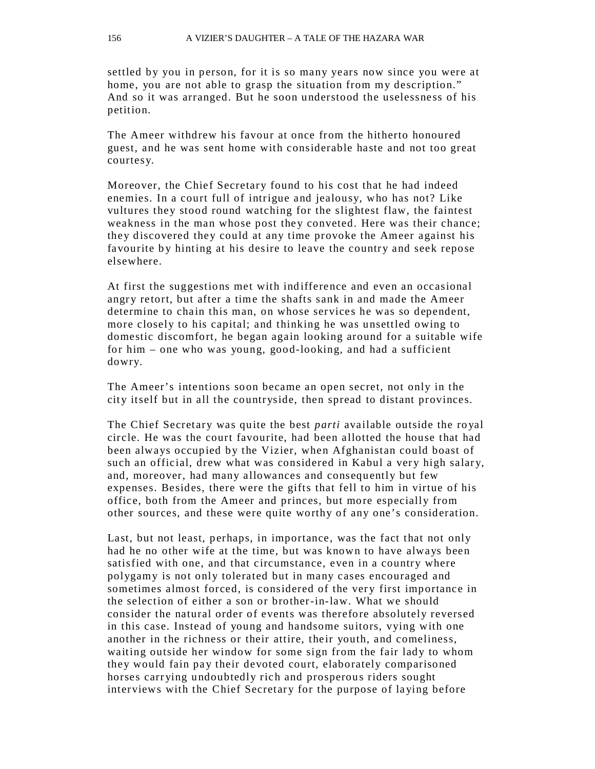settled by you in person, for it is so many years now since you were at home, you are not able to grasp the situation from my description." And so it was arranged. But he soon understood the uselessness of his petition.

The Ameer withdrew his favour at once from the hitherto honoured guest, and he was sent home with considerable haste and not too great courtesy.

Moreover, the Chief Secretary found to his cost that he had indeed enemies. In a court full of intrigue and jealousy, who has not? Like vultures they stood round watching for the slightest flaw, the faintest weakness in the man whose post they conveted. Here was their chance; they discovered they could at any time provoke the Ameer against his favourite by hinting at his desire to leave the country and seek repose elsewhere.

At first the suggestions met with ind ifference and even an occasional angry retort, but after a time the shafts sank in and made the Ameer determine to chain this man, on whose services he was so dependent, more closely to his capital; and thinking he was unsettled owing to domestic discomfort, he began again looking around for a suitable wife for him – one who was young, good-looking, and had a sufficient dowry.

The Ameer's intentions soon became an open secret, not only in the city itself but in all the countryside, then spread to distant provinces.

The Chief Secretary was quite the best *parti* available outside the royal circle. He was the court favourite, had been allotted the house that had been always occupied by the Vizier, when Afghanistan could boast of such an official, drew what was considered in Kabul a very high salary, and, moreover, had many allowances and consequently but few expenses. Besides, there were the gifts that fell to him in virtue of his office, both from the Ameer and princes, but more especially from other sources, and these were quite worthy of any one's consideration.

Last, but not least, perhaps, in importance, was the fact that not only had he no other wife at the time, but was known to have always been satisfied with one, and that circumstance, even in a country where polygamy is not only tolerated but in many cases encouraged and sometimes almost forced, is considered of the very first importance in the selection of either a son or brother-in-law. What we should consider the natural order of events was therefore absolutely reversed in this case. Instead of young and handsome suitors, vying with one another in the richness or their attire, their youth, and comeliness, waiting outside her window for some sign from the fair lady to whom they would fain pay their devoted court, elaborately comparisoned horses carr ying undoubtedly rich and prosperous riders sought interviews with the Chief Secretary for the purpose of laying before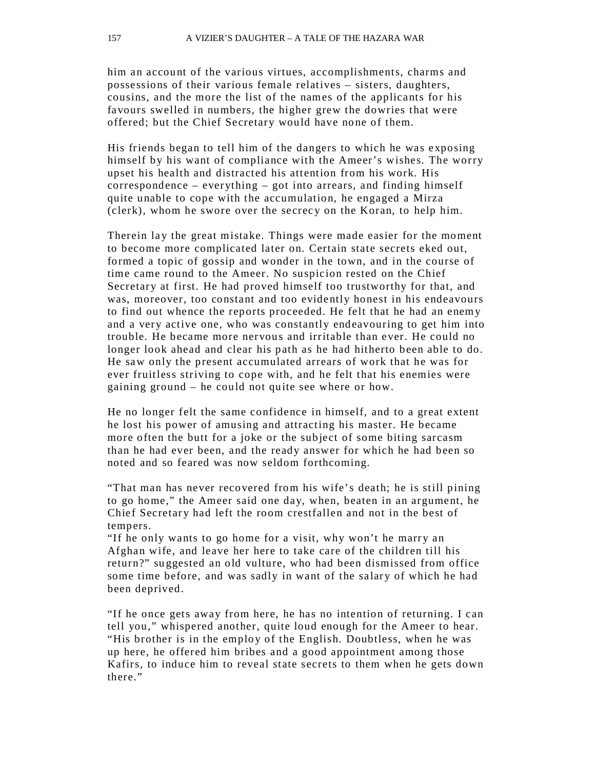him an account of the various virtues, accomplishments, charms and possessions of their various female relatives – sisters, daughters, cousins, and the more the list of the names of the applicants for his favours swelled in numbers, the higher grew the dowries that were offered; but the Chief Secretary would have none of them.

His friends began to tell him of the dangers to which he was exposing himself by his want of compliance with the Ameer's wishes. The worry upset his health and distracted his attention from his work. His correspondence – everything – got into arrears, and finding himself quite unable to cope with the accumulation, he engaged a Mirza (clerk), whom he swore over the secrec y on the Koran, to help him.

Therein lay the great mistake. Things were made easier for the moment to become more complicated later on. Certain state secrets eked out, formed a topic of gossip and wonder in the town, and in the course of time came round to the Ameer. No suspicion rested on the Chief Secretary at first. He had proved himself too trustworthy for that, and was, moreover, too constant and too evidently honest in his endeavours to find out whence the reports proceeded. He felt that he had an enem y and a very active one, who was constantly endeavouring to get him into trouble. He became more nervous and irritable than ever. He could no longer look ahead and clear his path as he had hitherto been able to do. He saw only the present accumulated arrears of work that he was for ever fruitless striving to cope with, and he felt that his enemies were gaining ground – he could not quite see where or how.

He no longer felt the same confidence in himself, and to a great extent he lost his power of amusing and attracting his master. He became more often the butt for a joke or the subject of some biting sarcasm than he had ever been, and the ready answer for which he had been so noted and so feared was now seldom forthcoming.

"That man has never recovered from his wife's death; he is still pining to go home," the Ameer said one day, when, beaten in an argument, he Chief Secretary had left the room crestfallen and not in the best of tempers.

"If he only wants to go home for a visit, why won't he marry an Afghan wife, and leave her here to take care of the children till his return?" su ggested an old vulture, who had been dismissed from office some time before, and was sadly in want of the salary of which he had been deprived.

"If he once gets away from here, he has no intention of returning. I can tell you," whispered another, quite loud enough for the Ameer to hear. "His brother is in the employ of the English. Doubtless, when he was up here, he offered him bribes and a good appointment among those Kafirs, to induce him to reveal state secrets to them when he gets down there."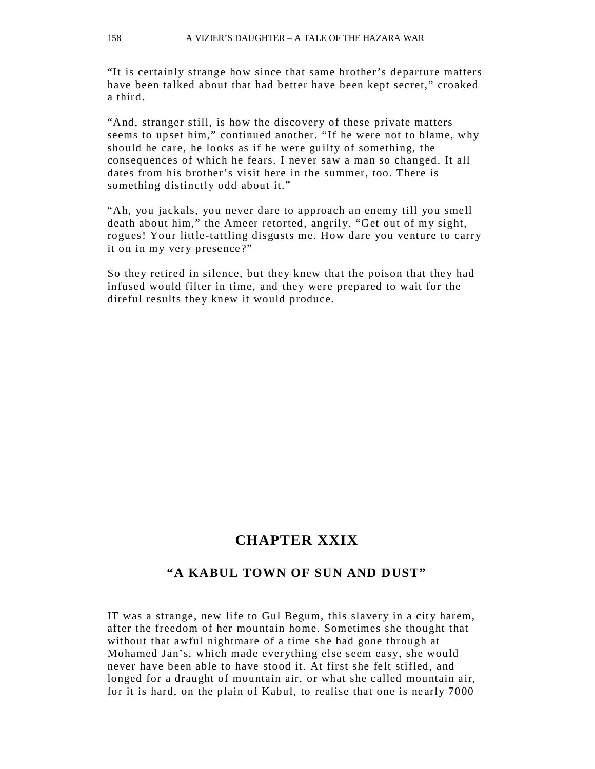"It is certainly strange how since that same brother's departure matters have been talked about that had better have been kept secret," croaked a third.

"And, stranger still, is how the discovery of these private matters seems to upset him," continued another. "If he were not to blame, why should he care, he looks as if he were guilty of something, the consequences of which he fears. I never saw a man so changed. It all dates from his brother's visit here in the summer, too. There is something distinctly odd about it."

"Ah, you jackals, you never dare to approach an enemy till you smell death about him," the Ameer retorted, angrily. "Get out of my sight, rogues! Your little-tattling disgusts me. How dare you venture to carry it on in my very presence?"

So they retired in silence, but they knew that the poison that they had infused would filter in time, and they were prepared to wait for the direful results they knew it would produce.

## **CHAPTER XXIX**

### **"A KABUL TOWN OF SUN AND DUST"**

IT was a strange, new life to Gul Begum, this slavery in a city harem, after the freedom of her mountain home. Sometimes she thought that without that awful nightmare of a time she had gone through at Mohamed Jan's, which made ever ything else seem easy, she would never have been able to have stood it. At first she felt stifled, and longed for a draught of mountain air, or what she called mountain air, for it is hard, on the plain of Kabul, to realise that one is ne arly 7000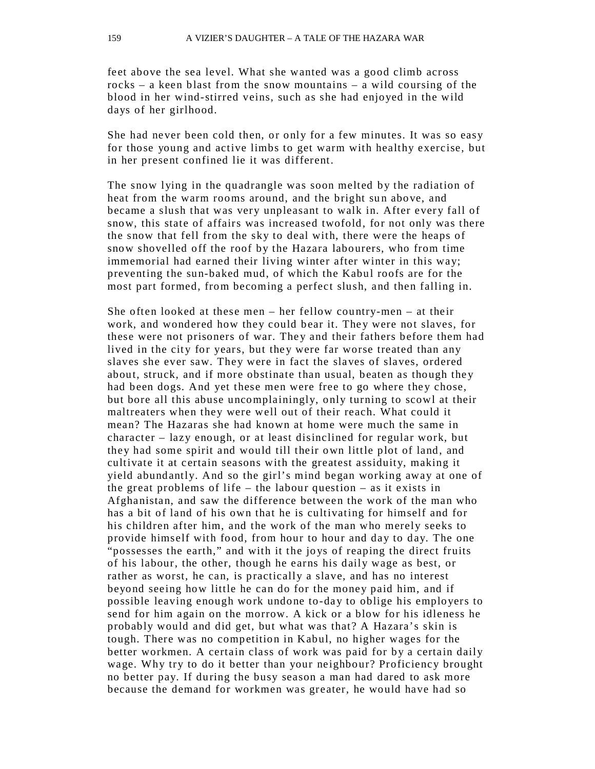feet above the sea level. What she wanted was a good climb across rocks – a keen blast from the snow mountains – a wild coursing of the blood in her wind-stirred veins, such as she had enjoyed in the wild days of her girlhood.

She had never been cold then, or only for a few minutes. It was so easy for those young and active limbs to get warm with healthy exercise, but in her present confined lie it was different.

The snow lying in the quadrangle was soon melted by the radiation of heat from the warm rooms around, and the bright sun above, and became a slush that was very unpleasant to walk in. After every fall of snow, this state of affairs was increased twofold, for not only was there the snow that fell from the sky to deal with, there were the heaps of snow shovelled off the roof by the Hazara labourers, who from time immemorial had earned their living winter after winter in this way; preventing the sun-baked mud, of which the Kabul roofs are for the most part formed, from becoming a perfect slush, and then falling in.

She often looked at these men – her fellow country-men – at their work, and wondered how they could bear it. They were not slaves, for these were not prisoners of war. They and their fathers before them had lived in the city for years, but they were far worse treated than any slaves she ever saw. They were in fact the slaves of slaves, ordered about, struck, and if more obstinate than usual, beaten as though the y had been dogs. And yet these men were free to go where they chose, but bore all this abuse uncomplainingly, only turning to scowl at their maltreaters when they were well out of their reach. What could it mean? The Hazaras she had known at home were much the same in character – lazy enough, or at least disinclined for regular work, but they had some spirit and would till their own little plot of land, and cultivate it at certain seasons with the greatest assiduity, making it yield abundantly. And so the girl's mind began working away at one of the great problems of life – the labour question – as it exists in Afghanistan, and saw the difference between the work of the man who has a bit of land of his own that he is cultivating for himself and for his children after him, and the work of the man who merely seeks to provide himself with food, from hour to hour and day to day. The one "possesses the earth," and with it the joys of reaping the direct fruits of his labour, the other, though he earns his daily wage as best, or rather as worst, he can, is practically a slave, and has no interest beyond seeing how little he can do for the money paid him, and if possible leaving enough work undone to-da y to oblige his employers to send for him again on the morrow. A kick or a blow for his idleness he probably would and did get, but what was that? A Hazara's skin is tough. There was no competition in Kabul, no higher wages for the better workmen. A certain class of work was paid for by a certain daily wage. Why try to do it better than your neighbour? Proficiency brought no better pay. If during the busy season a man had dared to ask more because the demand for workmen was greater, he would have had so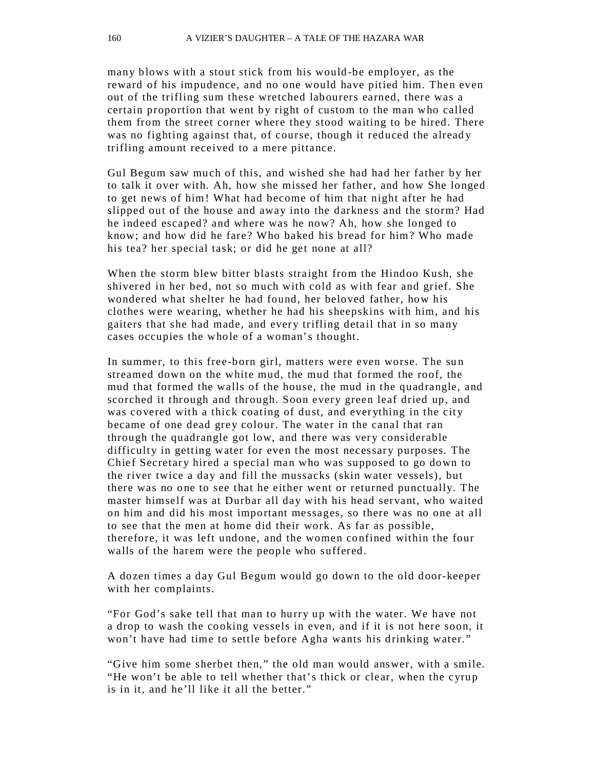many blows with a stout stick from his would -be employer, as the reward of his impudence, and no one would have pitied him. Then even out of the trifling sum these wretched labourers earned, there was a certain proportion that went by right of custom to the man who called them from the street corner where they stood waiting to be hired. There was no fighting against that, of course, though it reduced the alread y trifling amount received to a mere pittance.

Gul Begum saw much of this, and wished she had had her father by her to talk it over with. Ah, how she missed her father, and how She longed to get news of him! What had become of him that night after he had slipped out of the house and away into the darkness and the storm? Had he indeed escaped? and where was he now? Ah, how she longed to know; and how did he fare? Who baked his bread for him? Who made his tea? her special task; or did he get none at all?

When the storm blew bitter blasts straight from the Hindoo Kush, she shivered in her bed, not so much with cold as with fear and grief. She wondered what shelter he had found, her beloved father, how his clothes were wearing, whether he had his sheepskins with him, and his gaiters that she had made, and every trifling detail that in so many cases occupies the whole of a woman's thought.

In summer, to this free-born girl, matters were even worse. The sun streamed down on the white mud, the mud that formed the roof, the mud that formed the walls of the house, the mud in the quadrangle, and scorched it through and through. Soon every green leaf dried up, and was covered with a thick coating of dust, and everything in the city became of one dead grey colour. The water in the canal that ran through the quadrangle got low, and there was very considerable difficulty in getting water for even the most necessary purposes. The Chief Secretary hired a special man who was supposed to go down to the river twice a day and fill the mussacks (skin water vessels), but there was no one to see that he either went or returned punctually. The master himself was at Durbar all day with his head servant, who waited on him and did his most important messages, so there was no one at all to see that the men at home did their work. As far as possible, therefore, it was left undone, and the women confined within the four walls of the harem were the people who suffered.

A dozen times a day Gul Begum would go down to the old door-keeper with her complaints.

"For God's sake tell that man to hurry up with the water. We have not a drop to wash the cooking vessels in even, and if it is not here soon, it won't have had time to settle before Agha wants his drinking water."

"Give him some sherbet then," the old man would answer, with a smile. "He won't be able to tell whether that's thick or clear, when the cyrup is in it, and he'll like it all the better."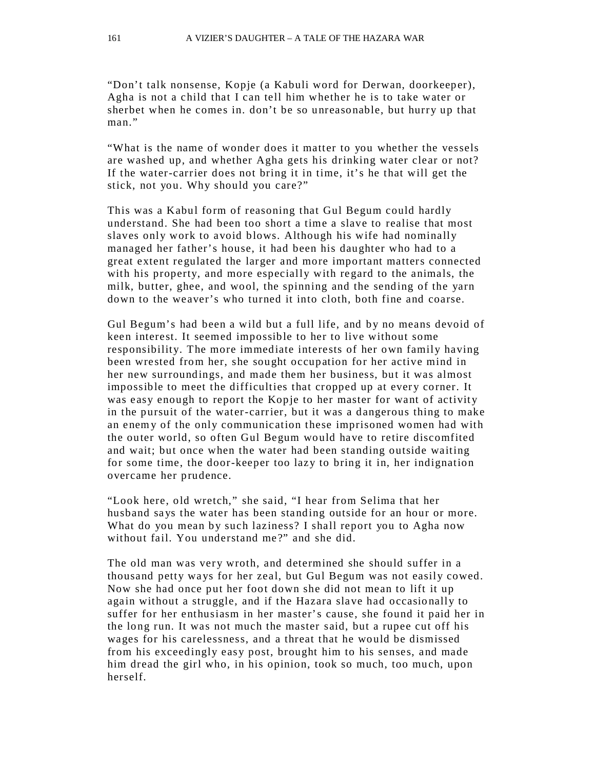"Don't talk nonsense, Kopje (a Kabuli word for Derwan, doorkeeper), Agha is not a child that I can tell him whether he is to take water or sherbet when he comes in. don't be so unreasonable, but hurry up that man."

"What is the name of wonder does it matter to you whether the vessels are washed up, and whether Agha gets his drinking water clear or not? If the water-carrier does not bring it in time, it's he that will get the stick, not you. Why should you care?"

This was a Kabul form of reasoning that Gul Begum could hardly understand. She had been too short a time a slave to realise that most slaves only work to avoid blows. Although his wife had nominally managed her father's house, it had been his daughter who had to a great extent regulated the larger and more important matters connected with his property, and more especially with regard to the animals, the milk, butter, ghee, and wool, the spinning and the sending of the yarn down to the weaver's who turned it into cloth, both fine and coarse.

Gul Begum's had been a wild but a full life, and by no means devoid of keen interest. It seemed impossible to her to live without some responsibility. The more immediate interests of her own family having been wrested from her, she sought occupation for her active mind in her new surroundings, and made them her business, but it was almost impossible to meet the difficulties that cropped up at every corner. It was easy enough to report the Kopje to her master for want of activity in the pursuit of the water-carrier, but it was a dangerous thing to make an enem y of the only communication these imprisoned women had with the outer world, so often Gul Begum would have to retire discomfited and wait; but once when the water had been standing outside waiting for some time, the door-keeper too lazy to bring it in, her indignation overcame her prudence.

"Look here, old wretch," she said, "I hear from Selima that her husband says the water has been standing outside for an hour or more. What do you mean by such laziness? I shall report you to Agha now without fail. You understand me?" and she did.

The old man was very wroth, and determined she should suffer in a thousand petty ways for her zeal, but Gul Begum was not easily cowed. Now she had once put her foot down she did not mean to lift it up again without a struggle, and if the Hazara slave had occasio nally to suffer for her enthusiasm in her master's cause, she found it paid her in the long run. It was not much the master said, but a rupee cut off his wages for his carelessness, and a threat that he would be dismissed from his exceedingly easy post, brought him to his senses, and made him dread the girl who, in his opinion, took so much, too much, upon herself.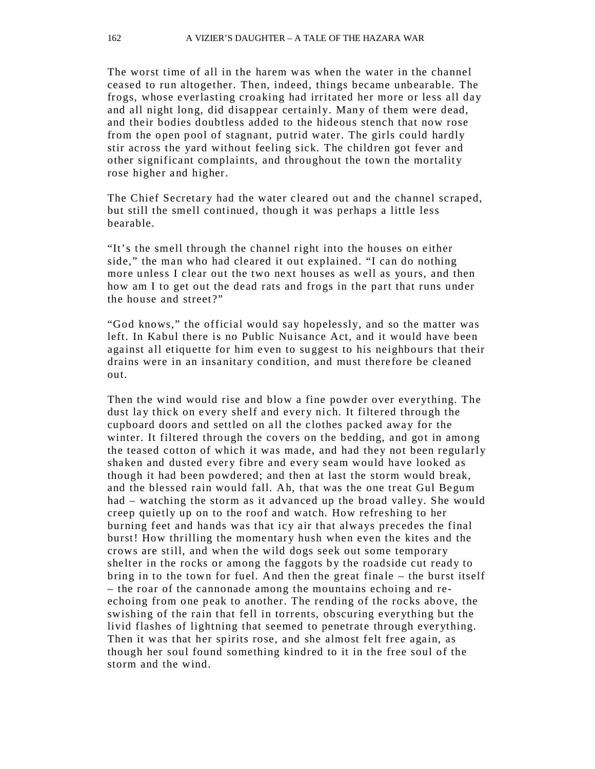The worst time of all in the harem was when the water in the channel ceased to run altogether. Then, indeed, things became unbearable. The frogs, whose everlasting croaking had irritated her more or less all day and all night long, did disappear certainly. Many of them were dead, and their bodies doubtless added to the hideous stench that now rose from the open pool of stagnant, putrid water. The girls could hardly stir across the yard without feeling sick. The children got fever and other significant complaints, and throughout the town the mortality rose higher and higher.

The Chief Secretary had the water cleared out and the channel scraped, but still the smell continued, though it was perhaps a little less bearable.

"It's the smell through the channel right into the houses on either side," the man who had cleared it out explained. "I can do nothing more unless I clear out the two next houses as well as yours, and then how am I to get out the dead rats and frogs in the part that runs under the house and street?"

"God knows," the official would say hopelessly, and so the matter was left. In Kabul there is no Public Nuisance Act, and it would have been against all etiquette for him even to suggest to his neighbours that their drains were in an insanitary condition, and must therefore be cleaned out.

Then the wind would rise and blow a fine powder over everything. The dust lay thick on every shelf and every nich. It filtered through the cupboard doors and settled on all the clothes packed away for the winter. It filtered through the covers on the bedding, and got in among the teased cotton of which it was made, and had they not been regularly shaken and dusted every fibre and every seam would have looked as though it had been powdered; and then at last the storm would break, and the blessed rain would fall. Ah, that was the one treat Gul Begum had – watching the storm as it advanced up the broad valley. She would creep quietly up on to the roof and watch. How refreshing to her burning feet and hands was that icy air that always precedes the final burst! How thrilling the momentary hush when even the kites and the crows are still, and when the wild dogs seek out some temporary shelter in the rocks or among the faggots by the roadside cut ready to bring in to the town for fuel. And then the great finale – the burst itself – the roar of the cannonade among the mountains echoing and reechoing from one peak to another. The rending of the rocks above, the swishing of the rain that fell in torrents, obscuring ever ything but the livid flashes of lightning that seemed to penetrate through everything. Then it was that her spirits rose, and she almost felt free again, as though her soul found something kindred to it in the free soul of the storm and the wind.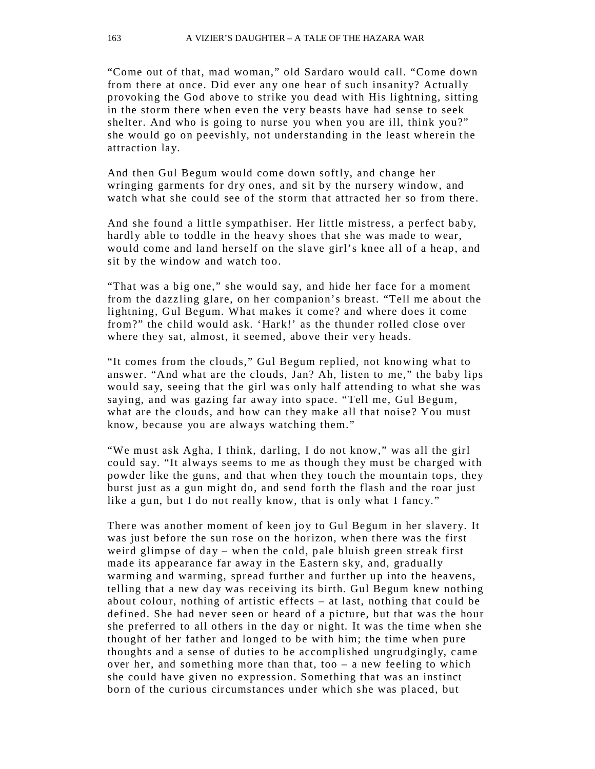"Come out of that, mad woman," old Sardaro would call. "Come down from there at once. Did ever any one hear of such insanity? Actually provoking the God above to strike you dead with His lightning, sitting in the storm there when even the very beasts have had sense to seek shelter. And who is going to nurse you when you are ill, think you?" she would go on peevishly, not understanding in the least wherein the attraction lay.

And then Gul Begum would come down softly, and change her wringing garments for dry ones, and sit by the nursery window, and watch what she could see of the storm that attracted her so from there.

And she found a little sympathiser. Her little mistress, a perfect baby, hardly able to toddle in the heavy shoes that she was made to wear, would come and land herself on the slave girl's knee all of a heap, and sit by the window and watch too.

"That was a big one," she would say, and hide her face for a moment from the dazzling glare, on her companion's breast. "Tell me about the lightning, Gul Begum. What makes it come? and where does it come from?" the child would ask. 'Hark!' as the thunder rolled close over where they sat, almost, it seemed, above their very heads.

"It comes from the clouds," Gul Begum replied, not knowing what to answer. "And what are the clouds, Jan? Ah, listen to me," the baby lips would say, seeing that the girl was only half attending to what she was saying, and was gazing far away into space. "Tell me, Gul Begum, what are the clouds, and how can they make all that noise? You must know, because you are always watching them."

"We must ask Agha, I think, darling, I do not know," was all the girl could say. "It always seems to me as though they must be charged with powder like the guns, and that when they touch the mountain tops, they burst just as a gun might do, and send forth the flash and the roar just like a gun, but I do not really know, that is only what I fancy."

There was another moment of keen joy to Gul Begum in her slavery. It was just before the sun rose on the horizon, when there was the first weird glimpse of day – when the cold, pale bluish green streak first made its appearance far away in the Eastern sky, and, gradually warming and warming, spread further and further up into the heavens, telling that a new day was receiving its birth. Gul Begum knew nothing about colour, nothing of artistic effects – at last, nothing that could be defined. She had never seen or heard of a picture, but that was the hour she preferred to all others in the day or night. It was the time when she thought of her father and longed to be with him; the time when pure thoughts and a sense of duties to be accomplished ungrudgingly, came over her, and something more than that, too – a new feeling to which she could have given no expression. Something that was an instinct born of the curious circumstances under which she was placed, but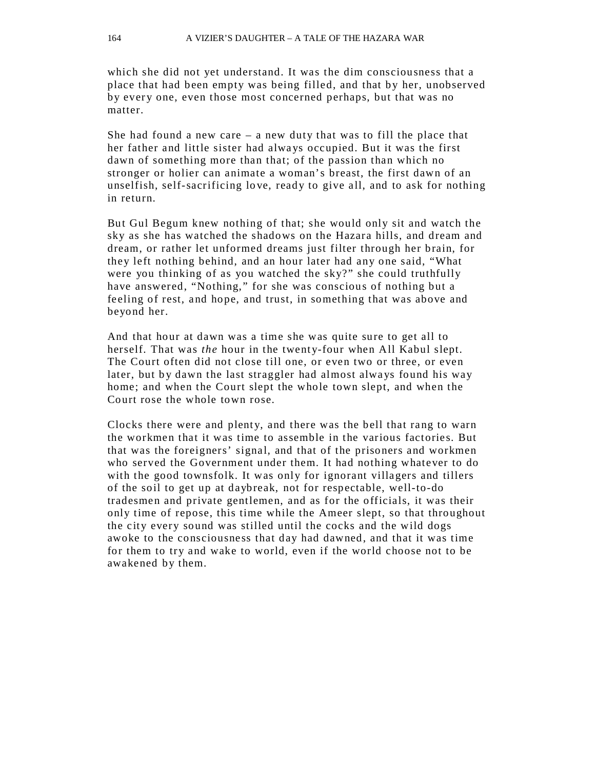which she did not yet understand. It was the dim consciousness that a place that had been empty was being filled, and that by her, unobserved by every one, even those most concerned perhaps, but that was no matter.

She had found a new care – a new duty that was to fill the place that her father and little sister had always occupied. But it was the first dawn of something more than that; of the passion than which no stronger or holier can animate a woman's breast, the first dawn of an unselfish, self-sacrificing lo ve, ready to give all, and to ask for nothing in return.

But Gul Begum knew nothing of that; she would only sit and watch the sky as she has watched the shadows on the Hazara hills, and dream and dream, or rather let unformed dreams just filter through her brain, for they left nothing behind, and an hour later had any one said, "What were you thinking of as you watched the sky?" she could truthfully have answered, "Nothing," for she was conscious of nothing but a feeling of rest, and hope, and trust, in something that was above and beyond her.

And that hour at dawn was a time she was quite sure to get all to herself. That was *the* hour in the twenty-four when All Kabul slept. The Court often did not close till one, or even two or three, or even later, but by dawn the last straggler had almost always found his way home; and when the Court slept the whole town slept, and when the Court rose the whole town rose.

Clocks there were and plenty, and there was the bell that rang to warn the workmen that it was time to assemble in the various factories. But that was the foreigners' signal, and that of the prisoners and workmen who served the Government under them. It had nothing whatever to do with the good townsfolk. It was only for ignorant villagers and tillers of the soil to get up at daybreak, not for respectable, well-to-do tradesmen and private gentlemen, and as for the officials, it was their only time of repose, this time while the Ameer slept, so that throughout the city every sound was stilled until the cocks and the wild dogs awoke to the consciousness that day had dawned, and that it was time for them to try and wake to world, even if the world choose not to be awakened by them.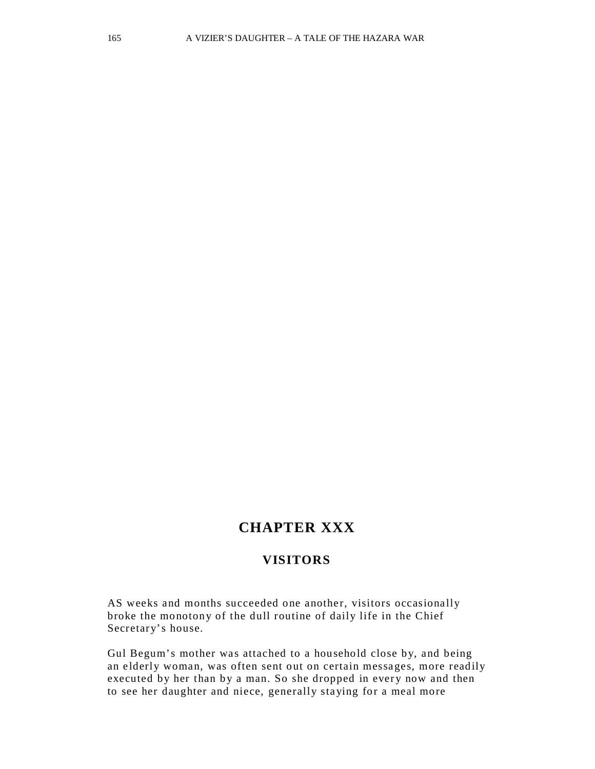# **CHAPTER XXX**

#### **VISITORS**

AS weeks and months succeeded one another, visitors occasionally broke the monotony of the dull routine of daily life in the Chief Secretary's house.

Gul Begum's mother was attached to a household close by, and being an elderly woman, was often sent out on certain messages, more readily executed by her than by a man. So she dropped in every now and then to see her daughter and niece, generally staying for a meal more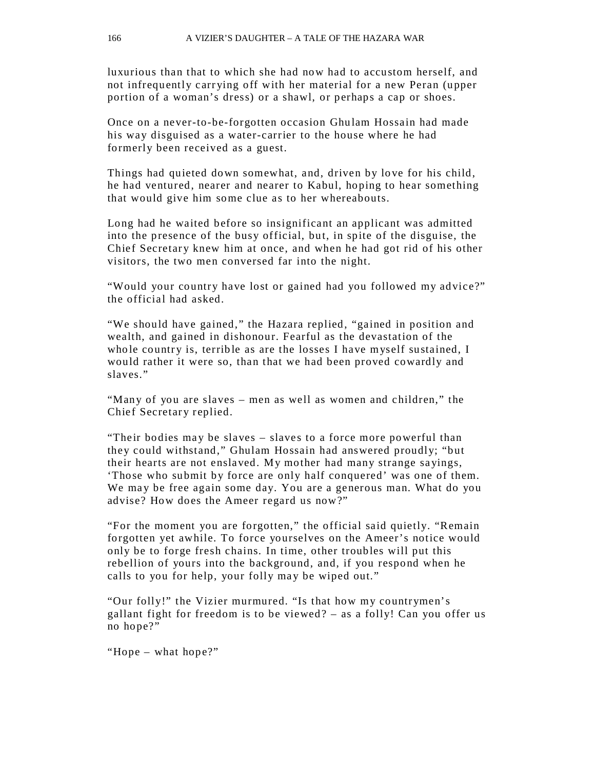luxurious than that to which she had now had to accustom herself, and not infrequently carr ying off with her material for a new Peran (upper portion of a woman's dress) or a shawl, or perhaps a cap or shoes.

Once on a never-to-be-forgotten occasion Ghu lam Hossain had made his way disguised as a water-carrier to the house where he had formerly been received as a guest.

Things had quieted down somewhat, and, driven by love for his child, he had ventured, nearer and nearer to Kabul, hoping to hear something that would give him some clue as to her whereabouts.

Long had he waited before so insignificant an applicant was admitted into the presence of the busy official, but, in spite of the disguise, the Chief Secretary knew him at once, and when he had got rid of his other visitors, the two men conversed far into the night.

"Would your country have lost or gained had you followed my advice?" the official had asked.

"We should have gained," the Hazara replied, "gained in position and wealth, and gained in dishonour. Fearful as the devastation of the who le country is, terrible as are the losses I have myself sustained, I would rather it were so, than that we had been proved cowardly and slaves."

"Many of you are slaves – men as well as women and children," the Chief Secretary replied.

"Their bodies may be slaves – slaves to a force more powerful than they could withstand," Ghulam Hossain had answered proudly; "but their hearts are not enslaved. My mother had many strange sayings, 'Those who submit by force are only half conquered' was one of them. We may be free again some day. You are a generous man. What do you advise? How does the Ameer regard us now?"

"For the moment you are forgotten," the official said quietly. "Remain forgotten yet awhile. To force yourselves on the Ameer's notice would only be to forge fresh chains. In time, other troubles will put this rebellion of yours into the background, and, if you respond when he calls to you for help, your folly may be wiped out."

"Our folly!" the Vizier murmured. "Is that how my countrymen's gallant fight for freedom is to be viewed? – as a folly! Can you offer us no hope?"

"Hope – what hope?"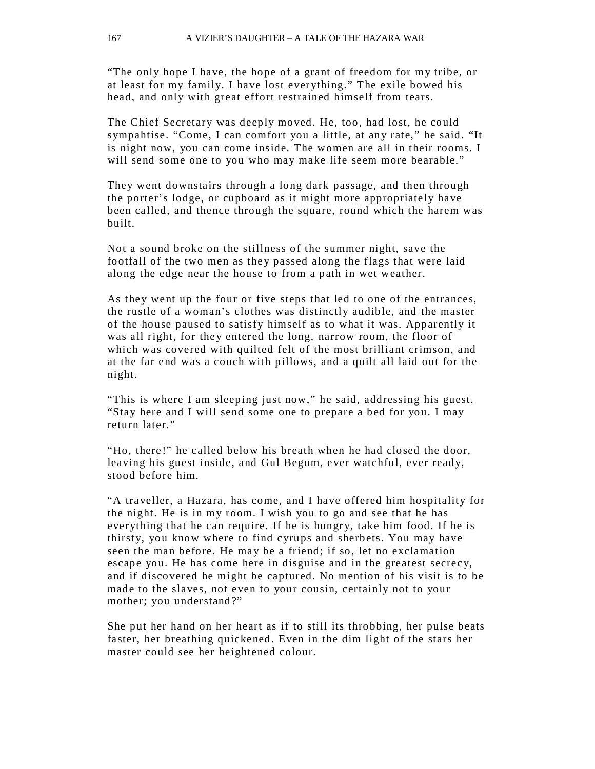"The only hope I have, the hope of a grant of freedom for my tribe, or at least for my family. I have lost ever ything." The exile bowed his head, and only with great effort restrained himself from tears.

The Chief Secretary was deeply moved. He, too, had lost, he could sympahtise. "Come, I can comfort you a little, at any rate," he said. "It is night now, you can come inside. The women are all in their rooms. I will send some one to you who may make life seem more bearable."

They went downstairs through a long dark passage, and then through the porter's lodge, or cupboard as it might more appropriately have been called, and thence through the square, round which the harem was built.

Not a sound broke on the stillness of the summer night, save the footfall of the two men as they passed along the flags that were laid along the edge near the house to from a path in wet weather.

As they went up the four or five steps that led to one of the entrances, the rustle of a woman's clothes was distinctly audible, and the master of the house paused to satisfy himself as to what it was. Apparently it was all right, for they entered the long, narrow room, the floor of which was covered with quilted felt of the most brilliant crimson, and at the far end was a couch with pillows, and a quilt all laid out for the night.

"This is where I am sleeping just now," he said, addressing his guest. "Stay here and I will send some one to prepare a bed for you. I may return later."

"Ho, there!" he called below his breath when he had closed the door, leaving his guest inside, and Gul Begum, ever watchful, ever ready, stood before him.

"A traveller, a Hazara, has come, and I have offered him hospitality for the night. He is in my room. I wish you to go and see that he has everything that he can require. If he is hungry, take him food. If he is thirsty, you know where to find cyrups and sherbets. You may have seen the man before. He ma y be a friend; if so, let no exclamation escape you. He has come here in disguise and in the greatest secrecy, and if discovered he might be captured. No mention of his visit is to be made to the slaves, not even to your cousin, certainly not to your mother; you understand ?"

She put her hand on her heart as if to still its throbbing, her pulse beats faster, her breathing quickened. Even in the dim light of the stars her master could see her heightened colour.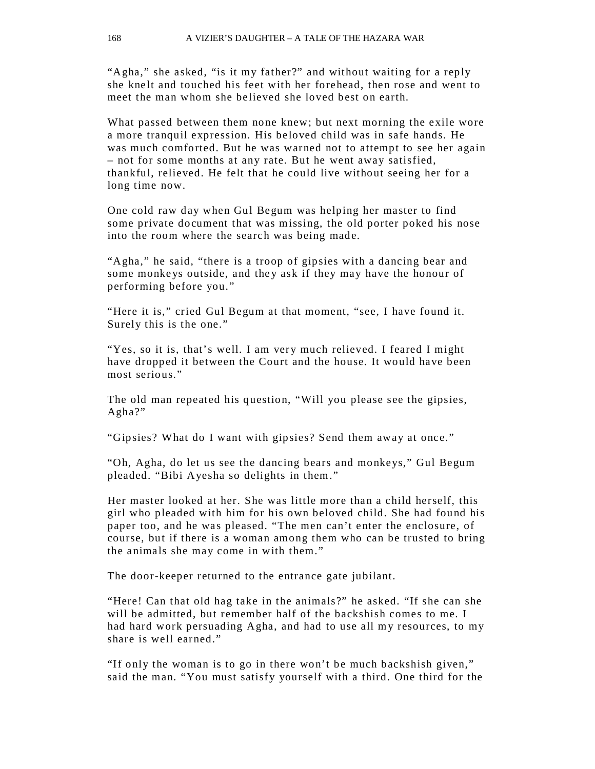"Agha," she asked, "is it my father?" and without waiting for a reply she knelt and touched his feet with her forehead, then rose and went to meet the man whom she believed she loved best on earth.

What passed between them none knew; but next morning the exile wore a more tranquil expression. His beloved child was in safe hands. He was much comforted. But he was warned not to attempt to see her again – not for some months at any rate. But he went away satisfied, thankful, relieved. He felt that he could live without seeing her for a long time now.

One cold raw day when Gul Begum was helping her master to find some private document that was missing, the old porter poked his nose into the room where the search was being made.

"Agha," he said, "there is a troop of gipsies with a dancing bear and some monkeys outside, and they ask if they may have the honour of performing before you."

"Here it is," cried Gul Begum at that moment, "see, I have found it. Surely this is the one."

"Yes, so it is, that's well. I am very much relieved. I feared I might have dropped it between the Court and the house. It would have been most serious."

The old man repeated his question, "Will you please see the gipsies, Agha?"

"Gipsies? What do I want with gipsies? Send them away at once."

"Oh, Agha, do let us see the dancing bears and monkeys," Gul Begum pleaded. "Bibi Ayesha so delights in them."

Her master looked at her. She was little more than a child herself, this girl who pleaded with him for his own beloved child. She had found his paper too, and he was pleased. "The men can't enter the enclosure, of course, but if there is a woman among them who can be trusted to bring the animals she may come in with them."

The door-keeper returned to the entrance gate jubilant.

"Here! Can that old hag take in the animals?" he asked. "If she can she will be admitted, but remember half of the backshish comes to me. I had hard work persuading Agha, and had to use all my resources, to my share is well earned."

"If only the woman is to go in there won't be much backshish given," said the man. "You must satisfy yourself with a third. One third for the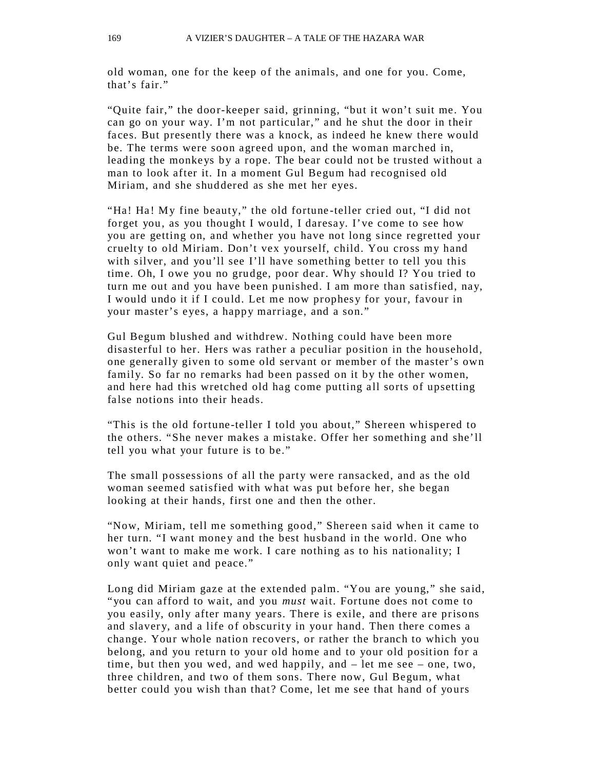old woman, one for the keep of the animals, and one for you. Come, that's fair."

"Quite fair," the door-keeper said, grinning, "but it won't suit me. You can go on your way. I'm not particular," and he shut the door in their faces. But presently there was a knock, as indeed he knew there would be. The terms were soon agreed upon, and the woman marched in, leading the monkeys by a rope. The bear could not be trusted without a man to look after it. In a moment Gul Begum had recognised old Miriam, and she shuddered as she met her eyes.

"Ha! Ha! My fine beauty," the old fortune -teller cried out, "I did not forget you, as you thought I would, I daresay. I've come to see how you are getting on, and whether you have not long since regretted your cruelty to old Miriam. Don't vex yourself, child. You cross my hand with silver, and you'll see I'll have something better to tell you this time. Oh, I owe you no grudge, poor dear. Why should I? You tried to turn me out and you have been punished. I am more than satisfied, nay, I would undo it if I could. Let me now prophesy for your, favour in your master's eyes, a happy marriage, and a son."

Gul Begum blushed and withdrew. Nothing could have been more disasterful to her. Hers was rather a peculiar position in the household, one generally given to some old servant or member of the master's own family. So far no remarks had been passed on it by the other women, and here had this wretched old hag come putting all sorts of upsetting false notions into their heads.

"This is the old fortune-teller I told you about," Shereen whispered to the others. "She never makes a mistake. Offer her something and she'll tell you what your future is to be."

The small possessions of all the party were ransacked, and as the old woman seemed satisfied with what was put before her, she began looking at their hands, first one and then the other.

"Now, Miriam, tell me something good," Shereen said when it came to her turn. "I want money and the best husband in the world. One who won't want to make me work. I care nothing as to his nationality; I only want quiet and peace."

Long did Miriam gaze at the extended palm. "You are young," she said, "you can afford to wait, and you *must* wait. Fortune does not come to you easily, only after many years. There is exile, and there are prisons and slavery, and a life of obscurity in your hand. Then there comes a change. Your whole nation recovers, or rather the branch to which you belong, and you return to your old home and to your old position for a time, but then you wed, and wed happily, and – let me see – one, two, three children, and two of them sons. There now, Gul Begum, what better could you wish than that? Come, let me see that hand of yours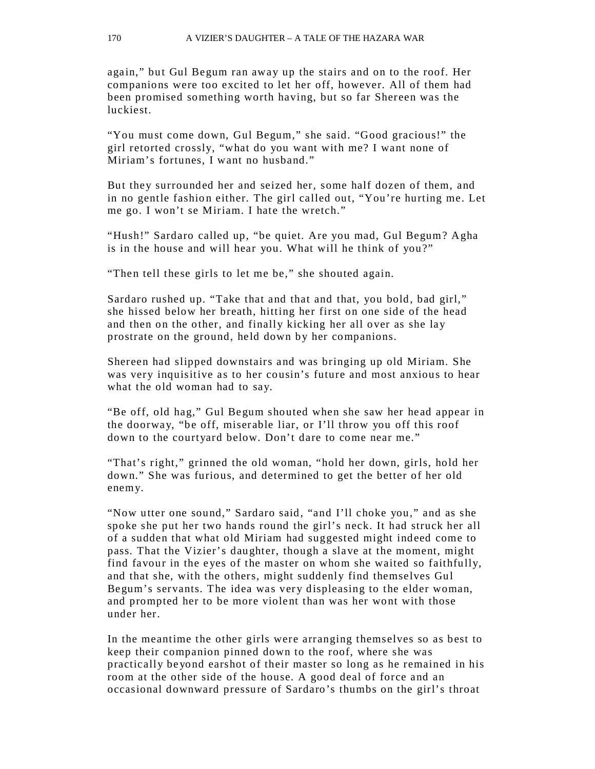again," but Gul Begum ran away up the stairs and on to the roof. Her companions were too excited to let her off, however. All of them had been promised something worth having, but so far Shereen was the luckiest.

"You must come down, Gul Begum," she said. "Good gracious!" the girl retorted crossly, "what do you want with me? I want none of Miriam's fortunes, I want no husband."

But they surrounded her and seized her, some half dozen of them, and in no gentle fashion either. The girl called out, "You're hurting me. Let me go. I won't se Miriam. I hate the wretch."

"Hush!" Sardaro called up, "be quiet. Are you mad, Gul Begum? Agha is in the house and will hear you. What will he think of you?"

"Then tell these girls to let me be," she shouted again.

Sardaro rushed up. "Take that and that and that, you bold, bad girl," she hissed below her breath, hitting her first on one side of the head and then on the other, and finally kicking her all over as she lay prostrate on the ground, held down by her companions.

Shereen had slipped downstairs and was bringing up old Miriam. She was very inquisitive as to her cousin's future and most anxious to hear what the old woman had to say.

"Be off, old hag," Gul Begum shouted when she saw her head appear in the doorway, "be off, miserable liar, or I'll throw you off this roof down to the courtyard below. Don't dare to come near me."

"That's right," grinned the old woman, "hold her down, girls, hold her down." She was furious, and determined to get the better of her old enemy.

"Now utter one sound," Sardaro said, "and I'll choke you," and as she spoke she put her two hands round the girl's neck. It had struck her all of a sudden that what old Miriam had suggested might indeed come to pass. That the Vizier's daughter, though a slave at the moment, might find favour in the eyes of the master on whom she waited so faithfully, and that she, with the others, might suddenly find themselves Gul Begum's servants. The idea was very displeasing to the elder woman, and prompted her to be more violent than was her wont with those under her.

In the meantime the other girls were arranging themselves so as best to keep their companion pinned down to the roof, where she was practically be yond earshot of their master so long as he remained in his room at the other side of the house. A good deal of force and an occasional downward pressure of Sardaro's thumbs on the girl's throat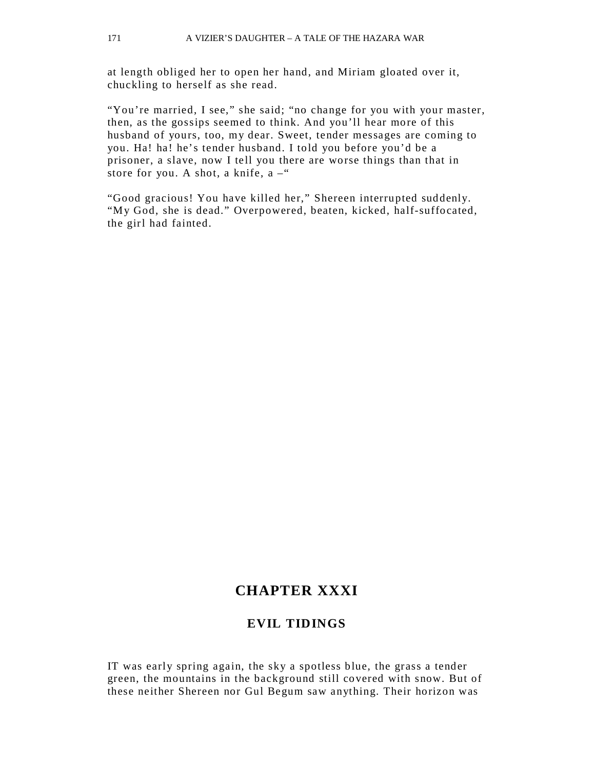at length obliged her to open her hand, and Miriam gloated over it, chuckling to herself as she read.

"You're married, I see," she said; "no change for you with your master, then, as the gossips seemed to think. And you'll hear more of this husband of yours, too, my dear. Sweet, tender messages are coming to you. Ha! ha! he's tender husband. I told you before you'd be a prisoner, a slave, now I tell you there are worse things than that in store for you. A shot, a knife,  $a -$ "

"Good gracious! You have killed her," Shereen interrupted suddenly. "My God, she is dead." Overpowered, beaten, kicked, half-suffocated, the girl had fainted.

## **CHAPTER XXXI**

### **EVIL TIDINGS**

IT was early spring again, the sky a spotless blue, the grass a tender green, the mountains in the background still covered with snow. But of these neither Shereen nor Gul Begum saw anything. Their horizon was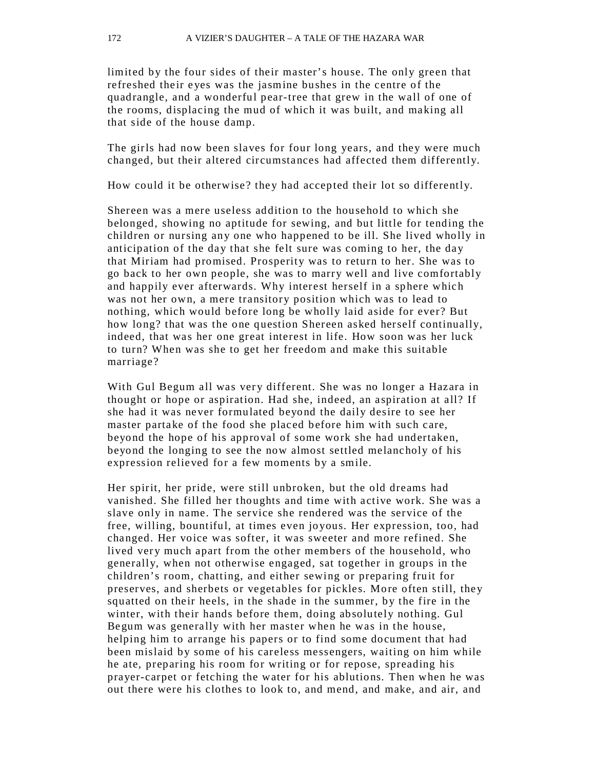limited by the four sides of their master's house. The only green that refreshed their eyes was the jasmine bushes in the centre of the quadrangle, and a wonderful pear-tree that grew in the wall of one of the rooms, displacing the mud of which it was built, and making all that side of the house damp.

The girls had now been slaves for four long years, and they were much changed, but their altered circumstances had affected them differently.

How could it be otherwise? they had accepted their lot so differently.

Shereen was a mere useless addition to the household to which she belonged, showing no aptitude for sewing, and but little for tending the children or nursing any one who happened to be ill. She lived wholly in anticipation of the day that she felt sure was coming to her, the day that Miriam had promised. Prosperity was to return to her. She was to go back to her own people, she was to marry well and live comfortably and happily ever afterwards. Why interest herself in a sphere which was not her own, a mere transitory position which was to lead to nothing, which would before long be wholly laid aside for ever? But how long? that was the one question Shereen asked herself continually, indeed, that was her one great interest in life. How soon was her luck to turn? When was she to get her freedom and make this suitable marriage?

With Gul Begum all was very different. She was no longer a Hazara in thought or hope or aspiration. Had she, indeed, an aspiration at all? If she had it was never formulated beyond the daily desire to see her master partake of the food she placed before him with such care, beyond the hope of his approval of some work she had undertaken, beyond the longing to see the now almost settled melancholy of his expression relieved for a few moments by a smile.

Her spirit, her pride, were still unbroken, but the old dreams had vanished. She filled her thoughts and time with active work. She was a slave only in name. The service she rendered was the service of the free, willing, bountiful, at times even joyous. Her expression, too, had changed. Her voice was softer, it was sweeter and more refined. She lived very much apart from the other members of the household, who generally, when not otherwise engaged, sat together in groups in the children's room, chatting, and either sewing or preparing fruit for preserves, and sherbets or vegetables for pickles. More often still, they squatted on their heels, in the shade in the summer, by the fire in the winter, with their hands before them, doing absolutely nothing. Gul Begum was generally with her master when he was in the house, helping him to arrange his papers or to find some document that had been mislaid by some of his careless messengers, waiting on him while he ate, preparing his room for writing or for repose, spreading his prayer-carpet or fetching the water for his ablutions. Then when he was out there were his clothes to look to, and mend, and make, and air, and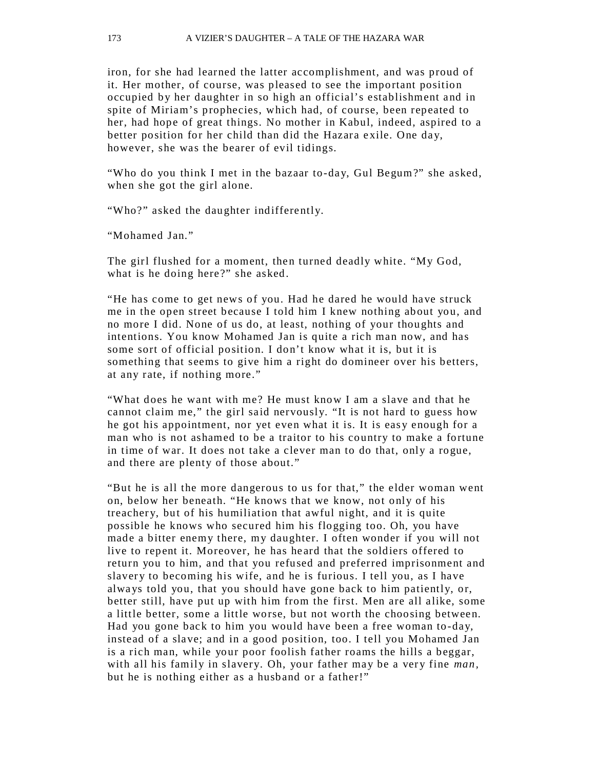iron, for she had learned the latter accomplishment, and was proud of it. Her mother, of course, was pleased to see the important position occupied by her daughter in so high an official's establishment and in spite of Miriam's prophecies, which had, of course, been repeated to her, had hope of great things. No mother in Kabul, indeed, aspired to a better position for her child than did the Hazara exile. One day, however, she was the bearer of evil tidings.

"Who do you think I met in the bazaar to-day, Gul Begum?" she asked, when she got the girl alone.

"Who?" asked the daughter indifferently.

"Mohamed Jan."

The girl flushed for a moment, then turned deadly white. "My God, what is he doing here?" she asked.

"He has come to get news of you. Had he dared he would have struck me in the open street because I told him I knew nothing about you, and no more I did. None of us do, at least, nothing of your thoughts and intentions. You know Mohamed Jan is quite a rich man now, and has some sort of official position. I don't know what it is, but it is something that seems to give him a right do domineer over his betters, at any rate, if nothing more."

"What does he want with me? He must know I am a slave and that he cannot claim me," the girl said nervously. "It is not hard to guess how he got his appointment, nor yet even what it is. It is easy enough for a man who is not ashamed to be a traitor to his country to make a fortune in time of war. It does not take a clever man to do that, only a rogue, and there are plenty of those about."

"But he is all the more dangerous to us for that," the elder woman went on, below her beneath. "He knows that we know, not only of his treacher y, but of his humiliation that awful night, and it is quite possible he knows who secured him his flogging too. Oh, you have made a bitter enemy there, my daughter. I often wonder if you will not live to repent it. Moreover, he has he ard that the soldiers offered to return you to him, and that you refused and preferred imprisonment and slavery to becoming his wife, and he is furious. I tell you, as I have alwa ys told you, that you should have gone back to him patiently, or, better still, have put up with him from the first. Men are all alike, some a little better, some a little worse, but not worth the choosing between. Had you gone back to him you would have been a free woman to-day, instead of a slave; and in a good position, too. I tell you Mohamed Jan is a rich man, while your poor foolish father roams the hills a beggar, with all his family in slavery. Oh, your father may be a very fine *man*, but he is nothing either as a husband or a father!"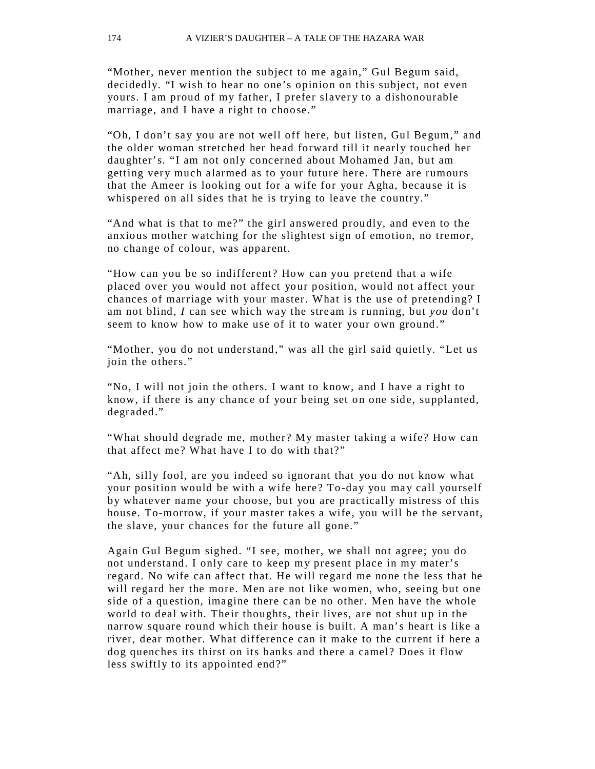"Mother, never mention the subject to me again," Gul Begum said, decidedly. "I wish to hear no one's opinion on this subject, not even yours. I am proud of my father, I prefer slavery to a dishonourable marriage, and I have a right to choose."

"Oh, I don't say you are not well off here, but listen, Gul Begum," and the older woman stretched her head forward till it nearly touched her daughter's. "I am not only concerned about Mohamed Jan, but am getting very much alarmed as to your future here. There are rumours that the Ameer is looking out for a wife for your Agha, because it is whispered on all sides that he is trying to leave the country."

"And what is that to me?" the girl answered proudly, and even to the anxious mother watching for the slightest sign of emotion, no tremor, no change of colour, was apparent.

"How can you be so indifferent? How can you pretend that a wife placed over you would not affect your position, would not affect your chances of marriage with your master. What is the use of pretending? I am not blind, *I* can see which way the stream is running, but *you* don't seem to know how to make use of it to water your own ground."

"Mother, you do not understand," was all the girl said quietly. "Let us join the others."

"No, I will not join the others. I want to know, and I have a right to know, if there is any chance of your being set on one side, supplanted, degraded."

"What should degrade me, mother? My master taking a wife? How can that affect me? What have I to do with that?"

"Ah, silly fool, are you indeed so ignorant that you do not know what your position would be with a wife here? To-day you may call yourself by whatever name your choose, but you are practically mistress of this house. To-morrow, if your master takes a wife, you will be the servant, the slave, your chances for the future all gone."

Again Gul Begum sighed. "I see, mother, we shall not agree; you do not understand. I only care to keep my present place in my mater's regard. No wife can affect that. He will regard me none the less that he will regard her the more. Men are not like women, who, seeing but one side of a question, imagine there can be no other. Men have the whole world to deal with. Their thoughts, their lives, are not shut up in the narrow square round which their house is built. A man's heart is like a river, dear mother. What difference can it make to the current if here a dog quenches its thirst on its banks and there a camel? Does it flow less swiftly to its appointed end?"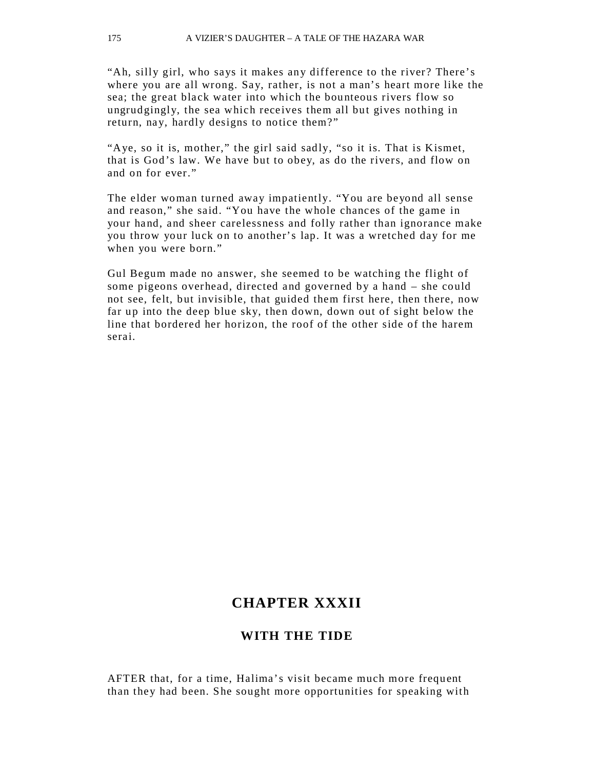"Ah, silly girl, who says it makes any difference to the river? There's where you are all wrong. Say, rather, is not a man's heart more like the sea; the great black water into which the bounteous rivers flow so ungrudgingly, the sea which receives them all but gives nothing in return, nay, hardly designs to notice them?"

"Aye, so it is, mother," the girl said sadly, "so it is. That is Kismet, that is God's law. We have but to obey, as do the rivers, and flow on and on for ever."

The elder woman turned away impatiently. "You are beyond all sense and reason," she said. "You have the whole chances of the game in your hand, and sheer carelessness and folly rather than ignorance make you throw your luck on to another's lap. It was a wretched day for me when you were born."

Gul Begum made no answer, she seemed to be watching the flight of some pigeons overhead, directed and governed by a hand – she could not see, felt, but invisible, that guided them first here, then there, now far up into the deep blue sky, then down, down out of sight below the line that bordered her horizon, the roof of the other side of the harem serai.

### **CHAPTER XXXII**

### **WITH THE TIDE**

AFTER that, for a time, Halima's visit became much more frequent than they had been. S he sought more opportunities for speaking with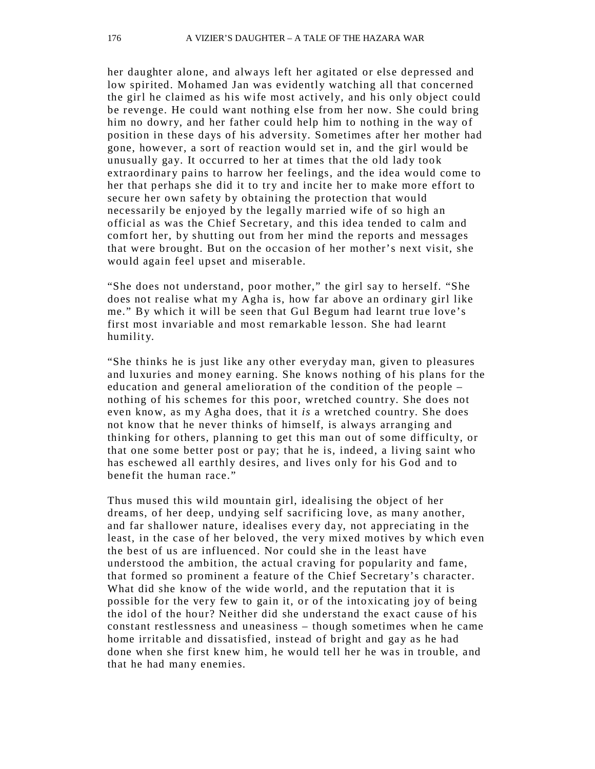her daughter alone, and always left her agitated or else depressed and low spirited. Mohamed Jan was evidently watching all that concerned the girl he claimed as his wife most actively, and his only object could be revenge. He could want nothing else from her now. She could bring him no dowry, and her father could help him to nothing in the way of position in these days of his adversity. Sometimes after her mother had gone, however, a sort of reaction would set in, and the girl would be unusually gay. It occurred to her at times that the old lady took extraordinary pains to harrow her feelings, and the idea would come to her that perhaps she did it to try and incite her to make more effort to secure her own safety by obtaining the protection that would necessarily be enjo yed by the legally married wife of so high an official as was the Chief Secretary, and this idea tended to calm and comfort her, by shutting out from her mind the reports and messages that were brought. But on the occasion of her mother's next visit, she would again feel upset and miserable.

"She does not understand, poor mother," the girl say to herself. "She does not realise what my Agha is, how far above an ordinary girl like me." By which it will be seen that Gul Begum had learnt true love's first most invariable and most remarkable lesson. She had learnt humility.

"She thinks he is just like any other everyday man, given to pleasures and luxuries and money earning. She knows nothing of his plans for the education and general amelioration of the condition of the people – nothing of his schemes for this poor, wretched country. She does not even know, as my Agha does, that it *is* a wretched country. She does not know that he never thinks of himself, is alwa ys arranging and thinking for others, planning to get this man out of some difficulty, or that one some better post or pay; that he is, indeed, a living saint who has eschewed all earthly desires, and lives only for his God and to benefit the human race."

Thus mused this wild mountain girl, idealising the object of her dreams, of her deep, undying self sacrificing love, as many another, and far shallower nature, idealises every day, not appreciating in the least, in the case of her beloved, the very mixed motives by which even the best of us are influenced. Nor could she in the least have understood the ambition, the actual craving for popularity and fame, that formed so prominent a feature of the Chief Secretary's character. What did she know of the wide world, and the reputation that it is possible for the very few to gain it, or of the intoxicating joy of being the idol of the hour? Neither did she understand the exact cause of his constant restlessness and uneasiness – though sometimes when he came home irritable and dissatisfied, instead of bright and gay as he had done when she first knew him, he would tell her he was in trouble, and that he had many enemies.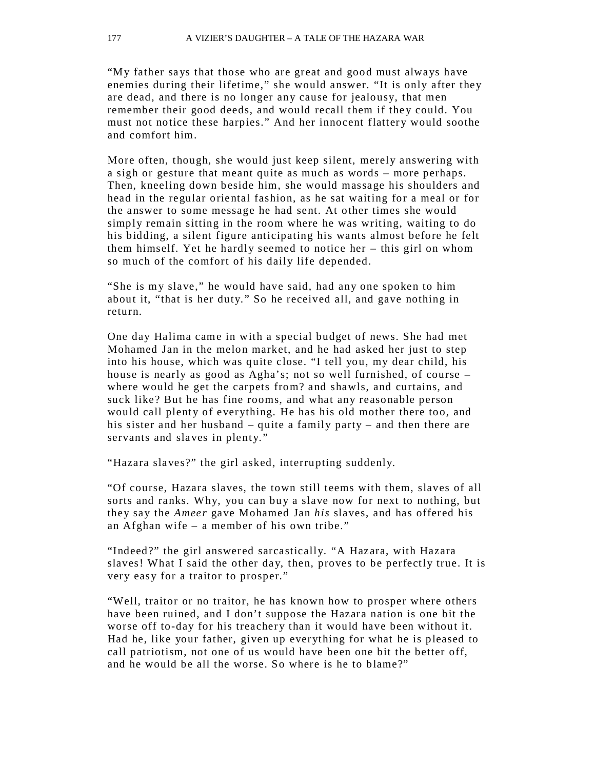"My father says that those who are great and good must always have enemies during their lifetime," she would answer. "It is only after they are dead, and there is no longer any cause for jealousy, that men remember their good deeds, and would recall them if they could. You must not notice these harpies." And her innocent flattery would soothe and comfort him.

More often, though, she would just keep silent, merely answering with a sigh or gesture that meant quite as much as words – more perhaps. Then, kneeling down beside him, she would massage his shoulders and head in the regular oriental fashion, as he sat waiting for a meal or for the answer to some message he had sent. At other times she would simply remain sitting in the room where he was writing, waiting to do his bidding, a silent figure anticipating his wants almost before he felt them himself. Yet he hardly seemed to notice her – this girl on whom so much of the comfort of his daily life depended.

"She is my slave," he would have said, had any one spoken to him about it, "that is her duty." So he received all, and gave nothing in return.

One day Halima came in with a special budget of news. She had met Mohamed Jan in the melon market, and he had asked her just to step into his house, which was quite close. "I tell you, my dear child, his house is nearly as good as Agha's; not so well furnished, of course – where would he get the carpets from? and shawls, and curtains, and suck like? But he has fine rooms, and what any reasonable person would call plenty of everything. He has his old mother there too, and his sister and her husband – quite a family party – and then there are servants and slaves in plenty."

"Hazara slaves?" the girl asked, interrupting suddenly.

"Of course, Hazara slaves, the town still teems with them, slaves of all sorts and ranks. Why, you can buy a slave now for next to nothing, but they say the *Ameer* gave Mohamed Jan *his* slaves, and has offered his an Afghan wife – a member of his own tribe."

"Indeed?" the girl answered sarcastically. "A Hazara, with Hazara slaves! What I said the other day, then, proves to be perfectly true. It is very easy for a traitor to prosper."

"Well, traitor or no traitor, he has known how to prosper where others have been ruined, and I don't suppose the Hazara nation is one bit the worse off to-day for his treachery than it would have been without it. Had he, like your father, given up everything for what he is pleased to call patriotism, not one of us would have been one bit the better off, and he would be all the worse. So where is he to blame?"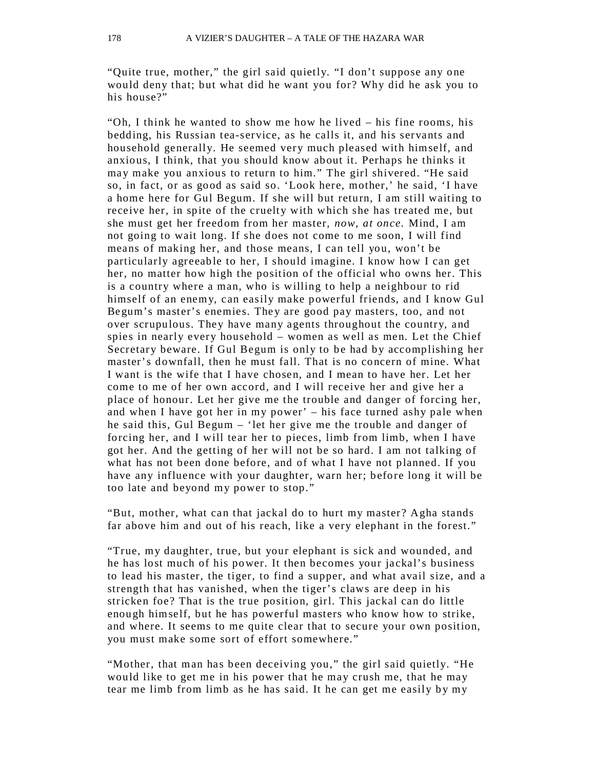"Quite true, mother," the girl said quietly. "I don't suppose any one would deny that; but what did he want you for? Why did he ask you to his house?"

"Oh, I think he wanted to show me how he lived – his fine rooms, his bedding, his Russian tea-service, as he calls it, and his servants and household generally. He seemed very much pleased with himself, and anxious, I think, that you should know about it. Perhaps he thinks it may make you anxious to return to him." The girl shivered. "He said so, in fact, or as good as said so. 'Look here, mother,' he said, 'I have a home here for Gul Begum. If she will but return, I am still waiting to receive her, in spite of the cruelty with which she has treated me, but she must get her freedom from her master, *now, at once.* Mind, I am not going to wait long. If she does not come to me soon, I will find means of making her, and those means, I can tell you, won't be particularly agreeab le to her, I should imagine. I know how I can get her, no matter how high the position of the official who owns her. This is a country where a man, who is willing to help a neighbour to rid himself of an enemy, can easily make powerful friends, and I know Gul Begum's master's enemies. They are good pay masters, too, and not over scrupulous. They have many agents throughout the country, and spies in nearly every household – women as well as men. Let the Chief Secretary beware. If Gul Begum is only to be had by accomplishing her master's downfall, then he must fall. That is no concern of mine. What I want is the wife that I have chosen, and I mean to have her. Let her come to me of her own accord, and I will receive her and give her a place of honour. Let her give me the trouble and danger of forcing her, and when I have got her in my power' – his face turned ashy pale when he said this, Gul Begum – 'let her give me the trouble and danger of forcing her, and I will tear her to pieces, limb from limb, when I have got her. And the getting of her will not be so hard. I am not talking of what has not been done before, and of what I have not planned. If you have any influence with your daughter, warn her; before long it will be too late and beyond my power to stop."

"But, mother, what can that jackal do to hurt my master? Agha stands far above him and out of his reach, like a very elephant in the forest."

"True, my daughter, true, but your elephant is sick and wounded, and he has lost much of his power. It then becomes your jackal's business to lead his master, the tiger, to find a supper, and what avail size, and a strength that has vanished, when the tiger's claws are deep in his stricken foe? That is the true position, girl. This jackal can do little enough himself, but he has powerful masters who know how to strike, and where. It seems to me quite clear that to secure your own position, you must make some sort of effort somewhere."

"Mother, that man has been deceiving you," the girl said quietly. "He would like to get me in his power that he may crush me, that he may tear me limb from limb as he has said. It he can get me easily by my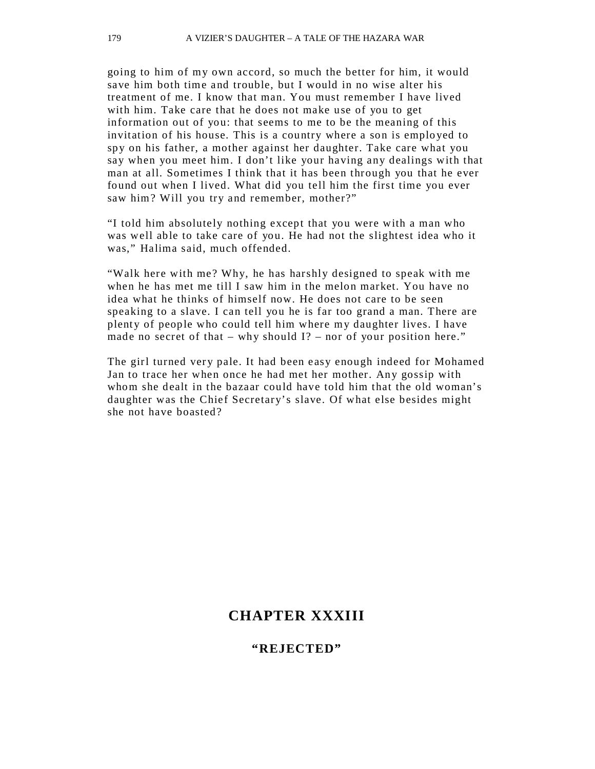going to him of my own accord, so much the better for him, it would save him both time and trouble, but I would in no wise alter his treatment of me. I know that man. You must remember I have lived with him. Take care that he does not make use of you to get information out of you: that seems to me to be the meaning of this invitation of his house. This is a country where a son is emplo yed to spy on his father, a mother against her daughter. Take care what you say when you meet him. I don't like your having any dealings with that man at all. Sometimes I think that it has been through you that he ever found out when I lived. What did you tell him the first time you ever saw him? Will you try and remember, mother?"

"I told him absolutely nothing except that you were with a man who was well able to take care of you. He had not the slightest idea who it was," Halima said, much offended.

"Walk here with me? Why, he has harshly designed to speak with me when he has met me till I saw him in the melon market. You have no idea what he thinks of himself now. He does not care to be seen speaking to a slave. I can tell you he is far too grand a man. There are plenty of people who could tell him where my daughter lives. I have made no secret of that – why should  $I$ ? – nor of your position here."

The girl turned very pale. It had been easy enough indeed for Mohamed Jan to trace her when once he had met her mother. Any gossip with whom she dealt in the bazaar could have told him that the old woman's daughter was the Chief Secretary's slave. Of what else besides might she not have boasted?

## **CHAPTER XXXIII**

#### **"REJECTED"**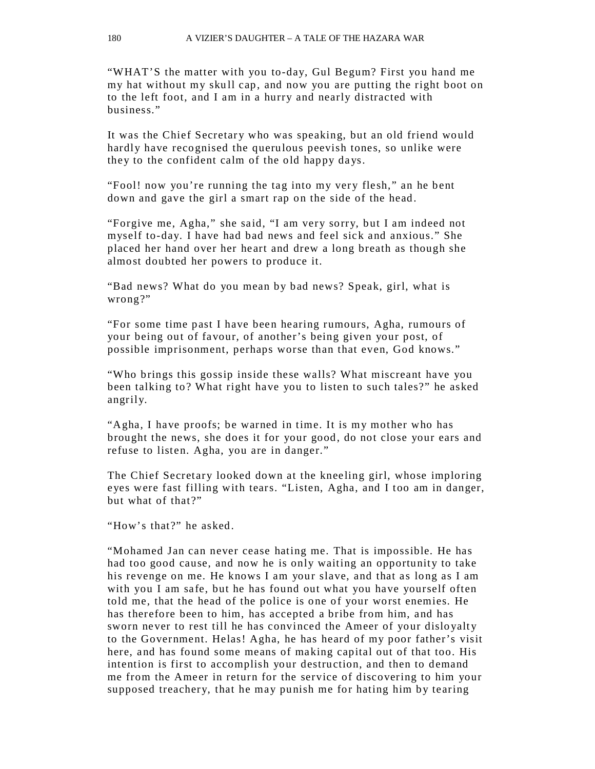"WHAT'S the matter with you to-day, Gul Begum? First you hand me my hat without my skull cap, and now you are putting the right boot on to the left foot, and I am in a hurry and nearly distracted with business."

It was the Chief Secretary who was speaking, but an old friend would hardly have recognised the querulous peevish tones, so unlike were they to the confident calm of the old happy days.

"Fool! now you're running the tag into my very flesh," an he bent down and gave the girl a smart rap on the side of the head.

"Forgive me, Agha," she said, "I am very sorry, but I am indeed not myself to-day. I have had bad news and feel sick and anxious." She placed her hand over her heart and drew a long breath as though she almost doubted her powers to produce it.

"Bad news? What do you mean by bad news? Speak, girl, what is wrong?"

"For some time past I have been hearing rumours, Agha, rumours of your being out of favour, of another's being given your post, of possible imprisonment, perhaps worse than that even, God knows."

"Who brings this gossip inside these walls? What miscreant have you been talking to? What right have you to listen to such tales?" he asked angrily.

"Agha, I have proofs; be warned in time. It is my mother who has brought the news, she does it for your good, do not close your ears and refuse to listen. Agha, you are in danger."

The Chief Secretary looked down at the kneeling girl, whose imploring eyes were fast filling with tears. "Listen, Agha, and I too am in danger, but what of that?"

"How's that?" he asked.

"Mohamed Jan can never cease hating me. That is impossible. He has had too good cause, and now he is only waiting an opportunity to take his revenge on me. He knows I am your slave, and that as long as I am with you I am safe, but he has found out what you have yourself often told me, that the head of the police is one of your worst enemies. He has therefore been to him, has accepted a bribe from him, and has sworn never to rest till he has convinced the Ameer of your disloyalty to the Government. Helas! Agha, he has heard of my poor father's visit here, and has found some means of making capital out of that too. His intention is first to accomplish your destruction, and then to demand me from the Ameer in return for the service of discovering to him your supposed treachery, that he may punish me for hating him by tearing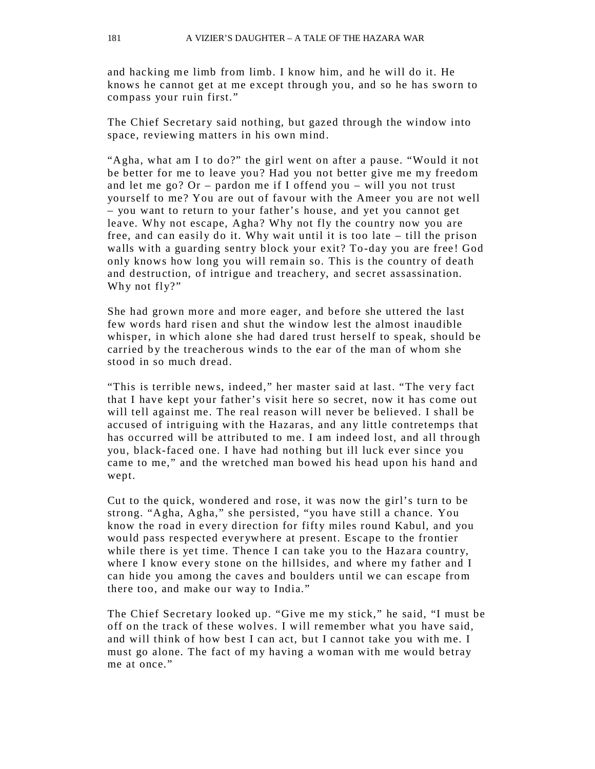and hacking me limb from limb. I know him, and he will do it. He knows he cannot get at me except through you, and so he has sworn to compass your ruin first."

The Chief Secretary said nothing, but gazed through the window into space, reviewing matters in his own mind.

"Agha, what am I to do?" the girl went on after a pause. "Would it not be better for me to leave you? Had you not better give me my freedom and let me go? Or – pardon me if I offend you – will you not trust yourself to me? You are out of favour with the Ameer you are not well – you want to return to your father's house, and yet you cannot get leave. Why not escape, Agha? Why not fly the country now you are free, and can easily do it. Why wait until it is too late – till the prison walls with a guarding sentry block your exit? To-day you are free! God only knows how long you will remain so. This is the country of death and destruction, of intrigue and treachery, and secret assassination. Why not fly?"

She had grown more and more eager, and before she uttered the last few words hard risen and shut the window lest the almost inaudible whisper, in which alone she had dared trust herself to speak, should be carried by the treacherous winds to the ear of the man of whom she stood in so much dread.

"This is terrible news, indeed," her master said at last. "The very fact that I have kept your father's visit here so secret, now it has come out will tell against me. The real reason will never be believed. I shall be accused of intriguing with the Hazaras, and any little contretemps that has occurred will be attributed to me. I am indeed lost, and all through you, black-faced one. I have had nothing but ill luck ever since you came to me," and the wretched man bowed his head upon his hand and wept.

Cut to the quick, wondered and rose, it was now the girl's turn to be strong. "Agha, Agha," she persisted, "you have still a chance. You know the road in every direction for fifty miles round Kabul, and you would pass respected everywhere at present. Escape to the frontier while there is yet time. Thence I can take you to the Hazara country, where I know every stone on the hillsides, and where my father and I can hide you among the caves and boulders until we can escape from there too, and make our way to India."

The Chief Secretary looked up. "Give me my stick," he said, "I must be off on the track of these wolves. I will remember what you have said, and will think of how best I can act, but I cannot take you with me. I must go alone. The fact of my having a woman with me would betray me at once."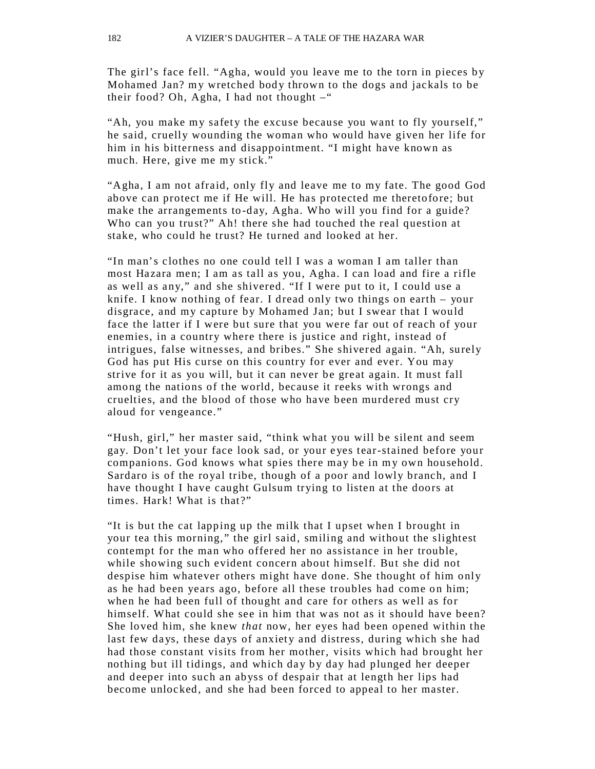The girl's face fell. "Agha, would you leave me to the torn in pieces by Mohamed Jan? my wretched body thrown to the dogs and jackals to be their food? Oh, Agha, I had not thought  $-$ "

"Ah, you make my safety the excuse because you want to fly yourself," he said, cruelly wounding the woman who would have given her life for him in his bitterness and disappointment. "I might have known as much. Here, give me my stick."

"Agha, I am not afraid, only fly and leave me to my fate. The good God above can protect me if He will. He has protected me theretofore; but make the arrangements to -day, Agha. Who will you find for a guide? Who can you trust?" Ah! there she had touched the real question at stake, who could he trust? He turned and looked at her.

"In man's clothes no one could tell I was a woman I am taller than most Hazara men; I am as tall as you, Agha. I can load and fire a rifle as well as any," and she shivered. "If I were put to it, I could use a knife. I know nothing of fear. I dread only two things on earth – your disgrace, and my capture by Mohamed Jan; but I swear that I would face the latter if I were but sure that you were far out of reach of your enemies, in a country where there is justice and right, instead of intrigues, false witnesses, and bribes." She shivered again. "Ah, surely God has put His curse on this country for ever and ever. You may strive for it as you will, but it can never be great again. It must fall among the nations of the world, because it reeks with wrongs and cruelties, and the blood of those who have been murdered must cry aloud for vengeance."

"Hush, girl," her master said, "think what you will be silent and seem gay. Don't let your face look sad, or your e yes tear-stained before your companions. God knows what spies there may be in my own household. Sardaro is of the royal tribe, though of a poor and lowly branch, and I have thought I have caught Gulsum trying to listen at the doors at times. Hark! What is that?"

"It is but the cat lapping up the milk that I upset when I brought in your tea this morning," the girl said, smiling and without the slightest contempt for the man who offered her no assistance in her trouble, while showing such evident concern about himself. But she did not despise him whatever others might have done. She thought of him only as he had been years ago, before all these troubles had come on him; when he had been full of thought and care for others as well as for himself. What could she see in him that was not as it should have been? She loved him, she knew *that* now, her eyes had been opened within the last few days, these days of anxiety and distress, during which she had had those constant visits from her mother, visits which had brought her nothing but ill tidings, and which day by day had plunged her deeper and deeper into such an abyss of despair that at length her lips had become unlocked, and she had been forced to appeal to her master.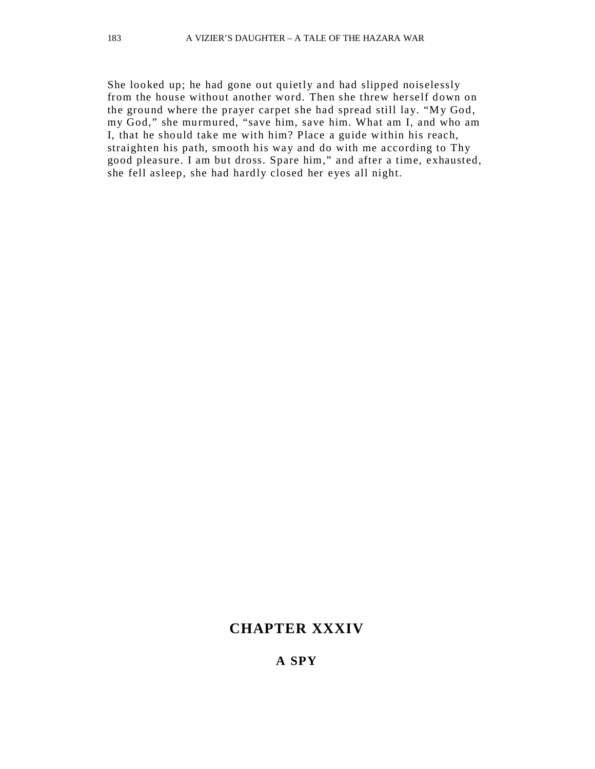She looked up; he had gone out quietly and had slipped noiselessly from the house without another word. Then she threw herself down on the ground where the prayer carpet she had spread still lay. "My God, my God," she murmured, "save him, save him. What am I, and who am I, that he should take me with him? Place a guide within his reach, straighten his path, smooth his way and do with me according to Thy good pleasure. I am but dross. Spare him," and after a time, exhausted, she fell asleep, she had hardly closed her eyes all night.

### **CHAPTER XXXIV**

#### **A SPY**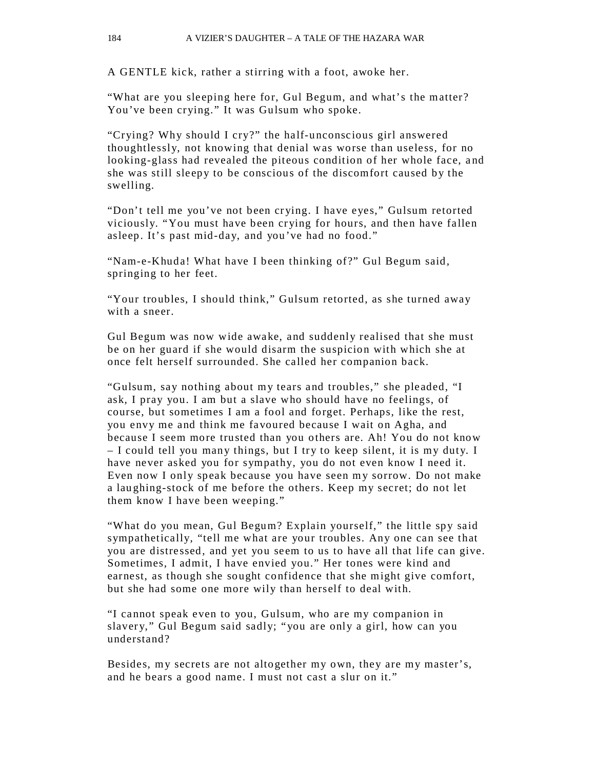A GENTLE kick, rather a stirring with a foot, awoke her.

"What are you sleeping here for, Gul Begum, and what's the matter? You've been crying." It was Gulsum who spoke.

"Crying? Why should I cry?" the half-unconscious girl answered thoughtlessly, not knowing that denial was worse than useless, for no looking-glass had revealed the piteous condition of her whole face, and she was still sleepy to be conscious of the discomfort caused by the swelling.

"Don't tell me you've not been crying. I have eyes," Gulsum retorted viciously. "You must have been cr ying for hours, and then have fallen asleep. It's past mid-day, and you've had no food."

"Nam-e-Khuda! What have I been thinking of?" Gul Begum said, springing to her feet.

"Your troubles, I should think," Gulsum retorted, as she turned away with a sneer.

Gul Begum was now wide awake, and suddenly realised that she must be on her guard if she would disarm the suspicion with which she at once felt herself surrounded. She called her companion back.

"Gulsum, say nothing about my tears and troubles," she pleaded, "I ask, I pray you. I am but a slave who should have no feelings, of course, but sometimes I am a fool and forget. Perhaps, like the rest, you envy me and think me favoured because I wait on Agha, and because I seem more trusted than you others are. Ah! You do not know – I could tell you many things, but I try to keep silent, it is my duty. I have never asked you for sympathy, you do not even know I need it. Even now I only speak because you have seen my sorrow. Do not make a lau ghing-stock of me before the others. Keep my secret; do not let them know I have been weeping."

"What do you mean, Gul Begum? Explain yourself," the little spy said sympathetically, "tell me what are your troubles. Any one can see that you are distressed, and yet you seem to us to have all that life can give. Sometimes, I admit, I have envied you." Her tones were kind and earnest, as though she sought confidence that she might give comfort, but she had some one more wily than herself to deal with.

"I cannot speak even to you, Gulsum, who are my companion in slavery," Gul Begum said sadly; "you are only a girl, how can you understand?

Besides, my secrets are not altogether my own, they are my master's, and he bears a good name. I must not cast a slur on it."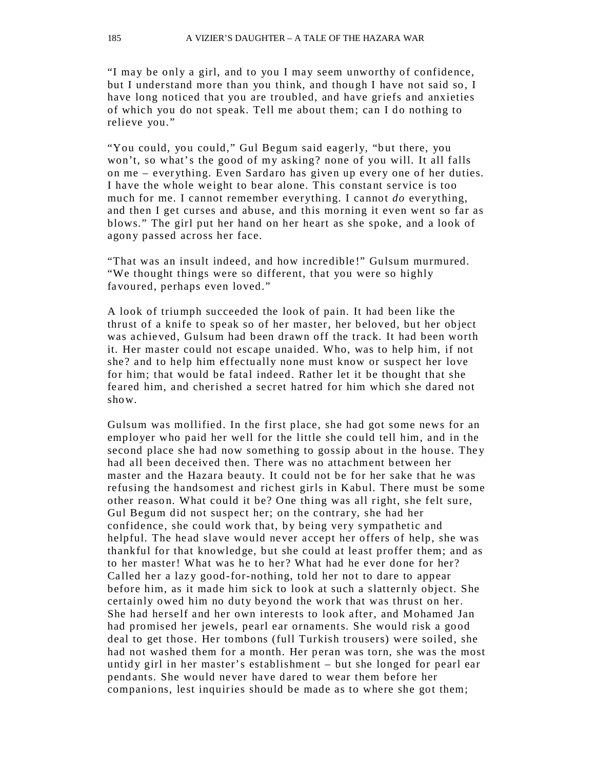"I may be only a girl, and to you I may seem unworthy of confidence, but I understand more than you think, and though I have not said so, I have long noticed that you are troubled, and have griefs and anxieties of which you do not speak. Tell me about them; can I do nothing to relieve you."

"You could, you could," Gul Begum said eagerly, "but there, you won't, so what's the good of my asking? none of you will. It all falls on me – ever ything. Even Sardaro has given up every one of her duties. I have the whole weight to bear alone. This constant service is too much for me. I cannot remember everything. I cannot *do* ever ything, and then I get curses and abuse, and this morning it even went so far as blows." The girl put her hand on her heart as she spoke, and a look of agony passed across her face.

"That was an insult indeed, and how incredible !" Gulsum murmured. "We thought things were so different, that you were so highly favoured, perhaps even loved."

A look of triumph succeeded the look of pain. It had been like the thrust of a knife to speak so of her master, her beloved, but her object was achieved, Gulsum had been drawn off the track. It had been worth it. Her master could not escape unaided. Who, was to help him, if not she? and to help him effectually none must know or suspect her love for him; that would be fatal indeed. Rather let it be thought that she feared him, and cherished a secret hatred for him which she dared not show.

Gulsum was mollified. In the first place, she had got some news for an employer who paid her well for the little she could tell him, and in the second place she had now something to gossip about in the house. They had all been deceived then. There was no attachment between her master and the Hazara beauty. It could not be for her sake that he was refusing the handsomest and richest girls in Kabul. There must be some other reason. What could it be? One thing was all right, she felt sure, Gul Begum did not suspect her; on the contrar y, she had her confidence, she could work that, by being very sympathetic and helpful. The head slave would never accept her offers of help, she was thankful for that knowledge, but she could at least proffer them; and as to her master! What was he to her? What had he ever done for her? Called her a lazy good-for-nothing, told her not to dare to appear before him, as it made him sick to look at such a slatternly object. She certainly owed him no duty beyond the work that was thrust on her. She had herself and her own interests to look after, and Mohamed Jan had promised her jewels, pearl ear ornaments. She would risk a good deal to get those. Her tombons (full Turkish trousers) were soiled, she had not washed them for a month. Her peran was torn, she was the most untidy girl in her master's establishment  $-$  but she longed for pearl ear pendants. She would never have dared to wear them before her companions, lest inquiries should be made as to where she got them;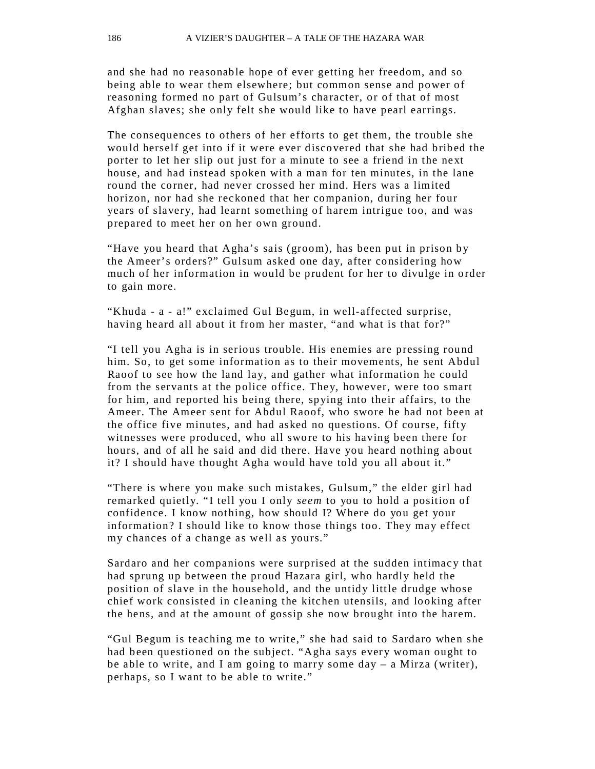and she had no reasonable hope of ever getting her freedom, and so being able to wear them elsewhere; but common sense and power of reasoning formed no part of Gulsum's character, or of that of most Afghan slaves; she only felt she would like to have pearl earrings.

The consequences to others of her efforts to get them, the trouble she would herself get into if it were ever discovered that she had bribed the porter to let her slip out just for a minute to see a friend in the next house, and had instead spoken with a man for ten minutes, in the lane round the corner, had never crossed her mind. Hers was a limited horizon, nor had she reckoned that her companion, during her four years of slavery, had learnt something of harem intrigue too, and was prepared to meet her on her own ground.

"Have you heard that Agha's sais (groom), has been put in prison by the Ameer's orders?" Gulsum asked one day, after considering how much of her information in would be prudent for her to divulge in order to gain more.

"Khuda - a - a!" exclaimed Gul Begum, in well-affected surprise, having heard all about it from her master, "and what is that for?"

"I tell you Agha is in serious trouble. His enemies are pressing round him. So, to get some information as to their movements, he sent Abdul Raoof to see how the land lay, and gather what information he could from the servants at the police office. They, however, were too smart for him, and reported his being there, spying into their affairs, to the Ameer. The Ameer sent for Abdul Raoof, who swore he had not been at the office five minutes, and had asked no questions. Of course, fifty witnesses were produced, who all swore to his having been there for hours, and of all he said and did there. Have you heard nothing about it? I should have thought Agha would have told you all about it."

"There is where you make such mistakes, Gulsum," the elder girl had remarked quietly. "I tell you I only *seem* to you to hold a position of confidence. I know nothing, how should I? Where do you get your information? I should like to know those things too. They may effect my chances of a change as well as yours."

Sardaro and her companions were surprised at the sudden intimac y that had sprung up between the proud Hazara girl, who hardly held the position of slave in the household, and the untidy little drudge whose chief work consisted in cleaning the kitchen utensils, and looking after the hens, and at the amount of gossip she now brought into the harem.

"Gul Begum is teaching me to write," she had said to Sardaro when she had been questioned on the subject. "Agha says every woman ought to be able to write, and I am going to marry some day – a Mirza (writer), perhaps, so I want to be able to write."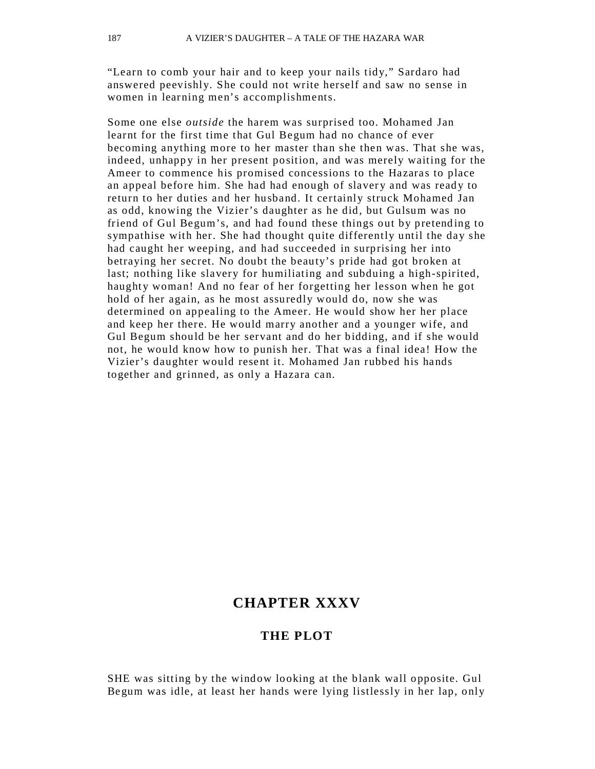"Learn to comb your hair and to keep your nails tidy," Sardaro had answered peevishly. She could not write herself and saw no sense in women in learning men's accomplishments.

Some one else *outside* the harem was surprised too. Mohamed Jan learnt for the first time that Gul Begum had no chance of ever becoming anything more to her master than she then was. That she was, indeed, unhappy in her present position, and was merely waiting for the Ameer to commence his promised concessions to the Hazaras to place an appeal before him. She had had enough of slavery and was ready to return to her duties and her husband. It certainly struck Mohamed Jan as odd, knowing the Vizier's daughter as he did, but Gulsum was no friend of Gul Begum's, and had found these things out by pretending to sympathise with her. She had thought quite differently until the day she had caught her weeping, and had succeeded in surprising her into betraying her secret. No doubt the beauty's pride had got broken at last; nothing like slavery for humiliating and subduing a high-spirited, haughty woman! And no fear of her forgetting her lesson when he got hold of her again, as he most assuredly would do, now she was determined on appealing to the Ameer. He would show her her place and keep her there. He would marry another and a younger wife, and Gul Begum should be her servant and do her bidding, and if she would not, he would know how to punish her. That was a final idea! How the Vizier's daughter would resent it. Mohamed Jan rubbed his hands together and grinned, as only a Hazara can.

#### **CHAPTER XXXV**

#### **THE PLOT**

SHE was sitting by the window looking at the blank wall opposite. Gul Begum was idle, at least her hands were lying listlessly in her lap, only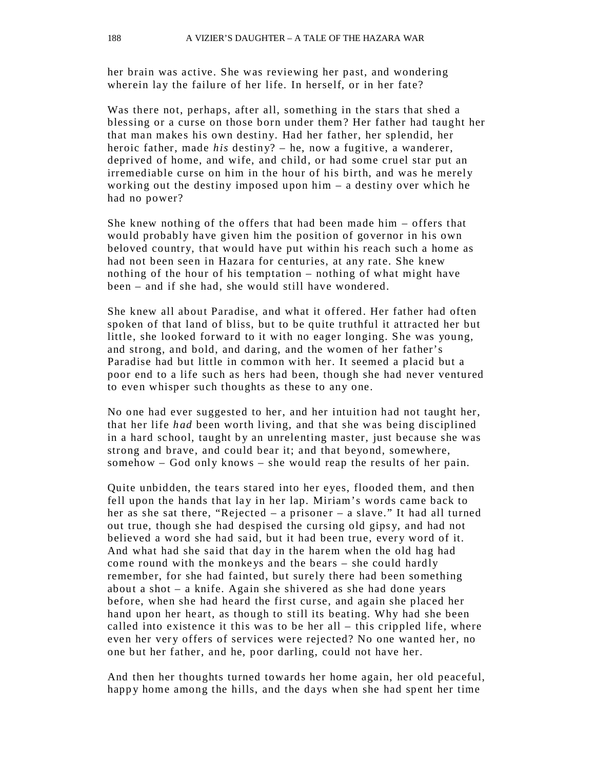her brain was active. She was reviewing her past, and wondering wherein lay the failure of her life. In herself, or in her fate?

Was there not, perhaps, after all, something in the stars that shed a blessing or a curse on those born under them? Her father had taught her that man makes his own destiny. Had her father, her splendid, her heroic father, made *his* destiny? – he, now a fugitive, a wanderer, deprived of home, and wife, and child, or had some cruel star put an irremediable curse on him in the hour of his birth, and was he merely working out the destiny imposed upon him – a destiny over which he had no power?

She knew nothing of the offers that had been made him – offers that would probably have given him the position of governor in his own beloved country, that would have put within his reach such a home as had not been seen in Hazara for centuries, at any rate. She knew nothing of the hour of his temptation – nothing of what might have been – and if she had, she would still have wondered.

She knew all about Paradise, and what it offered. Her father had often spoken of that land of bliss, but to be quite truthful it attracted her but little, she looked forward to it with no eager longing. She was young, and strong, and bold, and daring, and the women of her father's Paradise had but little in common with her. It seemed a placid but a poor end to a life such as hers had been, though she had never ventured to even whisper such thoughts as these to any one.

No one had ever suggested to her, and her intuition had not taught her, that her life *had* been worth living, and that she was being disciplined in a hard school, taught by an unrelenting master, just because she was strong and brave, and could bear it; and that beyond, somewhere, somehow – God only knows – she would reap the results of her pain.

Quite unbidden, the tears stared into her eyes, flooded them, and then fell upon the hands that lay in her lap. Miriam's words came back to her as she sat there, "Rejected – a prisoner – a slave." It had all turned out true, though she had despised the cursing old gipsy, and had not believed a word she had said, but it had been true, every word of it. And what had she said that day in the harem when the old hag had come round with the monke ys and the bears – she could hardly remember, for she had fainted, but surely there had been something about a shot – a knife. Again she shivered as she had done years before, when she had heard the first curse, and again she placed her hand upon her heart, as though to still its beating. Why had she been called into existence it this was to be her all – this crippled life, where even her very offers of services were rejected? No one wanted her, no one but her father, and he, poor darling, could not have her.

And then her thoughts turned towards her home again, her old peaceful, happy home among the hills, and the days when she had spent her time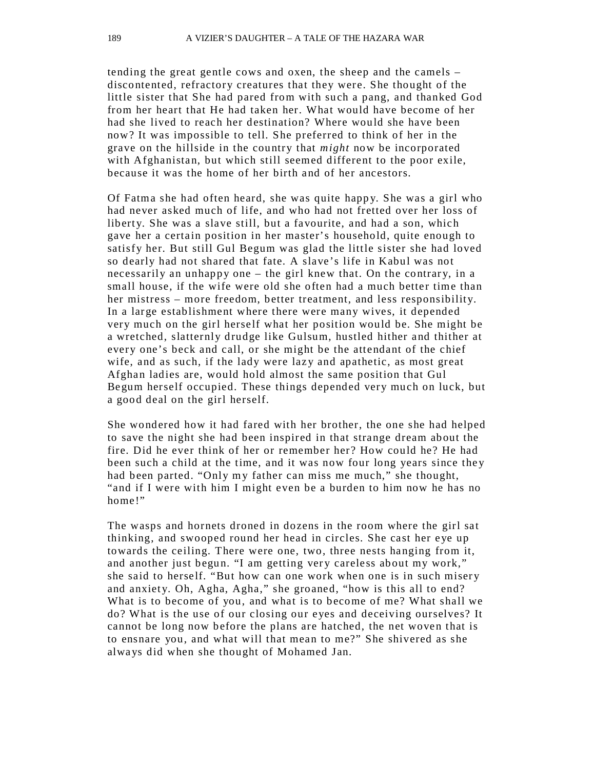tending the great gentle cows and oxen, the sheep and the camels – discontented, refractory creatures that they were. She thought of the little sister that She had pared from with such a pang, and thanked God from her heart that He had taken her. What would have become of her had she lived to reach her destination? Where would she have been now? It was impossible to tell. She preferred to think of her in the grave on the hillside in the country that *might* now be incorporated with Afghanistan, but which still seemed different to the poor exile, because it was the home of her birth and of her ancestors.

Of Fatma she had often heard, she was quite happ y. She was a girl who had never asked much of life, and who had not fretted over her loss of liberty. She was a slave still, but a favourite, and had a son, which gave her a certain position in her master's household, quite enough to satisfy her. But still Gul Begum was glad the little sister she had loved so dearly had not shared that fate. A slave's life in Kabul was not necessarily an unhappy one – the girl knew that. On the contrary, in a small house, if the wife were old she often had a much better time than her mistress – more freedom, better treatment, and less responsibility. In a large establishment where there were many wives, it depended very much on the girl herself what her position would be. She might be a wretched, slatternly drudge like Gulsum, hustled hither and thither at every one's beck and call, or she might be the attendant of the chief wife, and as such, if the lady were lazy and apathetic, as most great Afghan ladies are, would hold almost the same position that Gul Begum herself occupied. These things depended very much on luck, but a good deal on the girl herself.

She wondered how it had fared with her brother, the one she had helped to save the night she had been inspired in that strange dream about the fire. Did he ever think of her or remember her? How could he? He had been such a child at the time, and it was now four long years since the y had been parted. "Only my father can miss me much," she thought, "and if I were with him I might even be a burden to him now he has no home!"

The wasps and hornets droned in dozens in the room where the girl sat thinking, and swooped round her head in circles. She cast her eye up towards the ceiling. There were one, two, three nests hanging from it, and another just begun. "I am getting very careless about my work," she said to herself. "But how can one work when one is in such miser y and anxiety. Oh, Agha, Agha," she groaned, "how is this all to end? What is to become of you, and what is to become of me? What shall we do? What is the use of our closing our eyes and deceiving ourselves? It cannot be long now before the plans are hatched, the net woven that is to ensnare you, and what will that mean to me?" She shivered as she alwa ys did when she thought of Mohamed Jan.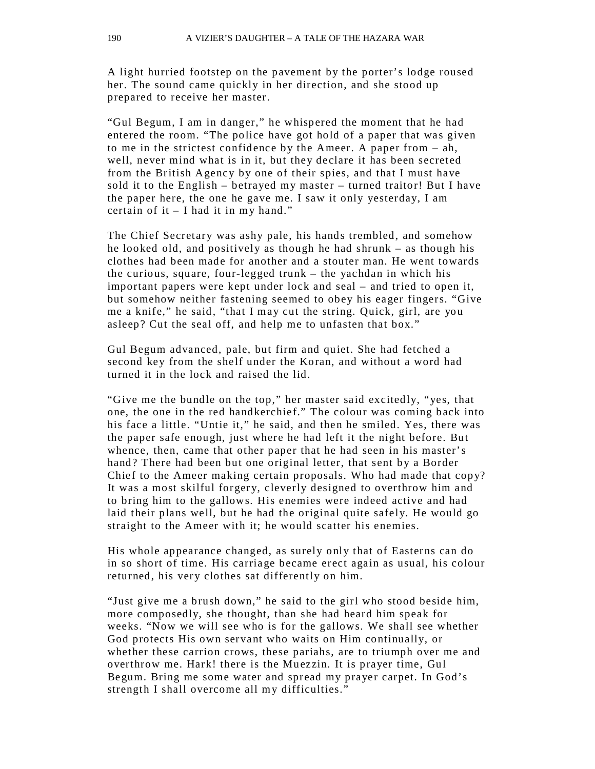A light hurried footstep on the pavement by the porter's lodge roused her. The sound came quickly in her direction, and she stood up prepared to receive her master.

"Gul Begum, I am in danger," he whispered the moment that he had entered the room. "The police have got hold of a paper that was given to me in the strictest confidence by the Ameer. A paper from – ah, well, never mind what is in it, but they declare it has been secreted from the British Agency by one of their spies, and that I must have sold it to the English – betrayed my master – turned traitor! But I have the paper here, the one he gave me. I saw it only yesterday, I am certain of it  $-$  I had it in my hand."

The Chief Secretary was ashy pale, his hands trembled, and somehow he looked old, and positively as though he had shrunk – as though his clothes had been made for another and a stouter man. He went towards the curious, square, four-legged trunk – the yachdan in which his important papers were kept under lock and seal – and tried to open it, but somehow neither fastening seemed to obey his eager fingers. "Give me a knife," he said, "that I may cut the string. Quick, girl, are you asleep? Cut the seal off, and help me to unfasten that box."

Gul Begum advanced, pale, but firm and quiet. She had fetched a second key from the shelf under the Koran, and without a word had turned it in the lock and raised the lid.

"Give me the bundle on the top," her master said excitedly, "yes, that one, the one in the red handkerchief." The colour was coming back into his face a little. "Untie it," he said, and then he smiled. Yes, there was the paper safe enough, just where he had left it the night before. But whence, then, came that other paper that he had seen in his master's hand? There had been but one original letter, that sent by a Border Chief to the Ameer making certain proposals. Who had made that copy? It was a most skilful forgery, cleverly designed to overthrow him and to bring him to the gallows. His enemies were indeed active and had laid their plans well, but he had the original quite safely. He would go straight to the Ameer with it; he would scatter his enemies.

His whole appearance changed, as surely only that of Easterns can do in so short of time. His carriage became erect again as usual, his colour returned, his very clothes sat differently on him.

"Just give me a brush down," he said to the girl who stood beside him, more composedly, she thought, than she had heard him speak for weeks. "Now we will see who is for the gallows. We shall see whether God protects His own servant who waits on Him continually, or whether these carrion crows, these pariahs, are to triumph over me and overthrow me. Hark! there is the Muezzin. It is prayer time, Gul Begum. Bring me some water and spread my prayer carpet. In God's strength I shall overcome all my difficulties."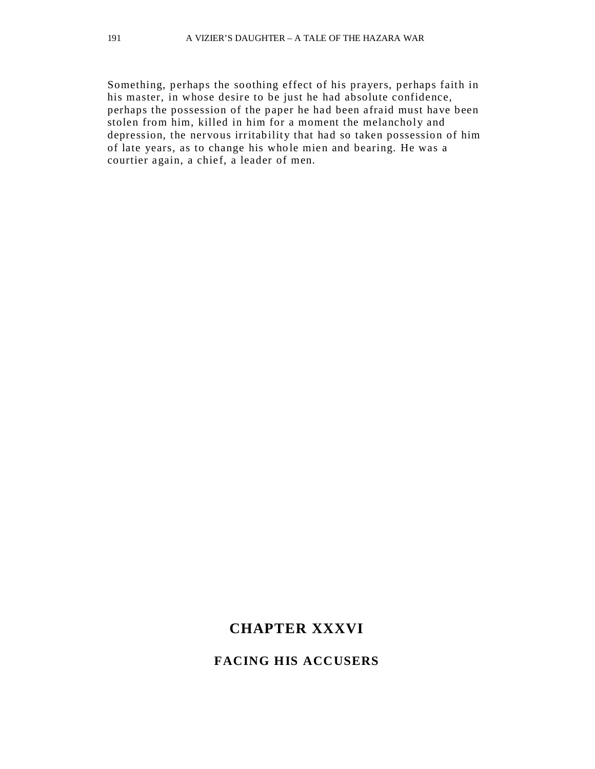Something, perhaps the soothing effect of his prayers, perhaps faith in his master, in whose desire to be just he had absolute confidence, perhaps the possession of the paper he had been afraid must have been stolen from him, killed in him for a moment the melancholy and depression, the nervous irritability that had so taken possession of him of late years, as to change his who le mien and bearing. He was a courtier again, a chief, a leader of men.

# **CHAPTER XXXVI**

## **FACING HIS ACCUSERS**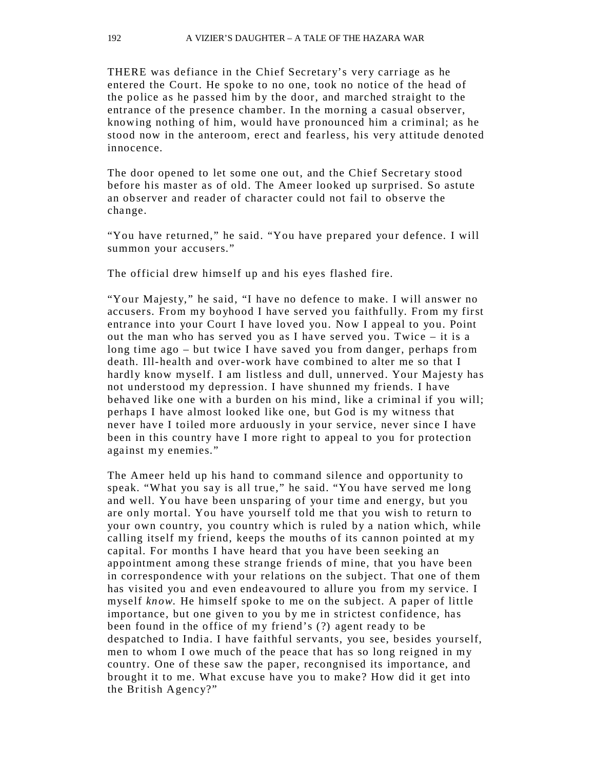THERE was defiance in the Chief Secretary's very carriage as he entered the Court. He spoke to no one, took no notice of the head of the police as he passed him by the door, and marched straight to the entrance of the presence chamber. In the morning a casual observer, knowing nothing of him, would have pronounced him a criminal; as he stood now in the anteroom, erect and fearless, his very attitude denoted innocence.

The door opened to let some one out, and the Chief Secretary stood before his master as of old. The Ameer looked up surprised. So astute an observer and reader of character could not fail to observe the change.

"You have returned," he said. "You have prepared your defence. I will summon your accusers."

The official drew himself up and his eyes flashed fire.

"Your Majesty," he said, "I have no defence to make. I will answer no accusers. From my boyhood I have served you faithfully. From my first entrance into your Court I have loved you. Now I appeal to you. Point out the man who has served you as I have served you. Twice – it is a long time ago – but twice I have saved you from danger, perhaps from death. Ill-health and over-work have combined to alter me so that I hardly know myself. I am listless and dull, unnerved. Your Majesty has not understood my depression. I have shunned my friends. I have behaved like one with a burden on his mind, like a criminal if you will; perhaps I have almost looked like one, but God is my witness that never have I toiled more arduously in your service, never since I have been in this country have I more right to appeal to you for protection against my enemies."

The Ameer held up his hand to command silence and opportunity to speak. "What you say is all true," he said. "You have served me long and well. You have been unsparing of your time and energy, but you are only mortal. You have yourself told me that you wish to return to your own country, you country which is ruled by a nation which, while calling itself my friend, keeps the mouths of its cannon pointed at my capital. For months I have heard that you have been seeking an appointment among these strange friends of mine, that you have been in correspondence with your relations on the subject. That one of them has visited you and even endeavoured to allure you from my service. I myself *know.* He himself spoke to me on the subject. A paper of little importance, but one given to you by me in strictest confidence, has been found in the office of my friend's (?) agent ready to be despatched to India. I have faithful servants, you see, besides yourself, men to whom I owe much of the peace that has so long reigned in my country. One of these saw the paper, recongnised its importance, and brought it to me. What excuse have you to make? How did it get into the British Agency?"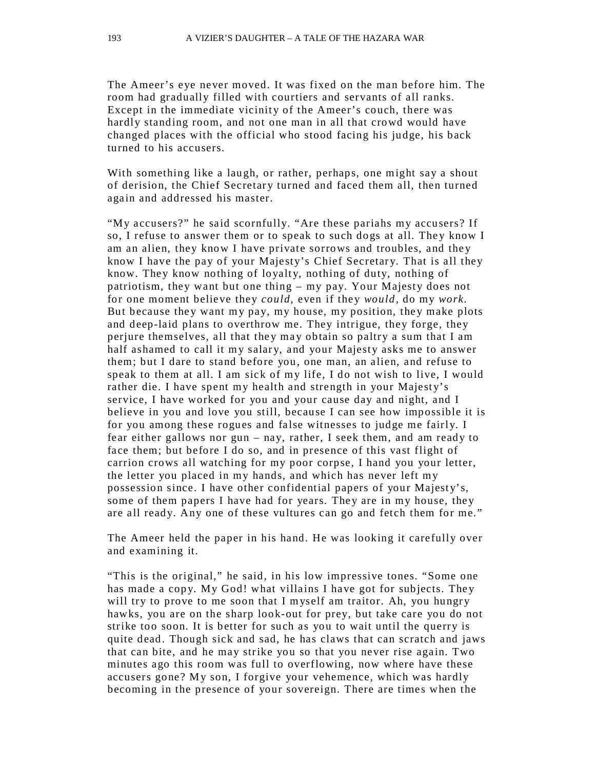The Ameer's eye never moved. It was fixed on the man before him. The room had gradually filled with courtiers and servants of all ranks. Except in the immediate vicinity of the Ameer's couch, there was hardly standing room, and not one man in all that crowd would have changed places with the official who stood facing his judge, his back turned to his accusers.

With something like a laugh, or rather, perhaps, one might say a shout of derision, the Chief Secretary turned and faced them all, then turned again and addressed his master.

"My accusers?" he said scornfully. "Are these pariahs my accusers? If so, I refuse to answer them or to speak to such dogs at all. They know I am an alien, they know I have private sorrows and troubles, and they know I have the pay of your Majesty's Chief Secretary. That is all they know. They know nothing of loyalty, nothing of duty, nothing of patriotism, they want but one thing – my pay. Your Majesty does not for one moment believe they *could,* even if they *would,* do my *work.*  But because they want my pay, my house, my position, they make plots and deep-laid plans to overthrow me. They intrigue, they forge, they perjure themselves, all that they may obtain so paltry a sum that I am half ashamed to call it my salary, and your Majesty asks me to answer them; but I dare to stand before you, one man, an alien, and refuse to speak to them at all. I am sick of my life, I do not wish to live, I would rather die. I have spent my health and strength in your Majesty's service, I have worked for you and your cause day and night, and I believe in you and love you still, because I can see how impossible it is for you among these rogues and false witnesses to judge me fairly. I fear either gallows nor gun – nay, rather, I seek them, and am ready to face them; but before I do so, and in presence of this vast flight of carrion crows all watching for my poor corpse, I hand you your letter, the letter you placed in my hands, and which has never left my possession since. I have other confidential papers of your Majesty's, some of them papers I have had for years. They are in my house, they are all ready. Any one of these vultures can go and fetch them for me."

The Ameer held the paper in his hand. He was looking it carefully over and examining it.

"This is the original," he said, in his low impressive tones. "Some one has made a copy. My God! what villains I have got for subjects. They will try to prove to me soon that I myself am traitor. Ah, you hungry hawks, you are on the sharp look-out for prey, but take care you do not strike too soon. It is better for such as you to wait until the querry is quite dead. Though sick and sad, he has claws that can scratch and jaws that can bite, and he may strike you so that you never rise again. Two minutes ago this room was full to overflowing, now where have these accusers gone? My son, I forgive your vehemence, which was hardly becoming in the presence of your sovereign. There are times when the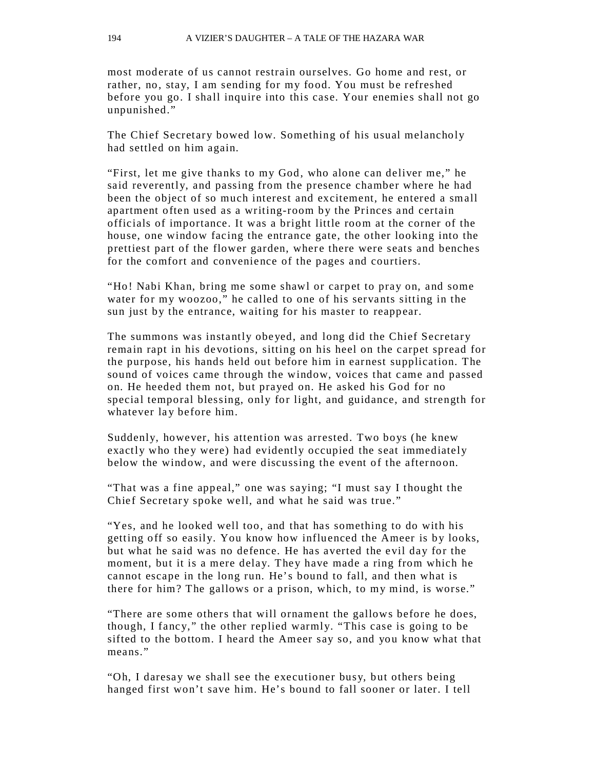most moderate of us cannot restrain ourselves. Go home and rest, or rather, no, stay, I am sending for my food. You must be refreshed before you go. I shall inquire into this case. Your enemies shall not go unpunished."

The Chief Secretary bowed low. Something of his usual melancholy had settled on him again.

"First, let me give thanks to my God, who alone can deliver me," he said reverently, and passing from the presence chamber where he had been the object of so much interest and excitement, he entered a small apartment often used as a writing-room by the Princes and certain officials of importance. It was a bright little room at the corner of the house, one window facing the entrance gate, the other looking into the prettiest part of the flower garden, where there were seats and benches for the comfort and convenience of the pages and courtiers.

"Ho! Nabi Khan, bring me some shawl or carpet to pray on, and some water for my woozoo," he called to one of his servants sitting in the sun just by the entrance, waiting for his master to reappear.

The summons was instantly obeyed, and long did the Chief Secretary remain rapt in his devotions, sitting on his heel on the carpet spread for the purpose, his hands held out before him in earnest supplication. The sound of voices came through the window, voices that came and passed on. He heeded them not, but prayed on. He asked his God for no special temporal blessing, only for light, and guidance, and strength for whatever lay before him.

Suddenly, however, his attention was arrested. Two boys (he knew exactly who they were) had evidently occupied the seat immediately below the window, and were discussing the event of the afternoon.

"That was a fine appeal," one was saying; "I must say I thought the Chief Secretary spoke well, and what he said was true."

"Yes, and he looked well too, and that has something to do with his getting off so easily. You know how influenced the Ameer is by looks, but what he said was no defence. He has averted the evil day for the moment, but it is a mere delay. They have made a ring from which he cannot escape in the long run. He's bound to fall, and then what is there for him? The gallows or a prison, which, to my mind, is worse."

"There are some others that will ornament the gallows before he does, though, I fancy," the other replied warmly. "This case is going to be sifted to the bottom. I heard the Ameer say so, and you know what that means."

"Oh, I daresay we shall see the executioner busy, but others being hanged first won't save him. He's bound to fall sooner or later. I tell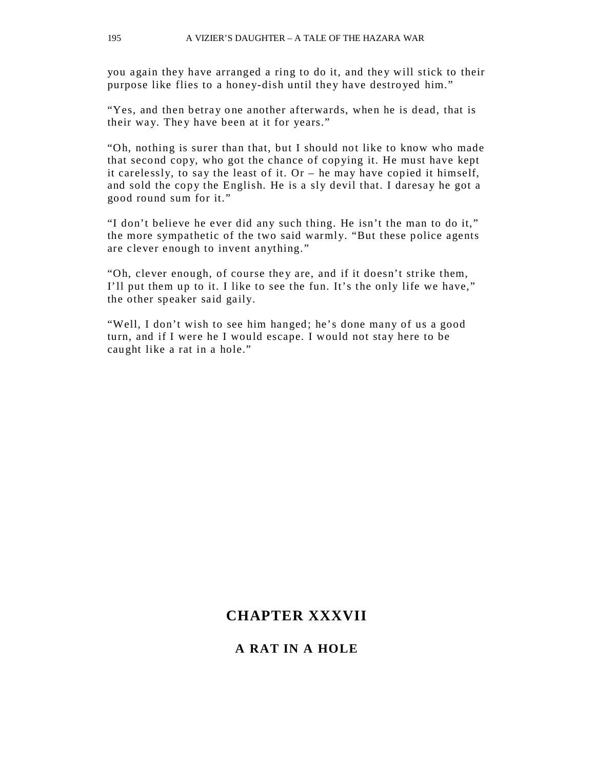you again they have arranged a ring to do it, and they will stick to their purpose like flies to a honey-dish until they have destro yed him."

"Yes, and then betray one another afterwards, when he is dead, that is their way. They have been at it for years."

"Oh, nothing is surer than that, but I should not like to know who made that second copy, who got the chance of copying it. He must have kept it carelessly, to say the least of it. Or – he may have copied it himself, and sold the copy the English. He is a sly devil that. I daresay he got a good round sum for it."

"I don't believe he ever did any such thing. He isn't the man to do it," the more sympathetic of the two said warmly. "But these police agents are clever enough to invent anything."

"Oh, clever enough, of course they are, and if it doesn't strike them, I'll put them up to it. I like to see the fun. It's the only life we have," the other speaker said gaily.

"Well, I don't wish to see him hanged; he's done many of us a good turn, and if I were he I would escape. I would not stay here to be caught like a rat in a hole."

## **CHAPTER XXXVII**

#### **A RAT IN A HOLE**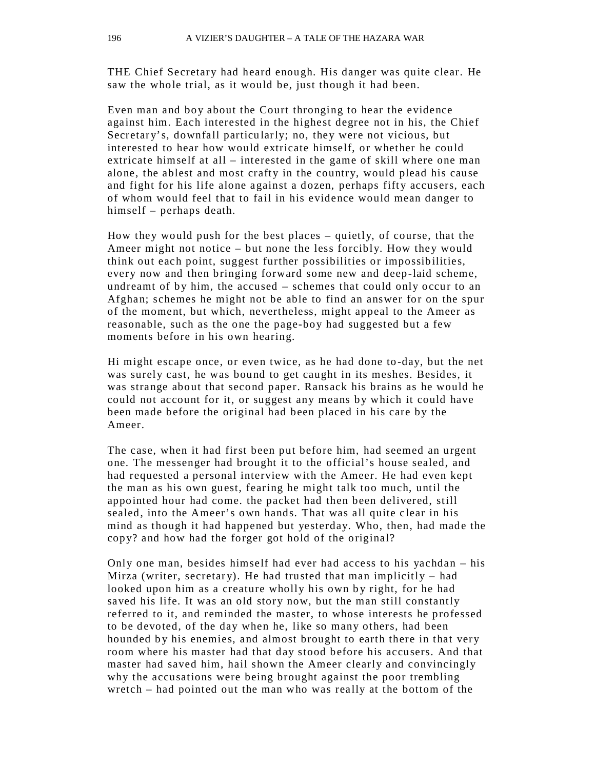THE Chief Secretary had heard enough. His danger was quite clear. He saw the whole trial, as it would be, just though it had been.

Even man and boy about the Court thronging to hear the evidence against him. Each interested in the highest degree not in his, the Chief Secretary's, downfall particularly; no, they were not vicious, but interested to hear how would extricate himself, or whether he could extricate himself at all – interested in the game of skill where one man alone, the ablest and most crafty in the country, would plead his cause and fight for his life alone against a dozen, perhaps fifty accusers, each of whom would feel that to fail in his evidence would mean danger to himself – perhaps death.

How they would push for the best places – quietly, of course, that the Ameer might not notice – but none the less forcibly. How they would think out each point, suggest further possibilities or impossib ilities, every now and then bringing forward some new and deep-laid scheme, undreamt of by him, the accused – schemes that could only occur to an Afghan; schemes he might not be able to find an answer for on the spur of the moment, but which, nevertheless, might appeal to the Ameer as reasonable, such as the one the page-boy had suggested but a few moments before in his own hearing.

Hi might escape once, or even twice, as he had done to-day, but the net was surely cast, he was bound to get caught in its meshes. Besides, it was strange about that second paper. Ransack his brains as he would he could not account for it, or suggest any means by which it could have been made before the original had been placed in his care by the Ameer.

The case, when it had first been put before him, had seemed an urgent one. The messenger had brought it to the official's house sealed, and had requested a personal interview with the Ameer. He had even kept the man as his own guest, fearing he might talk too much, until the appointed hour had come. the packet had then been delivered, still sealed, into the Ameer's own hands. That was all quite clear in his mind as though it had happened but yesterday. Who, then, had made the copy? and how had the forger got hold of the original?

Only one man, besides himself had ever had access to his yachdan – his Mirza (writer, secretary). He had trusted that man implicitly  $-$  had looked upon him as a creature wholly his own by right, for he had saved his life. It was an old story now, but the man still constantly referred to it, and reminded the master, to whose interests he professed to be devoted, of the day when he, like so many others, had been hounded by his enemies, and almost brought to earth there in that very room where his master had that day stood before his accusers. And that master had saved him, hail shown the Ameer clearly and convincingly why the accusations were being brought against the poor trembling wretch – had pointed out the man who was really at the bottom of the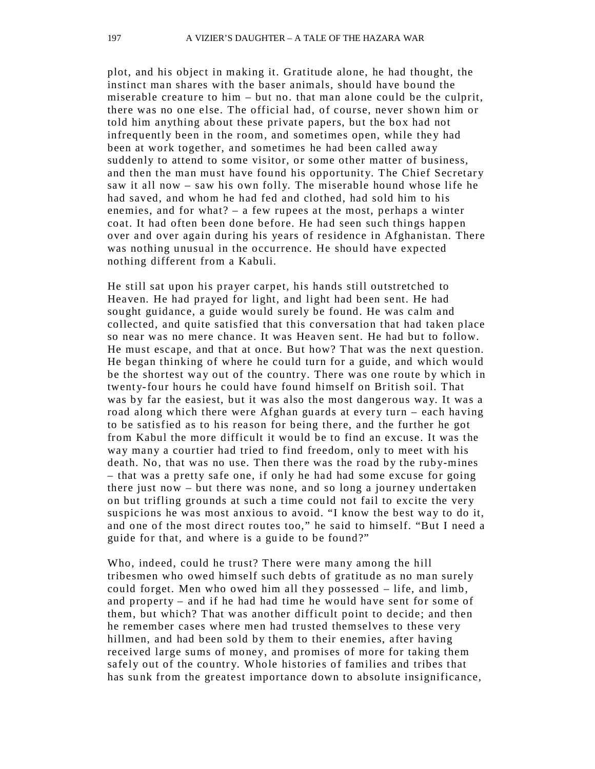plot, and his object in making it. Gratitude alone, he had thought, the instinct man shares with the baser animals, should have bound the miserable creature to him – but no. that man alone could be the culprit, there was no one else. The official had, of course, never shown him or told him anything about these private papers, but the box had not infrequently been in the room, and sometimes open, while they had been at work together, and sometimes he had been called away suddenly to attend to some visitor, or some other matter of business, and then the man must have found his opportunity. The Chief Secretary saw it all now – saw his own folly. The miserable hound whose life he had saved, and whom he had fed and clothed, had sold him to his enemies, and for what? – a few rupees at the most, perhaps a winter coat. It had often been done before. He had seen such things happen over and over again during his years of residence in Afghanistan. There was nothing unusual in the occurrence. He should have expected nothing different from a Kabuli.

He still sat upon his prayer carpet, his hands still outstretched to Heaven. He had prayed for light, and light had been sent. He had sought guidance, a guide would surely be found. He was calm and collected, and quite satisfied that this conversation that had taken place so near was no mere chance. It was Heaven sent. He had but to follow. He must escape, and that at once. But how? That was the next question. He began thinking of where he could turn for a guide, and which would be the shortest way out of the country. There was one route by which in twenty-four hours he could have found himself on British soil. That was by far the easiest, but it was also the most dangerous way. It was a road along which there were Afghan guards at every turn – each having to be satisfied as to his reason for being there, and the further he got from Kabul the more difficult it would be to find an excuse. It was the way many a courtier had tried to find freedom, only to meet with his death. No, that was no use. Then there was the road by the ruby-mines – that was a pretty safe one, if only he had had some excuse for going there just now – but there was none, and so long a journey undertaken on but trifling grounds at such a time could not fail to excite the ver y suspicions he was most anxious to avoid. "I know the best way to do it, and one of the most direct routes too," he said to himself. "But I need a guide for that, and where is a guide to be found?"

Who, indeed, could he trust? There were many among the hill tribesmen who owed himself such debts of gratitude as no man surely could forget. Men who owed him all they possessed  $-$  life, and limb, and property – and if he had had time he would have sent for some of them, but which? That was another difficult point to decide; and then he remember cases where men had trusted themselves to these very hillmen, and had been sold by them to their enemies, after having received large sums of money, and promises of more for taking them safely out of the country. Whole histories of families and tribes that has sunk from the greatest importance down to absolute insignificance,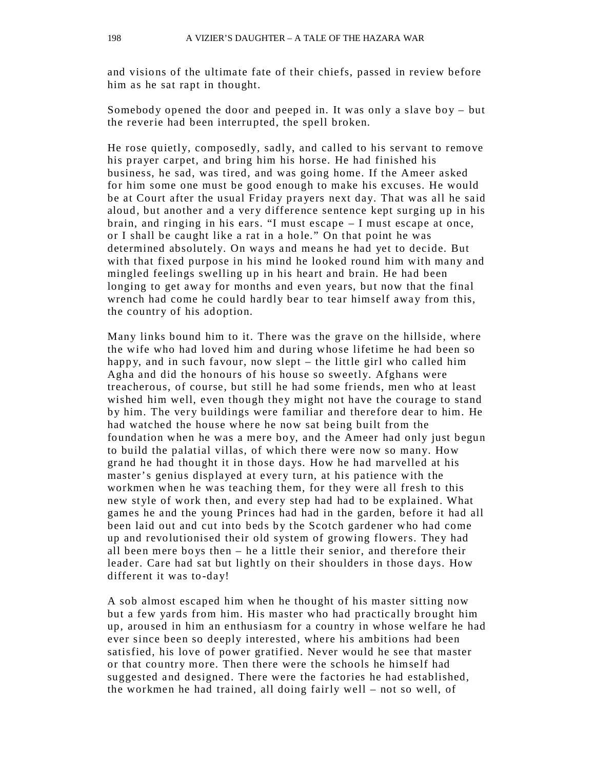and visions of the ultimate fate of their chiefs, passed in review before him as he sat rapt in thought.

Somebody opened the door and peeped in. It was only a slave boy – but the reverie had been interrupted, the spell broken.

He rose quietly, composedly, sadly, and called to his servant to remove his prayer carpet, and bring him his horse. He had finished his business, he sad, was tired, and was going home. If the Ameer asked for him some one must be good enough to make his excuses. He would be at Court after the usual Friday pra yers next day. That was all he said aloud, but another and a very difference sentence kept surging up in his brain, and ringing in his ears. "I must escape – I must escape at once, or I shall be caught like a rat in a hole." On that point he was determined absolutely. On ways and means he had yet to decide. But with that fixed purpose in his mind he looked round him with many and mingled feelings swelling up in his heart and brain. He had been longing to get away for months and even years, but now that the final wrench had come he could hardly bear to tear himself away from this, the country of his adoption.

Many links bound him to it. There was the grave on the hillside, where the wife who had loved him and during whose lifetime he had been so happy, and in such favour, now slept – the little girl who called him Agha and did the honours of his house so sweetly. Afghans were treacherous, of course, but still he had some friends, men who at least wished him well, even though they might not have the courage to stand by him. The very buildings were familiar and therefore dear to him. He had watched the house where he now sat being built from the foundation when he was a mere boy, and the Ameer had only just begun to build the palatial villas, of which there were now so many. How grand he had thought it in those days. How he had marvelled at his master's genius displayed at every turn, at his patience with the workmen when he was teaching them, for they were all fresh to this new st yle of work then, and every step had had to be explained. What games he and the young Princes had had in the garden, before it had all been laid out and cut into beds by the Scotch gardener who had come up and revolutionised their old system of growing flowers. They had all been mere bo ys then – he a little their senior, and therefore their leader. Care had sat but lightly on their shoulders in those days. How different it was to-day!

A sob almost escaped him when he thought of his master sitting now but a few yards from him. His master who had practically brought him up, aroused in him an enthusiasm for a country in whose welfare he had ever since been so deeply interested, where his ambitions had been satisfied, his love of power gratified. Never would he see that master or that country more. Then there were the schools he himself had suggested and designed. There were the factories he had established, the workmen he had trained, all doing fairly well – not so well, of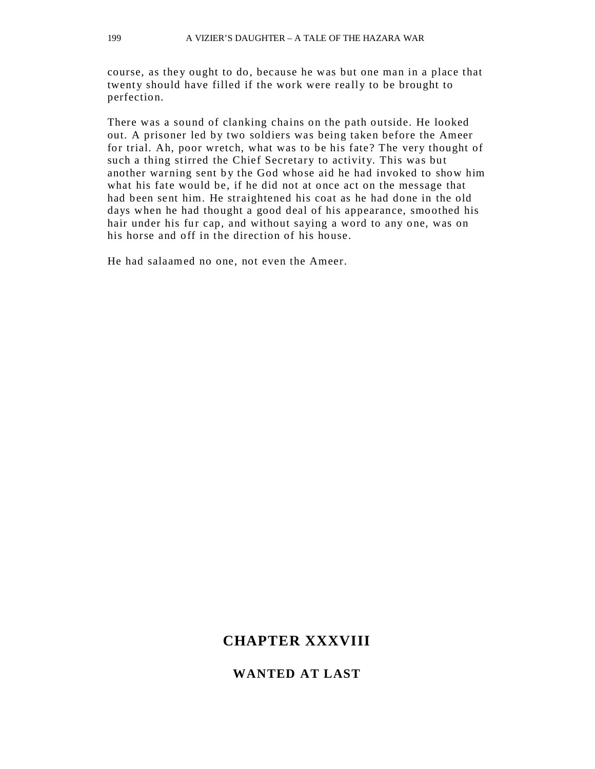course, as they ought to do, because he was but one man in a place that twenty should have filled if the work were really to be brought to perfection.

There was a sound of clanking chains on the path outside. He looked out. A prisoner led by two soldiers was being taken before the Ameer for trial. Ah, poor wretch, what was to be his fate? The very thought of such a thing stirred the Chief Secretary to activity. This was but another warning sent by the God whose aid he had invoked to show him what his fate would be, if he did not at once act on the message that had been sent him. He straightened his coat as he had done in the old days when he had thought a good deal of his appearance, smoothed his hair under his fur cap, and without saying a word to any one, was on his horse and off in the direction of his house.

He had salaamed no one, not even the Ameer.

## **CHAPTER XXXVIII**

### **WANTED AT LAST**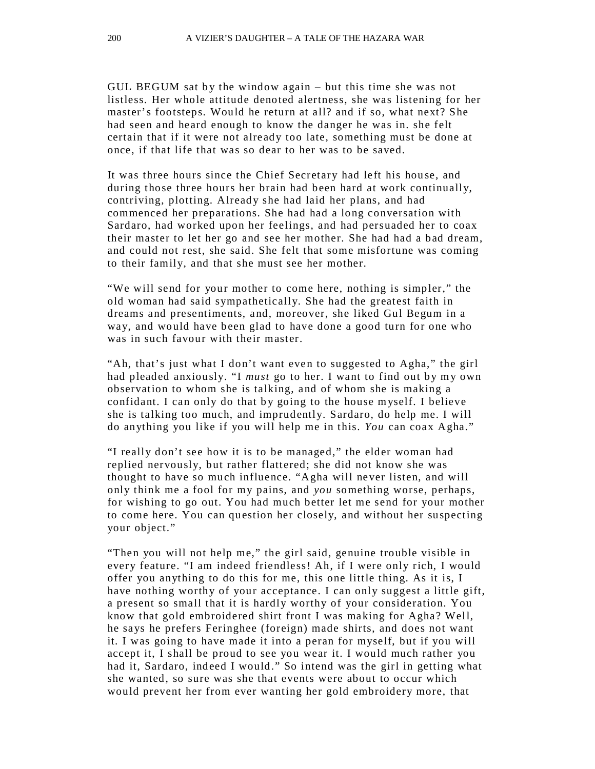GUL BEGUM sat by the window again – but this time she was not listless. Her whole attitude denoted alertness, she was listening for her master's footsteps. Would he return at all? and if so, what next? She had seen and heard enough to know the danger he was in. she felt certain that if it were not already too late, something must be done at once, if that life that was so dear to her was to be saved.

It was three hours since the Chief Secretary had left his hou se, and during those three hours her brain had been hard at work continually, contriving, plotting. Already she had laid her plans, and had commenced her preparations. She had had a long conversation with Sardaro, had worked upon her feelings, and had persuaded her to coax their master to let her go and see her mother. She had had a bad dream, and could not rest, she said. She felt that some misfortune was coming to their family, and that she must see her mother.

"We will send for your mother to come here, nothing is simpler," the old woman had said sympathetically. She had the greatest faith in dreams and presentiments, and, moreover, she liked Gul Begum in a way, and would have been glad to have done a good turn for one who was in such favour with their master.

"Ah, that's just what I don't want even to suggested to Agha," the girl had pleaded anxiously. "I *must* go to her. I want to find out by my own observation to whom she is talking, and of whom she is making a confidant. I can only do that by going to the house myself. I believe she is talking too much, and imprudently. Sardaro, do help me. I will do anything you like if you will help me in this. *You* can coax Agha."

"I really don't see how it is to be managed," the elder woman had replied nervously, but rather flattered; she did not know she was thought to have so much influence. "Agha will never listen, and will only think me a fool for my pains, and *you* something worse, perhaps, for wishing to go out. You had much better let me send for your mother to come here. You can question her closely, and without her suspecting your object."

"Then you will not help me," the girl said, genuine trouble visible in every feature. "I am indeed friendless! Ah, if I were only rich, I would offer you anything to do this for me, this one little thing. As it is, I have nothing worthy of your acceptance. I can only suggest a little gift, a present so small that it is hardly worthy of your consideration. You know that gold embroidered shirt front I was making for Agha? Well, he says he prefers Feringhee (foreign) made shirts, and does not want it. I was going to have made it into a peran for myself, but if you will accept it, I shall be proud to see you wear it. I would much rather you had it, Sardaro, indeed I would." So intend was the girl in getting what she wanted, so sure was she that events were about to occur which would prevent her from ever wanting her gold embroidery more, that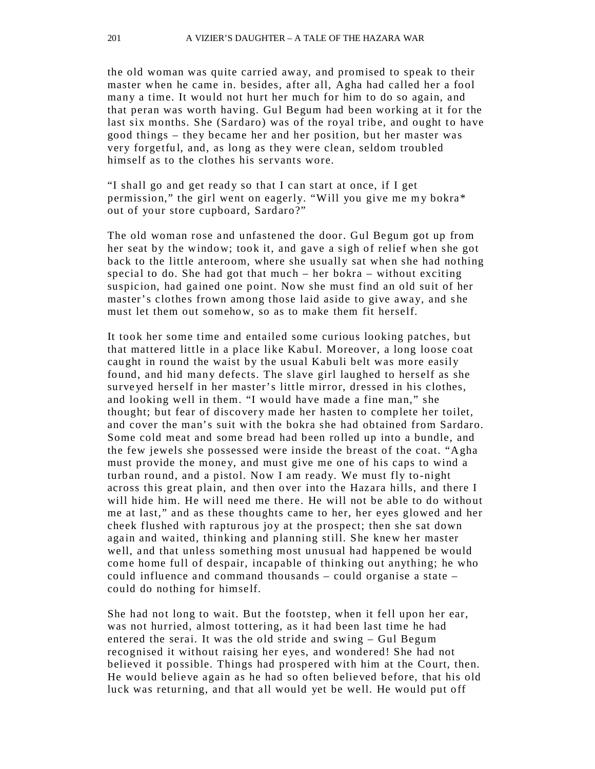the old woman was quite carried away, and promised to speak to their master when he came in. besides, after all, Agha had called her a fool many a time. It would not hurt her much for him to do so again, and that peran was worth having. Gul Begum had been working at it for the last six months. She (Sardaro) was of the royal tribe, and ought to have good things – they became her and her position, but her master was very forgetful, and, as long as they were clean, seldom troubled himself as to the clothes his servants wore.

"I shall go and get ready so that I can start at once, if I get permission," the girl went on eagerly. "Will you give me my bokra\* out of your store cupboard, Sardaro?"

The old woman rose and unfastened the door. Gul Begum got up from her seat by the window; took it, and gave a sigh of relief when she got back to the little anteroom, where she usually sat when she had nothing special to do. She had got that much – her bokra – without exciting suspicion, had gained one point. Now she must find an old suit of her master's clothes frown among those laid aside to give away, and she must let them out somehow, so as to make them fit herself.

It took her some time and entailed some curious looking patches, but that mattered little in a place like Kabul. Moreover, a long loose coat caught in round the waist by the usual Kabuli belt was more easily found, and hid many defects. The slave girl laughed to herself as she surve yed herself in her master's little mirror, dressed in his clothes, and looking well in them. "I would have made a fine man," she thought; but fear of discovery made her hasten to complete her toilet, and cover the man's suit with the bokra she had obtained from Sardaro. Some cold meat and some bread had been rolled up into a bundle, and the few jewels she possessed were inside the breast of the coat. "Agha must provide the money, and must give me one of his caps to wind a turban round, and a pistol. Now I am ready. We must fly to-night across this great plain, and then over into the Hazara hills, and there I will hide him. He will need me there. He will not be able to do without me at last," and as these thoughts came to her, her eyes glowed and her cheek flushed with rapturous joy at the prospect; then she sat down again and waited, thinking and planning still. She knew her master well, and that unless something most unusual had happened be would come home full of despair, incapable of thinking out anything; he who could influence and command thousands – could organise a state – could do nothing for himself.

She had not long to wait. But the footstep, when it fell upon her ear, was not hurried, almost tottering, as it had been last time he had entered the serai. It was the old stride and swing – Gul Begum recognised it without raising her eyes, and wondered! She had not believed it possible. Things had prospered with him at the Court, then. He would believe again as he had so often believed before, that his old luck was returning, and that all would yet be well. He would put off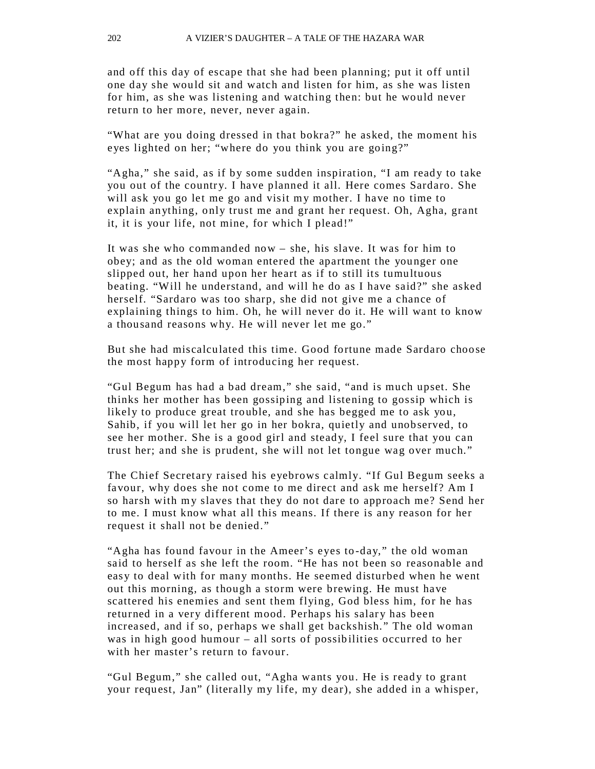and off this day of escape that she had been planning; put it off until one day she would sit and watch and listen for him, as she was listen for him, as she was listening and watching then: but he would never return to her more, never, never again.

"What are you doing dressed in that bokra?" he asked, the moment his eyes lighted on her; "where do you think you are going?"

"Agha," she said, as if by some sudden inspiration, "I am ready to take you out of the country. I have planned it all. Here comes Sardaro. She will ask you go let me go and visit my mother. I have no time to explain anything, only trust me and grant her request. Oh, Agha, grant it, it is your life, not mine, for which I plead!"

It was she who commanded now – she, his slave. It was for him to obey; and as the old woman entered the apartment the younger one slipped out, her hand upon her heart as if to still its tumultuous beating. "Will he understand, and will he do as I have said?" she asked herself. "Sardaro was too sharp, she did not give me a chance of explaining things to him. Oh, he will never do it. He will want to know a thousand reasons why. He will never let me go."

But she had miscalculated this time. Good fortune made Sardaro choose the most happy form of introducing her request.

"Gul Begum has had a bad dream," she said, "and is much upset. She thinks her mother has been gossiping and listening to gossip which is likely to produce great trouble, and she has begged me to ask you, Sahib, if you will let her go in her bokra, quietly and unobserved, to see her mother. She is a good girl and steady, I feel sure that you can trust her; and she is prudent, she will not let tongue wag over much."

The Chief Secretary raised his eyebrows calmly. "If Gul Begum seeks a favour, why does she not come to me direct and ask me herself? Am I so harsh with my slaves that they do not dare to approach me? Send her to me. I must know what all this means. If there is any reason for her request it shall not be denied."

"Agha has found favour in the Ameer's eyes to -day," the old woman said to herself as she left the room. "He has not been so reasonable and easy to deal with for many months. He seemed disturbed when he went out this morning, as though a storm were brewing. He must have scattered his enemies and sent them flying, God bless him, for he has returned in a very different mood. Perhaps his salary has been increased, and if so, perhaps we shall get backshish." The old woman was in high good humour – all sorts of possibilities occurred to her with her master's return to favour.

"Gul Begum," she called out, "Agha wants you. He is ready to grant your request, Jan" (literally my life, my dear), she added in a whisper,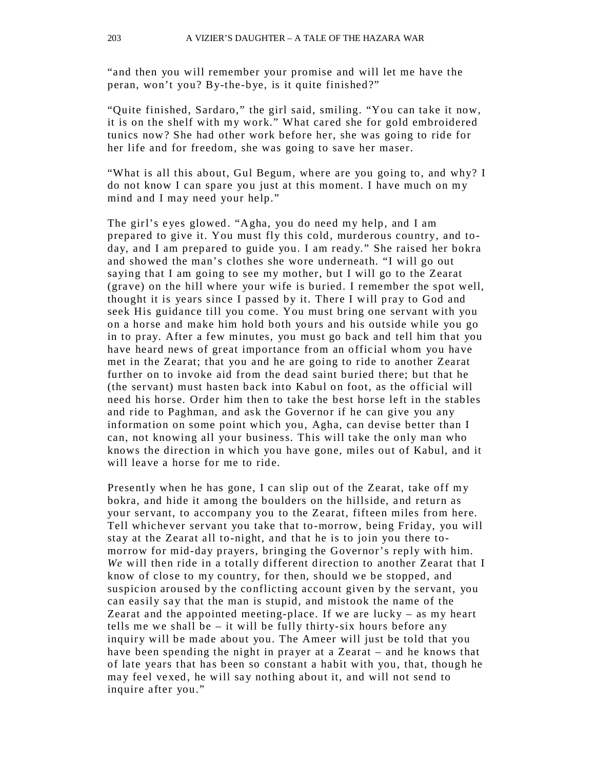"and then you will remember your promise and will let me have the peran, won't you? By-the-bye, is it quite finished?"

"Quite finished, Sardaro," the girl said, smiling. "You can take it now, it is on the shelf with my work." What cared she for gold embroidered tunics now? She had other work before her, she was going to ride for her life and for freedom, she was going to save her maser.

"What is all this about, Gul Begum, where are you going to, and why? I do not know I can spare you just at this moment. I have much on my mind and I may need your help."

The girl's e yes glowed. "Agha, you do need my help, and I am prepared to give it. You must fly this cold, murderous country, and today, and I am prepared to guide you. I am ready." She raised her bokra and showed the man's clothes she wore underneath. "I will go out saying that I am going to see my mother, but I will go to the Zearat (grave) on the hill where your wife is buried. I remember the spot well, thought it is years since I passed by it. There I will pray to God and seek His guidance till you come. You must bring one servant with you on a horse and make him hold both yours and his outside while you go in to pray. After a few minutes, you must go back and tell him that you have heard news of great importance from an official whom you have met in the Zearat; that you and he are going to ride to another Zearat further on to invoke aid from the dead saint buried there; but that he (the servant) must hasten back into Kabul on foot, as the official will need his horse. Order him then to take the best horse left in the stables and ride to Paghman, and ask the Governor if he can give you any information on some point which you, Agha, can devise better than I can, not knowing all your business. This will take the only man who knows the direction in which you have gone, miles out of Kabul, and it will leave a horse for me to ride.

Presently when he has gone, I can slip out of the Zearat, take off my bokra, and hide it among the boulders on the hillside, and return as your servant, to accompany you to the Zearat, fifteen miles from here. Tell whichever servant you take that to-morrow, being Friday, you will stay at the Zearat all to-night, and that he is to join you there tomorrow for mid-day prayers, bringing the Governor's reply with him. *We* will then ride in a totally different direction to another Zearat that I know of close to my country, for then, should we be stopped, and suspicion aroused by the conflicting account given by the servant, you can easily say that the man is stupid, and mistook the name of the Zearat and the appointed meeting-place. If we are lucky – as my heart tells me we shall be – it will be fully thirty-six hours before any inquiry will be made about you. The Ameer will just be told that you have been spending the night in prayer at a Zearat – and he knows that of late years that has been so constant a habit with you, that, though he may feel vexed, he will say nothing about it, and will not send to inquire after you."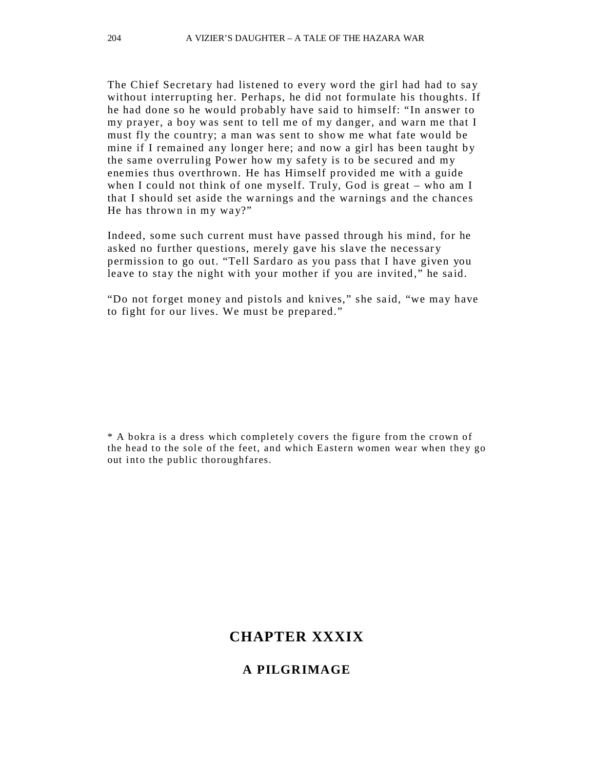The Chief Secretary had listened to every word the girl had had to say without interrupting her. Perhaps, he did not formulate his thoughts. If he had done so he would probably have said to himself: "In answer to my prayer, a boy was sent to tell me of my danger, and warn me that I must fly the country; a man was sent to show me what fate would be mine if I remained any longer here; and now a girl has been taught by the same overruling Power how my safety is to be secured and my enemies thus overthrown. He has Himself provided me with a guide when I could not think of one myself. Truly, God is great – who am I that I should set aside the warnings and the warnings and the chances He has thrown in my way?"

Indeed, some such current must have passed through his mind, for he asked no further questions, merely gave his slave the necessary permission to go out. "Tell Sardaro as you pass that I have given you leave to stay the night with your mother if you are invited," he said.

"Do not forget money and pistols and knives," she said, "we may have to fight for our lives. We must be prepared."

\* A bokra is a dress which completel y covers the figure from the crown of the head to the sole of the feet, and which Eastern women wear when they go out into the public thoroughfares.

## **CHAPTER XXXIX**

#### **A PILGRIMAGE**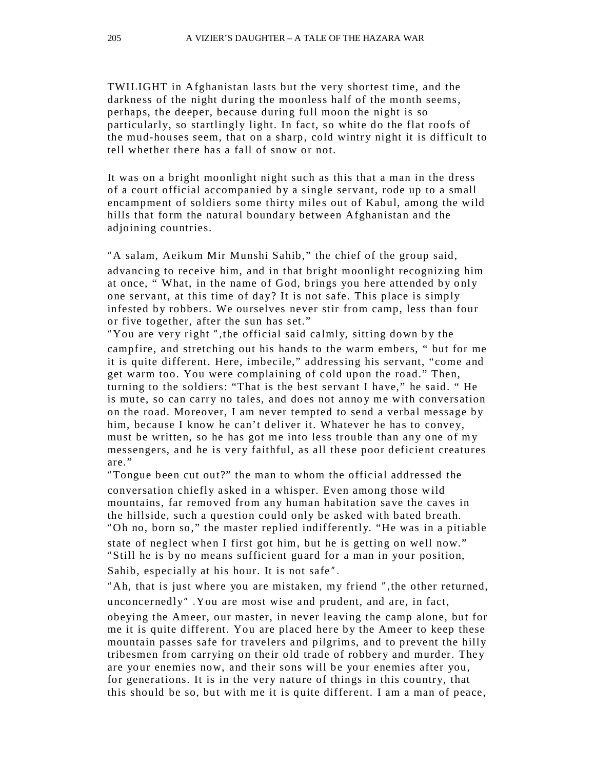TWILIGHT in Afghanistan lasts but the very shortest time, and the darkness of the night during the moonless half of the month seems, perhaps, the deeper, because during full moon the night is so particularly, so startlingly light. In fact, so white do the flat roofs of the mud-houses seem, that on a sharp, cold wintry night it is difficult to tell whether there has a fall of snow or not.

It was on a bright moonlight night such as this that a man in the dress of a court official accompanied by a single servant, rode up to a small encampment of soldiers some thirty miles out of Kabul, among the wild hills that form the natural boundary between Afghanistan and the adjoining countries.

"A salam, Aeikum Mir Munshi Sahib," the chief of the group said, advancing to receive him, and in that bright moonlight recognizing him at once, "What, in the name of God, brings you here attended by only one servant, at this time of day? It is not safe. This place is simply infested by robbers. We ourselves never stir from camp, less than four or five together, after the sun has set."

"You are very right", the official said calmly, sitting down by the campfire, and stretching out his hands to the warm embers, " but for me it is quite different. Here, imbecile," addressing his servant, "come and get warm too. You were complaining of cold upon the road." Then, turning to the soldiers: "That is the best servant I have," he said. " He is mute, so can carry no tales, and does not annoy me with conversation on the road. Moreover, I am never tempted to send a verbal message by him, because I know he can't deliver it. Whatever he has to convey, must be written, so he has got me into less trouble than any one of my messengers, and he is very faithful, as all these poor deficient creatures are."

"Tongue been cut out?" the man to whom the official addressed the conversation chiefly asked in a whisper. Even among those wild mountains, far removed from any human habitation save the caves in the hillside, such a question could only be asked with bated breath. "Oh no, born so," the master replied indifferently. "He was in a pitiable state of neglect when I first got him, but he is getting on well now." "Still he is by no means sufficient guard for a man in your position, Sahib, especially at his hour. It is not safe".

"Ah, that is just where you are mistaken, my friend ",the other returned, unconcernedly" .You are most wise and prudent, and are, in fact,

obeying the Ameer, our master, in never leaving the camp alone, but for me it is quite different. You are placed here by the Ameer to keep these mountain passes safe for travelers and pilgrims, and to prevent the hilly tribesmen from carrying on their old trade of robbery and murder. The y are your enemies now, and their sons will be your enemies after you, for generations. It is in the very nature of things in this country, that this should be so, but with me it is quite differ ent. I am a man of peace,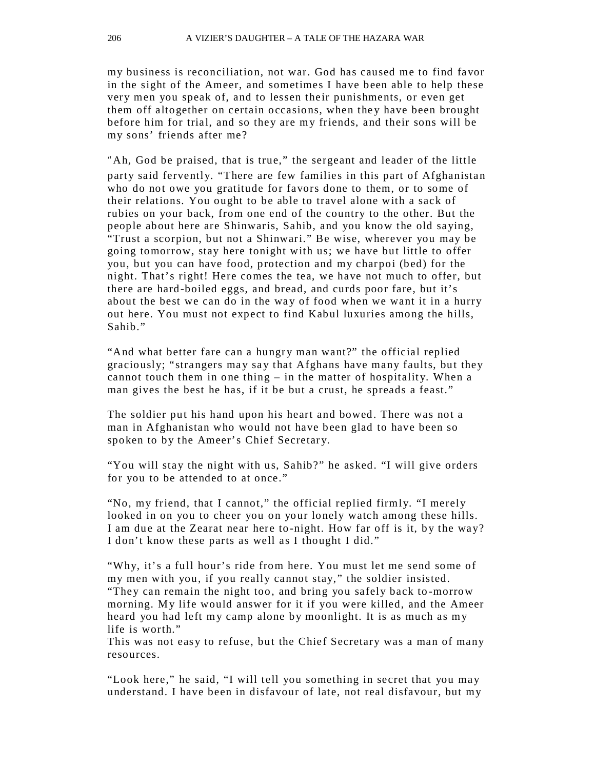my business is reconciliation, not war. God has caused me to find favor in the sight of the Ameer, and sometimes I have been able to help these very men you speak of, and to lessen their punishments, or even get them off altogether on certain occasions, when they have been brought before him for trial, and so they are my friends, and their sons will be my sons' friends after me?

"Ah, God be praised, that is true," the sergeant and leader of the little party said fervently. "There are few families in this part of Afghanistan who do not owe you gratitude for favors done to them, or to some of their relations. You ought to be able to travel alone with a sack of rubies on your back, from one end of the country to the other. But the people about here are Shinwaris, Sahib, and you know the old saying, "Trust a scorpion, but not a Shinwari." Be wise, wherever you may be going tomorrow, stay here tonight with us; we have but little to offer you, but you can have food, protection and my charpoi (bed) for the night. That's right! Here comes the tea, we have not much to offer, but there are hard-boiled eggs, and bread, and curds poor fare, but it's about the best we can do in the way of food when we want it in a hurry out here. You must not expect to find Kabul luxuries among the hills, Sahib."

"And what better fare can a hungry man want?" the official replied graciously; "strangers may say that Afghans have many faults, but they cannot touch them in one thing  $-$  in the matter of hospitality. When a man gives the best he has, if it be but a crust, he spreads a feast."

The soldier put his hand upon his heart and bowed. There was not a man in Afghanistan who would not have been glad to have been so spoken to by the Ameer's Chief Secretary.

"You will stay the night with us, Sahib?" he asked. "I will give orders for you to be attended to at once."

"No, my friend, that I cannot," the official replied firmly. "I merely looked in on you to cheer you on your lonely watch among these hills. I am due at the Zearat near here to-night. How far off is it, by the way? I don't know these parts as well as I thought I did."

"Why, it's a full hour's ride from here. You must let me send some of my men with you, if you really cannot stay," the soldier insisted. "They can remain the night too, and bring you safely back to -morrow morning. My life would answer for it if you were killed, and the Ameer heard you had left my camp alone by moonlight. It is as much as my life is worth."

This was not easy to refuse, but the Chief Secretary was a man of many resources.

"Look here," he said, "I will tell you something in secret that you may understand. I have been in disfavour of late, not real disfavour, but my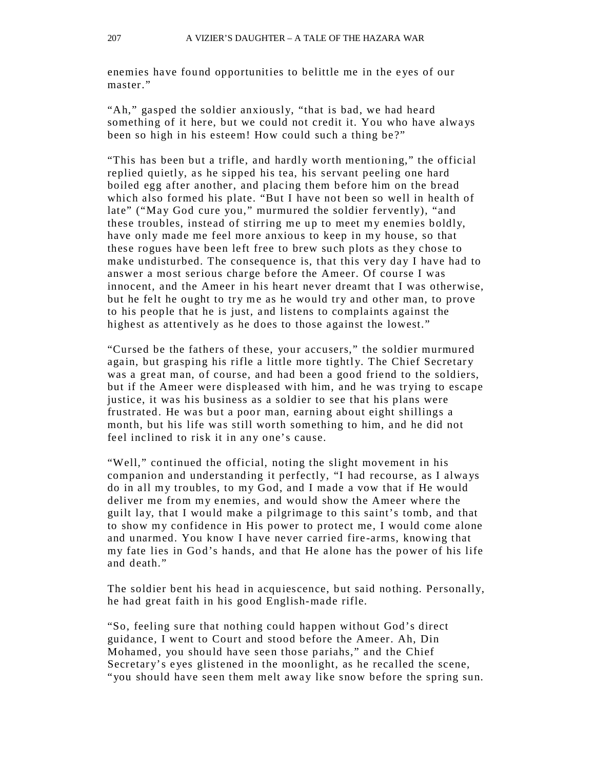enemies have found opportunities to belittle me in the eyes of our master."

"Ah," gasped the soldier anxiously, "that is bad, we had heard something of it here, but we could not credit it. You who have always been so high in his esteem! How could such a thing be?"

"This has been but a trifle, and hardly worth mentioning," the official replied quietly, as he sipped his tea, his servant peeling one hard boiled egg after another, and placing them before him on the bread which also formed his plate. "But I have not been so well in health of late" ("May God cure you," murmured the soldier fervently), "and these troubles, instead of stirring me up to meet my enemies boldly, have only made me feel more anxious to keep in my house, so that these rogues have been left free to brew such plots as they chose to make undisturbed. The consequence is, that this very day I have had to answer a most serious charge before the Ameer. Of course I was innocent, and the Ameer in his heart never dreamt that I was otherwise, but he felt he ought to try me as he would try and other man, to prove to his people that he is just, and listens to complaints against the highest as attentively as he does to those against the lowest."

"Cursed be the fathers of these, your accusers," the soldier murmured again, but grasping his rifle a little more tightly. The Chief Secretary was a great man, of course, and had been a good friend to the soldiers, but if the Ameer were displeased with him, and he was trying to escape justice, it was his business as a soldier to see that his plans were frustrated. He was but a poor man, earning about eight shillings a month, but his life was still worth something to him, and he did not feel inclined to risk it in any one's cause.

"Well," continued the official, noting the slight movement in his companion and understanding it perfectly, "I had recourse, as I always do in all my troubles, to my God, and I made a vow that if He would deliver me from my enemies, and would show the Ameer where the guilt lay, that I would make a pilgrimage to this saint's tomb, and that to show my confidence in His power to protect me, I would come alone and unarmed. You know I have never carried fire -arms, knowing that my fate lies in God's hands, and that He alone has the power of his life and death."

The soldier bent his head in acquiescence, but said nothing. Personally, he had great faith in his good English-made rifle.

"So, feeling sure that nothing could happen without God's direct guidance, I went to Court and stood before the Ameer. Ah, Din Mohamed, you should have seen those pariahs," and the Chief Secretary's eyes glistened in the moonlight, as he recalled the scene, "you should have seen them melt away like snow before the spring sun.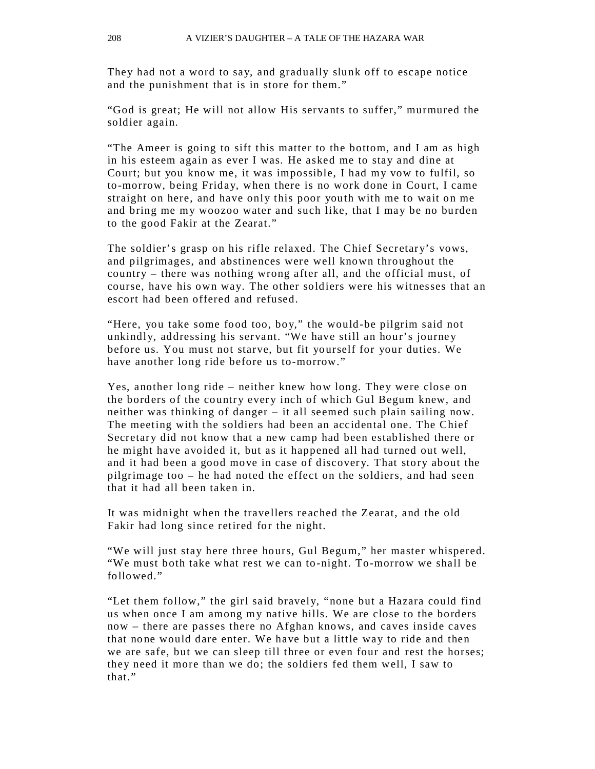They had not a word to say, and gradually slunk off to escape notice and the punishment that is in store for them."

"God is great; He will not allow His servants to suffer," murmured the soldier again.

"The Ameer is going to sift this matter to the bottom, and I am as high in his esteem again as ever I was. He asked me to stay and dine at Court; but you know me, it was impossible, I had my vow to fulfil, so to-morrow, being Friday, when there is no work done in Court, I came straight on here, and have only this poor youth with me to wait on me and bring me my woozoo water and such like, that I may be no burden to the good Fakir at the Zearat."

The soldier's grasp on his rifle relaxed. The Chief Secretary's vows, and pilgrimages, and abstinences were well known throughout the country – there was nothing wrong after all, and the official must, of course, have his own way. The other soldiers were his witnesses that an escort had been offered and refused.

"Here, you take some food too, boy," the would-be pilgrim said not unkindly, addressing his servant. "We have still an hour's journey before us. You must not starve, but fit yourself for your duties. We have another long ride before us to-morrow."

Yes, another long ride – neither knew how long. They were close on the borders of the country every inch of which Gul Begum knew, and neither was thinking of danger – it all seemed such plain sailing now. The meeting with the soldiers had been an accidental one. The Chief Secretary did not know that a new camp had been established there or he might have avoided it, but as it happened all had turned out well, and it had been a good move in case of discovery. That story about the pilgrimage too – he had noted the effect on the soldiers, and had seen that it had all been taken in.

It was midnight when the travellers reached the Zearat, and the old Fakir had long since retired for the night.

"We will just stay here three hours, Gul Begum," her master whispered. "We must both take what rest we can to-night. To-morrow we shall be followed."

"Let them follow," the girl said bravely, "none but a Hazara could find us when once I am among my native hills. We are close to the borders now – there are passes there no Afghan knows, and caves inside caves that none would dare enter. We have but a little way to ride and then we are safe, but we can sleep till three or even four and rest the horses; they need it more than we do; the soldiers fed them well, I saw to that."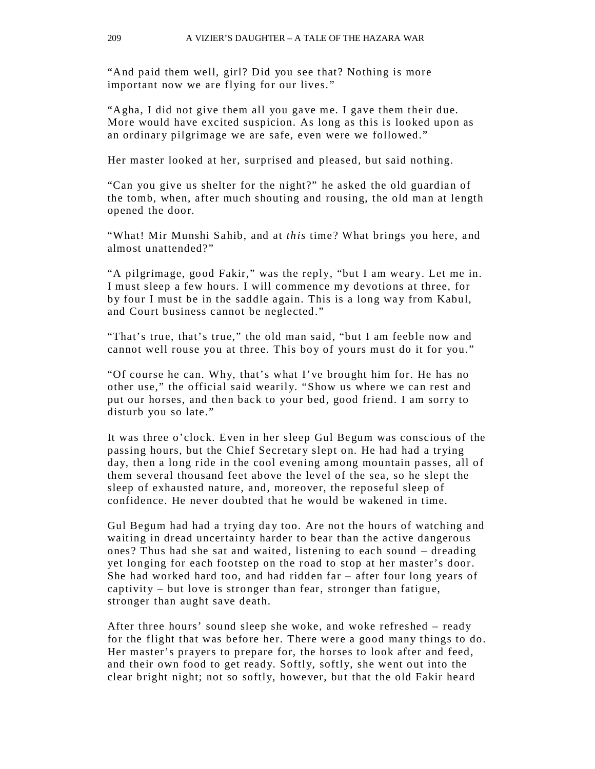"And paid them well, girl? Did you see that? Nothing is more important now we are flying for our lives."

"Agha, I did not give them all you gave me. I gave them their due. More would have excited suspicion. As long as this is looked upon as an ordinary pilgrimage we are safe, even were we followed."

Her master looked at her, surprised and pleased, but said nothing.

"Can you give us shelter for the night?" he asked the old guardian of the tomb, when, after much shouting and rousing, the old man at length opened the door.

"What! Mir Munshi Sahib, and at *this* time? What brings you here, and almost unattended?"

"A pilgrimage, good Fakir," was the reply, "but I am weary. Let me in. I must sleep a few hours. I will commence my devotions at three, for by four I must be in the saddle again. This is a long way from Kabul, and Court business cannot be neglected."

"That's true, that's true," the old man said, "but I am feeble now and cannot well rouse you at three. This boy of yours must do it for you."

"Of course he can. Why, that's what I've brought him for. He has no other use," the official said wearily. "Show us where we can rest and put our horses, and then back to your bed, good friend. I am sorry to disturb you so late."

It was three o'clock. Even in her sleep Gul Begum was conscious of the passing hours, but the Chief Secretary slept on. He had had a trying day, then a long ride in the cool evening among mountain passes, all of them several thousand feet above the level of the sea, so he slept the sleep of exhausted nature, and, moreover, the reposeful sleep of confidence. He never doubted that he would be wakened in time.

Gul Begum had had a trying day too. Are not the hours of watching and waiting in dread uncertainty harder to bear than the active dangerous ones? Thus had she sat and waited, listening to each sound – dreading yet longing for each footstep on the road to stop at her master's door. She had worked hard too, and had ridden far – after four long years of captivity – but love is stronger than fear, stronger than fatigue, stronger than aught save death.

After three hours' sound sleep she woke, and woke refreshed – ready for the flight that was before her. There were a good many things to do. Her master's prayers to prepare for, the horses to look after and feed, and their own food to get ready. Softly, softly, she went out into the clear bright night; not so softly, however, but that the old Fakir heard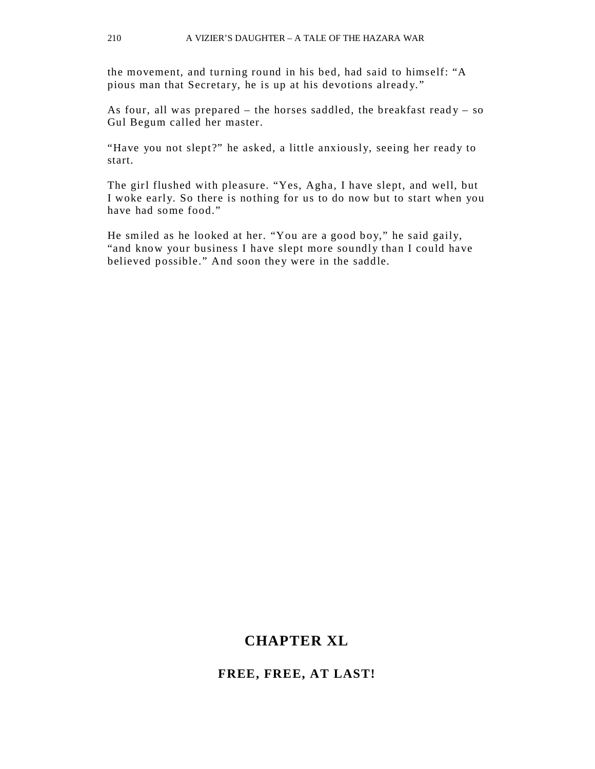the movement, and turning round in his bed, had said to himself: "A pious man that Secretary, he is up at his devotions already."

As four, all was prepared  $-$  the horses saddled, the breakfast ready  $-$  so Gul Begum called her master.

"Have you not slept?" he asked, a little anxiously, seeing her ready to start.

The girl flushed with pleasure. "Yes, Agha, I have slept, and well, but I woke early. So there is nothing for us to do now but to start when you have had some food."

He smiled as he looked at her. "You are a good boy," he said gaily, "and know your business I have slept more soundly than I could have believed possible." And soon they were in the saddle.

### **CHAPTER XL**

#### **FREE, FREE, AT LAST!**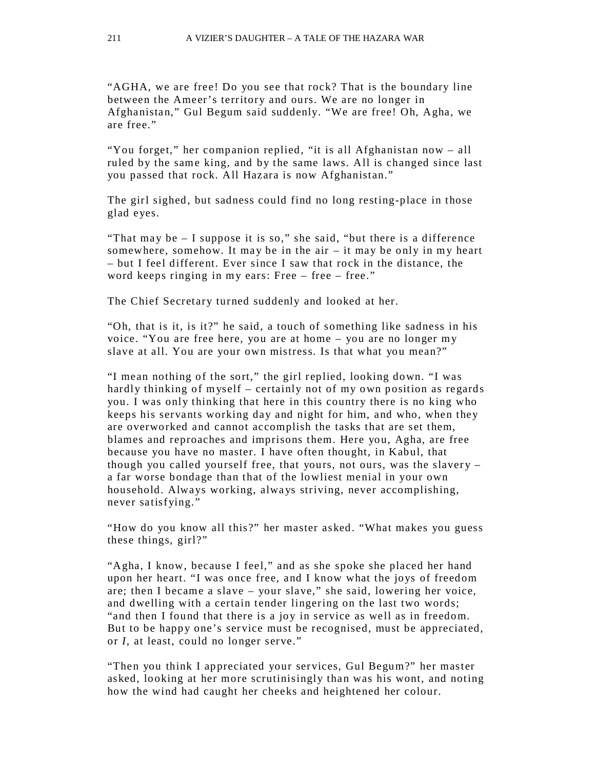"AGHA, we are free! Do you see that rock? That is the boundary line between the Ameer's territory and ours. We are no longer in Afghanistan," Gul Begum said suddenly. "We are free! Oh, Agha, we are free."

"You forget," her companion replied, "it is all Afghanistan now – all ruled by the same king, and by the same laws. All is changed since last you passed that rock. All Hazara is now Afghanistan."

The girl sighed, but sadness could find no long resting-place in those glad eyes.

"That may be  $-1$  suppose it is so," she said, "but there is a difference" somewhere, somehow. It may be in the air  $-$  it may be only in my heart – but I feel different. Ever since I saw that rock in the distance, the word keeps ringing in my ears: Free – free – free."

The Chief Secretary turned suddenly and looked at her.

"Oh, that is it, is it?" he said, a touch of something like sadness in his voice. "You are free here, you are at home – you are no longer my slave at all. You are your own mistress. Is that what you mean?"

"I mean nothing of the sort," the girl replied, looking down. "I was hardly thinking of myself – certainly not of my own position as regards you. I was only thinking that here in this country there is no king who keeps his servants working day and night for him, and who, when they are overworked and cannot accomplish the tasks that are set them, blames and reproaches and imprisons them. Here you, Agha, are free because you have no master. I have often thought, in Kabul, that though you called yourself free, that yours, not ours, was the slavery  $$ a far worse bondage than that of the lowliest menial in your own household. Always working, always striving, never accomplishing, never satisfying."

"How do you know all this?" her master asked. "What makes you guess these things, girl?"

"Agha, I know, because I feel," and as she spoke she placed her hand upon her heart. "I was once free, and I know what the joys of freedom are; then I became a slave – your slave," she said, lowering her voice, and dwelling with a certain tender lingering on the last two words; "and then I found that there is a joy in service as well as in freedom. But to be happy one's service must be recognised, must be appreciated, or *I,* at least, could no longer serve."

"Then you think I appreciated your services, Gul Begum?" her master asked, looking at her more scrutinisingly than was his wont, and noting how the wind had caught her cheeks and heightened her colour.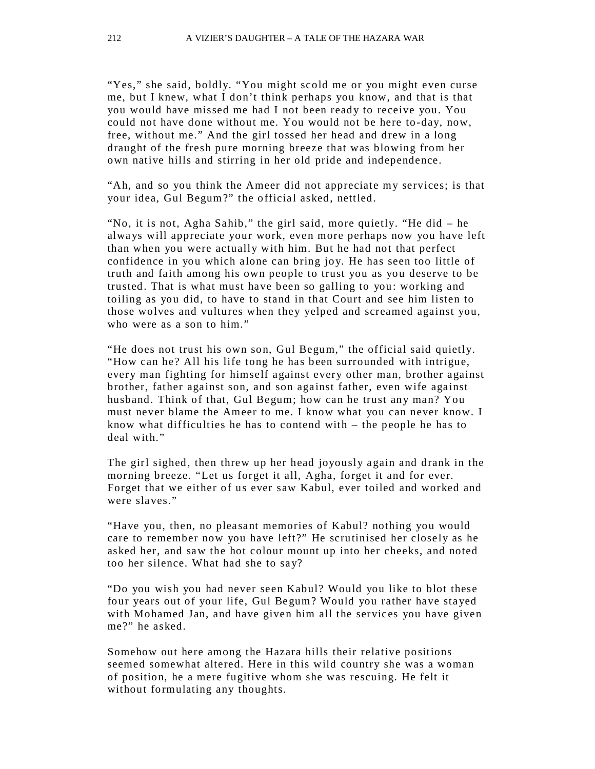"Yes," she said, boldly. "You might scold me or you might even curse me, but I knew, what I don't think perhaps you know, and that is that you would have missed me had I not been ready to receive you. You could not have done without me. You would not be here to-day, now, free, without me." And the girl tossed her head and drew in a long draught of the fresh pure morning breeze that was blowing from her own native hills and stirring in her old pride and independence.

"Ah, and so you think the Ameer did not appreciate my services; is that your idea, Gul Begum?" the official asked, nettled.

"No, it is not, Agha Sahib," the girl said, more quietly. "He did – he alwa ys will appreciate your work, even more perhaps now you have left than when you were actually with him. But he had not that perfect confidence in you which alone can bring joy. He has seen too little of truth and faith among his own people to trust you as you deserve to be trusted. That is what must have been so galling to you: working and toiling as you did, to have to stand in that Court and see him listen to those wolves and vultures when they yelped and screamed against you, who were as a son to him."

"He does not trust his own son, Gul Begum," the official said quietly. "How can he? All his life tong he has been surrounded with intrigue, every man fighting for himself against every other man, brother against brother, father against son, and son against father, even wife against husband. Think of that, Gul Begum; how can he trust any man? You must never blame the Ameer to me. I know what you can never know. I know what difficulties he has to contend with – the people he has to deal with."

The girl sighed, then threw up her head joyously again and drank in the morning breeze. "Let us forget it all, Agha, forget it and for ever. Forget that we either of us ever saw Kabul, ever toiled and worked and were slaves."

"Have you, then, no pleasant memories of Kabul? nothing you would care to remember now you have left?" He scrutinised her closely as he asked her, and saw the hot colour mount up into her cheeks, and noted too her silence. What had she to say?

"Do you wish you had never seen Kabul? Would you like to blot these four years out of your life, Gul Begum? Would you rather have stayed with Mohamed Jan, and have given him all the services you have given me?" he asked.

Somehow out here among the Hazara hills their relative positions seemed somewhat altered. Here in this wild country she was a woman of position, he a mere fugitive whom she was rescuing. He felt it without formulating any thoughts.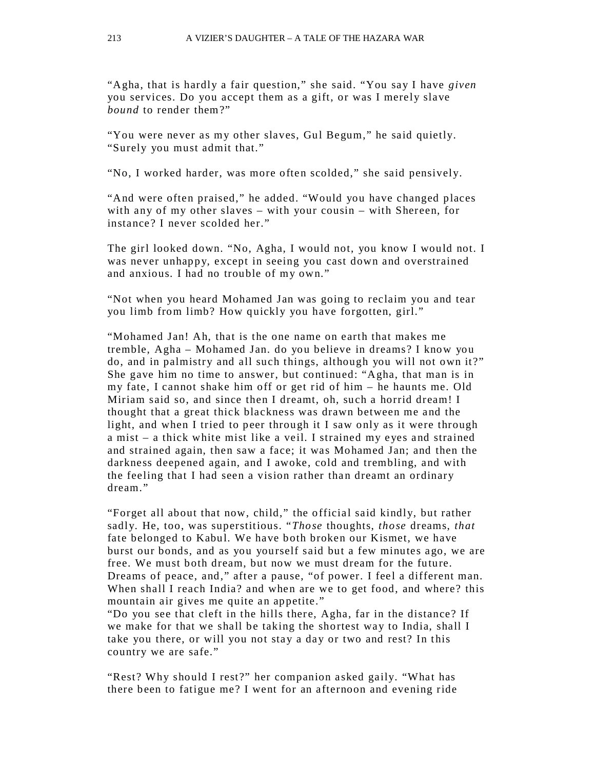"Agha, that is hardly a fair question," she said. "You say I have *given*  you services. Do you accept them as a gift, or was I merely slave *bound* to render them?"

"You were never as my other slaves, Gul Begum," he said quietly. "Surely you must admit that."

"No, I worked harder, was more often scolded," she said pensively.

"And were often praised," he added. "Would you have changed places with any of my other slaves – with your cousin – with Shereen, for instance? I never scolded her."

The girl looked down. "No, Agha, I would not, you know I would not. I was never unhappy, except in seeing you cast down and overstrained and anxious. I had no trouble of my own."

"Not when you heard Mohamed Jan was going to reclaim you and tear you limb from limb? How quickly you have forgotten, girl."

"Mohamed Jan! Ah, that is the one name on earth that makes me tremble, Agha – Mohamed Jan. do you believe in dreams? I know you do, and in palmistry and all such things, although you will not own it?" She gave him no time to answer, but continued: "Agha, that man is in my fate, I cannot shake him off or get rid of him – he haunts me. Old Miriam said so, and since then I dreamt, oh, such a horrid dream! I thought that a great thick blackness was drawn between me and the light, and when I tried to peer through it I saw only as it were through a mist – a thick white mist like a veil. I strained my eyes and strained and strained again, then saw a face; it was Mohamed Jan; and then the darkness deepened again, and I awoke, cold and trembling, and with the feeling that I had seen a vision rather than dreamt an ordinary dream."

"Forget all about that now, child," the official said kindly, but rather sadly. He, too, was superstitious. "*Those* thoughts, *those* dreams, *that*  fate belonged to Kabul. We have both broken our Kismet, we have burst our bonds, and as you yourself said but a few minutes ago, we are free. We must both dream, but now we must dream for the future. Dreams of peace, and," after a pause, "of power. I feel a different man. When shall I reach India? and when are we to get food, and where? this mountain air gives me quite an appetite."

"Do you see that cleft in the hills there, Agha, far in the distance? If we make for that we shall be taking the shortest way to India, shall I take you there, or will you not stay a day or two and rest? In this country we are safe."

"Rest? Why should I rest?" her companion asked gaily. "What has there been to fatigue me? I went for an afternoon and evening ride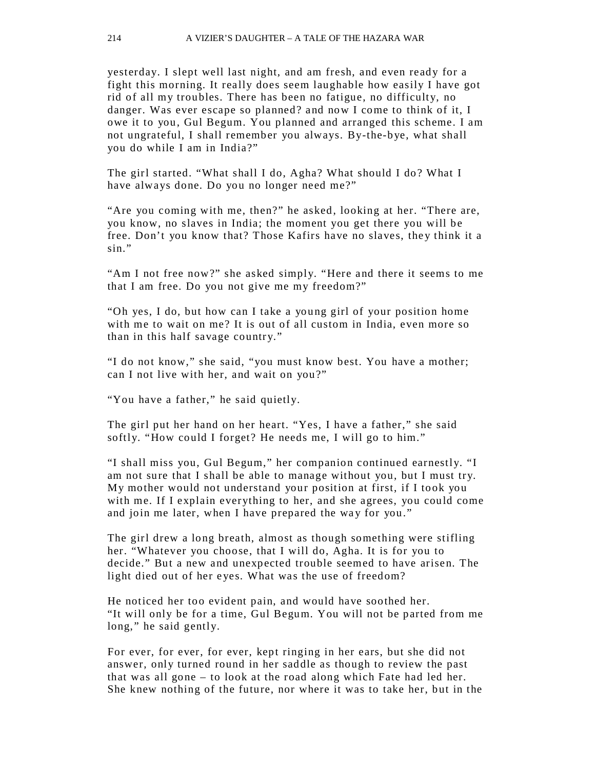yesterday. I slept well last night, and am fresh, and even ready for a fight this morning. It really does seem laughable how easily I have got rid of all my troubles. There has been no fatigue, no difficulty, no danger. Was ever escape so planned? and now I come to think of it, I owe it to you, Gul Begum. You planned and arranged this scheme. I am not ungrateful, I shall remember you always. By-the-bye, what shall you do while I am in India?"

The girl started. "What shall I do, Agha? What should I do? What I have always done. Do you no longer need me?"

"Are you coming with me, then?" he asked, looking at her. "There are, you know, no slaves in India; the moment you get there you will be free. Don't you know that? Those Kafirs have no slaves, they think it a sin."

"Am I not free now?" she asked simply. "Here and there it seems to me that I am free. Do you not give me my freedom?"

"Oh yes, I do, but how can I take a young girl of your position home with me to wait on me? It is out of all custom in India, even more so than in this half savage country."

"I do not know," she said, "you must know best. You have a mother; can I not live with her, and wait on you?"

"You have a father," he said quietly.

The girl put her hand on her heart. "Yes, I have a father," she said softly. "How could I forget? He needs me, I will go to him."

"I shall miss you, Gul Begum," her companion continued earnestly. "I am not sure that I shall be able to manage without you, but I must try. My mother would not understand your position at first, if I took you with me. If I explain everything to her, and she agrees, you could come and join me later, when I have prepared the way for you."

The girl drew a long breath, almost as though something were stifling her. "Whatever you choose, that I will do, Agha. It is for you to decide." But a new and unexpected trouble seemed to have arisen. The light died out of her eyes. What was the use of freedom?

He noticed her too evident pain, and would have soothed her. "It will only be for a time, Gul Begum. You will not be parted from me long," he said gently.

For ever, for ever, for ever, kept ringing in her ears, but she did not answer, only turned round in her saddle as though to review the past that was all gone – to look at the road along which Fate had led her. She knew nothing of the future, nor where it was to take her, but in the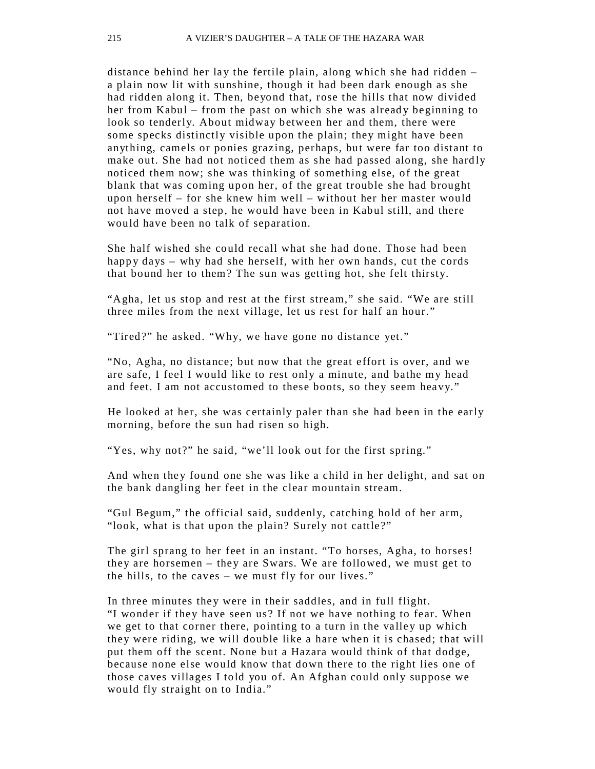distance behind her lay the fertile plain, along which she had ridden  $$ a plain now lit with sunshine, though it had been dark enough as she had ridden along it. Then, beyond that, rose the hills that now divided her from Kabul – from the past on which she was already beginning to look so tenderly. About midway between her and them, there were some specks distinctly visible upon the plain; they might have been anything, camels or ponies grazing, perhaps, but were far too distant to make out. She had not noticed them as she had passed along, she hardly noticed them now; she was thinking of something else, of the great blank that was coming upon her, of the great trouble she had brought upon herself – for she knew him well – without her her master would not have moved a step, he would have been in Kabul still, and there would have been no talk of separation.

She half wished she could recall what she had done. Those had been happy days – why had she herself, with her own hands, cut the cords that bound her to them? The sun was getting hot, she felt thirsty.

"Agha, let us stop and rest at the first stream," she said. "We are still three miles from the next village, let us rest for half an hour."

"Tired?" he asked. "Why, we have gone no distance yet."

"No, Agha, no distance; but now that the great effort is over, and we are safe, I feel I would like to rest only a minute, and bathe my head and feet. I am not accustomed to these boots, so they seem heavy."

He looked at her, she was certainly paler than she had been in the early morning, before the sun had risen so high.

"Yes, why not?" he said, "we'll look out for the first spring."

And when they found one she was like a child in her delight, and sat on the bank dangling her feet in the clear mountain stream.

"Gul Begum," the official said, suddenly, catching hold of her arm, "look, what is that upon the plain? Surely not cattle?"

The girl sprang to her feet in an instant. "To horses, Agha, to horses! they are horsemen – they are Swars. We are followed, we must get to the hills, to the caves – we must fly for our lives."

In three minutes they were in their saddles, and in full flight. "I wonder if they have seen us? If not we have nothing to fear. When we get to that corner there, pointing to a turn in the valley up which they were riding, we will double like a hare when it is chased; that will put them off the scent. None but a Hazara would think of that dodge, because none else would know that down there to the right lies one of those caves villages I told you of. An Afghan could only suppose we would fly straight on to India."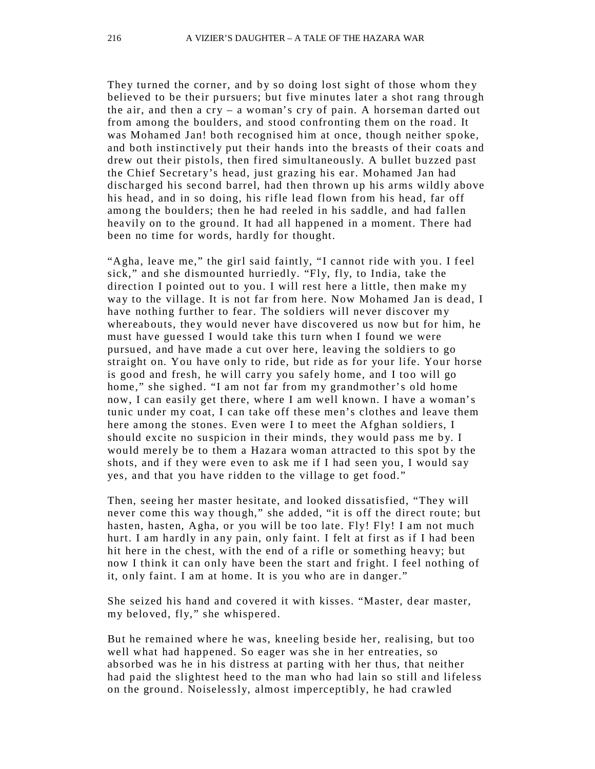They turned the corner, and by so doing lost sight of those whom they believed to be their pursuers; but five minutes later a shot rang through the air, and then a  $\text{cry}$  – a woman's  $\text{cry}$  of pain. A horseman darted out from among the boulders, and stood confronting them on the road. It was Mohamed Jan! both recognised him at once, though neither spoke, and both instinctively put their hands into the breasts of their coats and drew out their pistols, then fired simultaneously. A bullet buzzed past the Chief Secretary's head, just grazing his ear. Mohamed Jan had discharged his second barrel, had then thrown up his arms wildly above his head, and in so doing, his rifle lead flown from his head, far off among the boulders; then he had reeled in his saddle, and had fallen heavily on to the ground. It had all happened in a moment. There had been no time for words, hardly for thought.

"Agha, leave me," the girl said faintly, "I cannot ride with you. I feel sick," and she dismounted hurriedly. "Fly, fly, to India, take the direction I pointed out to you. I will rest here a little, then make m y way to the village. It is not far from here. Now Mohamed Jan is dead, I have nothing further to fear. The soldiers will never discover my whereabouts, they would never have discovered us now but for him, he must have guessed I would take this turn when I found we were pursued, and have made a cut over here, leaving the soldiers to go straight on. You have only to ride, but ride as for your life. Your horse is good and fresh, he will carry you safely home, and I too will go home," she sighed. "I am not far from my grandmother's old home now, I can easily get there, where I am well known. I have a woman's tunic under my coat, I can take off these men's clothes and leave them here among the stones. Even were I to meet the Afghan soldiers, I should excite no suspicion in their minds, they would pass me by. I would merely be to them a Hazara woman attracted to this spot by the shots, and if they were even to ask me if I had seen you, I would say yes, and that you have ridden to the village to get food."

Then, seeing her master hesitate, and looked dissatisfied, "They will never come this way though," she added, "it is off the direct route; but hasten, hasten, Agha, or you will be too late. Fly! Fly! I am not much hurt. I am hardly in any pain, only faint. I felt at first as if I had been hit here in the chest, with the end of a rifle or something heavy; but now I think it can only have been the start and fright. I feel nothing of it, only faint. I am at home. It is you who are in danger."

She seized his hand and covered it with kisses. "Master, dear master, my beloved, fly," she whispered.

But he remained where he was, kneeling beside her, realising, but too well what had happened. So eager was she in her entreaties, so absorbed was he in his distress at parting with her thus, that neither had paid the slightest heed to the man who had lain so still and lifeless on the ground. Noiselessly, almost imperceptibly, he had crawled